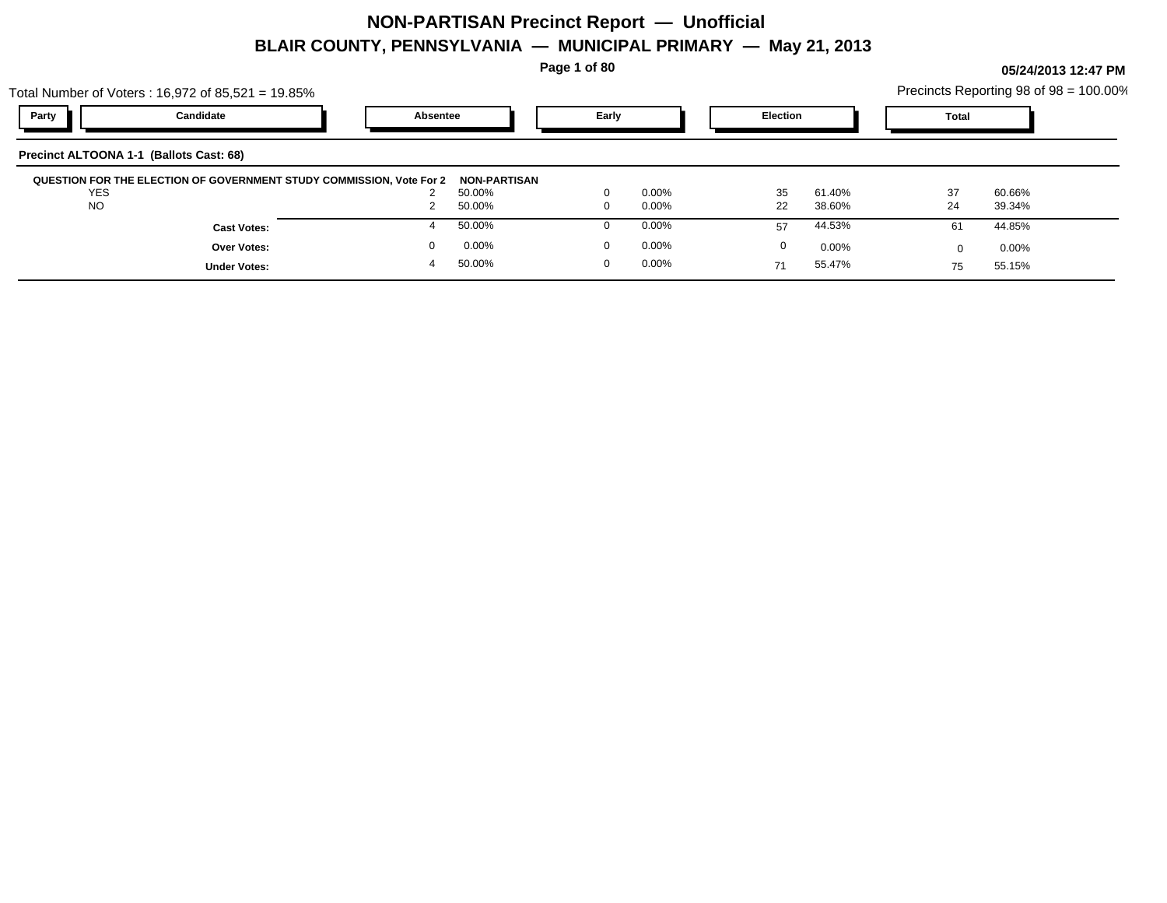Total Number of Voters : 16,972 of 85,521 = 19.85%

**Page 1 of 80**

| al Number of Voters : 16,972 of 85,521 = 19.85% |          |       |          | Precincts Reporting 98 of 98 = 100.00% |  |
|-------------------------------------------------|----------|-------|----------|----------------------------------------|--|
| Party<br>Candidate                              | Absentee | Early | Election | Tota                                   |  |
| (Ballots Cast: 68)<br>ecinct ALTOONA 1-1        |          |       |          |                                        |  |

|          | 50.00%                                                               | 0        | 0.00%        | 35 | 61.40%   | 37 | 60.66% |  |
|----------|----------------------------------------------------------------------|----------|--------------|----|----------|----|--------|--|
|          | 50.00%                                                               |          | 0.00%        | 22 | 38.60%   | 24 | 39.34% |  |
|          | 50.00%                                                               |          | 0.00%        | 57 | 44.53%   | 61 | 44.85% |  |
| $\Omega$ | 0.00%                                                                | $\Omega$ | 0.00%        |    | $0.00\%$ |    | 0.00%  |  |
|          | 50.00%                                                               | $\Omega$ | 0.00%        |    | 55.47%   |    | 55.15% |  |
|          | QUESTION FOR THE ELECTION OF GOVERNMENT STUDY COMMISSION, Vote For 2 |          | NON-PARTISAN |    |          |    |        |  |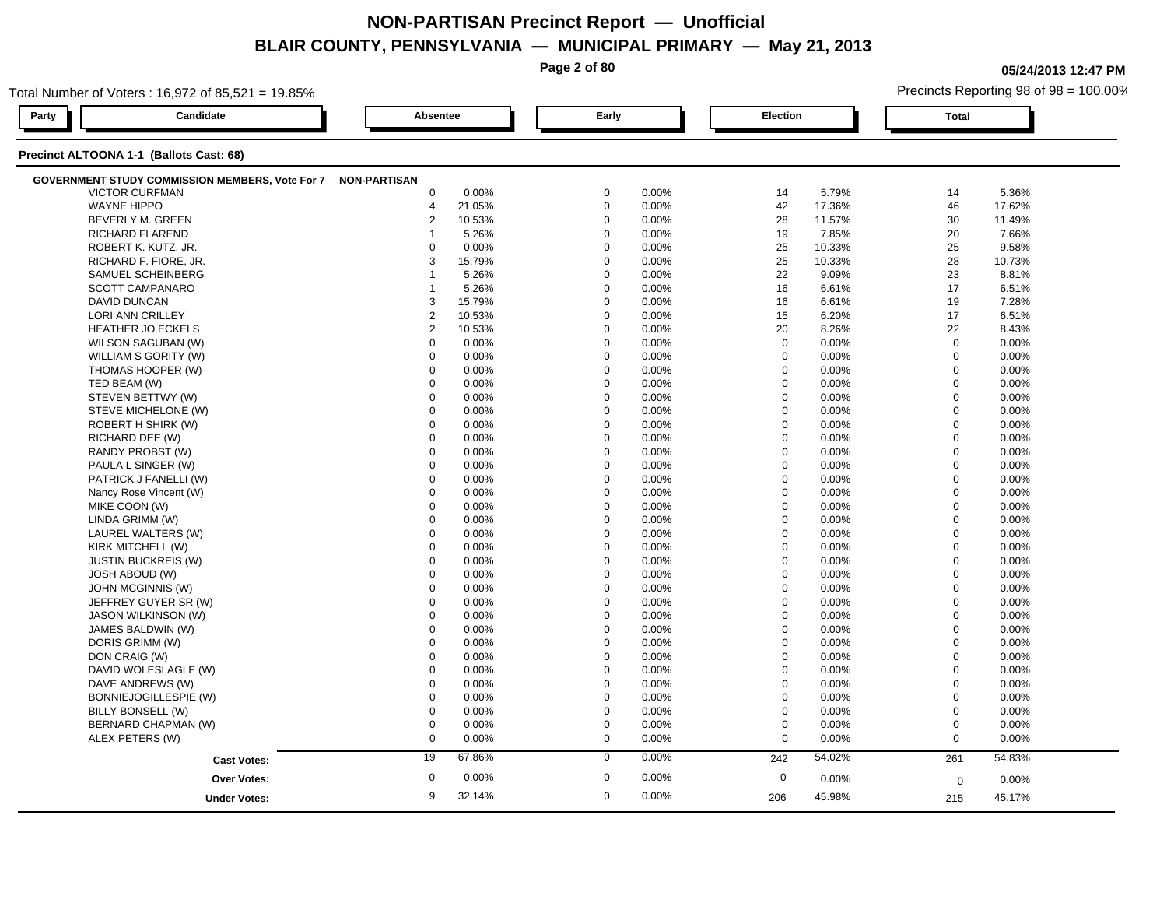**Page 2 of 80**

**05/24/2013 12:47 PM**

|       | Total Number of Voters: 16,972 of 85,521 = 19.85%            |                 |        |             |       |                  |          | Precincts Reporting 98 of 98 = 100.00% |        |  |
|-------|--------------------------------------------------------------|-----------------|--------|-------------|-------|------------------|----------|----------------------------------------|--------|--|
| Party | Candidate                                                    | <b>Absentee</b> |        | Early       |       | Election         |          | <b>Total</b>                           |        |  |
|       | Precinct ALTOONA 1-1 (Ballots Cast: 68)                      |                 |        |             |       |                  |          |                                        |        |  |
|       | GOVERNMENT STUDY COMMISSION MEMBERS, Vote For 7 NON-PARTISAN |                 |        |             |       |                  |          |                                        |        |  |
|       | <b>VICTOR CURFMAN</b>                                        | $\mathbf 0$     | 0.00%  | $\mathbf 0$ | 0.00% | 14               | 5.79%    | 14                                     | 5.36%  |  |
|       | <b>WAYNE HIPPO</b>                                           | 4               | 21.05% | $\mathbf 0$ | 0.00% | 42               | 17.36%   | 46                                     | 17.62% |  |
|       | BEVERLY M. GREEN                                             | 2               | 10.53% | $\mathbf 0$ | 0.00% | 28               | 11.57%   | 30                                     | 11.49% |  |
|       | <b>RICHARD FLAREND</b>                                       | 1               | 5.26%  | $\Omega$    | 0.00% | 19               | 7.85%    | 20                                     | 7.66%  |  |
|       | ROBERT K. KUTZ, JR.                                          | $\Omega$        | 0.00%  | $\Omega$    | 0.00% | 25               | 10.33%   | 25                                     | 9.58%  |  |
|       | RICHARD F. FIORE, JR.                                        | 3               | 15.79% | $\Omega$    | 0.00% | 25               | 10.33%   | 28                                     | 10.73% |  |
|       | SAMUEL SCHEINBERG                                            |                 | 5.26%  | $\Omega$    | 0.00% | 22               | 9.09%    | 23                                     | 8.81%  |  |
|       | <b>SCOTT CAMPANARO</b>                                       | 1               | 5.26%  | $\mathbf 0$ | 0.00% | 16               | 6.61%    | 17                                     | 6.51%  |  |
|       | <b>DAVID DUNCAN</b>                                          | 3               | 15.79% | $\mathbf 0$ | 0.00% | 16               | 6.61%    | 19                                     | 7.28%  |  |
|       | LORI ANN CRILLEY                                             | $\mathbf{2}$    | 10.53% | $\mathbf 0$ | 0.00% | 15               | 6.20%    | 17                                     | 6.51%  |  |
|       | <b>HEATHER JO ECKELS</b>                                     | 2               | 10.53% | $\mathbf 0$ | 0.00% | 20               | 8.26%    | 22                                     | 8.43%  |  |
|       | WILSON SAGUBAN (W)                                           | $\mathbf 0$     | 0.00%  | $\Omega$    | 0.00% | $\mathbf 0$      | 0.00%    | $\mathbf 0$                            | 0.00%  |  |
|       | WILLIAM S GORITY (W)                                         | $\Omega$        | 0.00%  | $\Omega$    | 0.00% | $\mathbf 0$      | 0.00%    | $\mathbf 0$                            | 0.00%  |  |
|       | THOMAS HOOPER (W)                                            | 0               | 0.00%  | $\mathbf 0$ | 0.00% | $\mathbf 0$      | 0.00%    | $\mathbf 0$                            | 0.00%  |  |
|       | TED BEAM (W)                                                 | $\mathbf 0$     | 0.00%  | $\mathbf 0$ | 0.00% | $\mathbf 0$      | 0.00%    | $\mathbf 0$                            | 0.00%  |  |
|       | STEVEN BETTWY (W)                                            | $\mathbf 0$     | 0.00%  | $\mathbf 0$ | 0.00% | $\mathbf 0$      | 0.00%    | $\mathbf 0$                            | 0.00%  |  |
|       | STEVE MICHELONE (W)                                          | $\mathbf 0$     | 0.00%  | $\Omega$    | 0.00% | 0                | 0.00%    | $\mathbf 0$                            | 0.00%  |  |
|       | ROBERT H SHIRK (W)                                           | $\mathbf 0$     | 0.00%  | $\mathbf 0$ | 0.00% | $\mathbf 0$      | 0.00%    | $\mathbf 0$                            | 0.00%  |  |
|       | RICHARD DEE (W)                                              | $\Omega$        | 0.00%  | $\Omega$    | 0.00% | $\mathbf 0$      | 0.00%    | $\mathbf 0$                            | 0.00%  |  |
|       | RANDY PROBST (W)                                             | $\Omega$        | 0.00%  | $\Omega$    | 0.00% | $\mathbf 0$      | 0.00%    | $\mathbf 0$                            | 0.00%  |  |
|       | PAULA L SINGER (W)                                           | $\mathbf 0$     | 0.00%  | $\mathbf 0$ | 0.00% | $\mathbf 0$      | 0.00%    | $\Omega$                               | 0.00%  |  |
|       | PATRICK J FANELLI (W)                                        | $\mathbf 0$     | 0.00%  | $\mathbf 0$ | 0.00% | $\mathbf 0$      | 0.00%    | $\mathbf 0$                            | 0.00%  |  |
|       | Nancy Rose Vincent (W)                                       | $\mathbf 0$     | 0.00%  | $\mathbf 0$ | 0.00% | $\mathbf 0$      | 0.00%    | $\mathbf 0$                            | 0.00%  |  |
|       | MIKE COON (W)                                                | $\Omega$        | 0.00%  | $\Omega$    | 0.00% | $\mathbf 0$      | $0.00\%$ | $\mathbf 0$                            | 0.00%  |  |
|       | LINDA GRIMM (W)                                              | $\mathbf 0$     | 0.00%  | $\Omega$    | 0.00% | $\mathbf 0$      | 0.00%    | $\mathbf 0$                            | 0.00%  |  |
|       | LAUREL WALTERS (W)                                           | $\Omega$        | 0.00%  | $\Omega$    | 0.00% | $\Omega$         | 0.00%    | $\Omega$                               | 0.00%  |  |
|       | KIRK MITCHELL (W)                                            | $\mathbf 0$     | 0.00%  | $\mathbf 0$ | 0.00% | $\mathbf 0$      | 0.00%    | $\mathbf 0$                            | 0.00%  |  |
|       | <b>JUSTIN BUCKREIS (W)</b>                                   | $\mathbf 0$     | 0.00%  | $\mathbf 0$ | 0.00% | $\mathbf 0$      | 0.00%    | $\mathbf 0$                            | 0.00%  |  |
|       | <b>JOSH ABOUD (W)</b>                                        | $\Omega$        | 0.00%  | $\Omega$    | 0.00% | 0                | 0.00%    | $\mathbf 0$                            | 0.00%  |  |
|       | JOHN MCGINNIS (W)                                            | $\Omega$        | 0.00%  | $\Omega$    | 0.00% | $\mathbf 0$      | 0.00%    | $\mathbf 0$                            | 0.00%  |  |
|       | JEFFREY GUYER SR (W)                                         | $\Omega$        | 0.00%  | $\Omega$    | 0.00% | $\mathbf 0$      | 0.00%    | $\Omega$                               | 0.00%  |  |
|       | JASON WILKINSON (W)                                          | $\Omega$        | 0.00%  | $\Omega$    | 0.00% | $\mathbf 0$      | 0.00%    | $\mathbf 0$                            | 0.00%  |  |
|       | JAMES BALDWIN (W)                                            | $\mathbf 0$     | 0.00%  | $\mathbf 0$ | 0.00% | $\mathbf 0$      | 0.00%    | $\mathbf 0$                            | 0.00%  |  |
|       | DORIS GRIMM (W)                                              | $\mathbf 0$     | 0.00%  | $\Omega$    | 0.00% | $\mathbf 0$      | 0.00%    | $\mathbf 0$                            | 0.00%  |  |
|       | DON CRAIG (W)                                                | $\mathbf 0$     | 0.00%  | $\mathbf 0$ | 0.00% | $\mathbf 0$      | 0.00%    | $\mathbf 0$                            | 0.00%  |  |
|       | DAVID WOLESLAGLE (W)                                         | $\mathbf 0$     | 0.00%  | $\Omega$    | 0.00% | $\mathbf 0$      | 0.00%    | $\mathbf 0$                            | 0.00%  |  |
|       | DAVE ANDREWS (W)                                             | $\Omega$        | 0.00%  | $\Omega$    | 0.00% | $\mathbf 0$      | 0.00%    | $\mathbf 0$                            | 0.00%  |  |
|       | BONNIEJOGILLESPIE (W)                                        | $\mathbf 0$     | 0.00%  | $\Omega$    | 0.00% | $\mathbf 0$      | 0.00%    | $\mathbf 0$                            | 0.00%  |  |
|       | BILLY BONSELL (W)                                            | $\mathbf 0$     | 0.00%  | $\Omega$    | 0.00% | $\boldsymbol{0}$ | 0.00%    | $\mathbf 0$                            | 0.00%  |  |
|       | BERNARD CHAPMAN (W)                                          | $\mathbf 0$     | 0.00%  | $\mathbf 0$ | 0.00% | $\boldsymbol{0}$ | 0.00%    | $\mathbf 0$                            | 0.00%  |  |
|       | ALEX PETERS (W)                                              | $\mathbf 0$     | 0.00%  | $\mathbf 0$ | 0.00% | $\mathbf 0$      | 0.00%    | $\mathbf 0$                            | 0.00%  |  |
|       | <b>Cast Votes:</b>                                           | 19              | 67.86% | $\mathbf 0$ | 0.00% | 242              | 54.02%   | 261                                    | 54.83% |  |
|       | <b>Over Votes:</b>                                           | $\mathbf 0$     | 0.00%  | $\mathbf 0$ | 0.00% | $\mathbf 0$      | 0.00%    |                                        |        |  |
|       |                                                              |                 |        |             |       |                  |          | $\mathbf 0$                            | 0.00%  |  |
|       | <b>Under Votes:</b>                                          | 9               | 32.14% | $\mathbf 0$ | 0.00% | 206              | 45.98%   | 215                                    | 45.17% |  |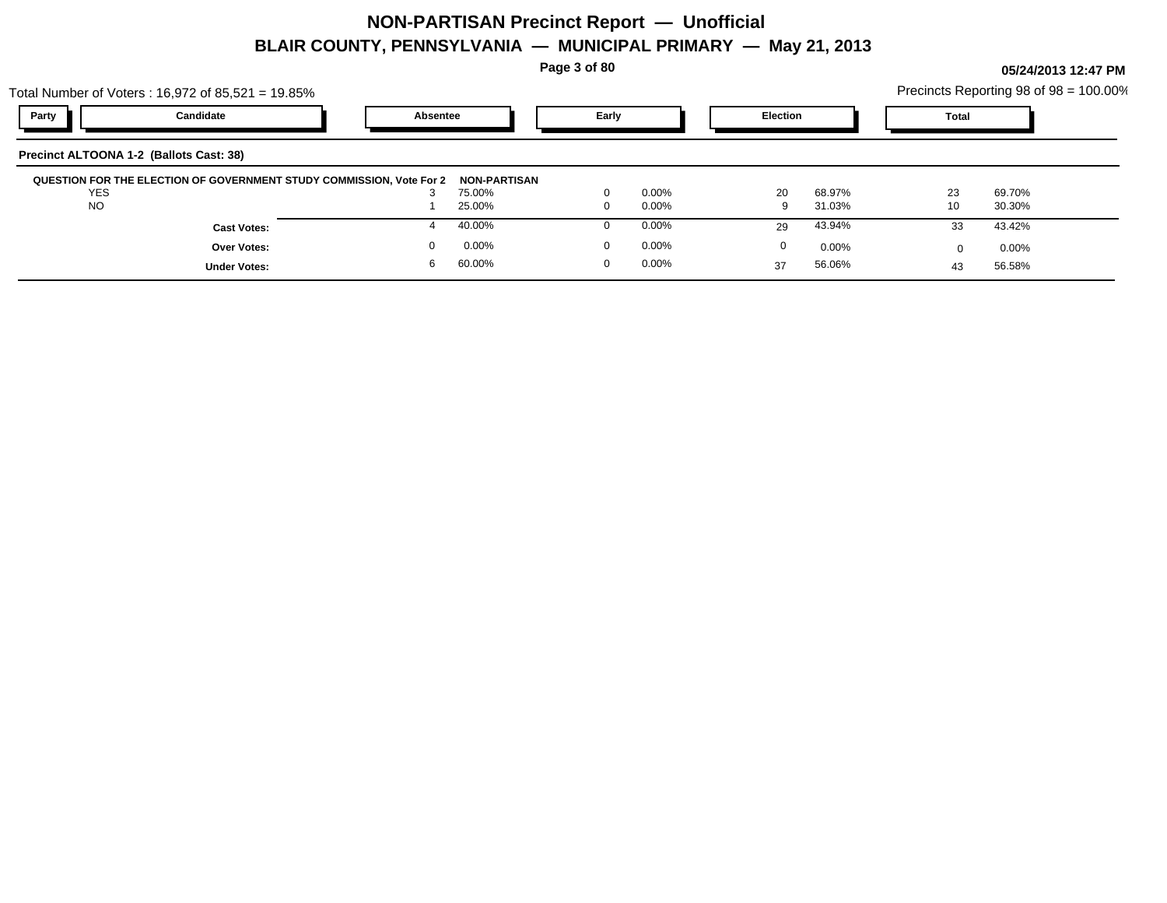**Page 3 of 80**

|          | Precincts Reporting 98 of 98 = 100.00% |  |
|----------|----------------------------------------|--|
| Election | ™otal                                  |  |

|            | Total Number of Voters: $16,972$ of $85,521 = 19.85\%$               |          |                               |          |          |          |          | Precincts Reporting 98 of 98 = 100.00% |          |  |
|------------|----------------------------------------------------------------------|----------|-------------------------------|----------|----------|----------|----------|----------------------------------------|----------|--|
| Party      | Candidate                                                            | Absentee |                               | Early    |          | Election |          | Total                                  |          |  |
|            | Precinct ALTOONA 1-2 (Ballots Cast: 38)                              |          |                               |          |          |          |          |                                        |          |  |
| <b>YES</b> | QUESTION FOR THE ELECTION OF GOVERNMENT STUDY COMMISSION, Vote For 2 | J.       | <b>NON-PARTISAN</b><br>75.00% | $\Omega$ | $0.00\%$ | 20       | 68.97%   | 23                                     | 69.70%   |  |
| <b>NO</b>  |                                                                      |          | 25.00%                        | 0        | 0.00%    |          | 31.03%   | 10                                     | 30.30%   |  |
|            | <b>Cast Votes:</b>                                                   |          | 40.00%                        |          | 0.00%    | 29       | 43.94%   | 33                                     | 43.42%   |  |
|            | <b>Over Votes:</b>                                                   |          | 0.00%                         | $\Omega$ | 0.00%    | $\Omega$ | $0.00\%$ |                                        | $0.00\%$ |  |
|            | <b>Under Votes:</b>                                                  |          | 60.00%                        |          | 0.00%    | 37       | 56.06%   | 43                                     | 56.58%   |  |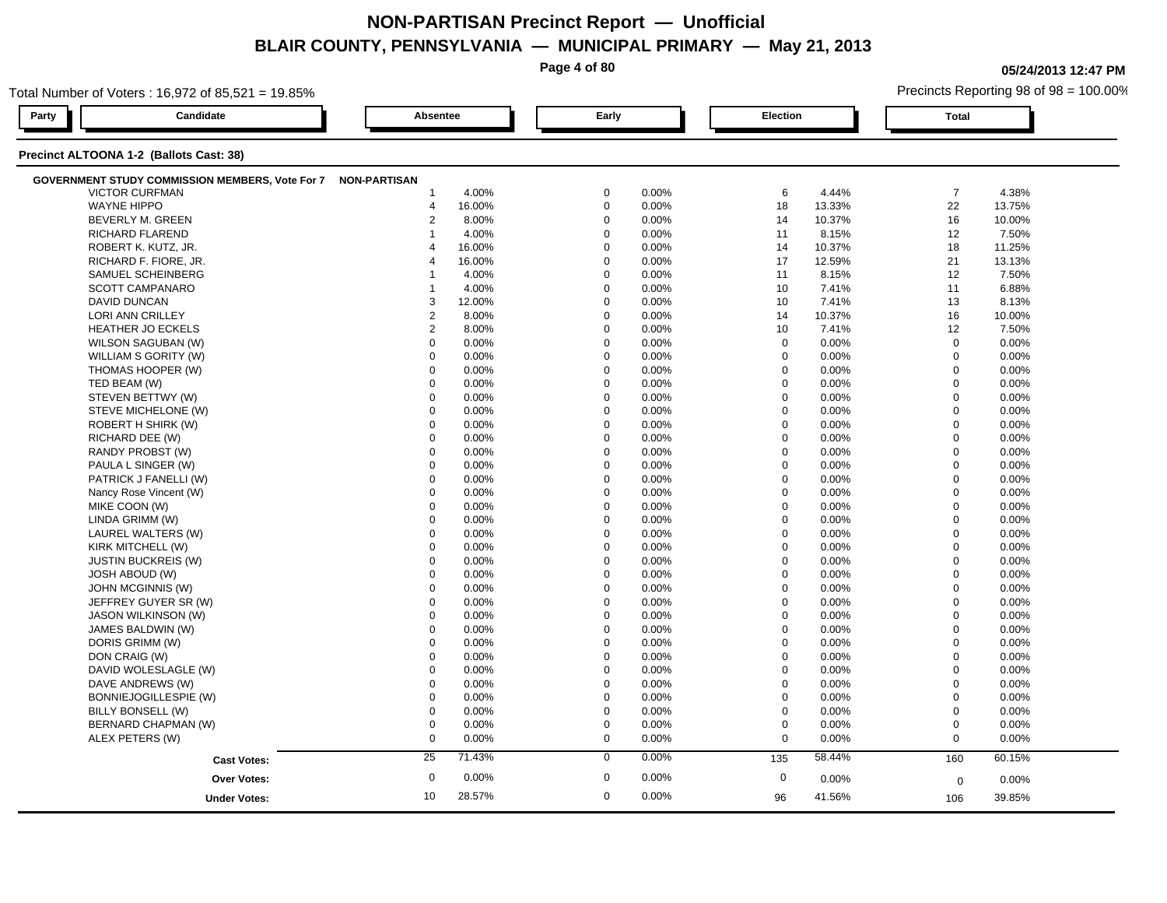**Page 4 of 80**

**05/24/2013 12:47 PM**

|       | Total Number of Voters: 16,972 of 85,521 = 19.85%            |                 |        |             |       |                  |        | Precincts Reporting 98 of 98 = 100.00% |        |  |
|-------|--------------------------------------------------------------|-----------------|--------|-------------|-------|------------------|--------|----------------------------------------|--------|--|
| Party | Candidate                                                    | <b>Absentee</b> |        | Early       |       | Election         |        | <b>Total</b>                           |        |  |
|       | Precinct ALTOONA 1-2 (Ballots Cast: 38)                      |                 |        |             |       |                  |        |                                        |        |  |
|       | GOVERNMENT STUDY COMMISSION MEMBERS, Vote For 7 NON-PARTISAN |                 |        |             |       |                  |        |                                        |        |  |
|       | <b>VICTOR CURFMAN</b>                                        | $\mathbf 1$     | 4.00%  | $\mathbf 0$ | 0.00% | 6                | 4.44%  | $\overline{7}$                         | 4.38%  |  |
|       | <b>WAYNE HIPPO</b>                                           | 4               | 16.00% | $\mathbf 0$ | 0.00% | 18               | 13.33% | 22                                     | 13.75% |  |
|       | BEVERLY M. GREEN                                             | $\overline{2}$  | 8.00%  | $\mathbf 0$ | 0.00% | 14               | 10.37% | 16                                     | 10.00% |  |
|       | <b>RICHARD FLAREND</b>                                       | 1               | 4.00%  | $\Omega$    | 0.00% | 11               | 8.15%  | 12                                     | 7.50%  |  |
|       | ROBERT K. KUTZ, JR.                                          | $\overline{4}$  | 16.00% | $\Omega$    | 0.00% | 14               | 10.37% | 18                                     | 11.25% |  |
|       | RICHARD F. FIORE, JR.                                        | $\overline{4}$  | 16.00% | $\Omega$    | 0.00% | 17               | 12.59% | 21                                     | 13.13% |  |
|       | SAMUEL SCHEINBERG                                            |                 | 4.00%  | $\Omega$    | 0.00% | 11               | 8.15%  | 12                                     | 7.50%  |  |
|       | <b>SCOTT CAMPANARO</b>                                       |                 | 4.00%  | $\mathbf 0$ | 0.00% | 10               | 7.41%  | 11                                     | 6.88%  |  |
|       | <b>DAVID DUNCAN</b>                                          | 3               | 12.00% | $\mathbf 0$ | 0.00% | 10               | 7.41%  | 13                                     | 8.13%  |  |
|       | LORI ANN CRILLEY                                             | $\overline{2}$  | 8.00%  | $\mathbf 0$ | 0.00% | 14               | 10.37% | 16                                     | 10.00% |  |
|       | <b>HEATHER JO ECKELS</b>                                     | $\overline{2}$  | 8.00%  | $\Omega$    | 0.00% | 10               | 7.41%  | 12                                     | 7.50%  |  |
|       | WILSON SAGUBAN (W)                                           | $\mathbf 0$     | 0.00%  | $\Omega$    | 0.00% | $\mathbf 0$      | 0.00%  | $\mathbf 0$                            | 0.00%  |  |
|       | WILLIAM S GORITY (W)                                         | $\Omega$        | 0.00%  | $\Omega$    | 0.00% | $\mathbf 0$      | 0.00%  | $\mathbf 0$                            | 0.00%  |  |
|       | THOMAS HOOPER (W)                                            | 0               | 0.00%  | $\mathbf 0$ | 0.00% | $\mathbf 0$      | 0.00%  | $\mathbf 0$                            | 0.00%  |  |
|       | TED BEAM (W)                                                 | $\mathbf 0$     | 0.00%  | $\mathbf 0$ | 0.00% | $\mathbf 0$      | 0.00%  | $\mathbf 0$                            | 0.00%  |  |
|       | STEVEN BETTWY (W)                                            | $\mathbf 0$     | 0.00%  | $\mathbf 0$ | 0.00% | $\mathbf 0$      | 0.00%  | $\mathbf 0$                            | 0.00%  |  |
|       | STEVE MICHELONE (W)                                          | $\mathbf 0$     | 0.00%  | $\Omega$    | 0.00% | 0                | 0.00%  | $\mathbf 0$                            | 0.00%  |  |
|       | ROBERT H SHIRK (W)                                           | $\mathbf 0$     | 0.00%  | $\Omega$    | 0.00% | $\mathbf 0$      | 0.00%  | $\mathbf 0$                            | 0.00%  |  |
|       | RICHARD DEE (W)                                              | $\Omega$        | 0.00%  | $\Omega$    | 0.00% | $\mathbf 0$      | 0.00%  | $\mathbf 0$                            | 0.00%  |  |
|       | RANDY PROBST (W)                                             | $\Omega$        | 0.00%  | $\Omega$    | 0.00% | $\mathbf 0$      | 0.00%  | $\mathbf 0$                            | 0.00%  |  |
|       | PAULA L SINGER (W)                                           | $\mathbf 0$     | 0.00%  | $\mathbf 0$ | 0.00% | $\mathbf 0$      | 0.00%  | $\Omega$                               | 0.00%  |  |
|       | PATRICK J FANELLI (W)                                        | $\mathbf 0$     | 0.00%  | $\mathbf 0$ | 0.00% | $\mathbf 0$      | 0.00%  | $\mathbf 0$                            | 0.00%  |  |
|       | Nancy Rose Vincent (W)                                       | $\mathbf 0$     | 0.00%  | $\mathbf 0$ | 0.00% | $\mathbf 0$      | 0.00%  | $\mathbf 0$                            | 0.00%  |  |
|       | MIKE COON (W)                                                | $\Omega$        | 0.00%  | $\Omega$    | 0.00% | $\mathbf 0$      | 0.00%  | $\mathbf 0$                            | 0.00%  |  |
|       | LINDA GRIMM (W)                                              | $\mathbf 0$     | 0.00%  | $\Omega$    | 0.00% | $\mathbf 0$      | 0.00%  | $\mathbf 0$                            | 0.00%  |  |
|       | LAUREL WALTERS (W)                                           | $\Omega$        | 0.00%  | $\Omega$    | 0.00% | $\Omega$         | 0.00%  | $\Omega$                               | 0.00%  |  |
|       | KIRK MITCHELL (W)                                            | $\mathbf 0$     | 0.00%  | $\mathbf 0$ | 0.00% | $\mathbf 0$      | 0.00%  | $\overline{0}$                         | 0.00%  |  |
|       | <b>JUSTIN BUCKREIS (W)</b>                                   | $\mathbf 0$     | 0.00%  | $\mathbf 0$ | 0.00% | $\mathbf 0$      | 0.00%  | $\mathbf 0$                            | 0.00%  |  |
|       | <b>JOSH ABOUD (W)</b>                                        | $\Omega$        | 0.00%  | $\Omega$    | 0.00% | 0                | 0.00%  | $\mathbf 0$                            | 0.00%  |  |
|       | JOHN MCGINNIS (W)                                            | $\Omega$        | 0.00%  | $\Omega$    | 0.00% | $\mathbf 0$      | 0.00%  | $\mathbf 0$                            | 0.00%  |  |
|       | JEFFREY GUYER SR (W)                                         | $\Omega$        | 0.00%  | $\Omega$    | 0.00% | $\mathbf 0$      | 0.00%  | $\Omega$                               | 0.00%  |  |
|       | JASON WILKINSON (W)                                          | $\Omega$        | 0.00%  | $\Omega$    | 0.00% | $\mathbf 0$      | 0.00%  | $\mathbf 0$                            | 0.00%  |  |
|       | JAMES BALDWIN (W)                                            | $\mathbf 0$     | 0.00%  | $\mathbf 0$ | 0.00% | $\mathbf 0$      | 0.00%  | $\mathbf 0$                            | 0.00%  |  |
|       | DORIS GRIMM (W)                                              | $\mathbf 0$     | 0.00%  | $\Omega$    | 0.00% | $\mathbf 0$      | 0.00%  | $\mathbf 0$                            | 0.00%  |  |
|       | DON CRAIG (W)                                                | $\mathbf 0$     | 0.00%  | $\mathbf 0$ | 0.00% | $\mathbf 0$      | 0.00%  | $\mathbf 0$                            | 0.00%  |  |
|       | DAVID WOLESLAGLE (W)                                         | $\mathbf 0$     | 0.00%  | $\Omega$    | 0.00% | $\mathbf 0$      | 0.00%  | $\mathbf 0$                            | 0.00%  |  |
|       | DAVE ANDREWS (W)                                             | $\Omega$        | 0.00%  | $\Omega$    | 0.00% | $\mathbf 0$      | 0.00%  | $\mathbf 0$                            | 0.00%  |  |
|       | BONNIEJOGILLESPIE (W)                                        | $\mathbf 0$     | 0.00%  | $\Omega$    | 0.00% | $\mathbf 0$      | 0.00%  | $\mathbf 0$                            | 0.00%  |  |
|       | BILLY BONSELL (W)                                            | $\mathbf 0$     | 0.00%  | $\Omega$    | 0.00% | $\mathbf 0$      | 0.00%  | $\mathbf 0$                            | 0.00%  |  |
|       | BERNARD CHAPMAN (W)                                          | $\mathbf 0$     | 0.00%  | $\mathbf 0$ | 0.00% | $\boldsymbol{0}$ | 0.00%  | $\mathbf 0$                            | 0.00%  |  |
|       | ALEX PETERS (W)                                              | $\mathbf 0$     | 0.00%  | $\mathbf 0$ | 0.00% | $\mathbf 0$      | 0.00%  | $\mathbf 0$                            | 0.00%  |  |
|       | <b>Cast Votes:</b>                                           | 25              | 71.43% | $\mathbf 0$ | 0.00% | 135              | 58.44% | 160                                    | 60.15% |  |
|       |                                                              | $\mathbf 0$     | 0.00%  | $\mathbf 0$ | 0.00% | $\mathbf 0$      | 0.00%  |                                        |        |  |
|       | <b>Over Votes:</b>                                           |                 |        |             |       |                  |        | $\mathbf 0$                            | 0.00%  |  |
|       | <b>Under Votes:</b>                                          | 10              | 28.57% | $\mathbf 0$ | 0.00% | 96               | 41.56% | 106                                    | 39.85% |  |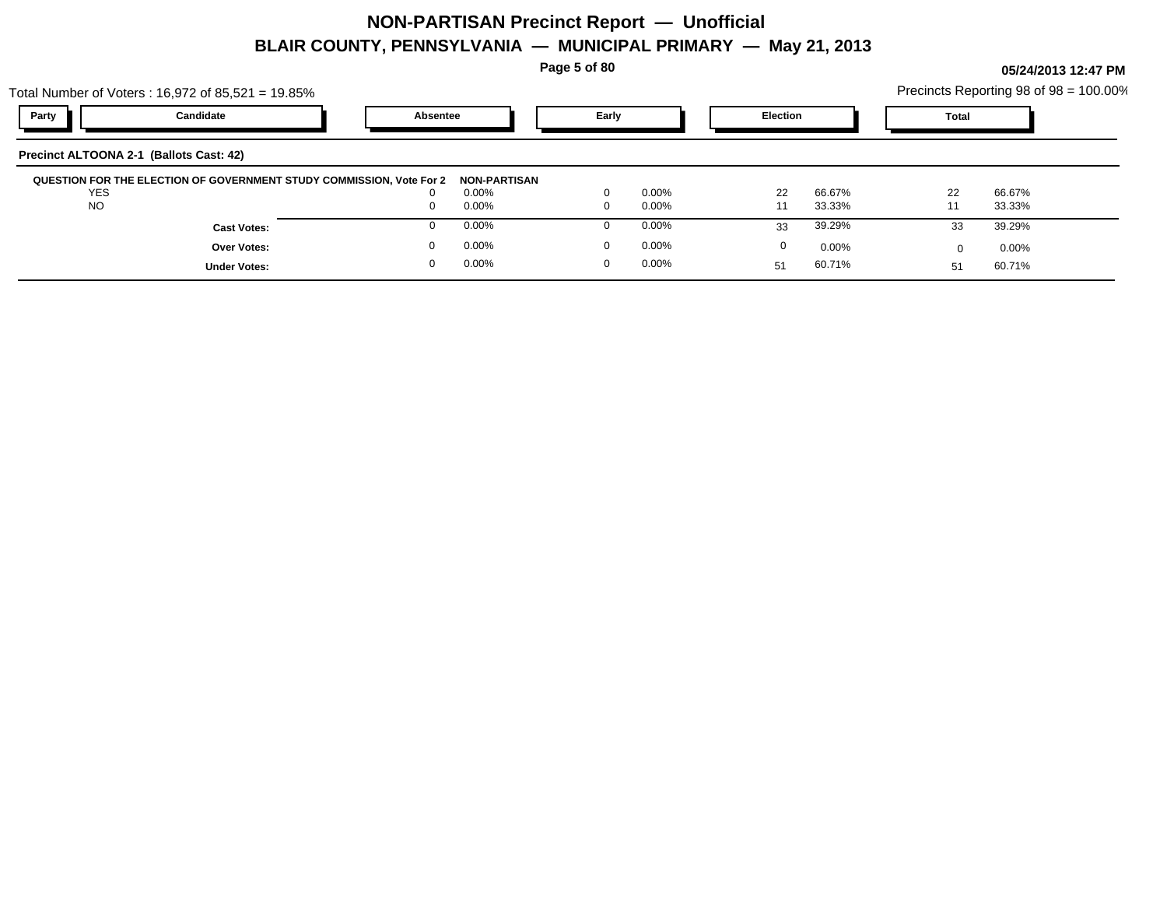**Page 5 of 80**

| Total Number of Voters: 16,972 of 85,521 = 19.85%<br>Party | Candidate          | Absentee                                                             |                     | Early |          | <b>Election</b> |          | <b>Total</b> | Precincts Reporting 98 of 98 = 100.00% |  |
|------------------------------------------------------------|--------------------|----------------------------------------------------------------------|---------------------|-------|----------|-----------------|----------|--------------|----------------------------------------|--|
| Precinct ALTOONA 2-1 (Ballots Cast: 42)                    |                    |                                                                      |                     |       |          |                 |          |              |                                        |  |
|                                                            |                    | QUESTION FOR THE ELECTION OF GOVERNMENT STUDY COMMISSION, Vote For 2 | <b>NON-PARTISAN</b> |       |          |                 |          |              |                                        |  |
| <b>YES</b>                                                 |                    |                                                                      |                     |       |          |                 |          |              |                                        |  |
|                                                            |                    | $\Omega$                                                             | $0.00\%$            |       | $0.00\%$ | 22              | 66.67%   | 22           | 66.67%                                 |  |
| <b>NO</b>                                                  |                    | $\Omega$                                                             | 0.00%               |       | 0.00%    | 11              | 33.33%   | 11           | 33.33%                                 |  |
|                                                            | <b>Cast Votes:</b> |                                                                      | $0.00\%$            |       | $0.00\%$ | 33              | 39.29%   | 33           | 39.29%                                 |  |
|                                                            | <b>Over Votes:</b> | $\Omega$                                                             | 0.00%               |       | $0.00\%$ | 0               | $0.00\%$ |              | 0.00%                                  |  |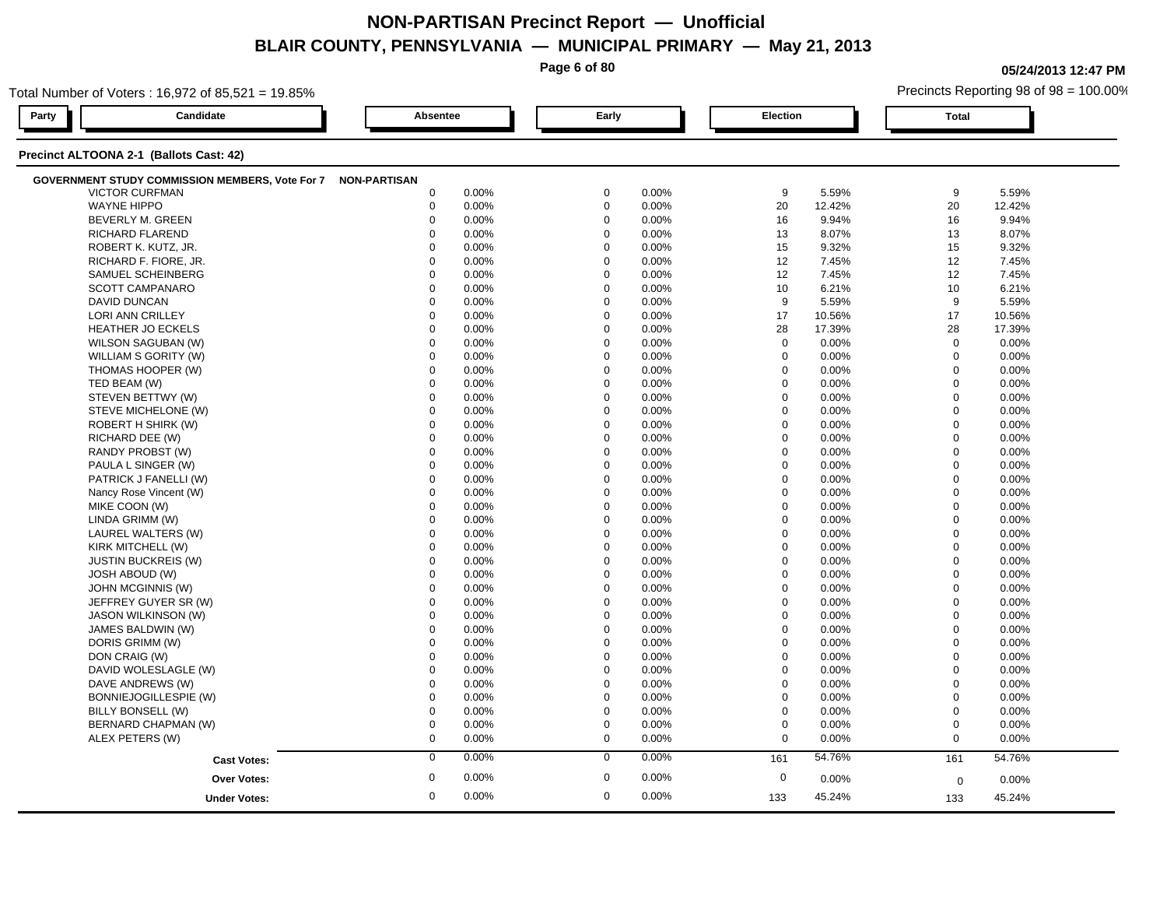**Page 6 of 80**

**05/24/2013 12:47 PM**

|       | Total Number of Voters: 16,972 of 85,521 = 19.85%            |                  |       |             |          |                  |        |              | Precincts Reporting 98 of 98 = 100.00% |  |  |
|-------|--------------------------------------------------------------|------------------|-------|-------------|----------|------------------|--------|--------------|----------------------------------------|--|--|
| Party | Candidate                                                    | Absentee         |       | Early       |          | Election         |        | <b>Total</b> |                                        |  |  |
|       | Precinct ALTOONA 2-1 (Ballots Cast: 42)                      |                  |       |             |          |                  |        |              |                                        |  |  |
|       | GOVERNMENT STUDY COMMISSION MEMBERS, Vote For 7 NON-PARTISAN |                  |       |             |          |                  |        |              |                                        |  |  |
|       | <b>VICTOR CURFMAN</b>                                        | $\boldsymbol{0}$ | 0.00% | $\mathbf 0$ | 0.00%    | 9                | 5.59%  | 9            | 5.59%                                  |  |  |
|       | <b>WAYNE HIPPO</b>                                           | $\mathbf 0$      | 0.00% | $\mathbf 0$ | 0.00%    | 20               | 12.42% | 20           | 12.42%                                 |  |  |
|       | BEVERLY M. GREEN                                             | $\mathbf 0$      | 0.00% | $\mathbf 0$ | 0.00%    | 16               | 9.94%  | 16           | 9.94%                                  |  |  |
|       | <b>RICHARD FLAREND</b>                                       | $\Omega$         | 0.00% | $\Omega$    | 0.00%    | 13               | 8.07%  | 13           | 8.07%                                  |  |  |
|       | ROBERT K. KUTZ, JR.                                          | $\mathbf 0$      | 0.00% | $\mathbf 0$ | 0.00%    | 15               | 9.32%  | 15           | 9.32%                                  |  |  |
|       | RICHARD F. FIORE, JR.                                        | $\mathbf 0$      | 0.00% | $\mathbf 0$ | 0.00%    | 12               | 7.45%  | 12           | 7.45%                                  |  |  |
|       | SAMUEL SCHEINBERG                                            | $\Omega$         | 0.00% | $\Omega$    | 0.00%    | 12               | 7.45%  | 12           | 7.45%                                  |  |  |
|       | <b>SCOTT CAMPANARO</b>                                       | $\mathbf 0$      | 0.00% | $\mathbf 0$ | 0.00%    | 10               | 6.21%  | 10           | 6.21%                                  |  |  |
|       | <b>DAVID DUNCAN</b>                                          | $\Omega$         | 0.00% | $\Omega$    | 0.00%    | 9                | 5.59%  | 9            | 5.59%                                  |  |  |
|       | LORI ANN CRILLEY                                             | $\Omega$         | 0.00% | $\Omega$    | 0.00%    | 17               | 10.56% | 17           | 10.56%                                 |  |  |
|       | HEATHER JO ECKELS                                            | $\mathbf 0$      | 0.00% | $\mathbf 0$ | 0.00%    | 28               | 17.39% | 28           | 17.39%                                 |  |  |
|       | WILSON SAGUBAN (W)                                           | $\mathbf 0$      | 0.00% | $\mathbf 0$ | 0.00%    | $\mathbf 0$      | 0.00%  | $\mathbf 0$  | 0.00%                                  |  |  |
|       | WILLIAM S GORITY (W)                                         | $\mathbf 0$      | 0.00% | $\Omega$    | 0.00%    | $\mathbf 0$      | 0.00%  | $\mathbf 0$  | 0.00%                                  |  |  |
|       | THOMAS HOOPER (W)                                            | $\Omega$         | 0.00% | $\Omega$    | 0.00%    | $\Omega$         | 0.00%  | $\mathbf{0}$ | 0.00%                                  |  |  |
|       | TED BEAM (W)                                                 | $\Omega$         | 0.00% | $\Omega$    | 0.00%    | $\mathbf 0$      | 0.00%  | $\Omega$     | 0.00%                                  |  |  |
|       | STEVEN BETTWY (W)                                            | $\mathbf 0$      | 0.00% | $\mathbf 0$ | 0.00%    | $\mathbf 0$      | 0.00%  | $\mathbf 0$  | 0.00%                                  |  |  |
|       | STEVE MICHELONE (W)                                          | $\mathbf 0$      | 0.00% | $\mathbf 0$ | 0.00%    | $\mathbf 0$      | 0.00%  | $\mathbf 0$  | 0.00%                                  |  |  |
|       | ROBERT H SHIRK (W)                                           | $\mathbf 0$      | 0.00% | $\Omega$    | 0.00%    | $\mathbf 0$      | 0.00%  | $\mathbf 0$  | 0.00%                                  |  |  |
|       | RICHARD DEE (W)                                              | $\Omega$         | 0.00% | $\Omega$    | 0.00%    | $\mathbf 0$      | 0.00%  | $\mathbf{0}$ | 0.00%                                  |  |  |
|       | RANDY PROBST (W)                                             | $\Omega$         | 0.00% | $\Omega$    | 0.00%    | $\boldsymbol{0}$ | 0.00%  | $\mathbf 0$  | 0.00%                                  |  |  |
|       | PAULA L SINGER (W)                                           | $\mathbf 0$      | 0.00% | $\mathbf 0$ | 0.00%    | $\mathbf 0$      | 0.00%  | $\mathbf 0$  | 0.00%                                  |  |  |
|       | PATRICK J FANELLI (W)                                        | $\mathbf 0$      | 0.00% | $\mathbf 0$ | 0.00%    | $\mathbf 0$      | 0.00%  | $\mathbf 0$  | 0.00%                                  |  |  |
|       | Nancy Rose Vincent (W)                                       | $\mathbf 0$      | 0.00% | $\Omega$    | 0.00%    | $\mathbf 0$      | 0.00%  | $\mathbf 0$  | 0.00%                                  |  |  |
|       | MIKE COON (W)                                                | $\Omega$         | 0.00% | $\Omega$    | 0.00%    | $\mathbf 0$      | 0.00%  | $\mathbf 0$  | 0.00%                                  |  |  |
|       | LINDA GRIMM (W)                                              | $\mathbf 0$      | 0.00% | $\Omega$    | 0.00%    | $\mathbf 0$      | 0.00%  | $\mathbf 0$  | 0.00%                                  |  |  |
|       | LAUREL WALTERS (W)                                           | $\mathbf 0$      | 0.00% | $\mathbf 0$ | 0.00%    | $\mathbf 0$      | 0.00%  | $\mathbf 0$  | 0.00%                                  |  |  |
|       | KIRK MITCHELL (W)                                            | 0                | 0.00% | $\mathbf 0$ | 0.00%    | $\mathbf 0$      | 0.00%  | $\mathbf 0$  | 0.00%                                  |  |  |
|       | <b>JUSTIN BUCKREIS (W)</b>                                   | $\mathbf 0$      | 0.00% | $\Omega$    | 0.00%    | 0                | 0.00%  | $\mathbf 0$  | 0.00%                                  |  |  |
|       | <b>JOSH ABOUD (W)</b>                                        | $\Omega$         | 0.00% | $\Omega$    | 0.00%    | $\mathbf 0$      | 0.00%  | $\mathbf 0$  | 0.00%                                  |  |  |
|       | JOHN MCGINNIS (W)                                            | $\Omega$         | 0.00% | $\Omega$    | 0.00%    | $\mathbf 0$      | 0.00%  | $\mathbf 0$  | 0.00%                                  |  |  |
|       | JEFFREY GUYER SR (W)                                         | $\Omega$         | 0.00% | $\Omega$    | 0.00%    | $\mathbf 0$      | 0.00%  | $\mathbf 0$  | 0.00%                                  |  |  |
|       | <b>JASON WILKINSON (W)</b>                                   | $\mathbf 0$      | 0.00% | $\mathbf 0$ | 0.00%    | $\mathbf 0$      | 0.00%  | $\mathbf 0$  | 0.00%                                  |  |  |
|       | JAMES BALDWIN (W)                                            | $\mathbf 0$      | 0.00% | $\mathbf 0$ | 0.00%    | $\mathbf 0$      | 0.00%  | $\mathbf 0$  | 0.00%                                  |  |  |
|       | DORIS GRIMM (W)                                              | $\Omega$         | 0.00% | $\Omega$    | 0.00%    | 0                | 0.00%  | $\mathbf 0$  | 0.00%                                  |  |  |
|       | DON CRAIG (W)                                                | $\mathbf 0$      | 0.00% | $\Omega$    | 0.00%    | $\mathbf 0$      | 0.00%  | $\mathbf 0$  | 0.00%                                  |  |  |
|       | DAVID WOLESLAGLE (W)                                         | $\Omega$         | 0.00% | $\Omega$    | 0.00%    | $\mathbf 0$      | 0.00%  | $\Omega$     | 0.00%                                  |  |  |
|       | DAVE ANDREWS (W)                                             | $\mathbf 0$      | 0.00% | $\mathbf 0$ | 0.00%    | $\mathbf 0$      | 0.00%  | $\mathbf 0$  | 0.00%                                  |  |  |
|       | BONNIEJOGILLESPIE (W)                                        | 0                | 0.00% | $\mathbf 0$ | 0.00%    | $\mathbf 0$      | 0.00%  | $\mathbf 0$  | 0.00%                                  |  |  |
|       | BILLY BONSELL (W)                                            | $\Omega$         | 0.00% | $\Omega$    | $0.00\%$ | $\mathbf 0$      | 0.00%  | $\mathbf 0$  | 0.00%                                  |  |  |
|       | BERNARD CHAPMAN (W)                                          | $\mathbf 0$      | 0.00% | $\mathbf 0$ | 0.00%    | $\mathbf 0$      | 0.00%  | $\mathbf 0$  | 0.00%                                  |  |  |
|       | ALEX PETERS (W)                                              | $\boldsymbol{0}$ | 0.00% | $\mathbf 0$ | 0.00%    | $\mathbf 0$      | 0.00%  | $\Omega$     | 0.00%                                  |  |  |
|       | <b>Cast Votes:</b>                                           | $\mathbf 0$      | 0.00% | $\mathbf 0$ | 0.00%    | 161              | 54.76% | 161          | 54.76%                                 |  |  |
|       | <b>Over Votes:</b>                                           | $\mathbf 0$      | 0.00% | $\mathbf 0$ | 0.00%    | $\mathbf 0$      | 0.00%  | $\mathbf 0$  | 0.00%                                  |  |  |
|       |                                                              | $\mathbf 0$      | 0.00% | $\mathbf 0$ | 0.00%    | 133              | 45.24% |              | 45.24%                                 |  |  |
|       | <b>Under Votes:</b>                                          |                  |       |             |          |                  |        | 133          |                                        |  |  |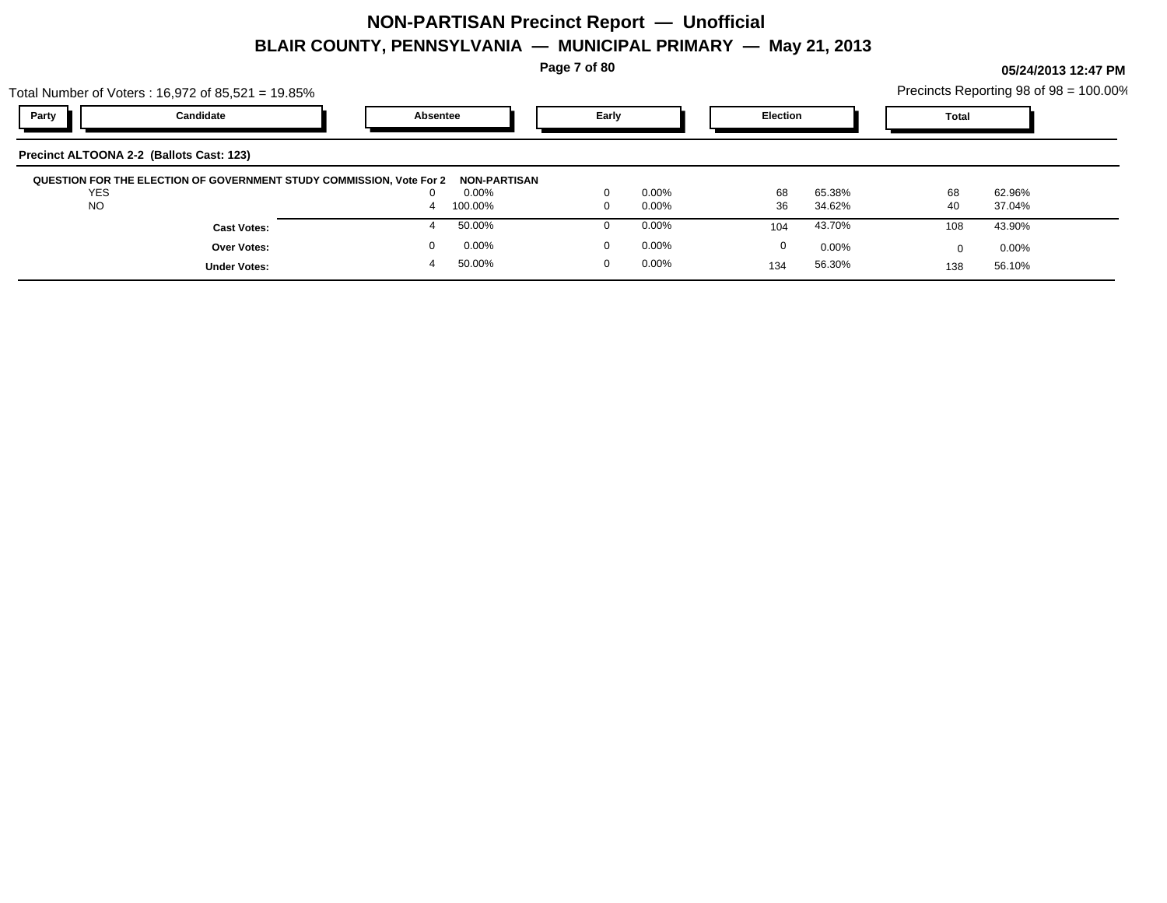**Page 7 of 80**

|            | Total Number of Voters : 16,972 of 85,521 = 19.85%                   |          |              |          |          |                 |          |              | Precincts Reporting 98 of 98 = 100.00% |
|------------|----------------------------------------------------------------------|----------|--------------|----------|----------|-----------------|----------|--------------|----------------------------------------|
| Party      | Candidate                                                            | Absentee |              | Early    |          | <b>Election</b> |          | <b>Total</b> |                                        |
|            | Precinct ALTOONA 2-2 (Ballots Cast: 123)                             |          |              |          |          |                 |          |              |                                        |
|            | QUESTION FOR THE ELECTION OF GOVERNMENT STUDY COMMISSION, Vote For 2 |          | NON-PARTISAN |          |          |                 |          |              |                                        |
| <b>YES</b> |                                                                      |          | 0.00%        |          | $0.00\%$ | 68              | 65.38%   | 68           | 62.96%                                 |
| <b>NO</b>  |                                                                      |          | 100.00%      | $\Omega$ | $0.00\%$ | 36              | 34.62%   | 40           | 37.04%                                 |
|            | <b>Cast Votes:</b>                                                   |          | 50.00%       |          | $0.00\%$ | 104             | 43.70%   | 108          | 43.90%                                 |
|            | <b>Over Votes:</b>                                                   |          | 0.00%        | $\Omega$ | $0.00\%$ | 0               | $0.00\%$ | $\Omega$     | $0.00\%$                               |
|            | <b>Under Votes:</b>                                                  |          | 50.00%       |          | 0.00%    | 134             | 56.30%   | 138          | 56.10%                                 |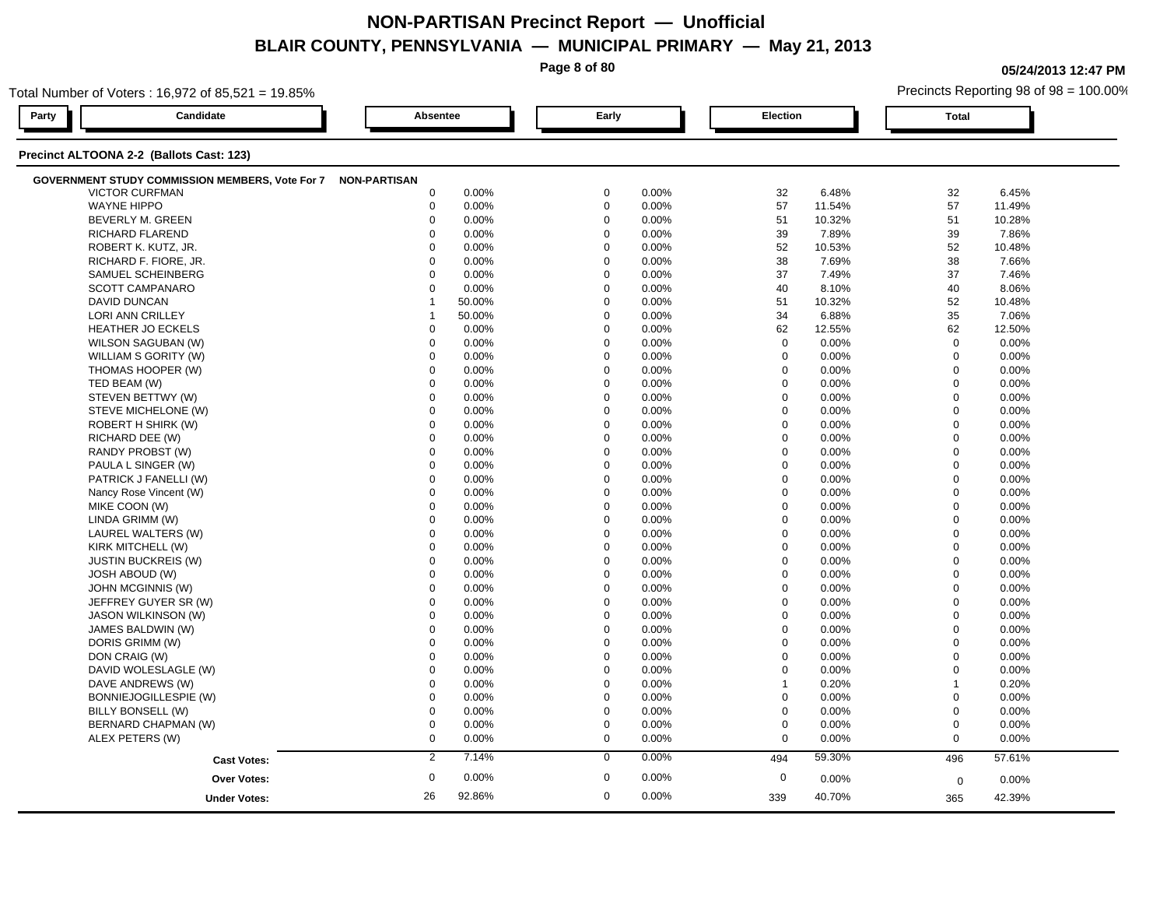**Page 8 of 80**

**05/24/2013 12:47 PM**

| Total Number of Voters: 16,972 of 85,521 = 19.85%            |                  |        |             |       |                  |        | Precincts Reporting 98 of 98 = 100.00% |        |  |
|--------------------------------------------------------------|------------------|--------|-------------|-------|------------------|--------|----------------------------------------|--------|--|
| Party<br>Candidate                                           | <b>Absentee</b>  |        | Early       |       | Election         |        | <b>Total</b>                           |        |  |
| Precinct ALTOONA 2-2 (Ballots Cast: 123)                     |                  |        |             |       |                  |        |                                        |        |  |
| GOVERNMENT STUDY COMMISSION MEMBERS, Vote For 7 NON-PARTISAN |                  |        |             |       |                  |        |                                        |        |  |
| <b>VICTOR CURFMAN</b>                                        | $\mathbf 0$      | 0.00%  | $\mathbf 0$ | 0.00% | 32               | 6.48%  | 32                                     | 6.45%  |  |
| <b>WAYNE HIPPO</b>                                           | $\boldsymbol{0}$ | 0.00%  | $\mathbf 0$ | 0.00% | 57               | 11.54% | 57                                     | 11.49% |  |
| BEVERLY M. GREEN                                             | $\mathbf 0$      | 0.00%  | $\mathbf 0$ | 0.00% | 51               | 10.32% | 51                                     | 10.28% |  |
| <b>RICHARD FLAREND</b>                                       | $\Omega$         | 0.00%  | $\Omega$    | 0.00% | 39               | 7.89%  | 39                                     | 7.86%  |  |
| ROBERT K. KUTZ, JR.                                          | $\Omega$         | 0.00%  | $\Omega$    | 0.00% | 52               | 10.53% | 52                                     | 10.48% |  |
| RICHARD F. FIORE, JR.                                        | $\Omega$         | 0.00%  | $\Omega$    | 0.00% | 38               | 7.69%  | 38                                     | 7.66%  |  |
| SAMUEL SCHEINBERG                                            | $\Omega$         | 0.00%  | $\Omega$    | 0.00% | 37               | 7.49%  | 37                                     | 7.46%  |  |
| <b>SCOTT CAMPANARO</b>                                       | $\mathbf 0$      | 0.00%  | $\mathbf 0$ | 0.00% | 40               | 8.10%  | 40                                     | 8.06%  |  |
| <b>DAVID DUNCAN</b>                                          | -1               | 50.00% | $\mathbf 0$ | 0.00% | 51               | 10.32% | 52                                     | 10.48% |  |
| LORI ANN CRILLEY                                             | -1               | 50.00% | $\mathbf 0$ | 0.00% | 34               | 6.88%  | 35                                     | 7.06%  |  |
| <b>HEATHER JO ECKELS</b>                                     | $\mathbf 0$      | 0.00%  | $\mathbf 0$ | 0.00% | 62               | 12.55% | 62                                     | 12.50% |  |
| WILSON SAGUBAN (W)                                           | $\mathbf 0$      | 0.00%  | $\Omega$    | 0.00% | $\mathbf 0$      | 0.00%  | $\mathbf 0$                            | 0.00%  |  |
| WILLIAM S GORITY (W)                                         | $\Omega$         | 0.00%  | $\Omega$    | 0.00% | $\mathbf 0$      | 0.00%  | $\mathbf 0$                            | 0.00%  |  |
| THOMAS HOOPER (W)                                            | 0                | 0.00%  | $\mathbf 0$ | 0.00% | $\mathbf 0$      | 0.00%  | $\mathbf 0$                            | 0.00%  |  |
| TED BEAM (W)                                                 | $\mathbf 0$      | 0.00%  | $\mathbf 0$ | 0.00% | $\mathbf 0$      | 0.00%  | $\mathbf 0$                            | 0.00%  |  |
| STEVEN BETTWY (W)                                            | $\mathbf 0$      | 0.00%  | $\mathbf 0$ | 0.00% | $\mathbf 0$      | 0.00%  | $\mathbf 0$                            | 0.00%  |  |
| STEVE MICHELONE (W)                                          | $\mathbf 0$      | 0.00%  | $\Omega$    | 0.00% | 0                | 0.00%  | $\mathbf 0$                            | 0.00%  |  |
| ROBERT H SHIRK (W)                                           | $\mathbf 0$      | 0.00%  | $\mathbf 0$ | 0.00% | $\mathbf 0$      | 0.00%  | $\mathbf 0$                            | 0.00%  |  |
| RICHARD DEE (W)                                              | $\Omega$         | 0.00%  | $\Omega$    | 0.00% | $\mathbf 0$      | 0.00%  | $\mathbf 0$                            | 0.00%  |  |
| RANDY PROBST (W)                                             | $\Omega$         | 0.00%  | $\Omega$    | 0.00% | $\mathbf 0$      | 0.00%  | $\mathbf 0$                            | 0.00%  |  |
| PAULA L SINGER (W)                                           | $\mathbf 0$      | 0.00%  | $\mathbf 0$ | 0.00% | $\mathbf 0$      | 0.00%  | $\Omega$                               | 0.00%  |  |
| PATRICK J FANELLI (W)                                        | $\mathbf 0$      | 0.00%  | $\mathbf 0$ | 0.00% | $\mathbf 0$      | 0.00%  | $\mathbf 0$                            | 0.00%  |  |
| Nancy Rose Vincent (W)                                       | $\mathbf 0$      | 0.00%  | $\mathbf 0$ | 0.00% | $\mathbf 0$      | 0.00%  | $\mathbf 0$                            | 0.00%  |  |
| MIKE COON (W)                                                | $\Omega$         | 0.00%  | $\Omega$    | 0.00% | $\mathbf 0$      | 0.00%  | $\mathbf 0$                            | 0.00%  |  |
| LINDA GRIMM (W)                                              | $\mathbf 0$      | 0.00%  | $\Omega$    | 0.00% | $\mathbf 0$      | 0.00%  | $\mathbf 0$                            | 0.00%  |  |
| LAUREL WALTERS (W)                                           | $\Omega$         | 0.00%  | $\Omega$    | 0.00% | $\Omega$         | 0.00%  | $\Omega$                               | 0.00%  |  |
| KIRK MITCHELL (W)                                            | $\mathbf 0$      | 0.00%  | $\mathbf 0$ | 0.00% | $\mathbf 0$      | 0.00%  | $\overline{0}$                         | 0.00%  |  |
| <b>JUSTIN BUCKREIS (W)</b>                                   | $\mathbf 0$      | 0.00%  | $\mathbf 0$ | 0.00% | $\mathbf 0$      | 0.00%  | $\mathbf 0$                            | 0.00%  |  |
| <b>JOSH ABOUD (W)</b>                                        | $\Omega$         | 0.00%  | $\Omega$    | 0.00% | 0                | 0.00%  | $\mathbf 0$                            | 0.00%  |  |
| JOHN MCGINNIS (W)                                            | $\Omega$         | 0.00%  | $\Omega$    | 0.00% | $\mathbf 0$      | 0.00%  | $\mathbf 0$                            | 0.00%  |  |
| JEFFREY GUYER SR (W)                                         | $\Omega$         | 0.00%  | $\Omega$    | 0.00% | $\mathbf 0$      | 0.00%  | $\Omega$                               | 0.00%  |  |
| JASON WILKINSON (W)                                          | $\Omega$         | 0.00%  | $\Omega$    | 0.00% | $\mathbf 0$      | 0.00%  | $\mathbf 0$                            | 0.00%  |  |
| JAMES BALDWIN (W)                                            | $\mathbf 0$      | 0.00%  | $\mathbf 0$ | 0.00% | $\mathbf 0$      | 0.00%  | $\mathbf 0$                            | 0.00%  |  |
| DORIS GRIMM (W)                                              | $\mathbf 0$      | 0.00%  | $\Omega$    | 0.00% | $\mathbf 0$      | 0.00%  | $\mathbf 0$                            | 0.00%  |  |
| DON CRAIG (W)                                                | $\mathbf 0$      | 0.00%  | $\mathbf 0$ | 0.00% | $\mathbf 0$      | 0.00%  | $\mathbf 0$                            | 0.00%  |  |
| DAVID WOLESLAGLE (W)                                         | $\mathbf 0$      | 0.00%  | $\Omega$    | 0.00% | $\mathbf 0$      | 0.00%  | $\mathbf 0$                            | 0.00%  |  |
| DAVE ANDREWS (W)                                             | $\Omega$         | 0.00%  | $\Omega$    | 0.00% | $\mathbf{1}$     | 0.20%  | $\overline{1}$                         | 0.20%  |  |
| BONNIEJOGILLESPIE (W)                                        | $\mathbf 0$      | 0.00%  | $\Omega$    | 0.00% | $\mathbf 0$      | 0.00%  | $\mathbf{0}$                           | 0.00%  |  |
| BILLY BONSELL (W)                                            | $\mathbf 0$      | 0.00%  | $\Omega$    | 0.00% | $\boldsymbol{0}$ | 0.00%  | $\mathbf 0$                            | 0.00%  |  |
| BERNARD CHAPMAN (W)                                          | $\mathbf 0$      | 0.00%  | $\mathbf 0$ | 0.00% | $\boldsymbol{0}$ | 0.00%  | $\mathbf 0$                            | 0.00%  |  |
| ALEX PETERS (W)                                              | $\mathbf 0$      | 0.00%  | $\mathbf 0$ | 0.00% | $\mathbf 0$      | 0.00%  | $\mathbf 0$                            | 0.00%  |  |
|                                                              | 2                | 7.14%  | $\mathbf 0$ | 0.00% | 494              | 59.30% | 496                                    | 57.61% |  |
| <b>Cast Votes:</b>                                           |                  |        |             |       |                  |        |                                        |        |  |
| <b>Over Votes:</b>                                           | $\mathbf 0$      | 0.00%  | $\mathbf 0$ | 0.00% | $\mathbf 0$      | 0.00%  | $\mathbf 0$                            | 0.00%  |  |
| <b>Under Votes:</b>                                          | 26               | 92.86% | $\mathbf 0$ | 0.00% | 339              | 40.70% | 365                                    | 42.39% |  |
|                                                              |                  |        |             |       |                  |        |                                        |        |  |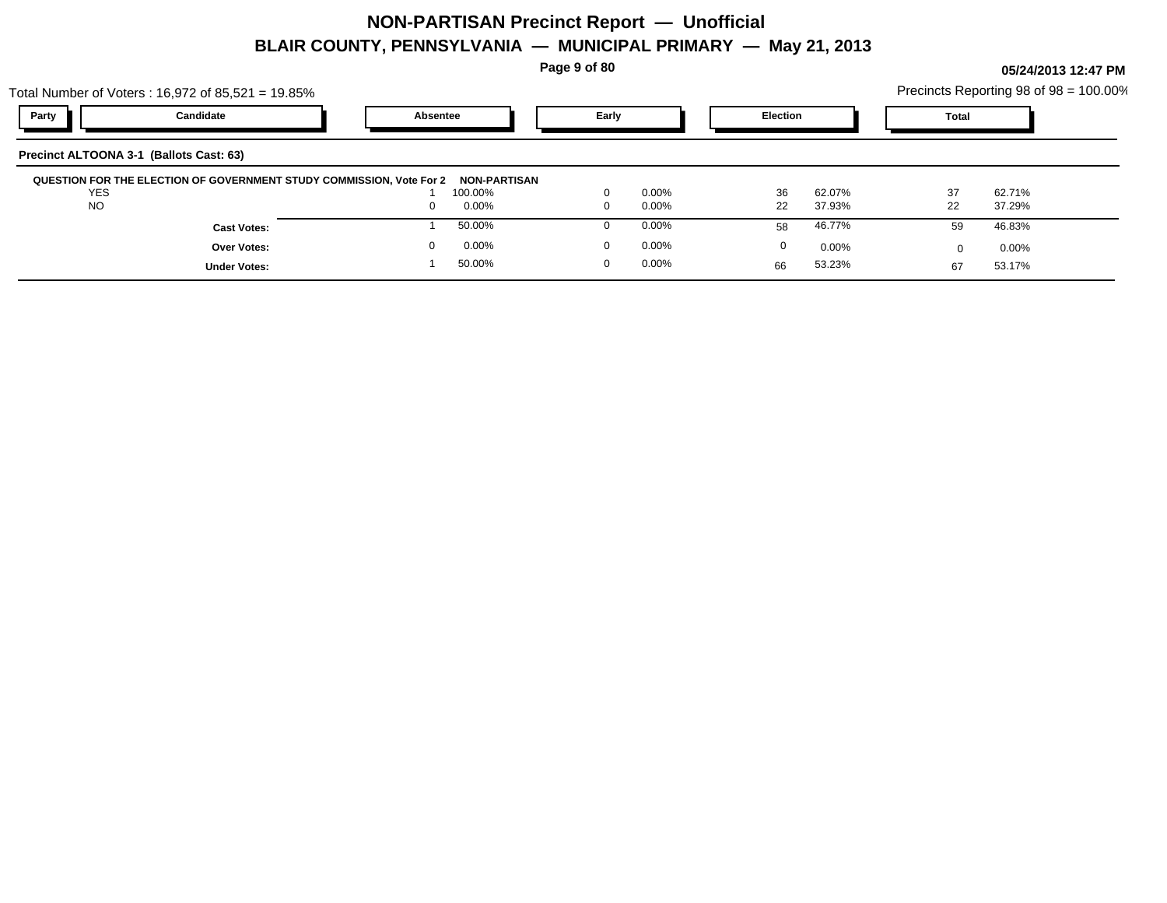**Page 9 of 80**

|            | Total Number of Voters: 16,972 of 85,521 = 19.85%                    |          |                                |             |          |          |          |       | Precincts Reporting 98 of 98 = 100.00% |  |
|------------|----------------------------------------------------------------------|----------|--------------------------------|-------------|----------|----------|----------|-------|----------------------------------------|--|
| Party      | Candidate                                                            | Absentee |                                | Early       |          | Election |          | Total |                                        |  |
|            | Precinct ALTOONA 3-1 (Ballots Cast: 63)                              |          |                                |             |          |          |          |       |                                        |  |
| <b>YES</b> | QUESTION FOR THE ELECTION OF GOVERNMENT STUDY COMMISSION, Vote For 2 |          | <b>NON-PARTISAN</b><br>100.00% | $\Omega$    | $0.00\%$ | 36       | 62.07%   | 37    | 62.71%                                 |  |
| <b>NO</b>  |                                                                      | $\Omega$ | $0.00\%$                       | $\Omega$    | $0.00\%$ | 22       | 37.93%   | 22    | 37.29%                                 |  |
|            | <b>Cast Votes:</b>                                                   |          | 50.00%                         |             | 0.00%    | 58       | 46.77%   | 59    | 46.83%                                 |  |
|            | Over Votes:                                                          |          | $0.00\%$                       | $\mathbf 0$ | $0.00\%$ | 0        | $0.00\%$ |       | $0.00\%$                               |  |
|            | <b>Under Votes:</b>                                                  |          | 50.00%                         | 0           | $0.00\%$ | 66       | 53.23%   | 67    | 53.17%                                 |  |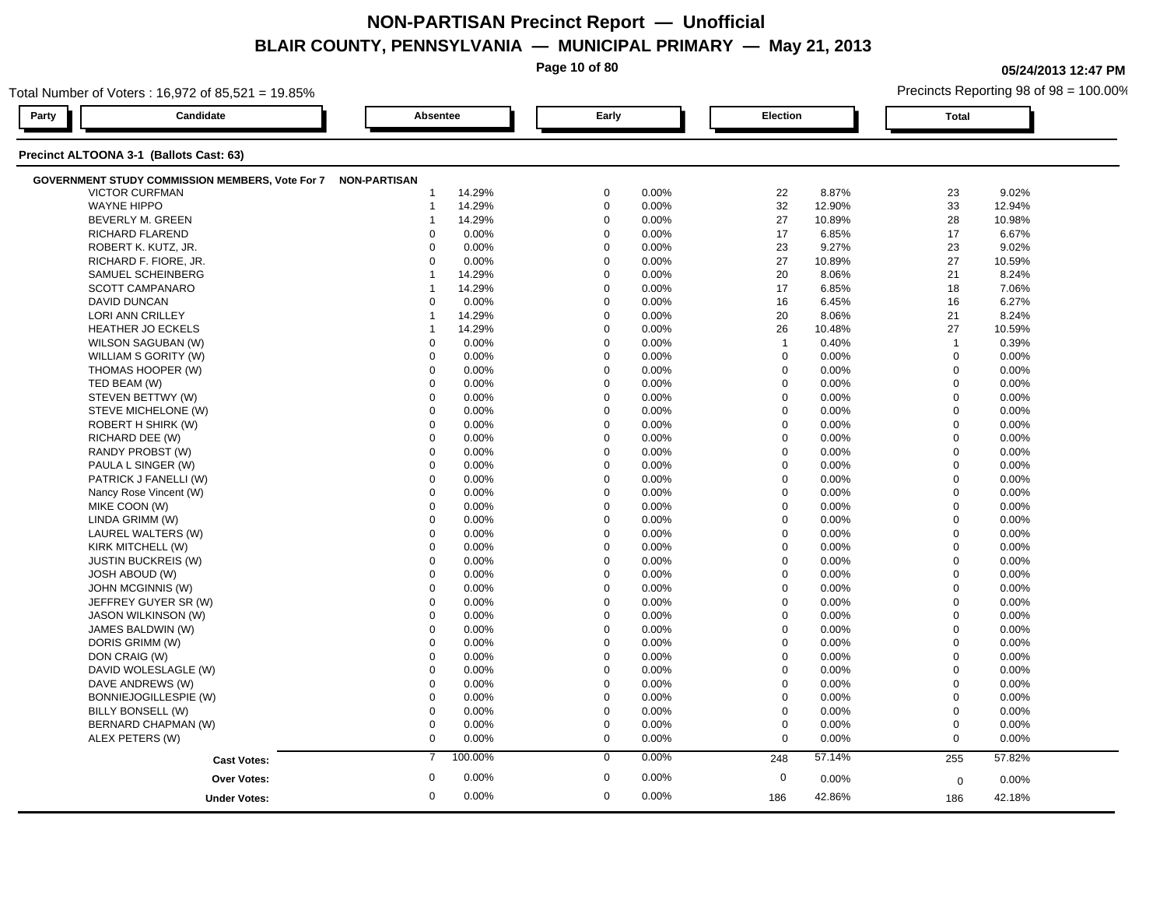**Page 10 of 80**

**05/24/2013 12:47 PM**

| Total Number of Voters: 16,972 of 85,521 = 19.85%            |                  |             |                  | Precincts Reporting 98 of 98 = 100.00% |  |  |
|--------------------------------------------------------------|------------------|-------------|------------------|----------------------------------------|--|--|
| Candidate<br>Party                                           | Absentee         | Early       | Election         | <b>Total</b>                           |  |  |
| Precinct ALTOONA 3-1 (Ballots Cast: 63)                      |                  |             |                  |                                        |  |  |
| GOVERNMENT STUDY COMMISSION MEMBERS, Vote For 7 NON-PARTISAN |                  |             |                  |                                        |  |  |
| <b>VICTOR CURFMAN</b>                                        | 14.29%           | $\mathbf 0$ | 8.87%            | 23                                     |  |  |
|                                                              | -1               | 0.00%       | 22               | 9.02%                                  |  |  |
| <b>WAYNE HIPPO</b>                                           | 14.29%           | $\mathbf 0$ | 32               | 33                                     |  |  |
|                                                              | $\mathbf 1$      | 0.00%       | 12.90%           | 12.94%                                 |  |  |
| BEVERLY M. GREEN                                             | 14.29%           | $\mathbf 0$ | 27               | 28                                     |  |  |
|                                                              | 1                | 0.00%       | 10.89%           | 10.98%                                 |  |  |
| RICHARD FLAREND                                              | 0.00%            | $\mathbf 0$ | 17               | 17                                     |  |  |
|                                                              | $\Omega$         | 0.00%       | 6.85%            | 6.67%                                  |  |  |
| ROBERT K. KUTZ, JR.                                          | $\mathbf 0$      | $\mathbf 0$ | 23               | 23                                     |  |  |
|                                                              | 0.00%            | 0.00%       | 9.27%            | 9.02%                                  |  |  |
| RICHARD F. FIORE, JR.                                        | $\mathbf 0$      | $\mathbf 0$ | 27               | 27                                     |  |  |
|                                                              | 0.00%            | 0.00%       | 10.89%           | 10.59%                                 |  |  |
| SAMUEL SCHEINBERG                                            | 14.29%           | $\Omega$    | 20               | 21                                     |  |  |
|                                                              | $\overline{1}$   | 0.00%       | 8.06%            | 8.24%                                  |  |  |
| SCOTT CAMPANARO                                              | 14.29%           | $\mathbf 0$ | 17               | 18                                     |  |  |
|                                                              | 1                | 0.00%       | 6.85%            | 7.06%                                  |  |  |
| <b>DAVID DUNCAN</b>                                          | $\Omega$         | $\mathbf 0$ | 16               | 16                                     |  |  |
|                                                              | 0.00%            | 0.00%       | 6.45%            | 6.27%                                  |  |  |
| LORI ANN CRILLEY                                             | 14.29%           | $\Omega$    | 20               | 21                                     |  |  |
|                                                              | 1                | 0.00%       | 8.06%            | 8.24%                                  |  |  |
| <b>HEATHER JO ECKELS</b>                                     | 14.29%           | $\Omega$    | 26               | 27                                     |  |  |
|                                                              | -1               | 0.00%       | 10.48%           | 10.59%                                 |  |  |
| WILSON SAGUBAN (W)                                           | 0.00%            | $\mathbf 0$ | $\overline{1}$   | $\mathbf{1}$                           |  |  |
|                                                              | $\mathbf 0$      | 0.00%       | 0.40%            | 0.39%                                  |  |  |
| WILLIAM S GORITY (W)                                         | 0.00%            | $\mathbf 0$ | $\mathbf 0$      | $\mathbf 0$                            |  |  |
|                                                              | $\mathbf 0$      | 0.00%       | 0.00%            | 0.00%                                  |  |  |
| THOMAS HOOPER (W)                                            | $\mathbf 0$      | $\Omega$    | $\mathbf 0$      | $\mathbf 0$                            |  |  |
|                                                              | 0.00%            | 0.00%       | 0.00%            | 0.00%                                  |  |  |
| TED BEAM (W)                                                 | $\Omega$         | $\Omega$    | $\mathbf 0$      | $\mathbf 0$                            |  |  |
|                                                              | 0.00%            | 0.00%       | 0.00%            | 0.00%                                  |  |  |
| STEVEN BETTWY (W)                                            | $\mathbf 0$      | $\Omega$    | $\mathbf 0$      | $\mathbf 0$                            |  |  |
|                                                              | 0.00%            | 0.00%       | 0.00%            | 0.00%                                  |  |  |
| STEVE MICHELONE (W)                                          | $\mathbf 0$      | $\Omega$    | $\mathbf 0$      | $\mathbf 0$                            |  |  |
|                                                              | 0.00%            | 0.00%       | 0.00%            | 0.00%                                  |  |  |
| ROBERT H SHIRK (W)                                           | $\mathbf 0$      | $\Omega$    | $\mathbf 0$      | $\mathbf 0$                            |  |  |
|                                                              | 0.00%            | 0.00%       | 0.00%            | 0.00%                                  |  |  |
| RICHARD DEE (W)                                              | $\Omega$         | $\Omega$    | $\mathbf 0$      | $\mathbf 0$                            |  |  |
|                                                              | 0.00%            | 0.00%       | 0.00%            | 0.00%                                  |  |  |
| RANDY PROBST (W)                                             | 0.00%            | $\Omega$    | $\mathbf 0$      | $\mathbf 0$                            |  |  |
|                                                              | $\Omega$         | 0.00%       | 0.00%            | 0.00%                                  |  |  |
| PAULA L SINGER (W)                                           | 0.00%            | $\mathbf 0$ | $\boldsymbol{0}$ | $\mathbf 0$                            |  |  |
|                                                              | $\mathbf 0$      | 0.00%       | 0.00%            | 0.00%                                  |  |  |
| PATRICK J FANELLI (W)                                        | 0.00%            | $\mathbf 0$ | $\mathbf 0$      | $\mathbf 0$                            |  |  |
|                                                              | $\mathbf 0$      | 0.00%       | 0.00%            | 0.00%                                  |  |  |
| Nancy Rose Vincent (W)                                       | $\mathbf 0$      | $\mathbf 0$ | $\mathbf 0$      | $\mathbf 0$                            |  |  |
|                                                              | 0.00%            | 0.00%       | 0.00%            | 0.00%                                  |  |  |
| MIKE COON (W)                                                | $\Omega$         | $\Omega$    | $\Omega$         | $\mathbf 0$                            |  |  |
|                                                              | 0.00%            | 0.00%       | 0.00%            | 0.00%                                  |  |  |
| LINDA GRIMM (W)                                              | 0.00%            | $\Omega$    | $\mathbf 0$      | $\mathbf 0$                            |  |  |
|                                                              | $\Omega$         | 0.00%       | 0.00%            | 0.00%                                  |  |  |
| LAUREL WALTERS (W)                                           | 0.00%            | 0.00%       | $\mathbf 0$      | $\mathbf 0$                            |  |  |
|                                                              | $\mathbf 0$      | $\mathbf 0$ | 0.00%            | 0.00%                                  |  |  |
| KIRK MITCHELL (W)                                            | $\mathbf 0$      | $\mathbf 0$ | $\mathbf 0$      | $\overline{0}$                         |  |  |
|                                                              | 0.00%            | 0.00%       | 0.00%            | 0.00%                                  |  |  |
| <b>JUSTIN BUCKREIS (W)</b>                                   | $\mathbf 0$      | $\Omega$    | $\mathbf 0$      | $\mathbf 0$                            |  |  |
|                                                              | 0.00%            | 0.00%       | 0.00%            | 0.00%                                  |  |  |
| <b>JOSH ABOUD (W)</b>                                        | $\Omega$         | $\Omega$    | $\Omega$         | $\mathbf 0$                            |  |  |
|                                                              | 0.00%            | 0.00%       | 0.00%            | 0.00%                                  |  |  |
| JOHN MCGINNIS (W)                                            | $\mathbf 0$      | $\mathbf 0$ | $\mathbf 0$      | $\overline{0}$                         |  |  |
|                                                              | 0.00%            | 0.00%       | 0.00%            | 0.00%                                  |  |  |
| JEFFREY GUYER SR (W)                                         | 0.00%            | $\mathbf 0$ | $\mathbf 0$      | $\mathbf 0$                            |  |  |
|                                                              | $\mathbf 0$      | 0.00%       | 0.00%            | 0.00%                                  |  |  |
| <b>JASON WILKINSON (W)</b>                                   | $\mathbf 0$      | $\mathbf 0$ | $\mathbf 0$      | $\mathbf 0$                            |  |  |
|                                                              | 0.00%            | 0.00%       | 0.00%            | 0.00%                                  |  |  |
| JAMES BALDWIN (W)                                            | 0.00%            | $\Omega$    | $\mathbf 0$      | $\mathbf 0$                            |  |  |
|                                                              | $\Omega$         | 0.00%       | $0.00\%$         | 0.00%                                  |  |  |
| DORIS GRIMM (W)                                              | $\Omega$         | $\Omega$    | 0                | $\mathbf 0$                            |  |  |
|                                                              | 0.00%            | 0.00%       | 0.00%            | 0.00%                                  |  |  |
| DON CRAIG (W)                                                | $\mathbf 0$      | $\mathbf 0$ | $\mathbf 0$      | $\mathbf 0$                            |  |  |
|                                                              | 0.00%            | 0.00%       | 0.00%            | 0.00%                                  |  |  |
| DAVID WOLESLAGLE (W)                                         | $\mathbf 0$      | $\mathbf 0$ | $\mathbf 0$      | $\mathbf 0$                            |  |  |
|                                                              | 0.00%            | 0.00%       | 0.00%            | 0.00%                                  |  |  |
| DAVE ANDREWS (W)                                             | $\mathbf 0$      | $\Omega$    | $\mathbf 0$      | $\Omega$                               |  |  |
|                                                              | 0.00%            | 0.00%       | $0.00\%$         | 0.00%                                  |  |  |
| BONNIEJOGILLESPIE (W)                                        | 0.00%            | $\Omega$    | $\boldsymbol{0}$ | $\mathbf 0$                            |  |  |
|                                                              | $\Omega$         | 0.00%       | $0.00\%$         | 0.00%                                  |  |  |
| BILLY BONSELL (W)                                            | $\mathbf 0$      | $\mathbf 0$ | $\mathbf 0$      | $\mathbf 0$                            |  |  |
|                                                              | 0.00%            | 0.00%       | 0.00%            | 0.00%                                  |  |  |
| BERNARD CHAPMAN (W)                                          | $\mathbf 0$      | $\mathbf 0$ | $\mathbf 0$      | $\mathbf 0$                            |  |  |
|                                                              | 0.00%            | 0.00%       | 0.00%            | 0.00%                                  |  |  |
| ALEX PETERS (W)                                              | $\mathbf 0$      | $\mathbf 0$ | $\mathbf 0$      | $\mathbf 0$                            |  |  |
|                                                              | 0.00%            | 0.00%       | 0.00%            | 0.00%                                  |  |  |
|                                                              |                  |             |                  |                                        |  |  |
| <b>Cast Votes:</b>                                           | 100.00%          | 0.00%       | 57.14%           | 57.82%                                 |  |  |
|                                                              | $\overline{7}$   | $\mathbf 0$ | 248              | 255                                    |  |  |
| Over Votes:                                                  | $\boldsymbol{0}$ | $\mathbf 0$ | $\mathbf 0$      | 0.00%                                  |  |  |
|                                                              | 0.00%            | 0.00%       | 0.00%            | 0                                      |  |  |
|                                                              |                  |             |                  |                                        |  |  |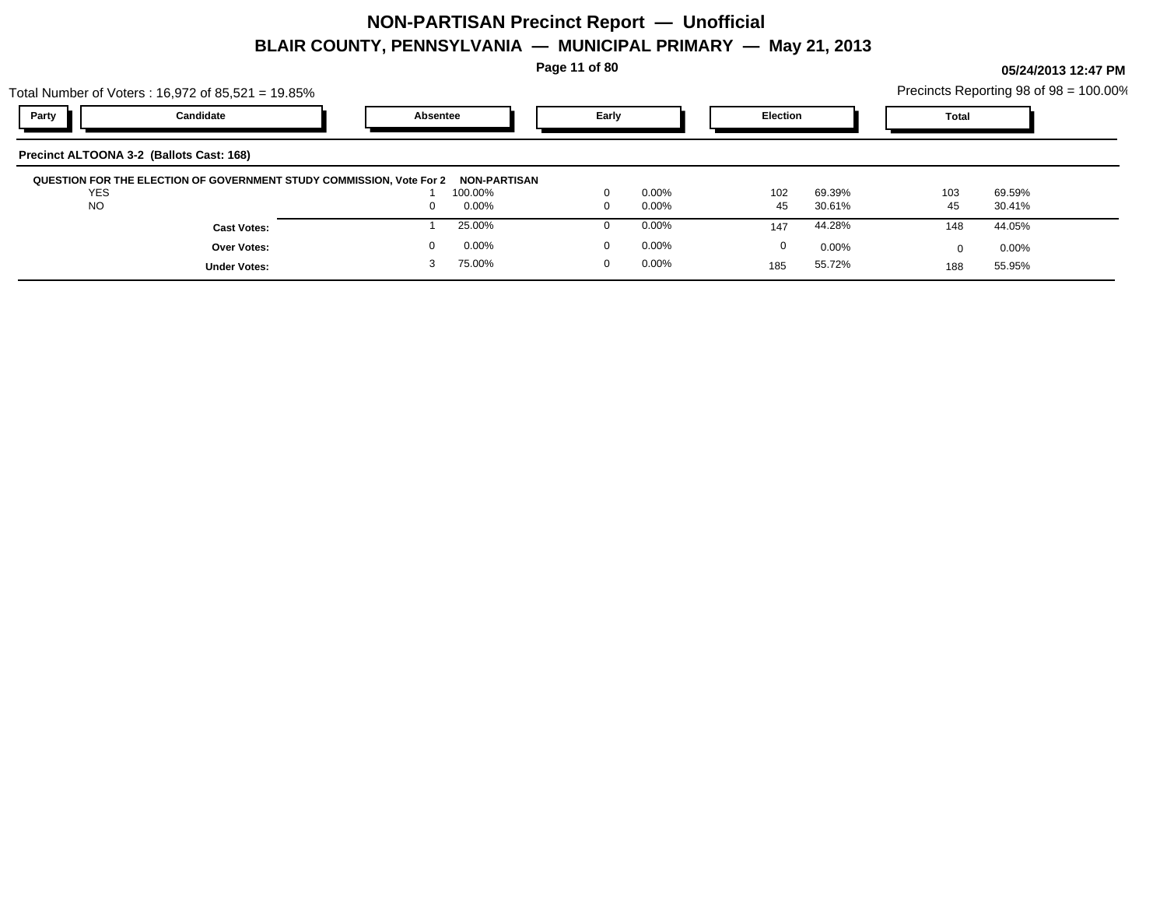**Page 11 of 80**

| Total Number of Voters: 16,972 of 85,521 = 19.85% |   |          |                                                                                             |                                 |          |          |                    | Precincts Reporting 98 of 98 = 100.00% |
|---------------------------------------------------|---|----------|---------------------------------------------------------------------------------------------|---------------------------------|----------|----------|--------------------|----------------------------------------|
| Candidate                                         |   |          | Early                                                                                       |                                 |          |          | Total              |                                        |
| Precinct ALTOONA 3-2 (Ballots Cast: 168)          |   |          |                                                                                             |                                 |          |          |                    |                                        |
|                                                   |   |          |                                                                                             |                                 |          |          |                    | 69.59%                                 |
|                                                   | 0 | $0.00\%$ | $\mathbf 0$                                                                                 | $0.00\%$                        | 45       | 30.61%   | 45                 | 30.41%                                 |
| <b>Cast Votes:</b>                                |   | 25.00%   | $\theta$                                                                                    | $0.00\%$                        | 147      | 44.28%   | 148                | 44.05%                                 |
| Over Votes:                                       |   | $0.00\%$ | $\mathbf 0$                                                                                 | 0.00%                           | 0        | $0.00\%$ |                    | $0.00\%$                               |
| <b>Under Votes:</b>                               |   | 75.00%   | $\Omega$                                                                                    | $0.00\%$                        | 185      | 55.72%   | 188                | 55.95%                                 |
|                                                   |   |          | Absentee<br>QUESTION FOR THE ELECTION OF GOVERNMENT STUDY COMMISSION, Vote For 2<br>100.00% | <b>NON-PARTISAN</b><br>$\Omega$ | $0.00\%$ | 102      | Election<br>69.39% | 103                                    |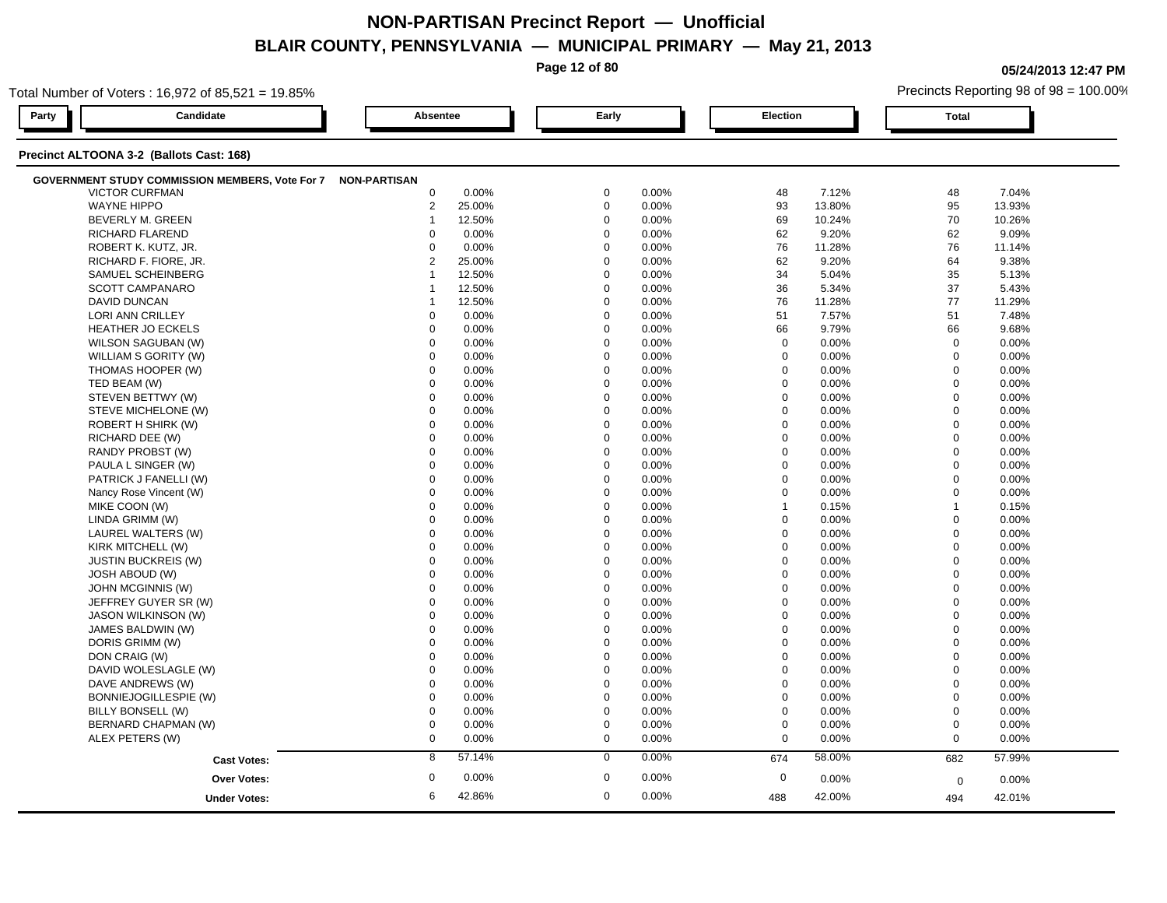**Page 12 of 80**

**05/24/2013 12:47 PM**

| Total Number of Voters: 16,972 of 85,521 = 19.85%            |                     |                 |        |             |       |                  |          | Precincts Reporting 98 of 98 = 100.00% |        |  |  |
|--------------------------------------------------------------|---------------------|-----------------|--------|-------------|-------|------------------|----------|----------------------------------------|--------|--|--|
| Party<br>Candidate                                           |                     | <b>Absentee</b> |        | Early       |       |                  | Election |                                        |        |  |  |
| Precinct ALTOONA 3-2 (Ballots Cast: 168)                     |                     |                 |        |             |       |                  |          |                                        |        |  |  |
| GOVERNMENT STUDY COMMISSION MEMBERS, Vote For 7 NON-PARTISAN |                     |                 |        |             |       |                  |          |                                        |        |  |  |
| <b>VICTOR CURFMAN</b>                                        |                     | $\mathbf 0$     | 0.00%  | $\mathbf 0$ | 0.00% | 48               | 7.12%    | 48                                     | 7.04%  |  |  |
| <b>WAYNE HIPPO</b>                                           |                     | $\overline{2}$  | 25.00% | $\mathbf 0$ | 0.00% | 93               | 13.80%   | 95                                     | 13.93% |  |  |
| BEVERLY M. GREEN                                             |                     | $\mathbf{1}$    | 12.50% | $\mathbf 0$ | 0.00% | 69               | 10.24%   | 70                                     | 10.26% |  |  |
| <b>RICHARD FLAREND</b>                                       |                     | $\Omega$        | 0.00%  | $\mathbf 0$ | 0.00% | 62               | 9.20%    | 62                                     | 9.09%  |  |  |
| ROBERT K. KUTZ, JR.                                          |                     | $\Omega$        | 0.00%  | $\Omega$    | 0.00% | 76               | 11.28%   | 76                                     | 11.14% |  |  |
| RICHARD F. FIORE, JR.                                        |                     | $\overline{2}$  | 25.00% | $\Omega$    | 0.00% | 62               | 9.20%    | 64                                     | 9.38%  |  |  |
| SAMUEL SCHEINBERG                                            |                     | $\overline{1}$  | 12.50% | $\Omega$    | 0.00% | 34               | 5.04%    | 35                                     | 5.13%  |  |  |
| <b>SCOTT CAMPANARO</b>                                       |                     | $\overline{1}$  | 12.50% | $\mathbf 0$ | 0.00% | 36               | 5.34%    | 37                                     | 5.43%  |  |  |
| <b>DAVID DUNCAN</b>                                          |                     | 1               | 12.50% | $\mathbf 0$ | 0.00% | 76               | 11.28%   | 77                                     | 11.29% |  |  |
| LORI ANN CRILLEY                                             |                     | $\mathbf 0$     | 0.00%  | $\mathbf 0$ | 0.00% | 51               | 7.57%    | 51                                     | 7.48%  |  |  |
| <b>HEATHER JO ECKELS</b>                                     |                     | $\mathbf 0$     | 0.00%  | $\mathbf 0$ | 0.00% | 66               | 9.79%    | 66                                     | 9.68%  |  |  |
| WILSON SAGUBAN (W)                                           |                     | $\mathbf 0$     | 0.00%  | $\Omega$    | 0.00% | $\mathbf 0$      | 0.00%    | $\mathbf 0$                            | 0.00%  |  |  |
| WILLIAM S GORITY (W)                                         |                     | $\Omega$        | 0.00%  | $\Omega$    | 0.00% | $\mathbf 0$      | 0.00%    | $\mathbf 0$                            | 0.00%  |  |  |
| THOMAS HOOPER (W)                                            |                     | 0               | 0.00%  | $\mathbf 0$ | 0.00% | $\mathbf 0$      | 0.00%    | $\mathbf 0$                            | 0.00%  |  |  |
| TED BEAM (W)                                                 |                     | $\mathbf 0$     | 0.00%  | $\mathbf 0$ | 0.00% | $\mathbf 0$      | 0.00%    | $\mathbf 0$                            | 0.00%  |  |  |
| STEVEN BETTWY (W)                                            |                     | $\mathbf 0$     | 0.00%  | $\mathbf 0$ | 0.00% | $\mathbf 0$      | 0.00%    | $\mathbf 0$                            | 0.00%  |  |  |
| STEVE MICHELONE (W)                                          |                     | $\mathbf 0$     | 0.00%  | $\Omega$    | 0.00% | 0                | 0.00%    | $\mathbf 0$                            | 0.00%  |  |  |
| ROBERT H SHIRK (W)                                           |                     | $\mathbf 0$     | 0.00%  | $\mathbf 0$ | 0.00% | $\mathbf 0$      | 0.00%    | $\mathbf 0$                            | 0.00%  |  |  |
| RICHARD DEE (W)                                              |                     | $\Omega$        | 0.00%  | $\Omega$    | 0.00% | $\mathbf 0$      | 0.00%    | $\mathbf 0$                            | 0.00%  |  |  |
| RANDY PROBST (W)                                             |                     | $\Omega$        | 0.00%  | $\Omega$    | 0.00% | $\mathbf 0$      | 0.00%    | $\mathbf 0$                            | 0.00%  |  |  |
| PAULA L SINGER (W)                                           |                     | $\mathbf 0$     | 0.00%  | $\mathbf 0$ | 0.00% | $\mathbf 0$      | 0.00%    | $\Omega$                               | 0.00%  |  |  |
| PATRICK J FANELLI (W)                                        |                     | $\mathbf 0$     | 0.00%  | $\mathbf 0$ | 0.00% | $\mathbf 0$      | 0.00%    | $\mathbf 0$                            | 0.00%  |  |  |
| Nancy Rose Vincent (W)                                       |                     | $\mathbf 0$     | 0.00%  | $\mathbf 0$ | 0.00% | $\mathbf 0$      | 0.00%    | $\mathbf 0$                            | 0.00%  |  |  |
| MIKE COON (W)                                                |                     | $\Omega$        | 0.00%  | $\Omega$    | 0.00% | $\overline{1}$   | 0.15%    | $\overline{1}$                         | 0.15%  |  |  |
| LINDA GRIMM (W)                                              |                     | $\mathbf 0$     | 0.00%  | $\Omega$    | 0.00% | $\mathbf 0$      | 0.00%    | $\mathbf 0$                            | 0.00%  |  |  |
| LAUREL WALTERS (W)                                           |                     | $\Omega$        | 0.00%  | $\Omega$    | 0.00% | $\Omega$         | 0.00%    | $\Omega$                               | 0.00%  |  |  |
| KIRK MITCHELL (W)                                            |                     | $\mathbf 0$     | 0.00%  | $\mathbf 0$ | 0.00% | $\mathbf 0$      | 0.00%    | $\overline{0}$                         | 0.00%  |  |  |
| <b>JUSTIN BUCKREIS (W)</b>                                   |                     | $\mathbf 0$     | 0.00%  | $\mathbf 0$ | 0.00% | $\mathbf 0$      | 0.00%    | $\mathbf 0$                            | 0.00%  |  |  |
| <b>JOSH ABOUD (W)</b>                                        |                     | $\Omega$        | 0.00%  | $\Omega$    | 0.00% | 0                | 0.00%    | $\mathbf 0$                            | 0.00%  |  |  |
| JOHN MCGINNIS (W)                                            |                     | $\Omega$        | 0.00%  | $\Omega$    | 0.00% | $\mathbf 0$      | 0.00%    | $\mathbf 0$                            | 0.00%  |  |  |
| JEFFREY GUYER SR (W)                                         |                     | $\Omega$        | 0.00%  | $\Omega$    | 0.00% | $\mathbf 0$      | 0.00%    | $\Omega$                               | 0.00%  |  |  |
| JASON WILKINSON (W)                                          |                     | $\Omega$        | 0.00%  | $\Omega$    | 0.00% | $\mathbf 0$      | 0.00%    | $\mathbf 0$                            | 0.00%  |  |  |
| JAMES BALDWIN (W)                                            |                     | $\mathbf 0$     | 0.00%  | $\mathbf 0$ | 0.00% | $\mathbf 0$      | 0.00%    | $\mathbf 0$                            | 0.00%  |  |  |
| DORIS GRIMM (W)                                              |                     | $\mathbf 0$     | 0.00%  | $\Omega$    | 0.00% | $\mathbf 0$      | 0.00%    | $\mathbf 0$                            | 0.00%  |  |  |
| DON CRAIG (W)                                                |                     | $\mathbf 0$     | 0.00%  | $\mathbf 0$ | 0.00% | $\mathbf 0$      | 0.00%    | $\mathbf 0$                            | 0.00%  |  |  |
| DAVID WOLESLAGLE (W)                                         |                     | $\mathbf 0$     | 0.00%  | $\mathbf 0$ | 0.00% | $\mathbf 0$      | 0.00%    | $\mathbf 0$                            | 0.00%  |  |  |
| DAVE ANDREWS (W)                                             |                     | $\Omega$        | 0.00%  | $\Omega$    | 0.00% | $\mathbf 0$      | 0.00%    | $\mathbf 0$                            | 0.00%  |  |  |
| BONNIEJOGILLESPIE (W)                                        |                     | $\mathbf 0$     | 0.00%  | $\Omega$    | 0.00% | $\mathbf 0$      | 0.00%    | $\mathbf 0$                            | 0.00%  |  |  |
| BILLY BONSELL (W)                                            |                     | $\mathbf 0$     | 0.00%  | $\Omega$    | 0.00% | $\mathbf 0$      | 0.00%    | $\mathbf 0$                            | 0.00%  |  |  |
| BERNARD CHAPMAN (W)                                          |                     | $\mathbf 0$     | 0.00%  | $\mathbf 0$ | 0.00% | $\boldsymbol{0}$ | 0.00%    | $\mathbf 0$                            | 0.00%  |  |  |
| ALEX PETERS (W)                                              |                     | $\mathbf 0$     | 0.00%  | $\mathbf 0$ | 0.00% | $\mathbf 0$      | 0.00%    | $\mathbf 0$                            | 0.00%  |  |  |
|                                                              | <b>Cast Votes:</b>  | 8               | 57.14% | $\mathbf 0$ | 0.00% | 674              | 58.00%   | 682                                    | 57.99% |  |  |
|                                                              |                     |                 |        |             |       |                  |          |                                        |        |  |  |
|                                                              | <b>Over Votes:</b>  | $\mathbf 0$     | 0.00%  | $\mathbf 0$ | 0.00% | $\mathbf 0$      | 0.00%    | $\mathbf 0$                            | 0.00%  |  |  |
|                                                              | <b>Under Votes:</b> | 6               | 42.86% | $\mathbf 0$ | 0.00% | 488              | 42.00%   | 494                                    | 42.01% |  |  |
|                                                              |                     |                 |        |             |       |                  |          |                                        |        |  |  |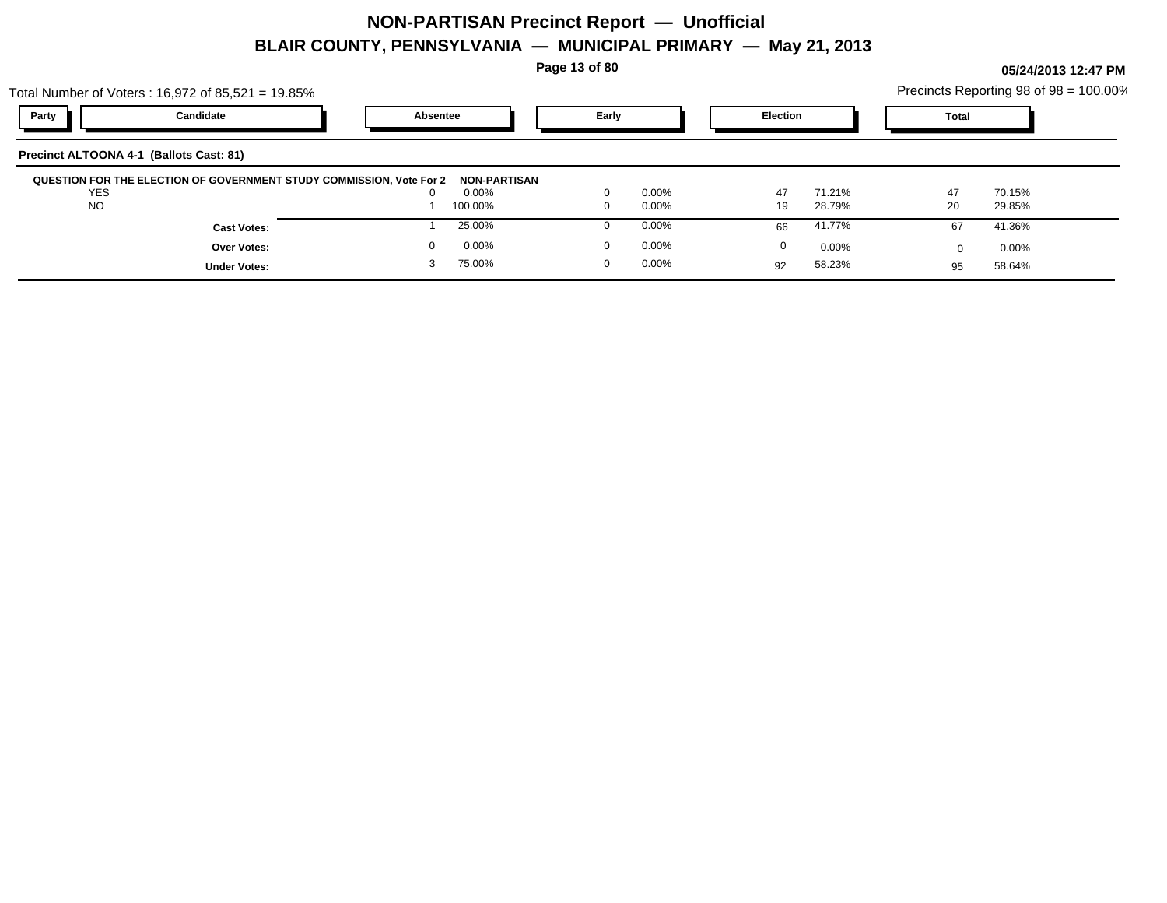**Page 13 of 80**

| Total Number of Voters: 16,972 of 85,521 = 19.85%                    |                      |                   |                 | Precincts Reporting 98 of 98 = 100.00% |
|----------------------------------------------------------------------|----------------------|-------------------|-----------------|----------------------------------------|
| Party<br>Candidate                                                   | <b>Absentee</b>      | Early             | <b>Election</b> | Total                                  |
| Precinct ALTOONA 4-1 (Ballots Cast: 81)                              |                      |                   |                 |                                        |
| QUESTION FOR THE ELECTION OF GOVERNMENT STUDY COMMISSION, Vote For 2 | NON-PARTISAN         |                   |                 |                                        |
| <b>YES</b>                                                           | $0.00\%$<br>$\Omega$ | 0.00%<br>$\Omega$ | 47<br>71.21%    | 47<br>70.15%                           |
| <b>NO</b>                                                            | 100.00%              | $0.00\%$<br>0     | 28.79%<br>19    | 20<br>29.85%                           |
| <b>Cast Votes:</b>                                                   | 25.00%               | $0.00\%$          | 41.77%<br>66    | 41.36%<br>67                           |
| <b>Over Votes:</b>                                                   | 0.00%<br>0           | $0.00\%$          | 0<br>$0.00\%$   | $0.00\%$                               |
| <b>Under Votes:</b>                                                  | 75.00%               | $0.00\%$          | 58.23%<br>92    | 58.64%<br>95                           |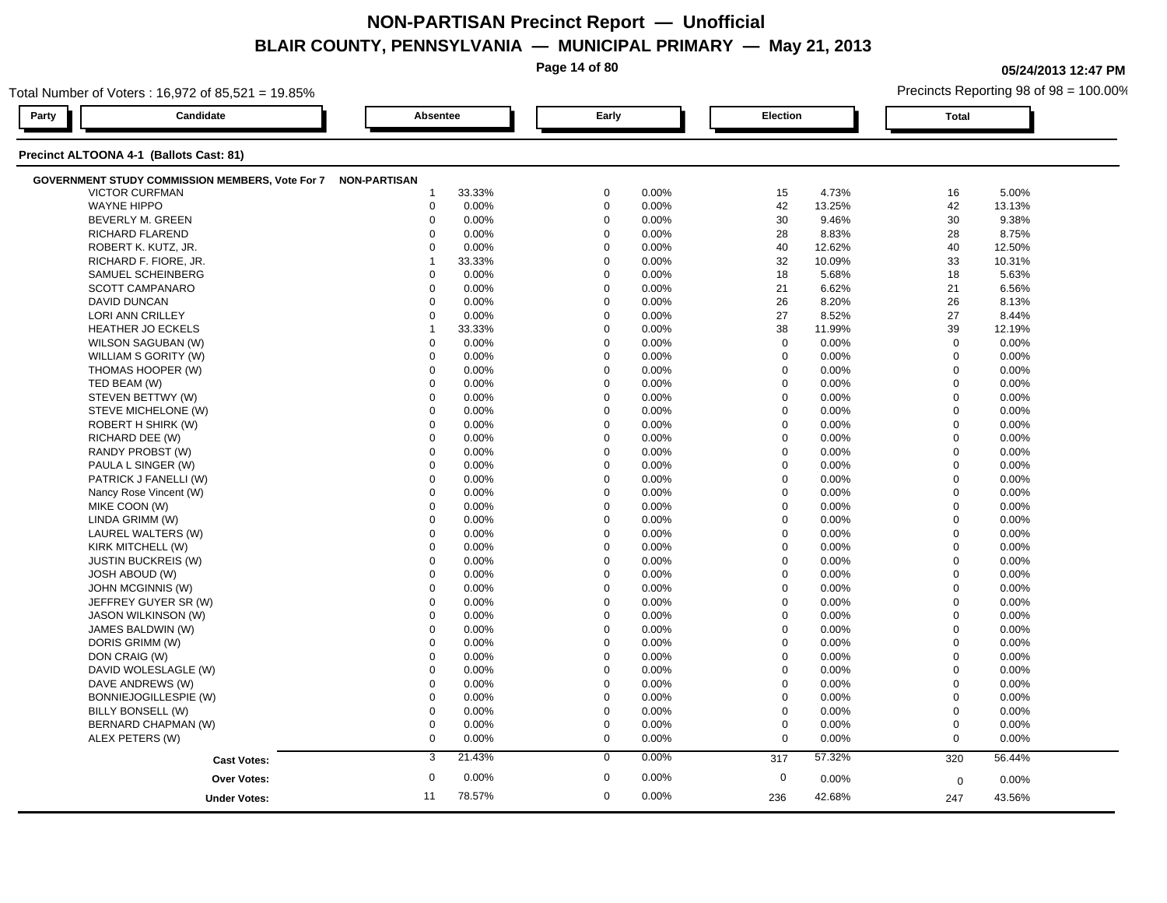**Page 14 of 80**

**05/24/2013 12:47 PM**

| Total Number of Voters: 16,972 of 85,521 = 19.85%            |                  |                      |                  | Precincts Reporting 98 of 98 = 100.00% |  |  |  |  |  |  |  |  |  |
|--------------------------------------------------------------|------------------|----------------------|------------------|----------------------------------------|--|--|--|--|--|--|--|--|--|
| Candidate<br>Party                                           | Absentee         | Early                | Election         | <b>Total</b>                           |  |  |  |  |  |  |  |  |  |
| Precinct ALTOONA 4-1 (Ballots Cast: 81)                      |                  |                      |                  |                                        |  |  |  |  |  |  |  |  |  |
| GOVERNMENT STUDY COMMISSION MEMBERS, Vote For 7 NON-PARTISAN |                  |                      |                  |                                        |  |  |  |  |  |  |  |  |  |
| <b>VICTOR CURFMAN</b>                                        | 33.33%           | $\mathbf 0$          | 15               | 5.00%                                  |  |  |  |  |  |  |  |  |  |
|                                                              | -1               | 0.00%                | 4.73%            | 16                                     |  |  |  |  |  |  |  |  |  |
| <b>WAYNE HIPPO</b>                                           | $\mathbf 0$      | $\mathbf 0$          | 42               | 42                                     |  |  |  |  |  |  |  |  |  |
|                                                              | 0.00%            | 0.00%                | 13.25%           | 13.13%                                 |  |  |  |  |  |  |  |  |  |
| BEVERLY M. GREEN                                             | $\mathbf 0$      | $\mathbf 0$          | 30               | 30                                     |  |  |  |  |  |  |  |  |  |
|                                                              | 0.00%            | 0.00%                | 9.46%            | 9.38%                                  |  |  |  |  |  |  |  |  |  |
| RICHARD FLAREND                                              | $\Omega$         | $\mathbf 0$          | 28               | 28                                     |  |  |  |  |  |  |  |  |  |
|                                                              | 0.00%            | 0.00%                | 8.83%            | 8.75%                                  |  |  |  |  |  |  |  |  |  |
| ROBERT K. KUTZ, JR.                                          | $\Omega$         | $\mathbf 0$          | 40               | 40                                     |  |  |  |  |  |  |  |  |  |
|                                                              | 0.00%            | 0.00%                | 12.62%           | 12.50%                                 |  |  |  |  |  |  |  |  |  |
| RICHARD F. FIORE, JR.                                        | 33.33%           | $\mathbf 0$          | 32               | 33                                     |  |  |  |  |  |  |  |  |  |
|                                                              | 1                | 0.00%                | 10.09%           | 10.31%                                 |  |  |  |  |  |  |  |  |  |
| SAMUEL SCHEINBERG                                            | 0.00%            | $\Omega$             | 18               | 18                                     |  |  |  |  |  |  |  |  |  |
|                                                              | $\Omega$         | 0.00%                | 5.68%            | 5.63%                                  |  |  |  |  |  |  |  |  |  |
| SCOTT CAMPANARO                                              | 0.00%            | $\mathbf 0$          | 21               | 21                                     |  |  |  |  |  |  |  |  |  |
|                                                              | $\mathbf 0$      | 0.00%                | 6.62%            | 6.56%                                  |  |  |  |  |  |  |  |  |  |
| <b>DAVID DUNCAN</b>                                          | $\mathbf 0$      | $\mathbf 0$          | 26               | 26                                     |  |  |  |  |  |  |  |  |  |
|                                                              | 0.00%            | 0.00%                | 8.20%            | 8.13%                                  |  |  |  |  |  |  |  |  |  |
| LORI ANN CRILLEY                                             | $\mathbf 0$      | $\Omega$             | 27               | 27                                     |  |  |  |  |  |  |  |  |  |
|                                                              | 0.00%            | 0.00%                | 8.52%            | 8.44%                                  |  |  |  |  |  |  |  |  |  |
| <b>HEATHER JO ECKELS</b>                                     | 33.33%           | $\Omega$             | 38               | 39                                     |  |  |  |  |  |  |  |  |  |
|                                                              | $\mathbf{1}$     | 0.00%                | 11.99%           | 12.19%                                 |  |  |  |  |  |  |  |  |  |
| WILSON SAGUBAN (W)                                           | 0.00%            | $\mathbf 0$          | $\mathbf 0$      | $\mathbf 0$                            |  |  |  |  |  |  |  |  |  |
|                                                              | $\mathbf 0$      | 0.00%                | 0.00%            | 0.00%                                  |  |  |  |  |  |  |  |  |  |
| WILLIAM S GORITY (W)                                         | 0.00%            | $\mathbf 0$          | $\mathbf 0$      | $\mathbf 0$                            |  |  |  |  |  |  |  |  |  |
|                                                              | $\mathbf 0$      | 0.00%                | 0.00%            | 0.00%                                  |  |  |  |  |  |  |  |  |  |
| THOMAS HOOPER (W)                                            | $\Omega$         | $\Omega$             | $\mathbf 0$      | $\mathbf 0$                            |  |  |  |  |  |  |  |  |  |
|                                                              | 0.00%            | 0.00%                | 0.00%            | 0.00%                                  |  |  |  |  |  |  |  |  |  |
| TED BEAM (W)                                                 | $\Omega$         | $\Omega$             | $\mathbf 0$      | $\mathbf 0$                            |  |  |  |  |  |  |  |  |  |
|                                                              | 0.00%            | 0.00%                | 0.00%            | 0.00%                                  |  |  |  |  |  |  |  |  |  |
| STEVEN BETTWY (W)                                            | $\mathbf 0$      | $\Omega$             | $\mathbf 0$      | $\mathbf 0$                            |  |  |  |  |  |  |  |  |  |
|                                                              | 0.00%            | 0.00%                | 0.00%            | 0.00%                                  |  |  |  |  |  |  |  |  |  |
| STEVE MICHELONE (W)                                          | $\mathbf 0$      | $\Omega$             | $\mathbf 0$      | $\mathbf 0$                            |  |  |  |  |  |  |  |  |  |
|                                                              | 0.00%            | 0.00%                | 0.00%            | 0.00%                                  |  |  |  |  |  |  |  |  |  |
| ROBERT H SHIRK (W)                                           | $\mathbf 0$      | $\Omega$             | $\mathbf 0$      | $\mathbf 0$                            |  |  |  |  |  |  |  |  |  |
|                                                              | 0.00%            | 0.00%                | 0.00%            | 0.00%                                  |  |  |  |  |  |  |  |  |  |
| RICHARD DEE (W)                                              | $\Omega$         | $\Omega$             | $\mathbf 0$      | $\mathbf{0}$                           |  |  |  |  |  |  |  |  |  |
|                                                              | 0.00%            | 0.00%                | 0.00%            | 0.00%                                  |  |  |  |  |  |  |  |  |  |
| RANDY PROBST (W)                                             | 0.00%            | $\Omega$             | $\mathbf 0$      | $\mathbf 0$                            |  |  |  |  |  |  |  |  |  |
|                                                              | $\Omega$         | 0.00%                | 0.00%            | 0.00%                                  |  |  |  |  |  |  |  |  |  |
| PAULA L SINGER (W)                                           | 0.00%            | $\mathbf 0$          | $\boldsymbol{0}$ | $\mathbf 0$                            |  |  |  |  |  |  |  |  |  |
|                                                              | $\mathbf 0$      | 0.00%                | 0.00%            | 0.00%                                  |  |  |  |  |  |  |  |  |  |
| PATRICK J FANELLI (W)                                        | 0.00%            | $\mathbf 0$          | $\mathbf 0$      | $\mathbf 0$                            |  |  |  |  |  |  |  |  |  |
|                                                              | $\mathbf 0$      | 0.00%                | 0.00%            | 0.00%                                  |  |  |  |  |  |  |  |  |  |
| Nancy Rose Vincent (W)                                       | $\mathbf 0$      | $\mathbf 0$          | $\mathbf 0$      | $\mathbf 0$                            |  |  |  |  |  |  |  |  |  |
|                                                              | 0.00%            | 0.00%                | 0.00%            | 0.00%                                  |  |  |  |  |  |  |  |  |  |
| MIKE COON (W)                                                | $\Omega$         | $\Omega$             | $\Omega$         | $\mathbf 0$                            |  |  |  |  |  |  |  |  |  |
|                                                              | 0.00%            | 0.00%                | 0.00%            | 0.00%                                  |  |  |  |  |  |  |  |  |  |
| LINDA GRIMM (W)                                              | 0.00%            | $\Omega$             | $\mathbf 0$      | $\mathbf 0$                            |  |  |  |  |  |  |  |  |  |
|                                                              | $\Omega$         | 0.00%                | 0.00%            | 0.00%                                  |  |  |  |  |  |  |  |  |  |
| LAUREL WALTERS (W)                                           | 0.00%            | 0.00%                | $\mathbf 0$      | $\mathbf 0$                            |  |  |  |  |  |  |  |  |  |
|                                                              | $\mathbf 0$      | $\mathbf 0$          | 0.00%            | 0.00%                                  |  |  |  |  |  |  |  |  |  |
| KIRK MITCHELL (W)                                            | $\mathbf 0$      | $\mathbf 0$          | $\mathbf 0$      | $\overline{0}$                         |  |  |  |  |  |  |  |  |  |
|                                                              | 0.00%            | 0.00%                | 0.00%            | 0.00%                                  |  |  |  |  |  |  |  |  |  |
| <b>JUSTIN BUCKREIS (W)</b>                                   | $\mathbf 0$      | $\Omega$             | $\mathbf 0$      | $\mathbf{0}$                           |  |  |  |  |  |  |  |  |  |
|                                                              | 0.00%            | 0.00%                | 0.00%            | 0.00%                                  |  |  |  |  |  |  |  |  |  |
| <b>JOSH ABOUD (W)</b>                                        | $\Omega$         | $\Omega$             | $\Omega$         | $\mathbf 0$                            |  |  |  |  |  |  |  |  |  |
|                                                              | 0.00%            | 0.00%                | 0.00%            | 0.00%                                  |  |  |  |  |  |  |  |  |  |
| JOHN MCGINNIS (W)                                            | $\mathbf 0$      | $\mathbf 0$          | $\mathbf 0$      | $\overline{0}$                         |  |  |  |  |  |  |  |  |  |
|                                                              | 0.00%            | 0.00%                | 0.00%            | 0.00%                                  |  |  |  |  |  |  |  |  |  |
| JEFFREY GUYER SR (W)                                         | 0.00%            | 0.00%                | $\mathbf 0$      | $\mathbf 0$                            |  |  |  |  |  |  |  |  |  |
|                                                              | $\mathbf 0$      | $\mathbf 0$          | 0.00%            | 0.00%                                  |  |  |  |  |  |  |  |  |  |
| <b>JASON WILKINSON (W)</b>                                   | $\mathbf 0$      | $\mathbf 0$          | $\mathbf 0$      | $\mathbf 0$                            |  |  |  |  |  |  |  |  |  |
|                                                              | 0.00%            | 0.00%                | 0.00%            | 0.00%                                  |  |  |  |  |  |  |  |  |  |
| JAMES BALDWIN (W)                                            | 0.00%            | $\Omega$             | $\mathbf 0$      | $\mathbf 0$                            |  |  |  |  |  |  |  |  |  |
|                                                              | $\Omega$         | 0.00%                | 0.00%            | 0.00%                                  |  |  |  |  |  |  |  |  |  |
| DORIS GRIMM (W)                                              | $\Omega$         | $\Omega$             | 0                | $\mathbf 0$                            |  |  |  |  |  |  |  |  |  |
|                                                              | 0.00%            | 0.00%                | 0.00%            | 0.00%                                  |  |  |  |  |  |  |  |  |  |
| DON CRAIG (W)                                                | $\mathbf 0$      | $\mathbf 0$          | $\mathbf 0$      | $\mathbf 0$                            |  |  |  |  |  |  |  |  |  |
|                                                              | 0.00%            | 0.00%                | 0.00%            | 0.00%                                  |  |  |  |  |  |  |  |  |  |
| DAVID WOLESLAGLE (W)                                         | $\mathbf 0$      | $\mathbf 0$          | $\mathbf 0$      | $\mathbf 0$                            |  |  |  |  |  |  |  |  |  |
|                                                              | 0.00%            | 0.00%                | 0.00%            | 0.00%                                  |  |  |  |  |  |  |  |  |  |
| DAVE ANDREWS (W)                                             | $\mathbf 0$      | $\Omega$             | $\mathbf 0$      | $\Omega$                               |  |  |  |  |  |  |  |  |  |
|                                                              | 0.00%            | 0.00%                | $0.00\%$         | 0.00%                                  |  |  |  |  |  |  |  |  |  |
| BONNIEJOGILLESPIE (W)                                        | 0.00%            | $\Omega$             | $\boldsymbol{0}$ | $\mathbf 0$                            |  |  |  |  |  |  |  |  |  |
|                                                              | $\Omega$         | 0.00%                | 0.00%            | 0.00%                                  |  |  |  |  |  |  |  |  |  |
| BILLY BONSELL (W)                                            | $\mathbf 0$      | $\mathbf 0$          | $\mathbf 0$      | $\mathbf 0$                            |  |  |  |  |  |  |  |  |  |
|                                                              | 0.00%            | 0.00%                | 0.00%            | 0.00%                                  |  |  |  |  |  |  |  |  |  |
| BERNARD CHAPMAN (W)                                          | $\mathbf 0$      | $\mathbf 0$          | $\mathbf 0$      | $\mathbf 0$                            |  |  |  |  |  |  |  |  |  |
|                                                              | 0.00%            | 0.00%                | 0.00%            | 0.00%                                  |  |  |  |  |  |  |  |  |  |
| ALEX PETERS (W)                                              | $\mathbf 0$      | $\mathbf 0$          | $\mathbf 0$      | $\mathbf 0$                            |  |  |  |  |  |  |  |  |  |
|                                                              | 0.00%            | 0.00%                | 0.00%            | 0.00%                                  |  |  |  |  |  |  |  |  |  |
|                                                              | 21.43%<br>3      | 0.00%<br>$\mathbf 0$ | 57.32%           | 56.44%                                 |  |  |  |  |  |  |  |  |  |
| <b>Cast Votes:</b>                                           |                  |                      | 317              | 320                                    |  |  |  |  |  |  |  |  |  |
| Over Votes:                                                  | $\boldsymbol{0}$ | $\mathbf 0$          | $\mathbf 0$      | 0.00%                                  |  |  |  |  |  |  |  |  |  |
|                                                              | 0.00%            | 0.00%                | 0.00%            | 0                                      |  |  |  |  |  |  |  |  |  |
|                                                              | 78.57%<br>11     | $\mathbf 0$<br>0.00% | 42.68%           |                                        |  |  |  |  |  |  |  |  |  |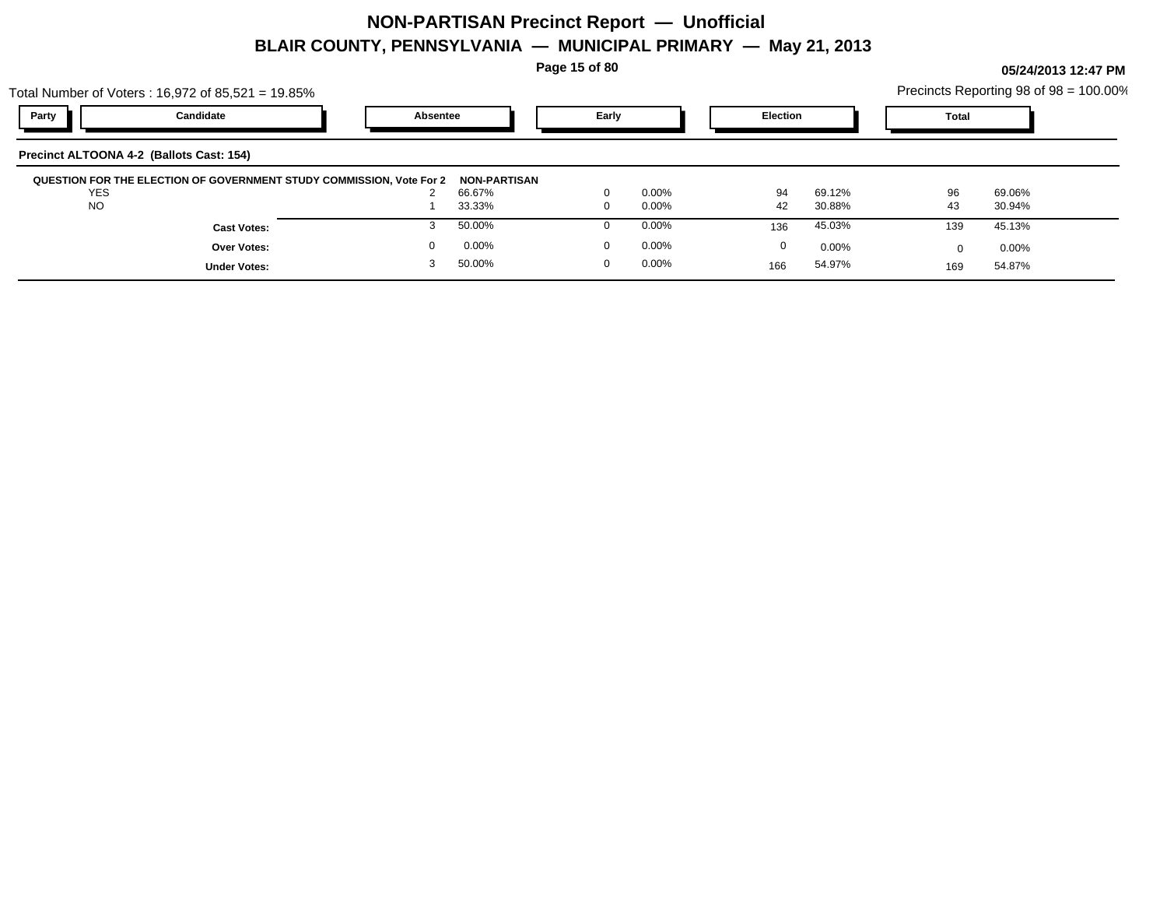**Page 15 of 80**

|                                          | Total Number of Voters: 16,972 of 85,521 = 19.85%                    |          |                  |                          |                      |          |                  |          | Precincts Reporting 98 of $98 = 100.00\%$ |  |
|------------------------------------------|----------------------------------------------------------------------|----------|------------------|--------------------------|----------------------|----------|------------------|----------|-------------------------------------------|--|
| Party                                    | Candidate                                                            | Absentee |                  | Early                    |                      | Election |                  | Total    |                                           |  |
| Precinct ALTOONA 4-2 (Ballots Cast: 154) |                                                                      |          |                  |                          |                      |          |                  |          |                                           |  |
|                                          | QUESTION FOR THE ELECTION OF GOVERNMENT STUDY COMMISSION, Vote For 2 |          | NON-PARTISAN     |                          |                      |          |                  |          |                                           |  |
| YES<br><b>NO</b>                         |                                                                      |          | 66.67%<br>33.33% | $\mathbf{0}$<br>$\Omega$ | $0.00\%$<br>$0.00\%$ | 94<br>42 | 69.12%<br>30.88% | 96<br>43 | 69.06%<br>30.94%                          |  |
|                                          | <b>Cast Votes:</b>                                                   |          | 50.00%           | 0                        | $0.00\%$             | 136      | 45.03%           | 139      | 45.13%                                    |  |
|                                          | <b>Over Votes:</b>                                                   | $\Omega$ | $0.00\%$         | $\mathbf{0}$             | $0.00\%$             | 0        | $0.00\%$         |          | $0.00\%$                                  |  |
|                                          | <b>Under Votes:</b>                                                  |          | 50.00%           | 0                        | $0.00\%$             | 166      | 54.97%           | 169      | 54.87%                                    |  |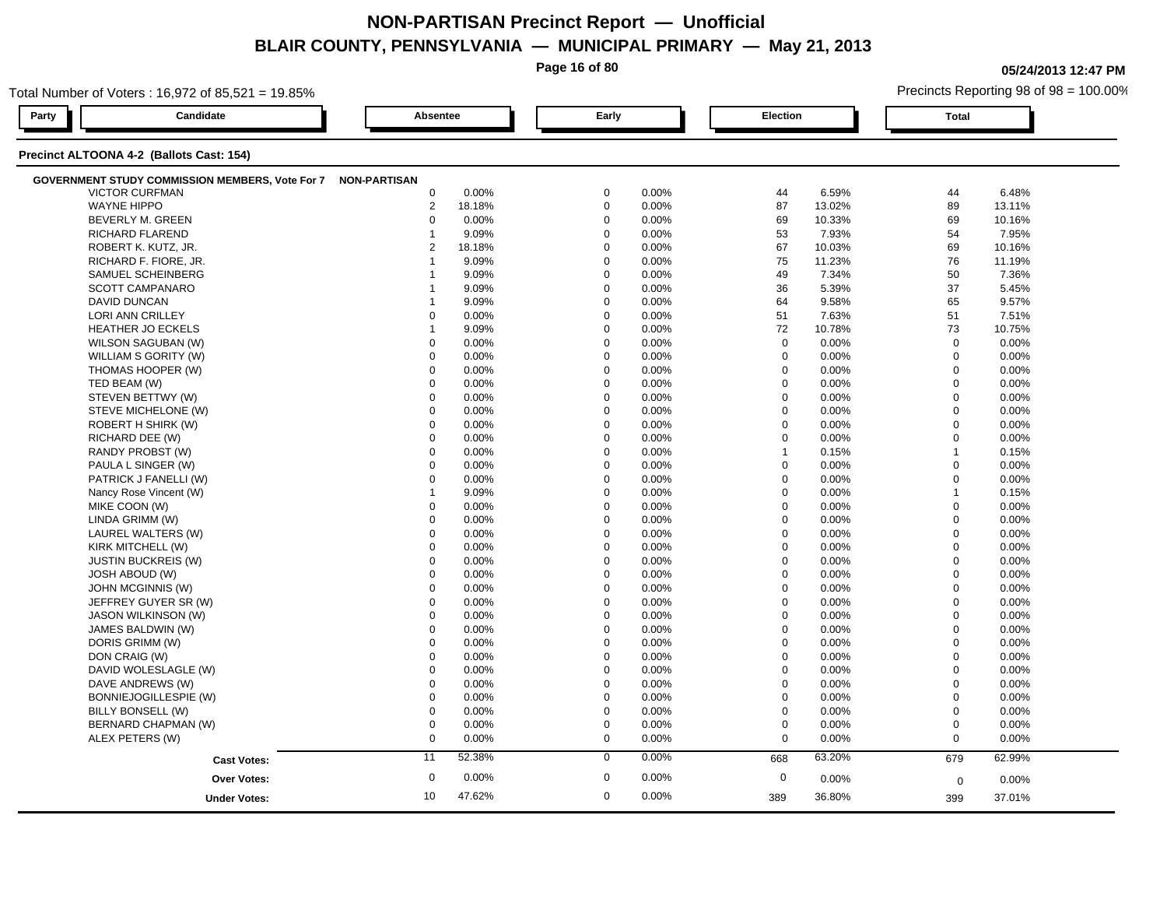**Page 16 of 80**

**05/24/2013 12:47 PM**

|       | Total Number of Voters: 16,972 of 85,521 = 19.85%            |                  |        |             |       |                  |        | Precincts Reporting 98 of 98 = 100.00% |        |  |  |  |  |
|-------|--------------------------------------------------------------|------------------|--------|-------------|-------|------------------|--------|----------------------------------------|--------|--|--|--|--|
| Party | Candidate                                                    | Absentee         |        | Early       |       | Election         |        | <b>Total</b>                           |        |  |  |  |  |
|       | Precinct ALTOONA 4-2 (Ballots Cast: 154)                     |                  |        |             |       |                  |        |                                        |        |  |  |  |  |
|       | GOVERNMENT STUDY COMMISSION MEMBERS, Vote For 7 NON-PARTISAN |                  |        |             |       |                  |        |                                        |        |  |  |  |  |
|       | <b>VICTOR CURFMAN</b>                                        | $\mathbf 0$      | 0.00%  | 0           | 0.00% | 44               | 6.59%  | 44                                     | 6.48%  |  |  |  |  |
|       | <b>WAYNE HIPPO</b>                                           | $\overline{2}$   | 18.18% | $\mathbf 0$ | 0.00% | 87               | 13.02% | 89                                     | 13.11% |  |  |  |  |
|       | BEVERLY M. GREEN                                             | $\mathbf 0$      | 0.00%  | $\mathbf 0$ | 0.00% | 69               | 10.33% | 69                                     | 10.16% |  |  |  |  |
|       | RICHARD FLAREND                                              | -1               | 9.09%  | $\Omega$    | 0.00% | 53               | 7.93%  | 54                                     | 7.95%  |  |  |  |  |
|       | ROBERT K. KUTZ, JR.                                          | $\overline{2}$   | 18.18% | $\mathbf 0$ | 0.00% | 67               | 10.03% | 69                                     | 10.16% |  |  |  |  |
|       | RICHARD F. FIORE, JR.                                        |                  | 9.09%  | $\mathbf 0$ | 0.00% | 75               | 11.23% | 76                                     | 11.19% |  |  |  |  |
|       | SAMUEL SCHEINBERG                                            |                  | 9.09%  | $\Omega$    | 0.00% | 49               | 7.34%  | 50                                     | 7.36%  |  |  |  |  |
|       | <b>SCOTT CAMPANARO</b>                                       |                  | 9.09%  | $\mathbf 0$ | 0.00% | 36               | 5.39%  | 37                                     | 5.45%  |  |  |  |  |
|       | DAVID DUNCAN                                                 |                  | 9.09%  | $\mathbf 0$ | 0.00% | 64               | 9.58%  | 65                                     | 9.57%  |  |  |  |  |
|       | LORI ANN CRILLEY                                             | 0                | 0.00%  | $\mathbf 0$ | 0.00% | 51               | 7.63%  | 51                                     | 7.51%  |  |  |  |  |
|       | HEATHER JO ECKELS                                            | 1                | 9.09%  | $\mathbf 0$ | 0.00% | 72               | 10.78% | 73                                     | 10.75% |  |  |  |  |
|       | WILSON SAGUBAN (W)                                           | $\mathbf 0$      | 0.00%  | $\Omega$    | 0.00% | $\mathbf 0$      | 0.00%  | $\mathbf 0$                            | 0.00%  |  |  |  |  |
|       | WILLIAM S GORITY (W)                                         | $\Omega$         | 0.00%  | $\mathbf 0$ | 0.00% | $\mathbf 0$      | 0.00%  | $\mathbf 0$                            | 0.00%  |  |  |  |  |
|       | THOMAS HOOPER (W)                                            | $\mathbf 0$      | 0.00%  | $\mathbf 0$ | 0.00% | $\mathbf 0$      | 0.00%  | $\mathbf 0$                            | 0.00%  |  |  |  |  |
|       | TED BEAM (W)                                                 | $\Omega$         | 0.00%  | $\Omega$    | 0.00% | $\mathbf 0$      | 0.00%  | $\mathbf 0$                            | 0.00%  |  |  |  |  |
|       | STEVEN BETTWY (W)                                            | $\mathbf 0$      | 0.00%  | $\mathbf 0$ | 0.00% | $\mathbf 0$      | 0.00%  | $\mathbf 0$                            | 0.00%  |  |  |  |  |
|       | STEVE MICHELONE (W)                                          | $\mathbf 0$      | 0.00%  | $\Omega$    | 0.00% | $\mathbf 0$      | 0.00%  | $\Omega$                               | 0.00%  |  |  |  |  |
|       | ROBERT H SHIRK (W)                                           | $\Omega$         | 0.00%  | $\Omega$    | 0.00% | $\mathbf 0$      | 0.00%  | $\mathbf 0$                            | 0.00%  |  |  |  |  |
|       | RICHARD DEE (W)                                              | $\mathbf 0$      | 0.00%  | $\mathbf 0$ | 0.00% | $\mathbf 0$      | 0.00%  | $\mathbf 0$                            | 0.00%  |  |  |  |  |
|       | RANDY PROBST (W)                                             | $\Omega$         | 0.00%  | $\Omega$    | 0.00% | $\mathbf{1}$     | 0.15%  | $\overline{1}$                         | 0.15%  |  |  |  |  |
|       | PAULA L SINGER (W)                                           | $\Omega$         | 0.00%  | $\Omega$    | 0.00% | $\mathbf 0$      | 0.00%  | $\mathbf 0$                            | 0.00%  |  |  |  |  |
|       | PATRICK J FANELLI (W)                                        | $\Omega$         | 0.00%  | $\Omega$    | 0.00% | $\mathbf 0$      | 0.00%  | $\mathbf 0$                            | 0.00%  |  |  |  |  |
|       | Nancy Rose Vincent (W)                                       | $\overline{1}$   | 9.09%  | $\Omega$    | 0.00% | $\mathbf 0$      | 0.00%  | $\overline{1}$                         | 0.15%  |  |  |  |  |
|       | MIKE COON (W)                                                | 0                | 0.00%  | $\mathbf 0$ | 0.00% | $\mathbf 0$      | 0.00%  | $\mathbf 0$                            | 0.00%  |  |  |  |  |
|       | LINDA GRIMM (W)                                              | $\mathbf 0$      | 0.00%  | $\mathbf 0$ | 0.00% | $\mathbf 0$      | 0.00%  | $\mathbf 0$                            | 0.00%  |  |  |  |  |
|       | LAUREL WALTERS (W)                                           | $\mathbf 0$      | 0.00%  | $\mathbf 0$ | 0.00% | $\mathbf 0$      | 0.00%  | $\mathbf 0$                            | 0.00%  |  |  |  |  |
|       | KIRK MITCHELL (W)                                            | $\mathbf 0$      | 0.00%  | $\Omega$    | 0.00% | $\mathbf 0$      | 0.00%  | $\mathbf 0$                            | 0.00%  |  |  |  |  |
|       | <b>JUSTIN BUCKREIS (W)</b>                                   | $\Omega$         | 0.00%  | $\Omega$    | 0.00% | $\boldsymbol{0}$ | 0.00%  | $\mathbf 0$                            | 0.00%  |  |  |  |  |
|       | <b>JOSH ABOUD (W)</b>                                        | $\mathbf 0$      | 0.00%  | $\mathbf 0$ | 0.00% | $\mathbf 0$      | 0.00%  | $\mathbf 0$                            | 0.00%  |  |  |  |  |
|       | JOHN MCGINNIS (W)                                            | $\mathbf 0$      | 0.00%  | $\mathbf 0$ | 0.00% | $\mathbf 0$      | 0.00%  | $\mathbf 0$                            | 0.00%  |  |  |  |  |
|       | JEFFREY GUYER SR (W)                                         | $\mathbf 0$      | 0.00%  | $\Omega$    | 0.00% | $\mathbf 0$      | 0.00%  | $\Omega$                               | 0.00%  |  |  |  |  |
|       | <b>JASON WILKINSON (W)</b>                                   | $\mathbf 0$      | 0.00%  | $\Omega$    | 0.00% | $\mathbf 0$      | 0.00%  | $\mathbf 0$                            | 0.00%  |  |  |  |  |
|       | JAMES BALDWIN (W)                                            | $\mathbf 0$      | 0.00%  | $\mathbf 0$ | 0.00% | $\mathbf 0$      | 0.00%  | $\mathbf 0$                            | 0.00%  |  |  |  |  |
|       | DORIS GRIMM (W)                                              | $\Omega$         | 0.00%  | $\Omega$    | 0.00% | $\mathbf 0$      | 0.00%  | $\mathbf 0$                            | 0.00%  |  |  |  |  |
|       | DON CRAIG (W)                                                | $\mathbf 0$      | 0.00%  | $\mathbf 0$ | 0.00% | $\mathbf 0$      | 0.00%  | $\mathbf 0$                            | 0.00%  |  |  |  |  |
|       | DAVID WOLESLAGLE (W)                                         | $\Omega$         | 0.00%  | $\Omega$    | 0.00% | $\mathbf 0$      | 0.00%  | $\mathbf 0$                            | 0.00%  |  |  |  |  |
|       | DAVE ANDREWS (W)                                             | $\mathbf 0$      | 0.00%  | $\Omega$    | 0.00% | $\mathbf 0$      | 0.00%  | $\mathbf 0$                            | 0.00%  |  |  |  |  |
|       | BONNIEJOGILLESPIE (W)                                        | $\mathbf 0$      | 0.00%  | $\mathbf 0$ | 0.00% | $\boldsymbol{0}$ | 0.00%  | $\mathbf 0$                            | 0.00%  |  |  |  |  |
|       | BILLY BONSELL (W)                                            | $\mathbf 0$      | 0.00%  | $\Omega$    | 0.00% | $\mathbf 0$      | 0.00%  | $\mathbf 0$                            | 0.00%  |  |  |  |  |
|       | BERNARD CHAPMAN (W)                                          | $\mathbf 0$      | 0.00%  | $\mathbf 0$ | 0.00% | $\mathbf 0$      | 0.00%  | $\mathbf 0$                            | 0.00%  |  |  |  |  |
|       | ALEX PETERS (W)                                              | $\mathbf 0$      | 0.00%  | $\mathbf 0$ | 0.00% | $\mathbf 0$      | 0.00%  | $\mathbf 0$                            | 0.00%  |  |  |  |  |
|       | <b>Cast Votes:</b>                                           | 11               | 52.38% | $\mathbf 0$ | 0.00% | 668              | 63.20% | 679                                    | 62.99% |  |  |  |  |
|       | <b>Over Votes:</b>                                           | $\boldsymbol{0}$ | 0.00%  | $\mathbf 0$ | 0.00% | $\mathbf 0$      | 0.00%  | $\mathbf 0$                            | 0.00%  |  |  |  |  |
|       |                                                              | 10               | 47.62% | $\mathbf 0$ | 0.00% | 389              | 36.80% |                                        | 37.01% |  |  |  |  |
|       | <b>Under Votes:</b>                                          |                  |        |             |       |                  |        | 399                                    |        |  |  |  |  |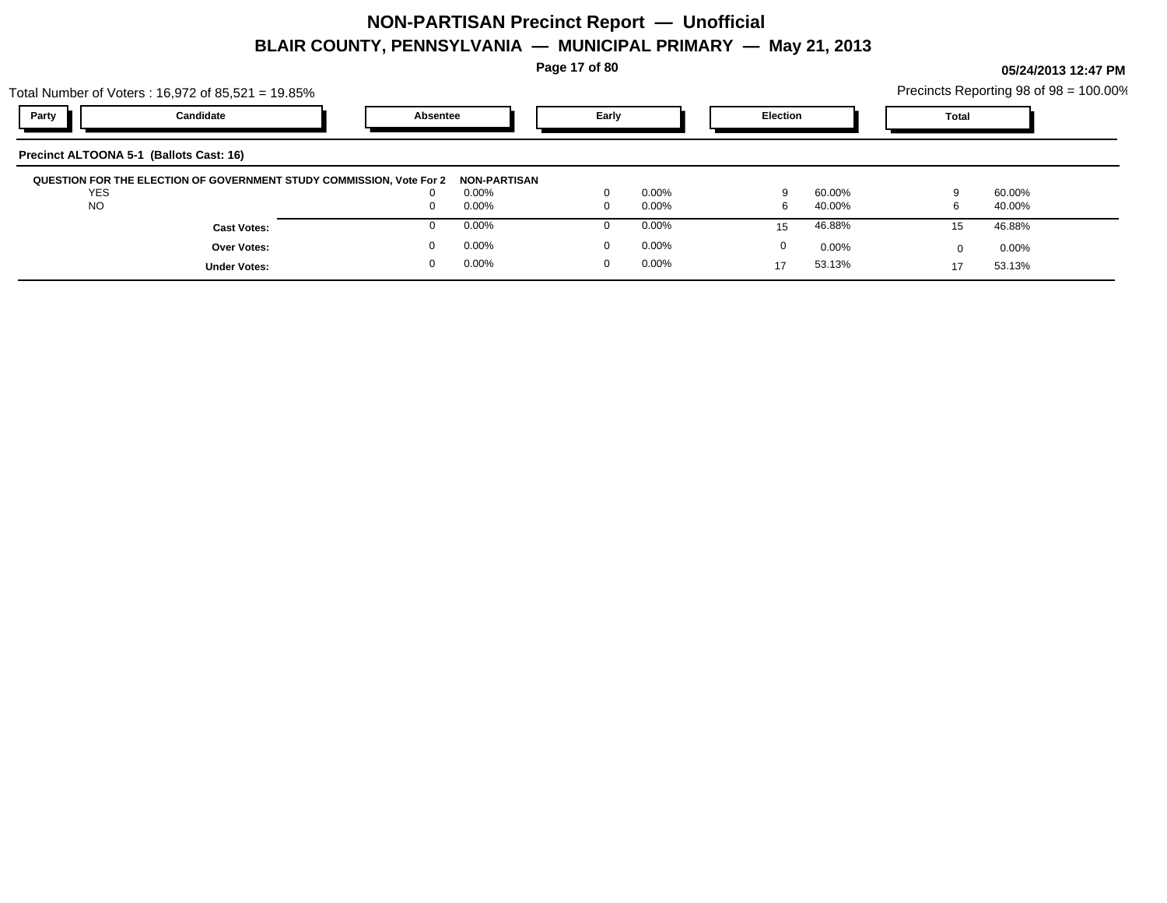**Page 17 of 80**

|                                         | Total Number of Voters: 16,972 of 85,521 = 19.85%                    |          |              |       |          |                 |          |              | Precincts Reporting 98 of 98 = 100.00% |  |
|-----------------------------------------|----------------------------------------------------------------------|----------|--------------|-------|----------|-----------------|----------|--------------|----------------------------------------|--|
| Party                                   | Candidate                                                            | Absentee |              | Early |          | <b>Election</b> |          | <b>Total</b> |                                        |  |
| Precinct ALTOONA 5-1 (Ballots Cast: 16) |                                                                      |          |              |       |          |                 |          |              |                                        |  |
|                                         | QUESTION FOR THE ELECTION OF GOVERNMENT STUDY COMMISSION, Vote For 2 |          | NON-PARTISAN |       |          |                 |          |              |                                        |  |
| <b>YES</b>                              |                                                                      |          | 0.00%        |       | $0.00\%$ |                 | 60.00%   |              | 60.00%                                 |  |
| <b>NO</b>                               |                                                                      |          | 0.00%        |       | $0.00\%$ | 6               | 40.00%   | 6            | 40.00%                                 |  |
|                                         | <b>Cast Votes:</b>                                                   |          | 0.00%        |       | $0.00\%$ | 15              | 46.88%   | 15           | 46.88%                                 |  |
|                                         | <b>Over Votes:</b>                                                   |          | 0.00%        |       | $0.00\%$ | 0               | $0.00\%$ | <sup>0</sup> | $0.00\%$                               |  |
|                                         | <b>Under Votes:</b>                                                  |          | 0.00%        | 0     | $0.00\%$ | 17              | 53.13%   | 17           | 53.13%                                 |  |
|                                         |                                                                      |          |              |       |          |                 |          |              |                                        |  |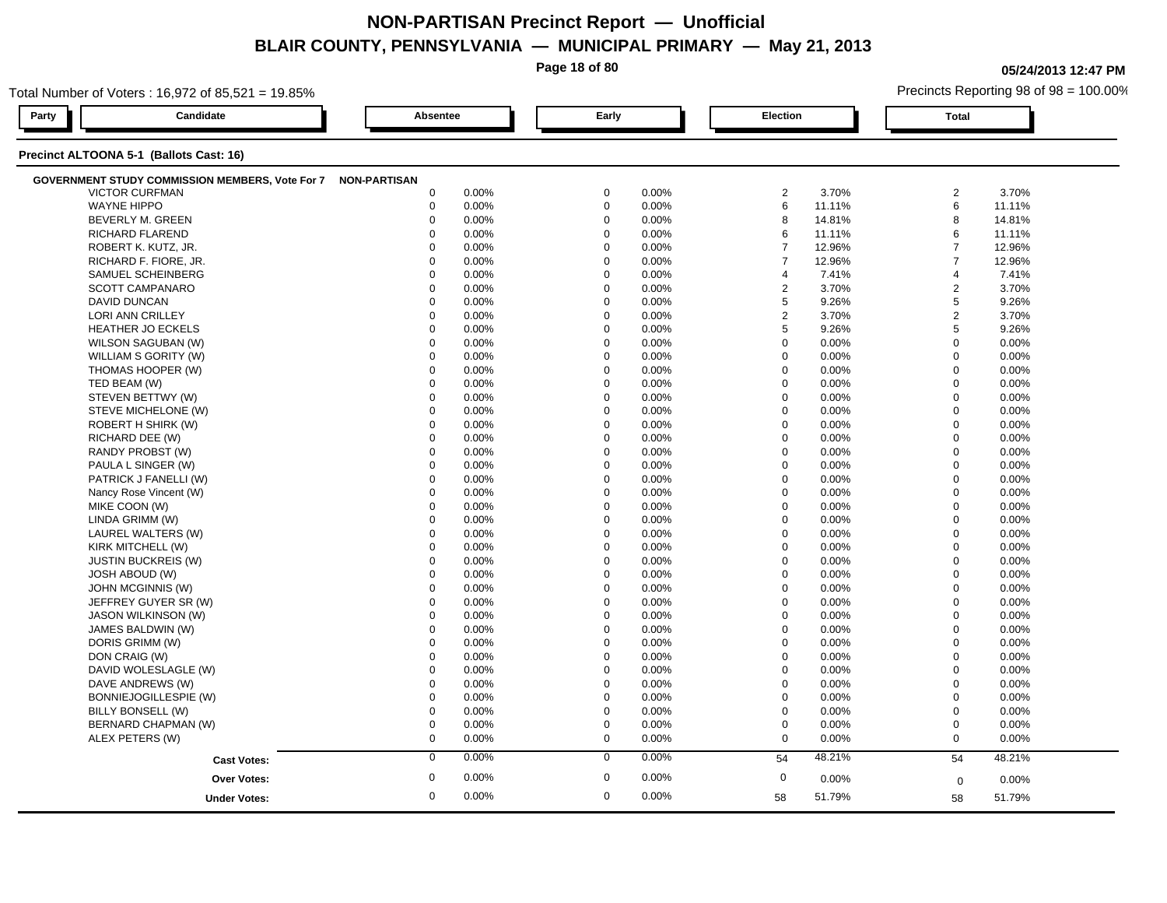**Page 18 of 80**

**05/24/2013 12:47 PM**

| Total Number of Voters: 16,972 of 85,521 = 19.85%            |                     |             |       |             |       |                |        |                | Precincts Reporting 98 of 98 = 100.00% |  |  |  |
|--------------------------------------------------------------|---------------------|-------------|-------|-------------|-------|----------------|--------|----------------|----------------------------------------|--|--|--|
| Party<br>Candidate                                           |                     | Absentee    |       | Early       |       | Election       |        | <b>Total</b>   |                                        |  |  |  |
| Precinct ALTOONA 5-1 (Ballots Cast: 16)                      |                     |             |       |             |       |                |        |                |                                        |  |  |  |
| GOVERNMENT STUDY COMMISSION MEMBERS, Vote For 7 NON-PARTISAN |                     |             |       |             |       |                |        |                |                                        |  |  |  |
| <b>VICTOR CURFMAN</b>                                        |                     | 0           | 0.00% | $\mathbf 0$ | 0.00% | $\overline{2}$ | 3.70%  | $\overline{2}$ | 3.70%                                  |  |  |  |
| <b>WAYNE HIPPO</b>                                           |                     | $\mathbf 0$ | 0.00% | $\mathbf 0$ | 0.00% | $\,6$          | 11.11% | $\,6\,$        | 11.11%                                 |  |  |  |
| <b>BEVERLY M. GREEN</b>                                      |                     | $\mathbf 0$ | 0.00% | $\mathbf 0$ | 0.00% | 8              | 14.81% | 8              | 14.81%                                 |  |  |  |
| RICHARD FLAREND                                              |                     | $\Omega$    | 0.00% | $\mathbf 0$ | 0.00% | 6              | 11.11% | 6              | 11.11%                                 |  |  |  |
| ROBERT K. KUTZ, JR.                                          |                     | $\Omega$    | 0.00% | $\mathbf 0$ | 0.00% | $\overline{7}$ | 12.96% | $\overline{7}$ | 12.96%                                 |  |  |  |
| RICHARD F. FIORE, JR.                                        |                     | $\Omega$    | 0.00% | $\mathbf 0$ | 0.00% | $\overline{7}$ | 12.96% | $\overline{7}$ | 12.96%                                 |  |  |  |
| SAMUEL SCHEINBERG                                            |                     | $\Omega$    | 0.00% | $\mathbf 0$ | 0.00% | $\overline{4}$ | 7.41%  | $\overline{4}$ | 7.41%                                  |  |  |  |
| SCOTT CAMPANARO                                              |                     | $\mathbf 0$ | 0.00% | $\mathbf 0$ | 0.00% | $\overline{c}$ | 3.70%  | $\overline{2}$ | 3.70%                                  |  |  |  |
| <b>DAVID DUNCAN</b>                                          |                     | $\mathbf 0$ | 0.00% | $\mathbf 0$ | 0.00% | 5              | 9.26%  | $\overline{5}$ | 9.26%                                  |  |  |  |
| <b>LORI ANN CRILLEY</b>                                      |                     | $\Omega$    | 0.00% | $\mathbf 0$ | 0.00% | $\overline{2}$ | 3.70%  | $\sqrt{2}$     | 3.70%                                  |  |  |  |
| <b>HEATHER JO ECKELS</b>                                     |                     | $\mathbf 0$ | 0.00% | $\mathbf 0$ | 0.00% | 5              | 9.26%  | 5              | 9.26%                                  |  |  |  |
| WILSON SAGUBAN (W)                                           |                     | $\mathbf 0$ | 0.00% | $\mathbf 0$ | 0.00% | $\mathbf 0$    | 0.00%  | $\mathbf 0$    | 0.00%                                  |  |  |  |
| WILLIAM S GORITY (W)                                         |                     | $\mathbf 0$ | 0.00% | $\mathbf 0$ | 0.00% | $\mathbf 0$    | 0.00%  | $\mathbf 0$    | 0.00%                                  |  |  |  |
| THOMAS HOOPER (W)                                            |                     | $\mathbf 0$ | 0.00% | $\mathbf 0$ | 0.00% | $\mathbf 0$    | 0.00%  | $\mathbf 0$    | 0.00%                                  |  |  |  |
| TED BEAM (W)                                                 |                     | $\mathbf 0$ | 0.00% | $\mathbf 0$ | 0.00% | $\mathbf 0$    | 0.00%  | $\mathbf 0$    | 0.00%                                  |  |  |  |
| STEVEN BETTWY (W)                                            |                     | $\mathbf 0$ | 0.00% | $\mathbf 0$ | 0.00% | $\mathbf 0$    | 0.00%  | $\mathbf 0$    | 0.00%                                  |  |  |  |
| STEVE MICHELONE (W)                                          |                     | 0           | 0.00% | $\mathbf 0$ | 0.00% | $\mathbf 0$    | 0.00%  | $\mathbf 0$    | 0.00%                                  |  |  |  |
| ROBERT H SHIRK (W)                                           |                     | $\mathbf 0$ | 0.00% | $\mathbf 0$ | 0.00% | $\mathbf 0$    | 0.00%  | $\mathbf 0$    | 0.00%                                  |  |  |  |
| RICHARD DEE (W)                                              |                     | $\mathbf 0$ | 0.00% | $\mathbf 0$ | 0.00% | $\Omega$       | 0.00%  | $\mathbf 0$    | 0.00%                                  |  |  |  |
| RANDY PROBST (W)                                             |                     | $\Omega$    | 0.00% | $\mathbf 0$ | 0.00% | $\Omega$       | 0.00%  | $\mathbf 0$    | 0.00%                                  |  |  |  |
| PAULA L SINGER (W)                                           |                     | $\mathbf 0$ | 0.00% | $\mathbf 0$ | 0.00% | $\mathbf 0$    | 0.00%  | $\mathbf 0$    | 0.00%                                  |  |  |  |
| PATRICK J FANELLI (W)                                        |                     | $\mathbf 0$ | 0.00% | 0           | 0.00% | $\mathbf 0$    | 0.00%  | $\mathbf 0$    | 0.00%                                  |  |  |  |
| Nancy Rose Vincent (W)                                       |                     | 0           | 0.00% | $\mathbf 0$ | 0.00% | $\mathbf 0$    | 0.00%  | $\mathbf 0$    | $0.00\%$                               |  |  |  |
| MIKE COON (W)                                                |                     | $\Omega$    | 0.00% | $\mathbf 0$ | 0.00% | $\Omega$       | 0.00%  | $\mathbf 0$    | 0.00%                                  |  |  |  |
| LINDA GRIMM (W)                                              |                     | $\Omega$    | 0.00% | $\mathbf 0$ | 0.00% | $\mathbf 0$    | 0.00%  | $\mathbf 0$    | 0.00%                                  |  |  |  |
| LAUREL WALTERS (W)                                           |                     | $\Omega$    | 0.00% | $\Omega$    | 0.00% | $\Omega$       | 0.00%  | $\mathbf 0$    | 0.00%                                  |  |  |  |
| KIRK MITCHELL (W)                                            |                     | $\mathbf 0$ | 0.00% | $\mathbf 0$ | 0.00% | $\mathbf 0$    | 0.00%  | $\mathbf 0$    | 0.00%                                  |  |  |  |
| <b>JUSTIN BUCKREIS (W)</b>                                   |                     | $\mathbf 0$ | 0.00% | $\mathbf 0$ | 0.00% | 0              | 0.00%  | $\mathbf 0$    | 0.00%                                  |  |  |  |
| <b>JOSH ABOUD (W)</b>                                        |                     | $\Omega$    | 0.00% | $\mathbf 0$ | 0.00% | $\Omega$       | 0.00%  | $\mathbf 0$    | 0.00%                                  |  |  |  |
| JOHN MCGINNIS (W)                                            |                     | $\Omega$    | 0.00% | $\mathbf 0$ | 0.00% | $\Omega$       | 0.00%  | $\mathbf 0$    | 0.00%                                  |  |  |  |
| JEFFREY GUYER SR (W)                                         |                     | $\Omega$    | 0.00% | $\mathbf 0$ | 0.00% | $\Omega$       | 0.00%  | $\mathbf{0}$   | 0.00%                                  |  |  |  |
| <b>JASON WILKINSON (W)</b>                                   |                     | $\Omega$    | 0.00% | $\mathbf 0$ | 0.00% | $\Omega$       | 0.00%  | $\mathbf 0$    | 0.00%                                  |  |  |  |
| JAMES BALDWIN (W)                                            |                     | $\mathbf 0$ | 0.00% | $\mathbf 0$ | 0.00% | $\mathbf 0$    | 0.00%  | $\mathbf 0$    | 0.00%                                  |  |  |  |
| DORIS GRIMM (W)                                              |                     | $\mathbf 0$ | 0.00% | $\mathbf 0$ | 0.00% | $\mathbf 0$    | 0.00%  | $\mathbf 0$    | 0.00%                                  |  |  |  |
| DON CRAIG (W)                                                |                     | $\mathbf 0$ | 0.00% | $\mathbf 0$ | 0.00% | $\mathbf 0$    | 0.00%  | $\mathbf 0$    | 0.00%                                  |  |  |  |
| DAVID WOLESLAGLE (W)                                         |                     | 0           | 0.00% | $\mathbf 0$ | 0.00% | $\mathbf 0$    | 0.00%  | $\mathbf 0$    | 0.00%                                  |  |  |  |
| DAVE ANDREWS (W)                                             |                     | $\Omega$    | 0.00% | $\mathbf 0$ | 0.00% | $\Omega$       | 0.00%  | $\mathbf 0$    | 0.00%                                  |  |  |  |
| BONNIEJOGILLESPIE (W)                                        |                     | $\mathbf 0$ | 0.00% | $\mathbf 0$ | 0.00% | $\mathbf 0$    | 0.00%  | $\mathbf 0$    | 0.00%                                  |  |  |  |
| BILLY BONSELL (W)                                            |                     | 0           | 0.00% | $\mathbf 0$ | 0.00% | 0              | 0.00%  | $\mathbf 0$    | 0.00%                                  |  |  |  |
| BERNARD CHAPMAN (W)                                          |                     | $\mathbf 0$ | 0.00% | $\mathbf 0$ | 0.00% | 0              | 0.00%  | $\mathbf 0$    | 0.00%                                  |  |  |  |
| ALEX PETERS (W)                                              |                     | $\mathbf 0$ | 0.00% | $\mathbf 0$ | 0.00% | 0              | 0.00%  | $\mathbf 0$    | 0.00%                                  |  |  |  |
|                                                              | <b>Cast Votes:</b>  | $\mathbf 0$ | 0.00% | $\mathbf 0$ | 0.00% | 54             | 48.21% | 54             | 48.21%                                 |  |  |  |
|                                                              |                     |             |       |             |       |                |        |                |                                        |  |  |  |
|                                                              | <b>Over Votes:</b>  | $\mathbf 0$ | 0.00% | $\mathbf 0$ | 0.00% | $\mathbf 0$    | 0.00%  | $\mathbf 0$    | 0.00%                                  |  |  |  |
|                                                              | <b>Under Votes:</b> | 0           | 0.00% | $\mathbf 0$ | 0.00% | 58             | 51.79% | 58             | 51.79%                                 |  |  |  |
|                                                              |                     |             |       |             |       |                |        |                |                                        |  |  |  |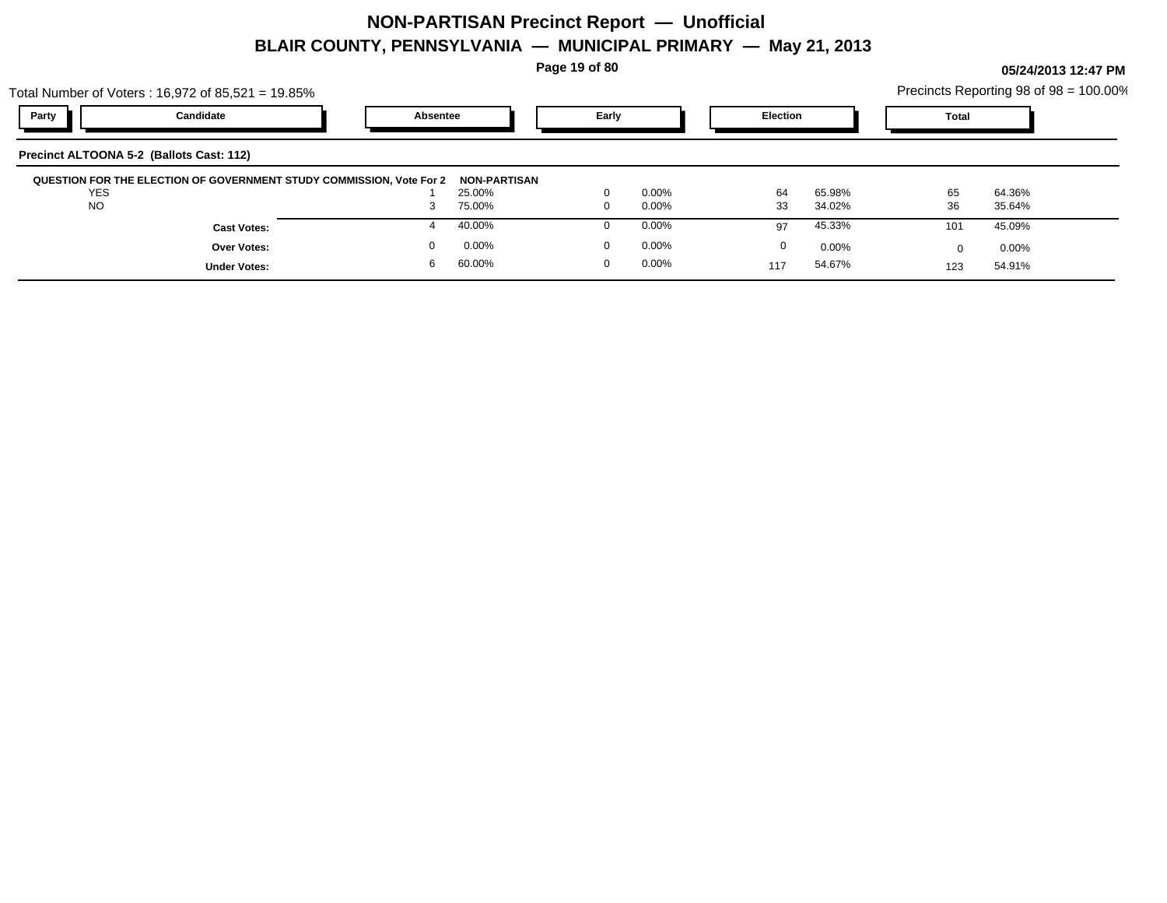**Page 19 of 80**

|                | Total Number of Voters: 16,972 of 85,521 = 19.85%                                 |          |       |       |                 |        |       |          | Precincts Reporting 98 of 98 = 100.00% |
|----------------|-----------------------------------------------------------------------------------|----------|-------|-------|-----------------|--------|-------|----------|----------------------------------------|
| Party          | Candidate                                                                         | Absentee | Early |       | <b>Election</b> |        | Total |          |                                        |
|                | Precinct ALTOONA 5-2 (Ballots Cast: 112)                                          |          |       |       |                 |        |       |          |                                        |
|                | QUESTION FOR THE ELECTION OF GOVERNMENT STUDY COMMISSION, Vote For 2 NON-PARTISAN |          |       |       |                 |        |       |          |                                        |
| <b>YES</b>     |                                                                                   | 25.00%   |       | 0.00% | 64              | 65.98% | 65    | 64.36%   |                                        |
| $\overline{N}$ |                                                                                   | 7500/    |       | 0.000 | າາ              | 24020  | 2C    | 250/240/ |                                        |

| YES                 | 25.00% | 0.00%    | <u>га</u><br>64 | 65.98% | 65           | 64.36% |  |
|---------------------|--------|----------|-----------------|--------|--------------|--------|--|
| <b>NO</b>           | 75.00% | $0.00\%$ | 33              | 34.02% | วด<br>ູບປ    | 35.64% |  |
| <b>Cast Votes:</b>  | 40.00% | $0.00\%$ | 97              | 45.33% | 101          | 45.09% |  |
| Over Votes:         | 0.00%  | $0.00\%$ |                 | 0.00%  |              | 0.00%  |  |
| <b>Under Votes:</b> | 60.00% | $0.00\%$ | 117             | 54.67% | 123<br>ں ے ا | 54.91% |  |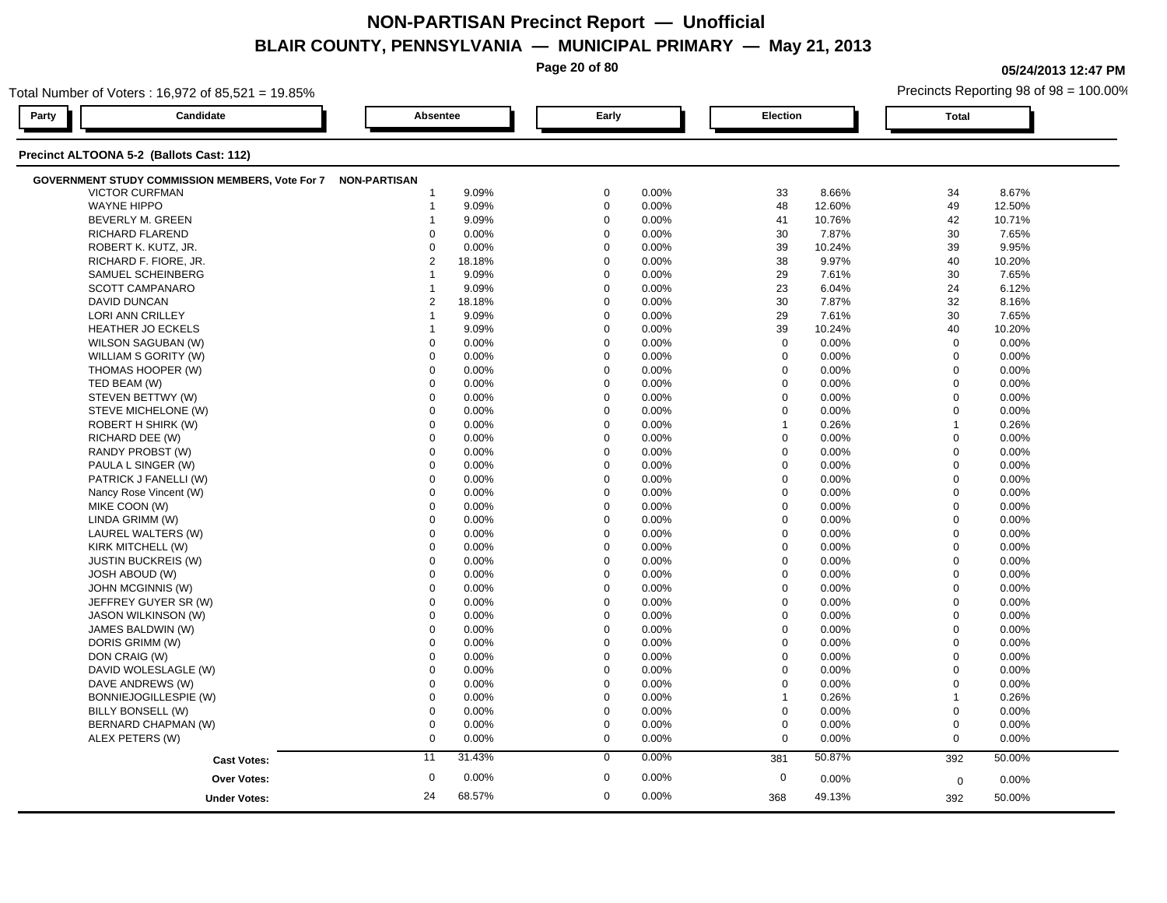**Page 20 of 80**

**05/24/2013 12:47 PM**

| Total Number of Voters: 16,972 of 85,521 = 19.85%            |                         |                      |               | Precincts Reporting 98 of 98 = 100.00% |  |  |  |
|--------------------------------------------------------------|-------------------------|----------------------|---------------|----------------------------------------|--|--|--|
| Party<br>Candidate                                           | Absentee                | Early                | Election      | <b>Total</b>                           |  |  |  |
| Precinct ALTOONA 5-2 (Ballots Cast: 112)                     |                         |                      |               |                                        |  |  |  |
| GOVERNMENT STUDY COMMISSION MEMBERS, Vote For 7 NON-PARTISAN |                         |                      |               |                                        |  |  |  |
| <b>VICTOR CURFMAN</b>                                        | 9.09%                   | $\mathbf 0$          | 33            | 34                                     |  |  |  |
|                                                              | -1                      | 0.00%                | 8.66%         | 8.67%                                  |  |  |  |
| <b>WAYNE HIPPO</b>                                           | 9.09%                   | $\mathbf 0$          | 48            | 49                                     |  |  |  |
|                                                              | $\mathbf 1$             | 0.00%                | 12.60%        | 12.50%                                 |  |  |  |
| <b>BEVERLY M. GREEN</b>                                      | 9.09%                   | $\mathbf 0$          | 41            | 42                                     |  |  |  |
|                                                              | $\overline{\mathbf{1}}$ | 0.00%                | 10.76%        | 10.71%                                 |  |  |  |
| RICHARD FLAREND                                              | $\Omega$                | $\mathbf 0$          | 30            | 30                                     |  |  |  |
|                                                              | 0.00%                   | 0.00%                | 7.87%         | 7.65%                                  |  |  |  |
| ROBERT K. KUTZ, JR.                                          | 0                       | $\mathbf 0$          | 39            | 39                                     |  |  |  |
|                                                              | 0.00%                   | 0.00%                | 10.24%        | 9.95%                                  |  |  |  |
| RICHARD F. FIORE, JR.                                        | 2                       | $\mathbf 0$          | 38            | 40                                     |  |  |  |
|                                                              | 18.18%                  | 0.00%                | 9.97%         | 10.20%                                 |  |  |  |
| SAMUEL SCHEINBERG                                            | 9.09%                   | $\mathbf 0$          | 29            | 30                                     |  |  |  |
|                                                              | 1                       | 0.00%                | 7.61%         | 7.65%                                  |  |  |  |
| SCOTT CAMPANARO                                              | 9.09%                   | $\mathbf 0$          | 23            | 24                                     |  |  |  |
|                                                              | $\overline{\mathbf{1}}$ | 0.00%                | 6.04%         | 6.12%                                  |  |  |  |
| DAVID DUNCAN                                                 | 2                       | $\mathbf 0$          | 30            | 32                                     |  |  |  |
|                                                              | 18.18%                  | 0.00%                | 7.87%         | 8.16%                                  |  |  |  |
| LORI ANN CRILLEY                                             | 9.09%                   | $\mathbf 0$          | 29            | 30                                     |  |  |  |
|                                                              | $\mathbf 1$             | 0.00%                | 7.61%         | 7.65%                                  |  |  |  |
| <b>HEATHER JO ECKELS</b>                                     | 9.09%                   | $\mathbf 0$          | 39            | 40                                     |  |  |  |
|                                                              | 1                       | 0.00%                | 10.24%        | 10.20%                                 |  |  |  |
| WILSON SAGUBAN (W)                                           | $\mathbf 0$             | $\mathbf 0$          | $\mathbf 0$   | $\mathbf 0$                            |  |  |  |
|                                                              | 0.00%                   | 0.00%                | 0.00%         | 0.00%                                  |  |  |  |
| WILLIAM S GORITY (W)                                         | $\mathbf 0$             | $\mathbf 0$          | 0             | $\mathbf 0$                            |  |  |  |
|                                                              | 0.00%                   | 0.00%                | 0.00%         | 0.00%                                  |  |  |  |
| THOMAS HOOPER (W)                                            | $\Omega$                | $\mathbf 0$          | $\mathbf 0$   | $\mathbf 0$                            |  |  |  |
|                                                              | 0.00%                   | 0.00%                | 0.00%         | $0.00\%$                               |  |  |  |
| TED BEAM (W)                                                 | $\Omega$                | $\mathbf 0$          | $\Omega$      | $\mathbf 0$                            |  |  |  |
|                                                              | 0.00%                   | 0.00%                | 0.00%         | 0.00%                                  |  |  |  |
| STEVEN BETTWY (W)                                            | $\mathbf 0$             | $\mathbf 0$          | $\mathbf 0$   | $\mathbf 0$                            |  |  |  |
|                                                              | 0.00%                   | 0.00%                | 0.00%         | 0.00%                                  |  |  |  |
| STEVE MICHELONE (W)                                          | $\mathbf 0$             | $\mathbf 0$          | $\mathbf 0$   | $\mathbf 0$                            |  |  |  |
|                                                              | 0.00%                   | 0.00%                | 0.00%         | 0.00%                                  |  |  |  |
| ROBERT H SHIRK (W)                                           | 0                       | $\mathbf 0$          | 0.26%         | $\overline{1}$                         |  |  |  |
|                                                              | 0.00%                   | 0.00%                | $\mathbf{1}$  | 0.26%                                  |  |  |  |
| RICHARD DEE (W)                                              | $\Omega$                | $\mathbf 0$          | $\mathbf 0$   | $\mathbf 0$                            |  |  |  |
|                                                              | 0.00%                   | 0.00%                | 0.00%         | $0.00\%$                               |  |  |  |
| RANDY PROBST (W)                                             | $\Omega$                | $\mathbf 0$          | $\Omega$      | $\mathbf 0$                            |  |  |  |
|                                                              | 0.00%                   | 0.00%                | 0.00%         | 0.00%                                  |  |  |  |
| PAULA L SINGER (W)                                           | 0.00%                   | $\mathbf 0$          | $\mathbf 0$   | $\mathbf 0$                            |  |  |  |
|                                                              | $\mathbf 0$             | 0.00%                | 0.00%         | 0.00%                                  |  |  |  |
| PATRICK J FANELLI (W)                                        | $\mathbf 0$             | $\mathbf 0$          | $\mathbf 0$   | $\mathbf 0$                            |  |  |  |
|                                                              | 0.00%                   | 0.00%                | 0.00%         | 0.00%                                  |  |  |  |
| Nancy Rose Vincent (W)                                       | 0                       | $\mathbf 0$          | $\mathbf 0$   | $\mathbf 0$                            |  |  |  |
|                                                              | 0.00%                   | 0.00%                | 0.00%         | 0.00%                                  |  |  |  |
| MIKE COON (W)                                                | $\Omega$                | $\Omega$             | $\Omega$      | $\mathbf 0$                            |  |  |  |
|                                                              | 0.00%                   | 0.00%                | 0.00%         | 0.00%                                  |  |  |  |
| LINDA GRIMM (W)                                              | $\Omega$                | $\mathbf 0$          | $\Omega$      | $\mathbf 0$                            |  |  |  |
|                                                              | 0.00%                   | 0.00%                | 0.00%         | 0.00%                                  |  |  |  |
| LAUREL WALTERS (W)                                           | $\mathbf 0$             | $\mathbf 0$          | $\mathbf 0$   | $\mathbf 0$                            |  |  |  |
|                                                              | 0.00%                   | 0.00%                | 0.00%         | 0.00%                                  |  |  |  |
| KIRK MITCHELL (W)                                            | $\mathbf 0$             | $\mathbf 0$          | $\mathbf 0$   | $\mathbf 0$                            |  |  |  |
|                                                              | 0.00%                   | 0.00%                | 0.00%         | $0.00\%$                               |  |  |  |
| <b>JUSTIN BUCKREIS (W)</b>                                   | 0                       | $\mathbf 0$          | $\mathbf 0$   | $\mathbf 0$                            |  |  |  |
|                                                              | 0.00%                   | 0.00%                | 0.00%         | 0.00%                                  |  |  |  |
| <b>JOSH ABOUD (W)</b>                                        | $\Omega$                | $\Omega$             | $\Omega$      | $\mathbf 0$                            |  |  |  |
|                                                              | 0.00%                   | 0.00%                | 0.00%         | 0.00%                                  |  |  |  |
| JOHN MCGINNIS (W)                                            | $\mathbf 0$             | $\mathbf 0$          | $\mathbf 0$   | $\mathbf 0$                            |  |  |  |
|                                                              | 0.00%                   | 0.00%                | 0.00%         | 0.00%                                  |  |  |  |
| JEFFREY GUYER SR (W)                                         | $\mathbf 0$             | $\mathbf 0$          | $\mathbf 0$   | $\mathbf 0$                            |  |  |  |
|                                                              | 0.00%                   | 0.00%                | 0.00%         | 0.00%                                  |  |  |  |
| <b>JASON WILKINSON (W)</b>                                   | $\mathbf 0$             | $\mathbf 0$          | $\mathbf 0$   | $\mathbf 0$                            |  |  |  |
|                                                              | 0.00%                   | 0.00%                | 0.00%         | $0.00\%$                               |  |  |  |
| JAMES BALDWIN (W)                                            | $\mathbf 0$             | $\mathbf 0$          | $\Omega$      | $\mathbf 0$                            |  |  |  |
|                                                              | 0.00%                   | 0.00%                | 0.00%         | 0.00%                                  |  |  |  |
| DORIS GRIMM (W)                                              | 0                       | $\Omega$             | $\Omega$      | $\mathbf 0$                            |  |  |  |
|                                                              | 0.00%                   | 0.00%                | 0.00%         | 0.00%                                  |  |  |  |
| DON CRAIG (W)                                                | $\mathbf 0$             | $\mathbf 0$          | $\mathbf 0$   | $\mathbf 0$                            |  |  |  |
|                                                              | 0.00%                   | 0.00%                | 0.00%         | 0.00%                                  |  |  |  |
| DAVID WOLESLAGLE (W)                                         | 0                       | $\mathbf 0$          | $\mathbf 0$   | $\mathbf 0$                            |  |  |  |
|                                                              | 0.00%                   | 0.00%                | 0.00%         | 0.00%                                  |  |  |  |
| DAVE ANDREWS (W)                                             | $\mathbf 0$             | $\mathbf 0$          | $\mathbf 0$   | $\mathbf 0$                            |  |  |  |
|                                                              | 0.00%                   | 0.00%                | 0.00%         | $0.00\%$                               |  |  |  |
| <b>BONNIEJOGILLESPIE (W)</b>                                 | $\mathbf 0$             | $\mathbf 0$          | 0.26%         | $\overline{1}$                         |  |  |  |
|                                                              | 0.00%                   | 0.00%                | $\mathbf{1}$  | 0.26%                                  |  |  |  |
| BILLY BONSELL (W)                                            | $\mathbf 0$             | $\mathbf 0$          | $\mathbf 0$   | $\mathbf 0$                            |  |  |  |
|                                                              | 0.00%                   | 0.00%                | 0.00%         | 0.00%                                  |  |  |  |
| BERNARD CHAPMAN (W)                                          | $\mathbf 0$             | $\mathbf 0$          | $\mathbf 0$   | $\mathbf 0$                            |  |  |  |
|                                                              | 0.00%                   | 0.00%                | 0.00%         | 0.00%                                  |  |  |  |
| ALEX PETERS (W)                                              | $\mathbf 0$             | $\mathbf 0$          | $\Omega$      | $\mathbf 0$                            |  |  |  |
|                                                              | 0.00%                   | 0.00%                | 0.00%         | 0.00%                                  |  |  |  |
| <b>Cast Votes:</b>                                           | 31.43%                  | 0.00%                | 50.87%        | 50.00%                                 |  |  |  |
|                                                              | 11                      | $\mathbf 0$          | 381           | 392                                    |  |  |  |
| Over Votes:                                                  | $\boldsymbol{0}$        | $\mathbf 0$          | $\mathbf 0$   | 0.00%                                  |  |  |  |
|                                                              | 0.00%                   | 0.00%                | 0.00%         | 0                                      |  |  |  |
|                                                              | 24<br>68.57%            | $\mathbf 0$<br>0.00% | 49.13%<br>368 |                                        |  |  |  |
| <b>Under Votes:</b>                                          |                         |                      |               | 50.00%<br>392                          |  |  |  |
|                                                              |                         |                      |               |                                        |  |  |  |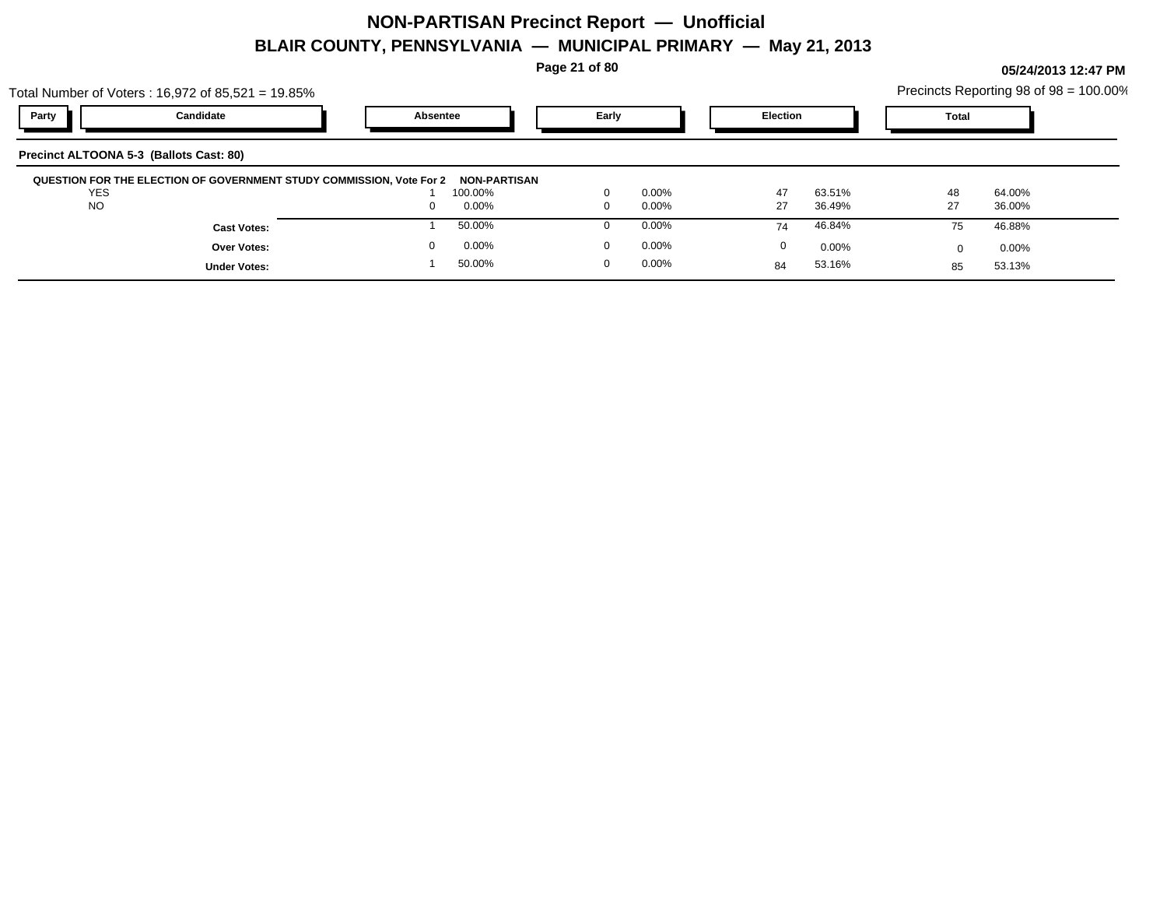**Page 21 of 80**

|                                         | Total Number of Voters: $16,972$ of $85,521 = 19.85\%$               |                     |                      |                 | Precincts Reporting 98 of 98 = 100.00% |  |
|-----------------------------------------|----------------------------------------------------------------------|---------------------|----------------------|-----------------|----------------------------------------|--|
| Party                                   | Candidate                                                            | Absentee            | Early                | <b>Election</b> | <b>Total</b>                           |  |
| Precinct ALTOONA 5-3 (Ballots Cast: 80) |                                                                      |                     |                      |                 |                                        |  |
|                                         | QUESTION FOR THE ELECTION OF GOVERNMENT STUDY COMMISSION, Vote For 2 | <b>NON-PARTISAN</b> |                      |                 |                                        |  |
| <b>YES</b>                              |                                                                      | 100.00%             | $0.00\%$<br>$\Omega$ | 47<br>63.51%    | 48<br>64.00%                           |  |
| <b>NO</b>                               |                                                                      | 0.00%<br>0          | $0.00\%$<br>$\Omega$ | 27<br>36.49%    | 27<br>36.00%                           |  |
|                                         | <b>Cast Votes:</b>                                                   | 50.00%              | $0.00\%$             | 46.84%<br>74    | 46.88%<br>75                           |  |
|                                         | <b>Over Votes:</b>                                                   | 0.00%               | $0.00\%$<br>$\Omega$ | 0<br>$0.00\%$   | 0.00%                                  |  |
|                                         | <b>Under Votes:</b>                                                  | 50.00%              | $0.00\%$<br>$\Omega$ | 53.16%<br>84    | 53.13%<br>85                           |  |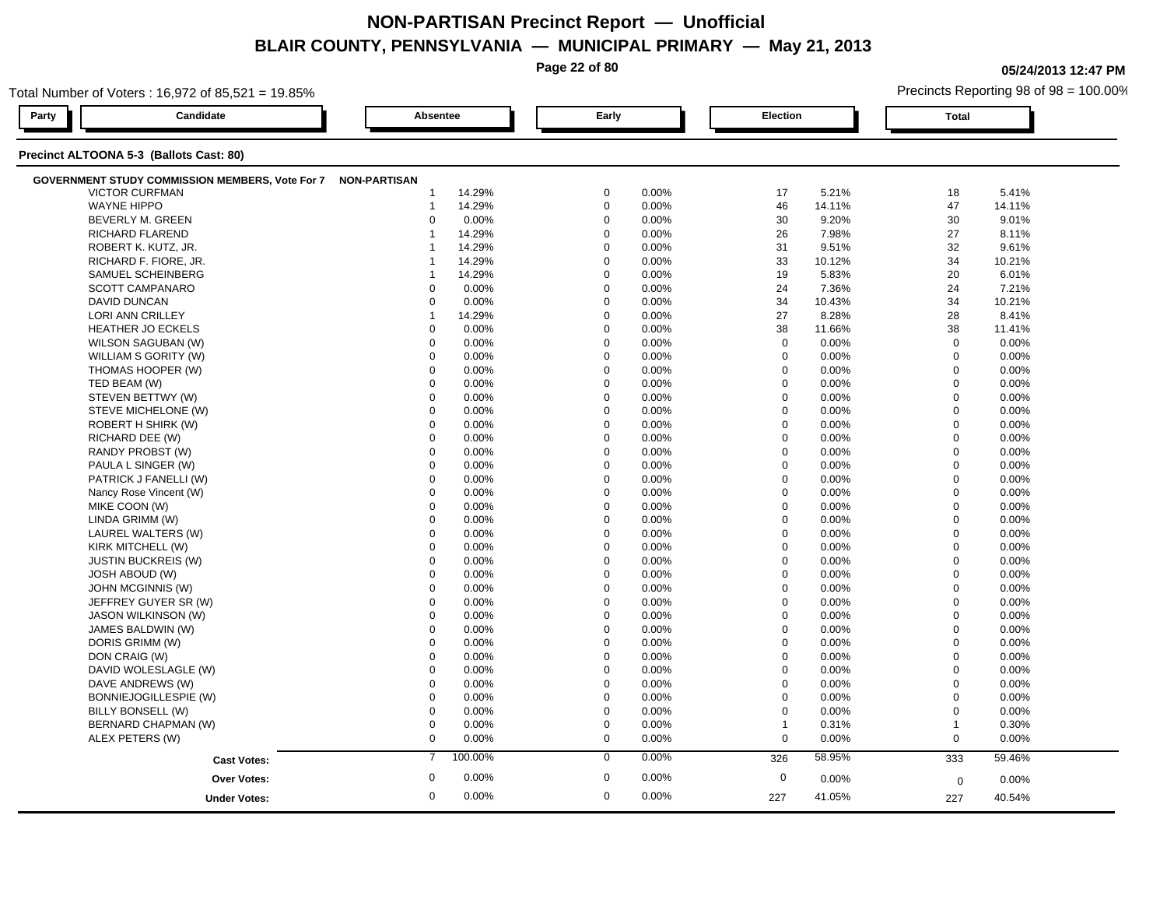**Page 22 of 80**

**05/24/2013 12:47 PM**

Precincts Reporting 98 of 98 = 100.00% **Party Candidate Absentee Early Election Total**

Total Number of Voters : 16,972 of 85,521 = 19.85%

| <b>GOVERNMENT STUDY COMMISSION MEMBERS, Vote For 7</b> | <b>NON-PARTISAN</b> |         |             |          |              |        |              |        |  |
|--------------------------------------------------------|---------------------|---------|-------------|----------|--------------|--------|--------------|--------|--|
| <b>VICTOR CURFMAN</b>                                  |                     | 14.29%  | $\mathbf 0$ | 0.00%    | 17           | 5.21%  | 18           | 5.41%  |  |
| <b>WAYNE HIPPO</b>                                     | $\overline{1}$      | 14.29%  | $\mathbf 0$ | 0.00%    | 46           | 14.11% | 47           | 14.11% |  |
| BEVERLY M. GREEN                                       | $\Omega$            | 0.00%   | $\mathbf 0$ | 0.00%    | 30           | 9.20%  | 30           | 9.01%  |  |
| <b>RICHARD FLAREND</b>                                 |                     | 14.29%  | $\mathbf 0$ | 0.00%    | 26           | 7.98%  | 27           | 8.11%  |  |
| ROBERT K. KUTZ, JR.                                    |                     | 14.29%  | $\mathbf 0$ | 0.00%    | 31           | 9.51%  | 32           | 9.61%  |  |
| RICHARD F. FIORE, JR.                                  |                     | 14.29%  | $\mathbf 0$ | 0.00%    | 33           | 10.12% | 34           | 10.21% |  |
| SAMUEL SCHEINBERG                                      |                     | 14.29%  | $\mathbf 0$ | 0.00%    | 19           | 5.83%  | 20           | 6.01%  |  |
| <b>SCOTT CAMPANARO</b>                                 | $\Omega$            | 0.00%   | $\mathbf 0$ | 0.00%    | 24           | 7.36%  | 24           | 7.21%  |  |
| DAVID DUNCAN                                           | $\Omega$            | 0.00%   | $\Omega$    | 0.00%    | 34           | 10.43% | 34           | 10.21% |  |
| LORI ANN CRILLEY                                       |                     | 14.29%  | $\Omega$    | 0.00%    | 27           | 8.28%  | 28           | 8.41%  |  |
| <b>HEATHER JO ECKELS</b>                               | $\Omega$            | 0.00%   | $\Omega$    | 0.00%    | 38           | 11.66% | 38           | 11.41% |  |
| WILSON SAGUBAN (W)                                     | $\Omega$            | 0.00%   | $\Omega$    | 0.00%    | $\mathbf 0$  | 0.00%  | $\mathbf 0$  | 0.00%  |  |
| WILLIAM S GORITY (W)                                   | $\Omega$            | 0.00%   | $\Omega$    | $0.00\%$ | $\mathbf 0$  | 0.00%  | $\mathbf 0$  | 0.00%  |  |
| THOMAS HOOPER (W)                                      | $\Omega$            | 0.00%   | $\mathbf 0$ | 0.00%    | $\mathbf 0$  | 0.00%  | $\mathbf 0$  | 0.00%  |  |
| TED BEAM (W)                                           | $\Omega$            | 0.00%   | $\Omega$    | 0.00%    | $\mathbf 0$  | 0.00%  | $\mathbf 0$  | 0.00%  |  |
| STEVEN BETTWY (W)                                      | $\Omega$            | 0.00%   | $\mathbf 0$ | 0.00%    | $\mathbf 0$  | 0.00%  | $\mathbf 0$  | 0.00%  |  |
|                                                        | $\mathbf 0$         |         | $\mathbf 0$ |          |              |        |              |        |  |
| STEVE MICHELONE (W)                                    |                     | 0.00%   |             | 0.00%    | $\mathbf 0$  | 0.00%  | $\mathbf 0$  | 0.00%  |  |
| ROBERT H SHIRK (W)                                     | $\Omega$            | 0.00%   | $\Omega$    | 0.00%    | $\mathbf 0$  | 0.00%  | $\mathbf 0$  | 0.00%  |  |
| RICHARD DEE (W)                                        | $\Omega$            | 0.00%   | $\Omega$    | 0.00%    | $\mathbf 0$  | 0.00%  | $\mathbf 0$  | 0.00%  |  |
| RANDY PROBST (W)                                       | $\Omega$            | 0.00%   | $\Omega$    | 0.00%    | $\mathbf 0$  | 0.00%  | $\mathbf 0$  | 0.00%  |  |
| PAULA L SINGER (W)                                     | $\Omega$            | 0.00%   | $\Omega$    | 0.00%    | $\mathbf 0$  | 0.00%  | $\mathbf 0$  | 0.00%  |  |
| PATRICK J FANELLI (W)                                  | $\Omega$            | 0.00%   | $\Omega$    | 0.00%    | $\mathbf 0$  | 0.00%  | $\mathbf 0$  | 0.00%  |  |
| Nancy Rose Vincent (W)                                 | $\Omega$            | 0.00%   | $\Omega$    | 0.00%    | $\mathbf 0$  | 0.00%  | $\mathbf 0$  | 0.00%  |  |
| MIKE COON (W)                                          | $\Omega$            | 0.00%   | $\Omega$    | 0.00%    | $\mathbf 0$  | 0.00%  | $\mathbf 0$  | 0.00%  |  |
| LINDA GRIMM (W)                                        | $\Omega$            | 0.00%   | $\Omega$    | 0.00%    | $\mathbf 0$  | 0.00%  | $\mathbf 0$  | 0.00%  |  |
| LAUREL WALTERS (W)                                     | $\Omega$            | 0.00%   | $\Omega$    | 0.00%    | $\mathbf 0$  | 0.00%  | $\mathbf 0$  | 0.00%  |  |
| KIRK MITCHELL (W)                                      | $\Omega$            | 0.00%   | $\mathbf 0$ | 0.00%    | $\mathbf 0$  | 0.00%  | $\mathbf 0$  | 0.00%  |  |
| <b>JUSTIN BUCKREIS (W)</b>                             | $\Omega$            | 0.00%   | $\mathbf 0$ | 0.00%    | $\mathbf 0$  | 0.00%  | $\mathbf{0}$ | 0.00%  |  |
| <b>JOSH ABOUD (W)</b>                                  | $\Omega$            | 0.00%   | $\mathbf 0$ | 0.00%    | $\mathbf 0$  | 0.00%  | $\mathbf 0$  | 0.00%  |  |
| JOHN MCGINNIS (W)                                      | $\mathbf 0$         | 0.00%   | $\Omega$    | 0.00%    | $\mathbf 0$  | 0.00%  | $\mathbf 0$  | 0.00%  |  |
| JEFFREY GUYER SR (W)                                   | $\Omega$            | 0.00%   | $\Omega$    | 0.00%    | $\mathbf 0$  | 0.00%  | $\mathbf 0$  | 0.00%  |  |
| <b>JASON WILKINSON (W)</b>                             | $\Omega$            | 0.00%   | $\Omega$    | 0.00%    | $\mathbf 0$  | 0.00%  | $\mathbf 0$  | 0.00%  |  |
| JAMES BALDWIN (W)                                      | $\Omega$            | 0.00%   | $\Omega$    | 0.00%    | $\mathbf 0$  | 0.00%  | $\mathbf 0$  | 0.00%  |  |
| DORIS GRIMM (W)                                        | $\Omega$            | 0.00%   | $\Omega$    | 0.00%    | $\mathbf 0$  | 0.00%  | $\mathbf 0$  | 0.00%  |  |
| DON CRAIG (W)                                          | $\Omega$            | 0.00%   | $\Omega$    | 0.00%    | $\mathbf 0$  | 0.00%  | $\mathbf 0$  | 0.00%  |  |
| DAVID WOLESLAGLE (W)                                   | $\Omega$            | 0.00%   | $\Omega$    | 0.00%    | $\mathbf 0$  | 0.00%  | $\mathbf 0$  | 0.00%  |  |
| DAVE ANDREWS (W)                                       | $\Omega$            | 0.00%   | $\Omega$    | 0.00%    | $\mathbf 0$  | 0.00%  | $\mathbf 0$  | 0.00%  |  |
| BONNIEJOGILLESPIE (W)                                  | $\Omega$            | 0.00%   | $\Omega$    | 0.00%    | $\mathbf 0$  | 0.00%  | $\mathbf 0$  | 0.00%  |  |
| <b>BILLY BONSELL (W)</b>                               | $\Omega$            | 0.00%   | $\Omega$    | 0.00%    | $\mathbf 0$  | 0.00%  | $\mathbf 0$  | 0.00%  |  |
| BERNARD CHAPMAN (W)                                    | $\Omega$            | 0.00%   | $\mathbf 0$ | 0.00%    | $\mathbf{1}$ | 0.31%  | $\mathbf{1}$ | 0.30%  |  |
| ALEX PETERS (W)                                        | $\mathbf 0$         | 0.00%   | $\mathbf 0$ | 0.00%    | $\mathbf 0$  | 0.00%  | $\mathbf 0$  | 0.00%  |  |
| <b>Cast Votes:</b>                                     | $\overline{7}$      | 100.00% | $\Omega$    | 0.00%    | 326          | 58.95% | 333          | 59.46% |  |
| <b>Over Votes:</b>                                     | $\mathbf 0$         | 0.00%   | $\mathbf 0$ | 0.00%    | $\mathbf 0$  | 0.00%  | $\mathbf 0$  | 0.00%  |  |
|                                                        | $\Omega$            | 0.00%   | $\Omega$    | 0.00%    |              | 41.05% |              |        |  |
| <b>Under Votes:</b>                                    |                     |         |             |          | 227          |        | 227          | 40.54% |  |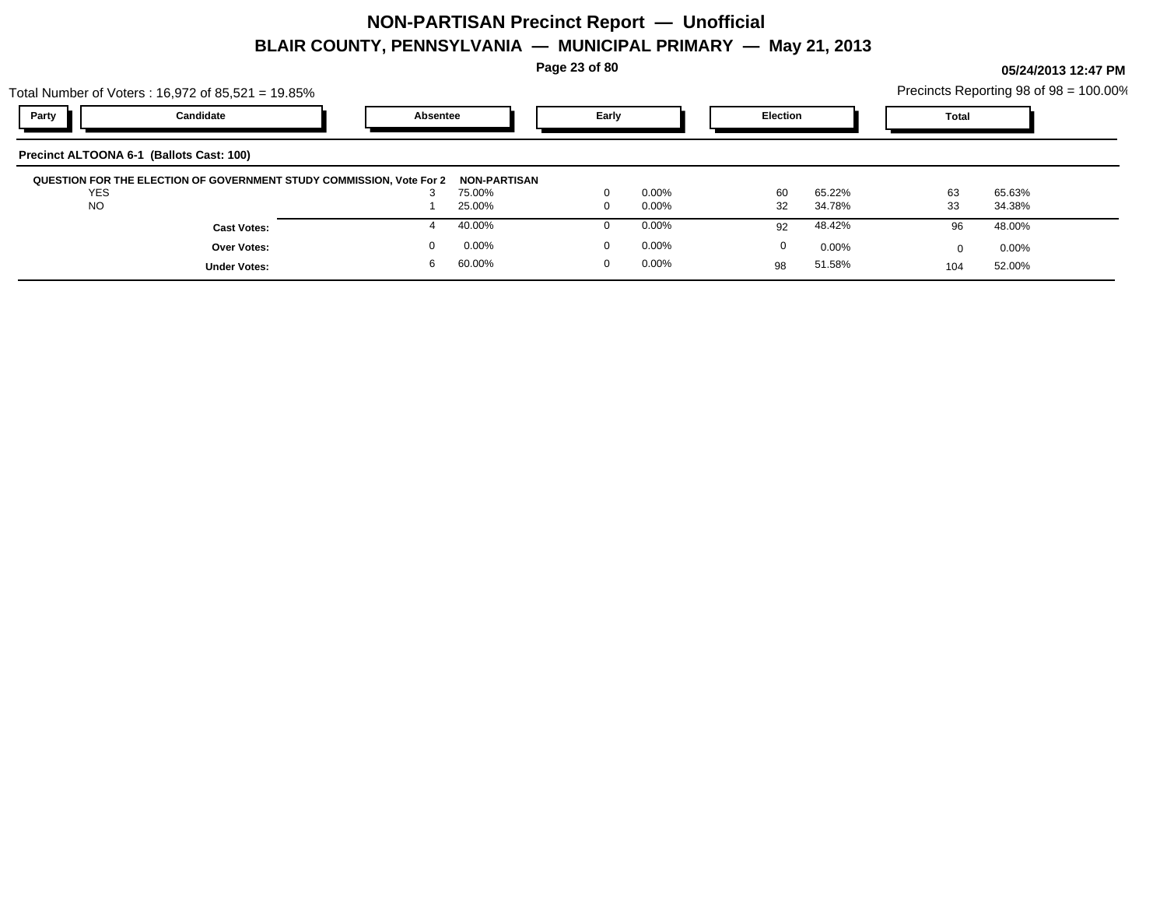**Page 23 of 80**

|          | Precincts Reporting 98 of $98 = 100.00\%$ |  |
|----------|-------------------------------------------|--|
| Election | Total                                     |  |

|            | Total Number of Voters: $16,972$ of $85,521 = 19.85\%$               |          |                               |          |          |          |          |       | Precincts Reporting 98 of 98 = 100.00% |  |
|------------|----------------------------------------------------------------------|----------|-------------------------------|----------|----------|----------|----------|-------|----------------------------------------|--|
| Party      | Candidate                                                            | Absentee |                               | Early    |          | Election |          | Total |                                        |  |
|            | Precinct ALTOONA 6-1 (Ballots Cast: 100)                             |          |                               |          |          |          |          |       |                                        |  |
| <b>YES</b> | QUESTION FOR THE ELECTION OF GOVERNMENT STUDY COMMISSION, Vote For 2 | J.       | <b>NON-PARTISAN</b><br>75.00% | $\Omega$ | $0.00\%$ | 60       | 65.22%   | 63    | 65.63%                                 |  |
| <b>NO</b>  |                                                                      |          | 25.00%                        | 0        | 0.00%    | 32       | 34.78%   | 33    | 34.38%                                 |  |
|            | <b>Cast Votes:</b>                                                   |          | 40.00%                        |          | 0.00%    | 92       | 48.42%   | 96    | 48.00%                                 |  |
|            | <b>Over Votes:</b>                                                   |          | 0.00%                         | $\Omega$ | $0.00\%$ | $\Omega$ | $0.00\%$ |       | $0.00\%$                               |  |
|            | <b>Under Votes:</b>                                                  | 6        | 60.00%                        |          | 0.00%    | 98       | 51.58%   | 104   | 52.00%                                 |  |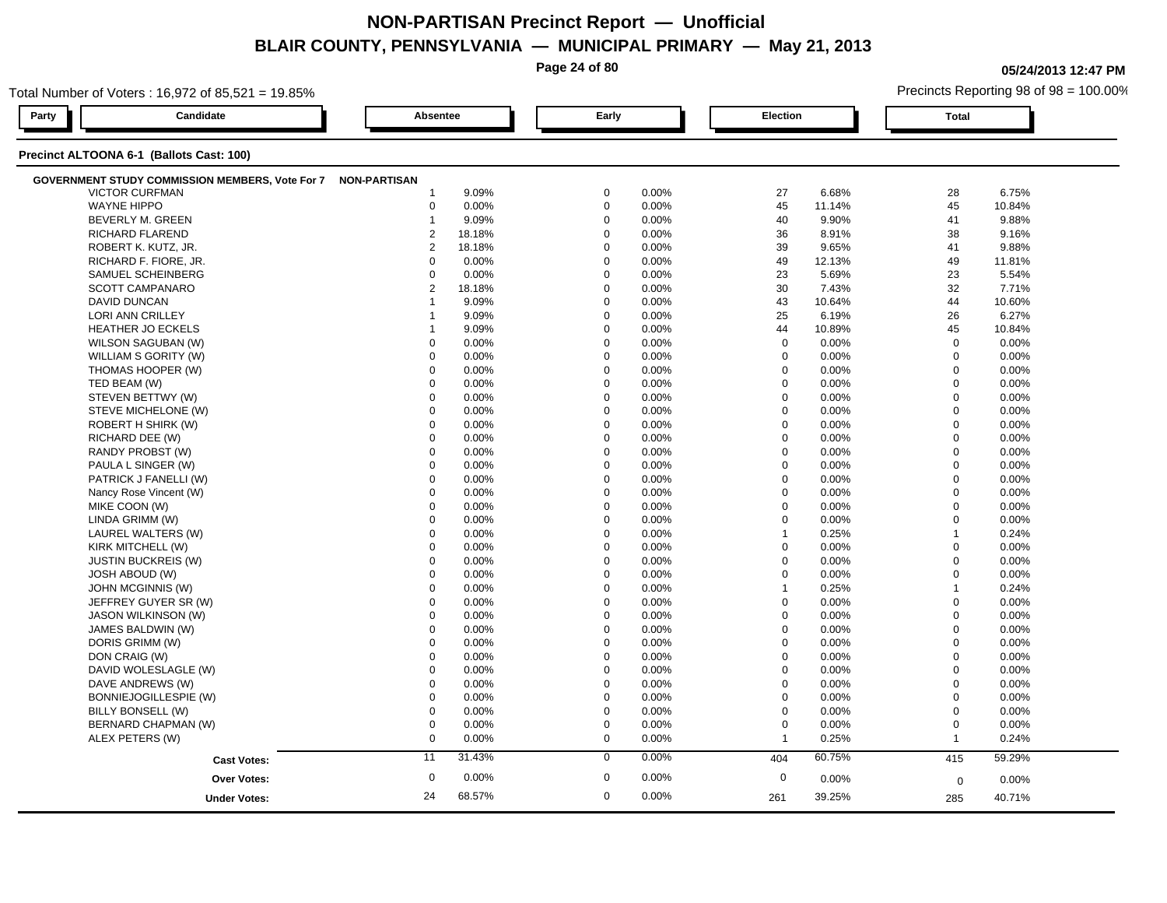**Page 24 of 80**

**05/24/2013 12:47 PM**

| Candidate<br>Party<br>Precinct ALTOONA 6-1 (Ballots Cast: 100)<br>GOVERNMENT STUDY COMMISSION MEMBERS, Vote For 7 NON-PARTISAN<br><b>VICTOR CURFMAN</b><br><b>WAYNE HIPPO</b><br>BEVERLY M. GREEN<br>RICHARD FLAREND<br>ROBERT K. KUTZ, JR.<br>RICHARD F. FIORE, JR.<br>SAMUEL SCHEINBERG | Absentee<br>9.09%<br>-1   | Early       | Election                |          | <b>Total</b>   |        |
|-------------------------------------------------------------------------------------------------------------------------------------------------------------------------------------------------------------------------------------------------------------------------------------------|---------------------------|-------------|-------------------------|----------|----------------|--------|
|                                                                                                                                                                                                                                                                                           |                           |             |                         |          |                |        |
|                                                                                                                                                                                                                                                                                           |                           |             |                         |          |                |        |
|                                                                                                                                                                                                                                                                                           |                           |             |                         |          |                |        |
|                                                                                                                                                                                                                                                                                           |                           | $\mathbf 0$ | 0.00%<br>27             | 6.68%    | 28             | 6.75%  |
|                                                                                                                                                                                                                                                                                           | $\mathbf 0$<br>0.00%      | $\mathbf 0$ | 0.00%<br>45             | 11.14%   | 45             | 10.84% |
|                                                                                                                                                                                                                                                                                           | 9.09%<br>$\mathbf{1}$     | $\mathbf 0$ | 40<br>0.00%             | 9.90%    | 41             | 9.88%  |
|                                                                                                                                                                                                                                                                                           | $\overline{c}$<br>18.18%  | $\mathbf 0$ | 36<br>0.00%             | 8.91%    | 38             | 9.16%  |
|                                                                                                                                                                                                                                                                                           | $\overline{2}$<br>18.18%  | $\mathbf 0$ | 0.00%<br>39             | 9.65%    | 41             | 9.88%  |
|                                                                                                                                                                                                                                                                                           | 0<br>0.00%                | $\mathbf 0$ | 0.00%<br>49             | 12.13%   | 49             | 11.81% |
|                                                                                                                                                                                                                                                                                           | 0.00%<br>$\Omega$         | $\Omega$    | 23<br>0.00%             | 5.69%    | 23             | 5.54%  |
| SCOTT CAMPANARO                                                                                                                                                                                                                                                                           | $\overline{2}$<br>18.18%  | $\mathbf 0$ | 30<br>0.00%             | 7.43%    | 32             | 7.71%  |
| <b>DAVID DUNCAN</b>                                                                                                                                                                                                                                                                       | 9.09%                     | $\mathbf 0$ | 43<br>0.00%             | 10.64%   | 44             | 10.60% |
| LORI ANN CRILLEY                                                                                                                                                                                                                                                                          | 9.09%                     | $\Omega$    | 0.00%<br>25             | 6.19%    | 26             | 6.27%  |
| <b>HEATHER JO ECKELS</b>                                                                                                                                                                                                                                                                  | 9.09%                     | $\Omega$    | 44<br>0.00%             | 10.89%   | 45             | 10.84% |
| WILSON SAGUBAN (W)                                                                                                                                                                                                                                                                        | 0.00%<br>$\mathbf 0$      | $\mathbf 0$ | $\mathbf 0$<br>0.00%    | 0.00%    | $\mathbf 0$    | 0.00%  |
| WILLIAM S GORITY (W)                                                                                                                                                                                                                                                                      | $\mathbf 0$<br>0.00%      | $\mathbf 0$ | $\mathbf 0$<br>0.00%    | 0.00%    | $\mathbf 0$    | 0.00%  |
| THOMAS HOOPER (W)                                                                                                                                                                                                                                                                         | $\Omega$<br>0.00%         | $\Omega$    | $\mathbf 0$<br>0.00%    | 0.00%    | $\mathbf 0$    | 0.00%  |
| TED BEAM (W)                                                                                                                                                                                                                                                                              | $\Omega$<br>0.00%         | $\Omega$    | $\mathbf 0$<br>0.00%    | 0.00%    | $\mathbf 0$    | 0.00%  |
| STEVEN BETTWY (W)                                                                                                                                                                                                                                                                         | $\mathbf 0$<br>0.00%      | $\Omega$    | 0.00%<br>$\mathbf 0$    | 0.00%    | $\mathbf 0$    | 0.00%  |
| STEVE MICHELONE (W)                                                                                                                                                                                                                                                                       | $\mathbf 0$<br>0.00%      | $\Omega$    | $\mathbf 0$<br>0.00%    | 0.00%    | $\mathbf 0$    | 0.00%  |
| ROBERT H SHIRK (W)                                                                                                                                                                                                                                                                        | $\mathbf 0$<br>0.00%      | $\Omega$    | 0.00%<br>$\mathbf 0$    | 0.00%    | $\mathbf 0$    | 0.00%  |
| RICHARD DEE (W)                                                                                                                                                                                                                                                                           | $\Omega$<br>0.00%         | $\Omega$    | $\mathbf 0$<br>0.00%    | 0.00%    | $\mathbf{0}$   | 0.00%  |
| RANDY PROBST (W)                                                                                                                                                                                                                                                                          | 0.00%<br>$\Omega$         | $\Omega$    | $\mathbf 0$<br>0.00%    | 0.00%    | $\mathbf 0$    | 0.00%  |
| PAULA L SINGER (W)                                                                                                                                                                                                                                                                        | 0.00%<br>$\mathbf 0$      | $\mathbf 0$ | $\pmb{0}$<br>0.00%      | 0.00%    | $\mathbf 0$    | 0.00%  |
| PATRICK J FANELLI (W)                                                                                                                                                                                                                                                                     | 0.00%<br>$\mathbf 0$      | $\mathbf 0$ | $\mathbf 0$<br>0.00%    | 0.00%    | $\mathbf 0$    | 0.00%  |
| Nancy Rose Vincent (W)                                                                                                                                                                                                                                                                    | $\mathbf 0$<br>0.00%      | $\mathbf 0$ | 0.00%<br>$\mathbf 0$    | 0.00%    | $\mathbf 0$    | 0.00%  |
| MIKE COON (W)                                                                                                                                                                                                                                                                             | $\Omega$<br>0.00%         | $\Omega$    | $\Omega$<br>0.00%       | 0.00%    | $\mathbf 0$    | 0.00%  |
| LINDA GRIMM (W)                                                                                                                                                                                                                                                                           | 0.00%<br>$\Omega$         | $\Omega$    | $\mathbf 0$<br>0.00%    | 0.00%    | $\mathbf 0$    | 0.00%  |
| LAUREL WALTERS (W)                                                                                                                                                                                                                                                                        | 0.00%<br>$\mathbf 0$      | $\mathbf 0$ | 0.00%<br>$\mathbf{1}$   | 0.25%    | $\overline{1}$ | 0.24%  |
| KIRK MITCHELL (W)                                                                                                                                                                                                                                                                         | $\mathbf 0$<br>0.00%      | $\mathbf 0$ | $\mathbf 0$<br>0.00%    | 0.00%    | $\mathbf 0$    | 0.00%  |
| <b>JUSTIN BUCKREIS (W)</b>                                                                                                                                                                                                                                                                | $\mathbf 0$<br>0.00%      | $\Omega$    | 0.00%<br>$\mathbf 0$    | 0.00%    | $\mathbf 0$    | 0.00%  |
| <b>JOSH ABOUD (W)</b>                                                                                                                                                                                                                                                                     | $\Omega$<br>0.00%         | $\Omega$    | $\Omega$<br>0.00%       | 0.00%    | $\mathbf 0$    | 0.00%  |
| JOHN MCGINNIS (W)                                                                                                                                                                                                                                                                         | $\mathbf 0$<br>0.00%      | $\mathbf 0$ | 0.00%<br>$\overline{1}$ | 0.25%    | $\overline{1}$ | 0.24%  |
| JEFFREY GUYER SR (W)                                                                                                                                                                                                                                                                      | 0.00%<br>$\mathbf 0$      | $\mathbf 0$ | 0.00%<br>$\mathbf 0$    | 0.00%    | $\mathbf 0$    | 0.00%  |
| <b>JASON WILKINSON (W)</b>                                                                                                                                                                                                                                                                | $\mathbf 0$<br>0.00%      | $\mathbf 0$ | $\mathbf 0$<br>0.00%    | 0.00%    | $\mathbf 0$    | 0.00%  |
| JAMES BALDWIN (W)                                                                                                                                                                                                                                                                         | $\Omega$<br>0.00%         | $\Omega$    | $\mathbf 0$<br>0.00%    | 0.00%    | $\mathbf 0$    | 0.00%  |
| DORIS GRIMM (W)                                                                                                                                                                                                                                                                           | $\Omega$<br>0.00%         | $\Omega$    | 0.00%<br>0              | 0.00%    | $\mathbf 0$    | 0.00%  |
| DON CRAIG (W)                                                                                                                                                                                                                                                                             | $\mathbf 0$<br>0.00%      | $\mathbf 0$ | $\mathbf 0$<br>0.00%    | 0.00%    | $\mathbf 0$    | 0.00%  |
| DAVID WOLESLAGLE (W)                                                                                                                                                                                                                                                                      | $\mathbf 0$<br>0.00%      | $\mathbf 0$ | 0.00%<br>$\mathbf 0$    | 0.00%    | $\mathbf 0$    | 0.00%  |
| DAVE ANDREWS (W)                                                                                                                                                                                                                                                                          | 0.00%<br>$\mathbf 0$      | $\Omega$    | $\mathbf 0$<br>0.00%    | $0.00\%$ | $\Omega$       | 0.00%  |
| BONNIEJOGILLESPIE (W)                                                                                                                                                                                                                                                                     | $\Omega$<br>0.00%         | $\Omega$    | $\pmb{0}$<br>0.00%      | 0.00%    | $\mathbf 0$    | 0.00%  |
| BILLY BONSELL (W)                                                                                                                                                                                                                                                                         | $\mathbf 0$<br>0.00%      | $\mathbf 0$ | $\mathbf 0$<br>0.00%    | 0.00%    | $\mathbf 0$    | 0.00%  |
| BERNARD CHAPMAN (W)                                                                                                                                                                                                                                                                       | $\mathbf 0$<br>0.00%      | $\mathbf 0$ | $\mathbf 0$<br>0.00%    | 0.00%    | $\mathbf 0$    | 0.00%  |
| ALEX PETERS (W)                                                                                                                                                                                                                                                                           | $\mathbf 0$<br>0.00%      | $\mathbf 0$ | 0.00%<br>$\mathbf 1$    | 0.25%    | $\mathbf{1}$   | 0.24%  |
| <b>Cast Votes:</b>                                                                                                                                                                                                                                                                        | 31.43%<br>11              | $\mathbf 0$ | 0.00%<br>404            | 60.75%   | 415            | 59.29% |
|                                                                                                                                                                                                                                                                                           | $\boldsymbol{0}$<br>0.00% | $\mathbf 0$ | 0.00%<br>$\mathbf 0$    |          |                |        |
| Over Votes:                                                                                                                                                                                                                                                                               |                           |             |                         | 0.00%    | 0              | 0.00%  |
| <b>Under Votes:</b>                                                                                                                                                                                                                                                                       | 24<br>68.57%              | $\mathbf 0$ | 0.00%<br>261            | 39.25%   | 285            | 40.71% |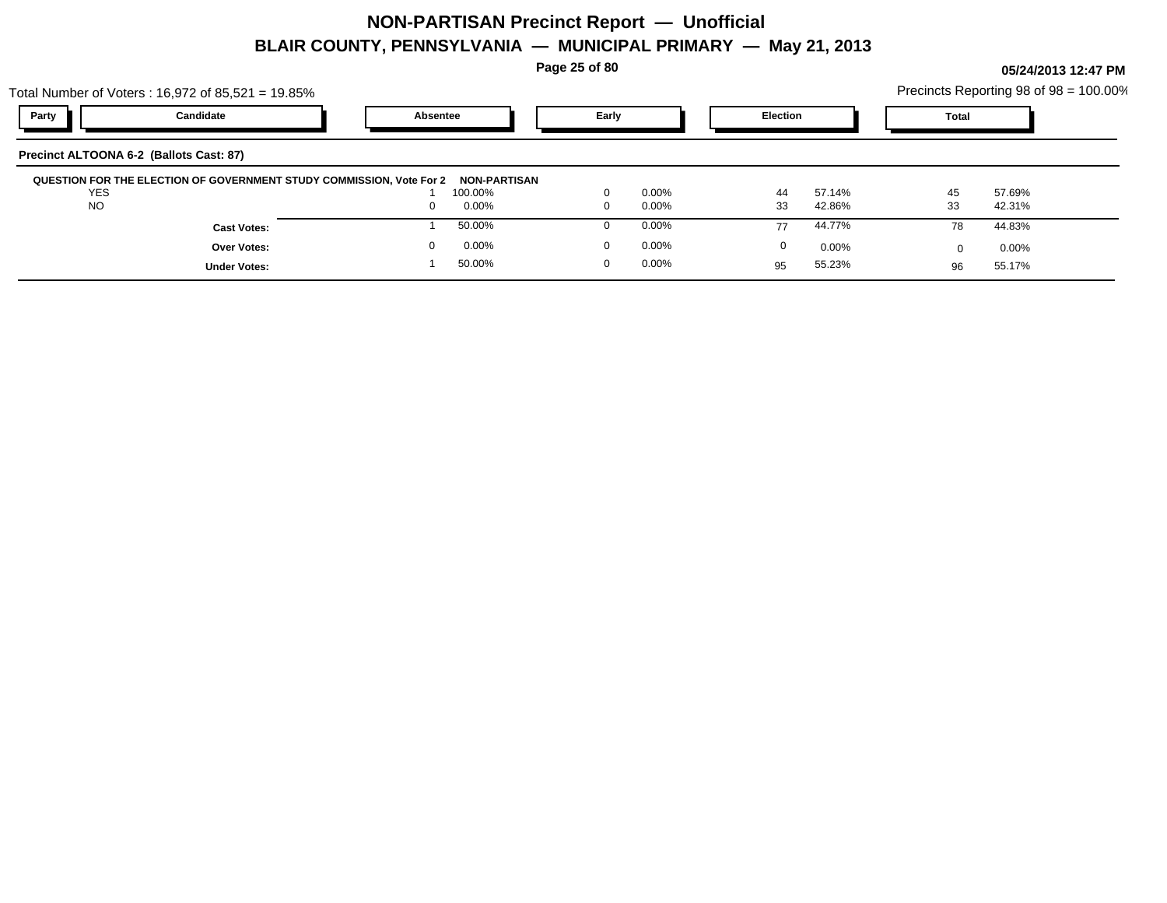Total Number of Voters : 16,972 of 85,521 = 19.85%

**Page 25 of 80**

| Party L<br>Early<br>Election<br>Candidate<br><b>Tota</b><br>Absentee | al Number of Voters : 16,972 of 85,521 = 19.85% |  |  |  | Precincts Reporting 98 of 98 = 100.00% |  |
|----------------------------------------------------------------------|-------------------------------------------------|--|--|--|----------------------------------------|--|
|                                                                      |                                                 |  |  |  |                                        |  |

| Precinct ALTOONA 6-2 (Ballots Cast: 87)                              |              |          |    |        |    |        |  |
|----------------------------------------------------------------------|--------------|----------|----|--------|----|--------|--|
| QUESTION FOR THE ELECTION OF GOVERNMENT STUDY COMMISSION, Vote For 2 | NON-PARTISAN |          |    |        |    |        |  |
| <b>YES</b>                                                           | 100.00%      | 0.00%    | 44 | 57.14% | 45 | 57.69% |  |
| <b>NO</b>                                                            | 0.00%        | $0.00\%$ | 33 | 42.86% | 33 | 42.31% |  |
| <b>Cast Votes:</b>                                                   | 50.00%       | 0.00%    | 77 | 44.77% | 78 | 44.83% |  |
| Over Votes:                                                          | 0.00%        | 0.00%    |    | 0.00%  |    | 0.00%  |  |
| <b>Under Votes:</b>                                                  | 50.00%       | 0.00%    | 95 | 55.23% | 96 | 55.17% |  |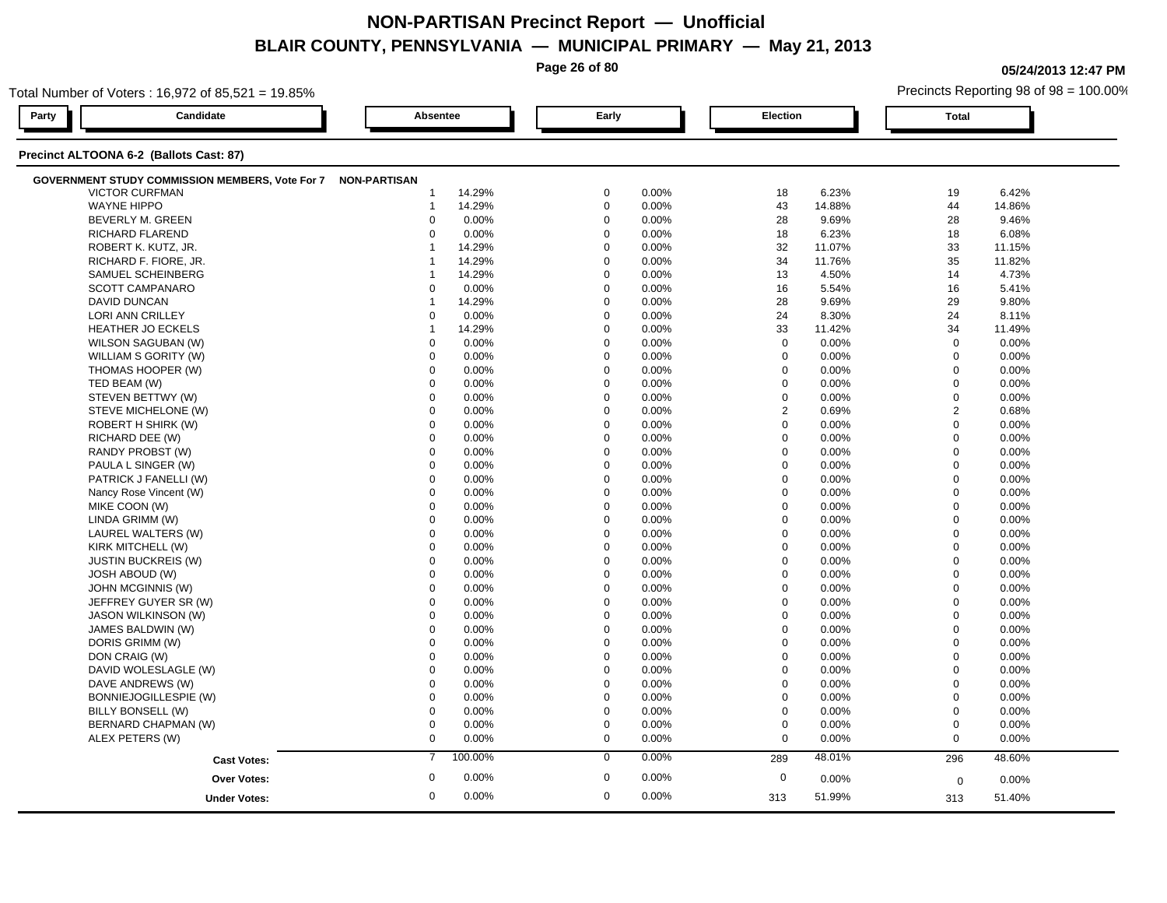**Page 26 of 80**

**05/24/2013 12:47 PM**

| Total Number of Voters: 16,972 of 85,521 = 19.85%            |                           |                      |                      | Precincts Reporting 98 of 98 = 100.00% |
|--------------------------------------------------------------|---------------------------|----------------------|----------------------|----------------------------------------|
| Candidate<br>Party                                           | Absentee                  | Early                | Election             | <b>Total</b>                           |
| Precinct ALTOONA 6-2 (Ballots Cast: 87)                      |                           |                      |                      |                                        |
| GOVERNMENT STUDY COMMISSION MEMBERS, Vote For 7 NON-PARTISAN |                           |                      |                      |                                        |
| <b>VICTOR CURFMAN</b>                                        | 14.29%                    | $\mathbf 0$          | 18                   | 6.42%                                  |
|                                                              | -1                        | 0.00%                | 6.23%                | 19                                     |
| <b>WAYNE HIPPO</b>                                           | 14.29%                    | $\mathbf 0$          | 43                   | 44                                     |
|                                                              | $\mathbf{1}$              | 0.00%                | 14.88%               | 14.86%                                 |
| BEVERLY M. GREEN                                             | 0.00%                     | $\mathbf 0$          | 28                   | 28                                     |
|                                                              | $\mathbf 0$               | 0.00%                | 9.69%                | 9.46%                                  |
| RICHARD FLAREND                                              | $\Omega$                  | $\mathbf 0$          | 18                   | 6.08%                                  |
|                                                              | 0.00%                     | 0.00%                | 6.23%                | 18                                     |
| ROBERT K. KUTZ, JR.                                          | 14.29%                    | $\mathbf 0$          | 32                   | 33                                     |
|                                                              | 1                         | 0.00%                | 11.07%               | 11.15%                                 |
| RICHARD F. FIORE, JR.                                        | 14.29%                    | $\mathbf 0$          | 34                   | 35                                     |
|                                                              | -1                        | 0.00%                | 11.76%               | 11.82%                                 |
| SAMUEL SCHEINBERG                                            | 14.29%                    | $\Omega$             | 13                   | 14                                     |
|                                                              | 1                         | 0.00%                | 4.50%                | 4.73%                                  |
| SCOTT CAMPANARO                                              | 0.00%                     | $\mathbf 0$          | 5.54%                | 16                                     |
|                                                              | $\mathbf 0$               | 0.00%                | 16                   | 5.41%                                  |
| <b>DAVID DUNCAN</b>                                          | 14.29%                    | $\mathbf 0$          | 28                   | 29                                     |
|                                                              | -1                        | 0.00%                | 9.69%                | 9.80%                                  |
| LORI ANN CRILLEY                                             | 0.00%                     | $\Omega$             | 24                   | 24                                     |
|                                                              | $\mathbf 0$               | 0.00%                | 8.30%                | 8.11%                                  |
| <b>HEATHER JO ECKELS</b>                                     | 14.29%                    | $\Omega$             | 33                   | 34                                     |
|                                                              | $\mathbf{1}$              | 0.00%                | 11.42%               | 11.49%                                 |
| WILSON SAGUBAN (W)                                           | 0.00%                     | $\mathbf 0$          | $\mathbf 0$          | $\mathbf 0$                            |
|                                                              | $\mathbf 0$               | 0.00%                | 0.00%                | 0.00%                                  |
| WILLIAM S GORITY (W)                                         | 0.00%                     | $\mathbf 0$          | $\mathbf 0$          | $\mathbf 0$                            |
|                                                              | $\mathbf 0$               | 0.00%                | 0.00%                | 0.00%                                  |
| THOMAS HOOPER (W)                                            | $\mathbf 0$               | $\Omega$             | $\mathbf 0$          | $\mathbf 0$                            |
|                                                              | 0.00%                     | 0.00%                | 0.00%                | 0.00%                                  |
| TED BEAM (W)                                                 | $\Omega$                  | $\Omega$             | $\mathbf 0$          | $\mathbf 0$                            |
|                                                              | 0.00%                     | 0.00%                | 0.00%                | 0.00%                                  |
| STEVEN BETTWY (W)                                            | $\mathbf 0$               | $\Omega$             | $\pmb{0}$            | $\mathbf 0$                            |
|                                                              | 0.00%                     | 0.00%                | 0.00%                | 0.00%                                  |
| STEVE MICHELONE (W)                                          | $\mathbf 0$               | $\Omega$             | $\overline{2}$       | $\overline{2}$                         |
|                                                              | 0.00%                     | 0.00%                | 0.69%                | 0.68%                                  |
| ROBERT H SHIRK (W)                                           | $\mathbf 0$               | $\Omega$             | $\mathbf 0$          | $\mathbf 0$                            |
|                                                              | 0.00%                     | 0.00%                | 0.00%                | 0.00%                                  |
| RICHARD DEE (W)                                              | $\Omega$                  | $\Omega$             | 0                    | $\mathbf 0$                            |
|                                                              | 0.00%                     | 0.00%                | 0.00%                | 0.00%                                  |
| RANDY PROBST (W)                                             | 0.00%                     | $\Omega$             | $\mathbf 0$          | $\mathbf 0$                            |
|                                                              | $\Omega$                  | 0.00%                | 0.00%                | 0.00%                                  |
| PAULA L SINGER (W)                                           | 0.00%                     | $\mathbf 0$          | $\pmb{0}$            | $\mathbf 0$                            |
|                                                              | $\mathbf 0$               | 0.00%                | 0.00%                | 0.00%                                  |
| PATRICK J FANELLI (W)                                        | 0.00%                     | $\mathbf 0$          | $\mathbf 0$          | $\mathbf 0$                            |
|                                                              | $\mathbf 0$               | 0.00%                | 0.00%                | 0.00%                                  |
| Nancy Rose Vincent (W)                                       | $\mathbf 0$               | $\mathbf 0$          | $\mathbf 0$          | $\mathbf 0$                            |
|                                                              | 0.00%                     | 0.00%                | 0.00%                | 0.00%                                  |
| MIKE COON (W)                                                | $\Omega$                  | $\Omega$             | $\Omega$             | $\mathbf 0$                            |
|                                                              | 0.00%                     | 0.00%                | 0.00%                | 0.00%                                  |
| LINDA GRIMM (W)                                              | 0.00%                     | $\Omega$             | $\mathbf 0$          | $\mathbf 0$                            |
|                                                              | $\Omega$                  | 0.00%                | 0.00%                | 0.00%                                  |
| LAUREL WALTERS (W)                                           | 0.00%                     | 0.00%                | $\mathbf 0$          | $\mathbf 0$                            |
|                                                              | $\mathbf 0$               | $\mathbf 0$          | 0.00%                | 0.00%                                  |
| KIRK MITCHELL (W)                                            | $\mathbf 0$               | $\mathbf 0$          | $\mathbf 0$          | $\overline{0}$                         |
|                                                              | 0.00%                     | 0.00%                | 0.00%                | 0.00%                                  |
| <b>JUSTIN BUCKREIS (W)</b>                                   | $\mathbf 0$               | $\Omega$             | $\mathbf 0$          | $\mathbf 0$                            |
|                                                              | 0.00%                     | 0.00%                | 0.00%                | 0.00%                                  |
| <b>JOSH ABOUD (W)</b>                                        | $\Omega$                  | $\Omega$             | $\Omega$             | $\mathbf 0$                            |
|                                                              | 0.00%                     | 0.00%                | 0.00%                | 0.00%                                  |
| JOHN MCGINNIS (W)                                            | $\mathbf 0$               | $\mathbf 0$          | $\mathbf 0$          | $\overline{0}$                         |
|                                                              | 0.00%                     | 0.00%                | 0.00%                | 0.00%                                  |
| JEFFREY GUYER SR (W)                                         | 0.00%                     | $\mathbf 0$          | $\mathbf 0$          | $\mathbf 0$                            |
|                                                              | $\mathbf 0$               | 0.00%                | 0.00%                | 0.00%                                  |
| <b>JASON WILKINSON (W)</b>                                   | $\mathbf 0$               | $\mathbf 0$          | $\mathbf 0$          | $\mathbf 0$                            |
|                                                              | 0.00%                     | 0.00%                | 0.00%                | 0.00%                                  |
| JAMES BALDWIN (W)                                            | $\Omega$                  | $\Omega$             | $\mathbf 0$          | $\mathbf 0$                            |
|                                                              | 0.00%                     | 0.00%                | 0.00%                | 0.00%                                  |
| DORIS GRIMM (W)                                              | $\Omega$                  | $\Omega$             | 0                    | $\mathbf 0$                            |
|                                                              | 0.00%                     | 0.00%                | 0.00%                | 0.00%                                  |
| DON CRAIG (W)                                                | $\mathbf 0$               | $\mathbf 0$          | $\mathbf 0$          | $\mathbf 0$                            |
|                                                              | 0.00%                     | 0.00%                | 0.00%                | 0.00%                                  |
| DAVID WOLESLAGLE (W)                                         | $\mathbf 0$               | $\mathbf 0$          | $\mathbf 0$          | $\mathbf 0$                            |
|                                                              | 0.00%                     | 0.00%                | 0.00%                | 0.00%                                  |
| DAVE ANDREWS (W)                                             | $\mathbf 0$               | $\Omega$             | $\mathbf 0$          | $\Omega$                               |
|                                                              | 0.00%                     | 0.00%                | $0.00\%$             | 0.00%                                  |
| BONNIEJOGILLESPIE (W)                                        | 0.00%                     | $\Omega$             | $\boldsymbol{0}$     | $\mathbf 0$                            |
|                                                              | $\Omega$                  | 0.00%                | 0.00%                | 0.00%                                  |
| BILLY BONSELL (W)                                            | $\mathbf 0$               | $\mathbf 0$          | $\mathbf 0$          | $\mathbf 0$                            |
|                                                              | 0.00%                     | 0.00%                | 0.00%                | 0.00%                                  |
| BERNARD CHAPMAN (W)                                          | $\mathbf 0$               | $\mathbf 0$          | $\mathbf 0$          | $\mathbf 0$                            |
|                                                              | 0.00%                     | 0.00%                | 0.00%                | 0.00%                                  |
| ALEX PETERS (W)                                              | $\mathbf 0$               | $\mathbf 0$          | $\mathbf 0$          | $\mathbf 0$                            |
|                                                              | 0.00%                     | 0.00%                | 0.00%                | 0.00%                                  |
| <b>Cast Votes:</b>                                           | 100.00%                   | 0.00%                | 48.01%               | 48.60%                                 |
|                                                              | $\overline{7}$            | $\mathbf 0$          | 289                  | 296                                    |
| Over Votes:                                                  | $\boldsymbol{0}$<br>0.00% | $\mathbf 0$<br>0.00% | $\mathbf 0$<br>0.00% |                                        |
|                                                              |                           |                      |                      | 0.00%<br>0                             |
| <b>Under Votes:</b>                                          | $\mathbf 0$               | $\mathbf 0$          | 51.99%               | 51.40%                                 |
|                                                              | 0.00%                     | 0.00%                | 313                  | 313                                    |
|                                                              |                           |                      |                      |                                        |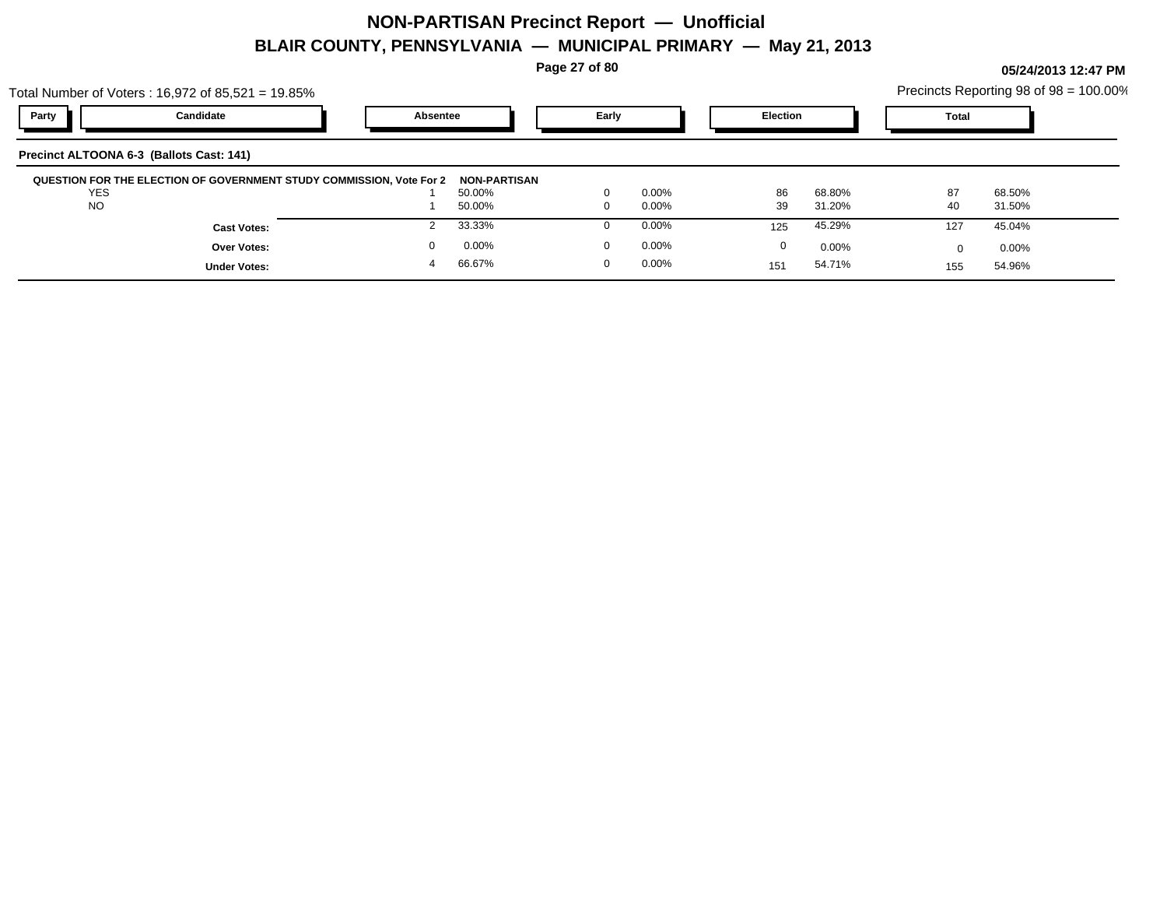**Page 27 of 80**

**05/24/2013 12:47 PM**

|       | Total Number of Voters: $16,972$ of $85,521 = 19.85\%$ |          |       |                 | Precincts Reporting 98 of 98 = 100.00% |  |
|-------|--------------------------------------------------------|----------|-------|-----------------|----------------------------------------|--|
| Party | Candidate                                              | Absentee | Early | <b>Election</b> | Total                                  |  |
|       | Precinct ALTOONA 6-3 (Ballots Cast: 141)               |          |       |                 |                                        |  |

| <b>QUESTION FOR THE ELECTION OF GOVERNMENT STUDY COMMISSION, Vote For 2</b><br><b>YES</b><br><b>NO</b> | NON-PARTISAN<br>50.00%<br>50.00% | $0.00\%$<br>0.00% | 86<br>39 | 68.80%<br>31.20% | 87<br>40 | 68.50%<br>31.50% |  |
|--------------------------------------------------------------------------------------------------------|----------------------------------|-------------------|----------|------------------|----------|------------------|--|
| <b>Cast Votes:</b>                                                                                     | 33.33%                           | $0.00\%$          | 125      | 45.29%           | 127      | 45.04%           |  |
| Over Votes:                                                                                            | 0.00%                            | $0.00\%$          |          | 0.00%            |          | 0.00%            |  |
| <b>Under Votes:</b>                                                                                    | 66.67%                           | 0.00%             |          | 54.71%           | 155      | 54.96%           |  |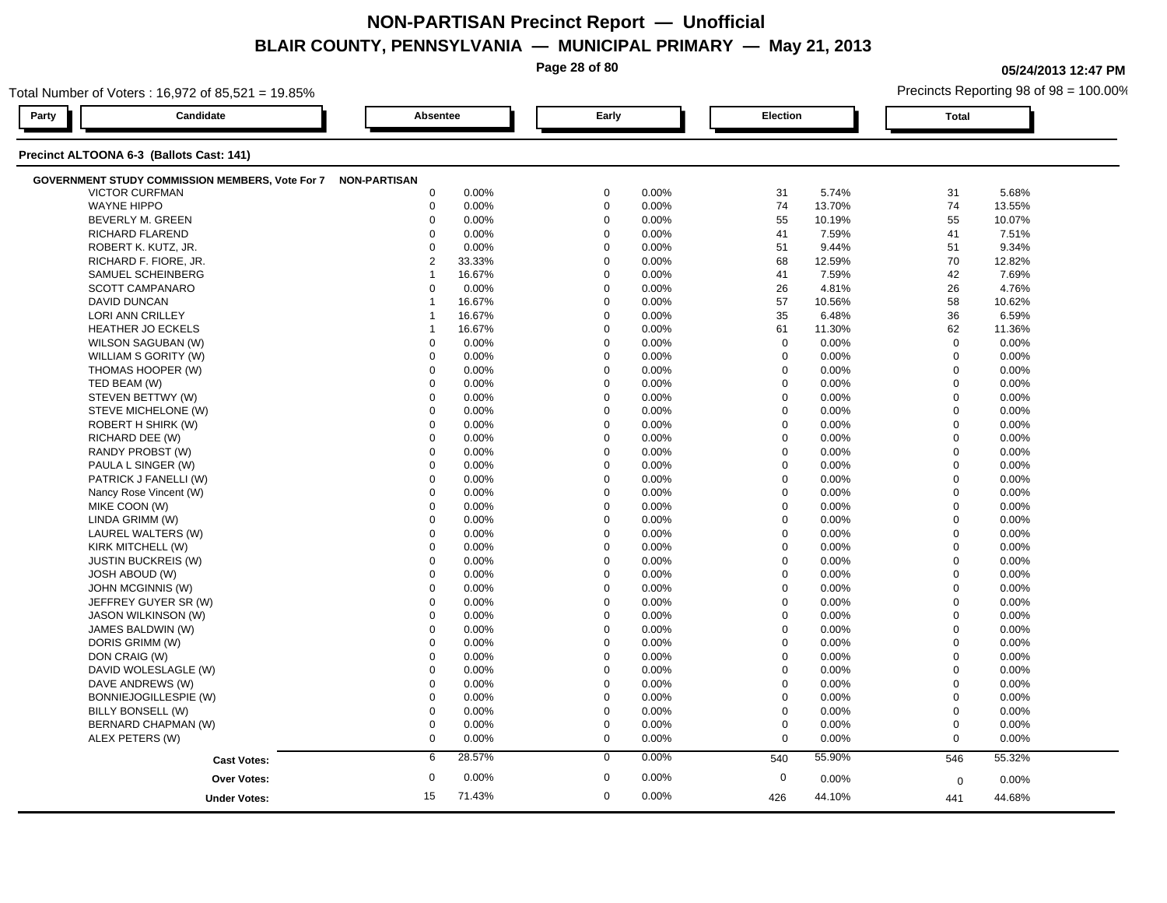|       |                                                        |                     |        | Page 28 of 80 |       |             |        |             | 05/24/2013 12:47 PM                    |
|-------|--------------------------------------------------------|---------------------|--------|---------------|-------|-------------|--------|-------------|----------------------------------------|
|       | Total Number of Voters: 16,972 of 85,521 = 19.85%      |                     |        |               |       |             |        |             | Precincts Reporting 98 of 98 = 100.00% |
| Party | Candidate                                              | Absentee            |        | Early         |       | Election    |        | Total       |                                        |
|       | Precinct ALTOONA 6-3 (Ballots Cast: 141)               |                     |        |               |       |             |        |             |                                        |
|       | <b>GOVERNMENT STUDY COMMISSION MEMBERS, Vote For 7</b> | <b>NON-PARTISAN</b> |        |               |       |             |        |             |                                        |
|       | <b>VICTOR CURFMAN</b>                                  | $\Omega$            | 0.00%  | $\mathbf 0$   | 0.00% | 31          | 5.74%  | 31          | 5.68%                                  |
|       | <b>WAYNE HIPPO</b>                                     |                     | 0.00%  | $\Omega$      | 0.00% | 74          | 13.70% | 74          | 13.55%                                 |
|       | BEVERLY M. GREEN                                       |                     | 0.00%  | $\Omega$      | 0.00% | 55          | 10.19% | 55          | 10.07%                                 |
|       | <b>RICHARD FLAREND</b>                                 |                     | 0.00%  | $\mathbf 0$   | 0.00% | 41          | 7.59%  | 41          | 7.51%                                  |
|       | ROBERT K. KUTZ, JR.                                    |                     | 0.00%  | $\mathbf 0$   | 0.00% | 51          | 9.44%  | 51          | 9.34%                                  |
|       | RICHARD F. FIORE, JR.                                  |                     | 33.33% | $\mathbf 0$   | 0.00% | 68          | 12.59% | 70          | 12.82%                                 |
|       | SAMUEL SCHEINBERG                                      |                     | 16.67% |               | 0.00% | 41          | 7.59%  | 42          | 7.69%                                  |
|       | <b>SCOTT CAMPANARO</b>                                 |                     | 0.00%  | $\Omega$      | 0.00% | 26          | 4.81%  | 26          | 4.76%                                  |
|       | DAVID DUNCAN                                           |                     | 16.67% | $\Omega$      | 0.00% | 57          | 10.56% | 58          | 10.62%                                 |
|       | <b>LORI ANN CRILLEY</b>                                |                     | 16.67% | $\Omega$      | 0.00% | 35          | 6.48%  | 36          | 6.59%                                  |
|       | <b>HEATHER JO ECKELS</b>                               |                     | 16.67% | $\Omega$      | 0.00% | 61          | 11.30% | 62          | 11.36%                                 |
|       | WILSON SAGUBAN (W)                                     |                     | 0.00%  | $\mathbf 0$   | 0.00% | $\Omega$    | 0.00%  | $\Omega$    | 0.00%                                  |
|       | WILLIAM S GORITY (W)                                   |                     | 0.00%  | $\Omega$      | 0.00% | $\mathbf 0$ | 0.00%  | $\Omega$    | 0.00%                                  |
|       | THOMAS HOOPER (W)                                      |                     | 0.00%  | $\Omega$      | 0.00% | $\Omega$    | 0.00%  | $\Omega$    | 0.00%                                  |
|       | TED BEAM (W)                                           |                     | 0.00%  | $\Omega$      | 0.00% | $\Omega$    | 0.00%  | $\Omega$    | 0.00%                                  |
|       | STEVEN BETTWY (W)                                      |                     | 0.00%  | $\Omega$      | 0.00% | $\Omega$    | 0.00%  | $\Omega$    | 0.00%                                  |
|       | STEVE MICHELONE (W)                                    |                     | 0.00%  | $\Omega$      | 0.00% | $\Omega$    | 0.00%  | $\Omega$    | 0.00%                                  |
|       | <b>ROBERT H SHIRK (W)</b>                              |                     | 0.00%  | $\Omega$      | 0.00% | $\Omega$    | 0.00%  | $\Omega$    | 0.00%                                  |
|       | RICHARD DEE (W)                                        |                     | 0.00%  | $\mathbf 0$   | 0.00% | $\mathbf 0$ | 0.00%  | $\mathbf 0$ | 0.00%                                  |
|       | RANDY PROBST (W)                                       |                     | 0.00%  |               | 0.00% | $\mathbf 0$ | 0.00%  | $\mathbf 0$ | 0.00%                                  |
|       | PAULA L SINGER (W)                                     |                     | 0.00%  | $\Omega$      | 0.00% | $\mathbf 0$ | 0.00%  | $\Omega$    | 0.00%                                  |
|       | PATRICK J FANELLI (W)                                  |                     | 0.00%  | $\Omega$      | 0.00% | $\Omega$    | 0.00%  | $\Omega$    | 0.00%                                  |
|       | Nancy Rose Vincent (W)                                 |                     | 0.00%  | $\Omega$      | 0.00% | $\Omega$    | 0.00%  | $\Omega$    | 0.00%                                  |
|       | MIKE COON (W)                                          |                     | 0.00%  | $\mathbf 0$   | 0.00% | $\mathbf 0$ | 0.00%  | $\Omega$    | 0.00%                                  |
|       | LINDA GRIMM (W)                                        |                     | 0.00%  | $\mathbf 0$   | 0.00% | 0           | 0.00%  | $\Omega$    | 0.00%                                  |
|       | LAUREL WALTERS (W)                                     |                     | 0.00%  | $\mathbf 0$   | 0.00% | 0           | 0.00%  | $\Omega$    | 0.00%                                  |
|       | KIRK MITCHELL (W)                                      |                     | 0.00%  |               | 0.00% | $\mathbf 0$ | 0.00%  | $\mathbf 0$ | 0.00%                                  |
|       | <b>JUSTIN BUCKREIS (W)</b>                             |                     | 0.00%  | $\Omega$      | 0.00% | $\Omega$    | 0.00%  | $\Omega$    | 0.00%                                  |
|       | JOSH ABOUD (W)                                         |                     | 0.00%  |               | 0.00% | $\Omega$    | 0.00%  |             | 0.00%                                  |
|       | JOHN MCGINNIS (W)                                      |                     | 0.00%  | $\Omega$      | 0.00% | $\Omega$    | 0.00%  | $\Omega$    | 0.00%                                  |
|       |                                                        |                     |        |               |       |             |        |             |                                        |

| JOSH ABOUD (W)        |    | 0.00%    | $\mathbf 0$ | 0.00%    | $\Omega$ | 0.00%    | 0        | $0.00\%$ |  |
|-----------------------|----|----------|-------------|----------|----------|----------|----------|----------|--|
| JOHN MCGINNIS (W)     |    | 0.00%    | 0           | $0.00\%$ | $\Omega$ | $0.00\%$ |          | $0.00\%$ |  |
| JEFFREY GUYER SR (W)  |    | $0.00\%$ | 0           | $0.00\%$ | $\Omega$ | $0.00\%$ |          | $0.00\%$ |  |
| JASON WILKINSON (W)   |    | 0.00%    | 0           | 0.00%    | $\Omega$ | $0.00\%$ | 0        | $0.00\%$ |  |
| JAMES BALDWIN (W)     |    | 0.00%    | 0           | 0.00%    | $\Omega$ | $0.00\%$ | 0        | $0.00\%$ |  |
| DORIS GRIMM (W)       |    | 0.00%    | 0           | $0.00\%$ | $\Omega$ | $0.00\%$ | 0        | $0.00\%$ |  |
| DON CRAIG (W)         |    | 0.00%    | 0           | 0.00%    | $\Omega$ | $0.00\%$ | $\Omega$ | $0.00\%$ |  |
| DAVID WOLESLAGLE (W)  |    | 0.00%    | 0           | $0.00\%$ |          | $0.00\%$ | 0        | $0.00\%$ |  |
| DAVE ANDREWS (W)      |    | 0.00%    | 0           | $0.00\%$ |          | $0.00\%$ |          | $0.00\%$ |  |
| BONNIEJOGILLESPIE (W) |    | 0.00%    | 0           | $0.00\%$ |          | $0.00\%$ |          | 0.00%    |  |
| BILLY BONSELL (W)     |    | $0.00\%$ | 0           | $0.00\%$ |          | $0.00\%$ | $\Omega$ | 0.00%    |  |
| BERNARD CHAPMAN (W)   |    | $0.00\%$ |             | $0.00\%$ |          | $0.00\%$ |          | 0.00%    |  |
| ALEX PETERS (W)       |    | 0.00%    | 0           | $0.00\%$ | $\Omega$ | $0.00\%$ | 0        | $0.00\%$ |  |
| <b>Cast Votes:</b>    |    | 28.57%   | $\Omega$    | 0.00%    | 540      | 55.90%   | 546      | 55.32%   |  |
| Over Votes:           | 0  | 0.00%    | $\mathbf 0$ | 0.00%    | 0        | $0.00\%$ | $\Omega$ | $0.00\%$ |  |
| <b>Under Votes:</b>   | 15 | 71.43%   | $\mathbf 0$ | 0.00%    | 426      | 44.10%   | 441      | 44.68%   |  |
|                       |    |          |             |          |          |          |          |          |  |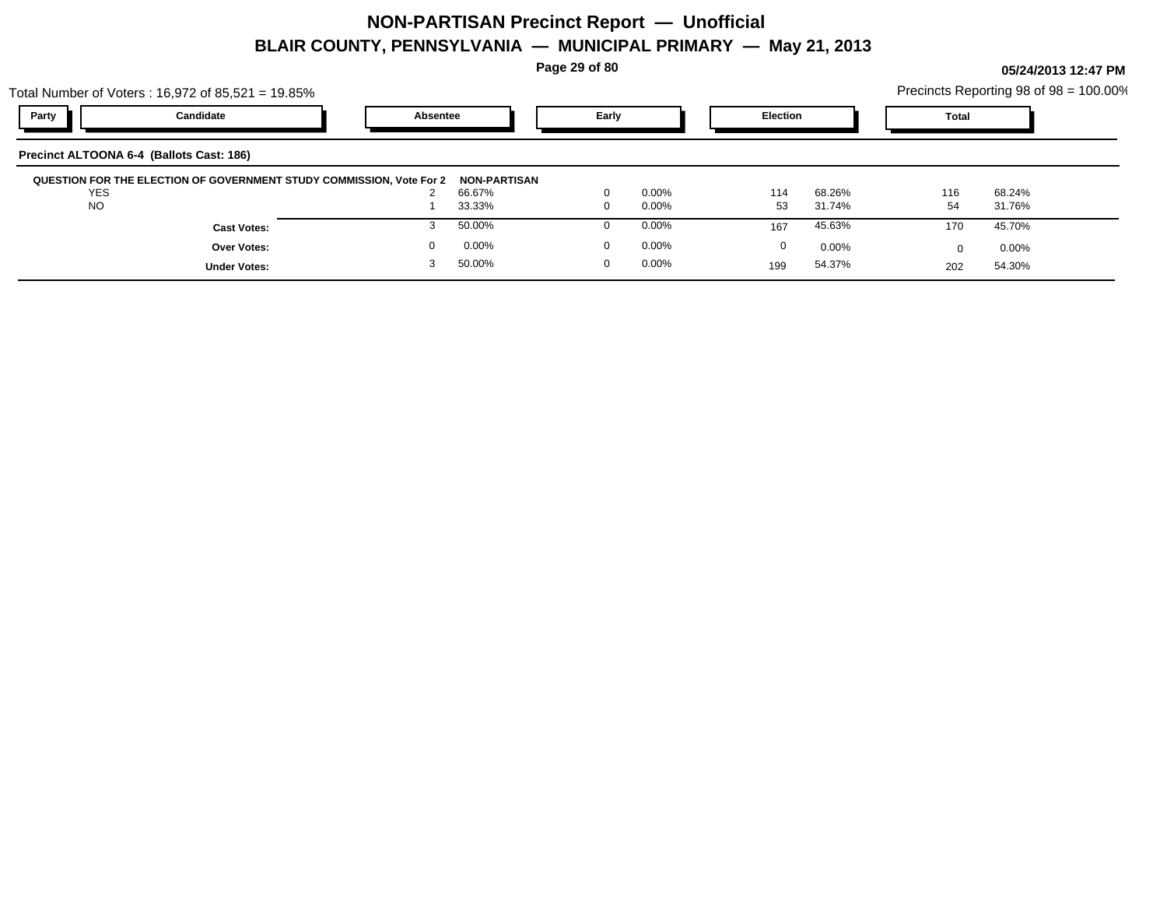**Page 29 of 80**

|            | Total Number of Voters: $16,972$ of $85,521 = 19.85\%$               |          |                     |          |          |                 |        |       | Precincts Reporting 98 of 98 = 100.00% |
|------------|----------------------------------------------------------------------|----------|---------------------|----------|----------|-----------------|--------|-------|----------------------------------------|
| Party      | Candidate                                                            | Absentee |                     | Early    |          | <b>Election</b> |        | Total |                                        |
|            | Precinct ALTOONA 6-4 (Ballots Cast: 186)                             |          |                     |          |          |                 |        |       |                                        |
|            |                                                                      |          |                     |          |          |                 |        |       |                                        |
|            | QUESTION FOR THE ELECTION OF GOVERNMENT STUDY COMMISSION, Vote For 2 |          | <b>NON-PARTISAN</b> |          |          |                 |        |       |                                        |
| <b>YES</b> |                                                                      |          | 66.67%              |          | $0.00\%$ | 114             | 68.26% | 116   | 68.24%                                 |
| <b>NO</b>  |                                                                      |          | 33.33%              |          | $0.00\%$ | 53              | 31.74% | 54    | 31.76%                                 |
|            | <b>Cast Votes:</b>                                                   |          | 50.00%              |          | $0.00\%$ | 167             | 45.63% | 170   | 45.70%                                 |
|            | Over Votes:                                                          | $\Omega$ | 0.00%               | $\Omega$ | $0.00\%$ | $\mathbf 0$     | 0.00%  |       | $0.00\%$                               |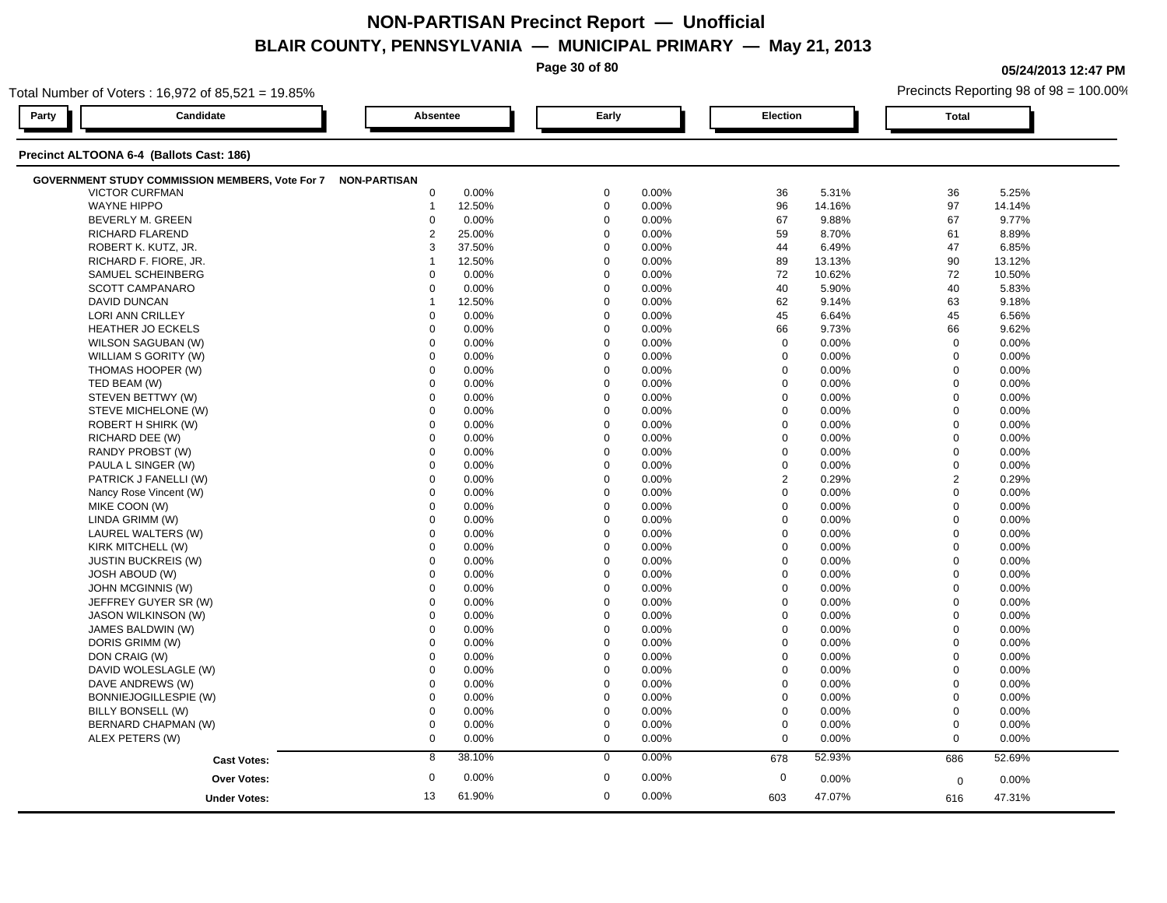**Page 30 of 80**

**05/24/2013 12:47 PM**

| Total Number of Voters: 16,972 of 85,521 = 19.85%            |                 |        |             |       |                  |        |                | Precincts Reporting 98 of 98 = 100.00% |  |
|--------------------------------------------------------------|-----------------|--------|-------------|-------|------------------|--------|----------------|----------------------------------------|--|
| Party<br>Candidate                                           | <b>Absentee</b> |        | Early       |       | Election         |        | <b>Total</b>   |                                        |  |
| Precinct ALTOONA 6-4 (Ballots Cast: 186)                     |                 |        |             |       |                  |        |                |                                        |  |
| GOVERNMENT STUDY COMMISSION MEMBERS, Vote For 7 NON-PARTISAN |                 |        |             |       |                  |        |                |                                        |  |
| <b>VICTOR CURFMAN</b>                                        | $\mathbf 0$     | 0.00%  | $\mathbf 0$ | 0.00% | 36               | 5.31%  | 36             | 5.25%                                  |  |
| <b>WAYNE HIPPO</b>                                           | $\mathbf 1$     | 12.50% | $\mathbf 0$ | 0.00% | 96               | 14.16% | 97             | 14.14%                                 |  |
| BEVERLY M. GREEN                                             | $\mathbf 0$     | 0.00%  | $\mathbf 0$ | 0.00% | 67               | 9.88%  | 67             | 9.77%                                  |  |
| <b>RICHARD FLAREND</b>                                       | 2               | 25.00% | $\Omega$    | 0.00% | 59               | 8.70%  | 61             | 8.89%                                  |  |
| ROBERT K. KUTZ, JR.                                          | 3               | 37.50% | $\Omega$    | 0.00% | 44               | 6.49%  | 47             | 6.85%                                  |  |
| RICHARD F. FIORE, JR.                                        | 1               | 12.50% | $\Omega$    | 0.00% | 89               | 13.13% | 90             | 13.12%                                 |  |
| SAMUEL SCHEINBERG                                            | $\Omega$        | 0.00%  | $\Omega$    | 0.00% | 72               | 10.62% | 72             | 10.50%                                 |  |
| <b>SCOTT CAMPANARO</b>                                       | $\mathbf 0$     | 0.00%  | $\mathbf 0$ | 0.00% | 40               | 5.90%  | 40             | 5.83%                                  |  |
| <b>DAVID DUNCAN</b>                                          | -1              | 12.50% | $\mathbf 0$ | 0.00% | 62               | 9.14%  | 63             | 9.18%                                  |  |
| LORI ANN CRILLEY                                             | $\mathbf 0$     | 0.00%  | $\mathbf 0$ | 0.00% | 45               | 6.64%  | 45             | 6.56%                                  |  |
| <b>HEATHER JO ECKELS</b>                                     | $\mathbf 0$     | 0.00%  | $\mathbf 0$ | 0.00% | 66               | 9.73%  | 66             | 9.62%                                  |  |
| WILSON SAGUBAN (W)                                           | $\mathbf 0$     | 0.00%  | $\Omega$    | 0.00% | $\mathbf 0$      | 0.00%  | $\mathbf 0$    | 0.00%                                  |  |
| WILLIAM S GORITY (W)                                         | $\Omega$        | 0.00%  | $\Omega$    | 0.00% | $\mathbf 0$      | 0.00%  | $\mathbf 0$    | 0.00%                                  |  |
| THOMAS HOOPER (W)                                            | 0               | 0.00%  | $\mathbf 0$ | 0.00% | $\mathbf 0$      | 0.00%  | $\mathbf 0$    | 0.00%                                  |  |
| TED BEAM (W)                                                 | $\mathbf 0$     | 0.00%  | $\mathbf 0$ | 0.00% | $\mathbf 0$      | 0.00%  | $\mathbf 0$    | 0.00%                                  |  |
| STEVEN BETTWY (W)                                            | $\mathbf 0$     | 0.00%  | $\mathbf 0$ | 0.00% | $\mathbf 0$      | 0.00%  | $\mathbf 0$    | 0.00%                                  |  |
| STEVE MICHELONE (W)                                          | $\mathbf 0$     | 0.00%  | $\Omega$    | 0.00% | 0                | 0.00%  | $\mathbf 0$    | 0.00%                                  |  |
| ROBERT H SHIRK (W)                                           | $\mathbf 0$     | 0.00%  | $\mathbf 0$ | 0.00% | $\mathbf 0$      | 0.00%  | $\mathbf 0$    | 0.00%                                  |  |
| RICHARD DEE (W)                                              | $\Omega$        | 0.00%  | $\Omega$    | 0.00% | $\mathbf 0$      | 0.00%  | $\mathbf 0$    | 0.00%                                  |  |
| RANDY PROBST (W)                                             | $\Omega$        | 0.00%  | $\Omega$    | 0.00% | $\mathbf 0$      | 0.00%  | $\mathbf 0$    | 0.00%                                  |  |
| PAULA L SINGER (W)                                           | $\mathbf 0$     | 0.00%  | $\mathbf 0$ | 0.00% | $\mathbf 0$      | 0.00%  | $\overline{0}$ | 0.00%                                  |  |
| PATRICK J FANELLI (W)                                        | $\mathbf 0$     | 0.00%  | $\mathbf 0$ | 0.00% | $\overline{2}$   | 0.29%  | $\overline{2}$ | 0.29%                                  |  |
| Nancy Rose Vincent (W)                                       | $\mathbf 0$     | 0.00%  | $\mathbf 0$ | 0.00% | $\mathbf 0$      | 0.00%  | $\mathbf 0$    | 0.00%                                  |  |
| MIKE COON (W)                                                | $\Omega$        | 0.00%  | $\Omega$    | 0.00% | $\mathbf 0$      | 0.00%  | $\mathbf 0$    | 0.00%                                  |  |
| LINDA GRIMM (W)                                              | $\mathbf 0$     | 0.00%  | $\Omega$    | 0.00% | $\mathbf 0$      | 0.00%  | $\mathbf 0$    | 0.00%                                  |  |
| LAUREL WALTERS (W)                                           | $\Omega$        | 0.00%  | $\Omega$    | 0.00% | $\Omega$         | 0.00%  | $\Omega$       | 0.00%                                  |  |
| KIRK MITCHELL (W)                                            | $\mathbf 0$     | 0.00%  | $\mathbf 0$ | 0.00% | $\mathbf 0$      | 0.00%  | $\overline{0}$ | 0.00%                                  |  |
| <b>JUSTIN BUCKREIS (W)</b>                                   | $\mathbf 0$     | 0.00%  | $\mathbf 0$ | 0.00% | $\mathbf 0$      | 0.00%  | $\mathbf 0$    | 0.00%                                  |  |
| <b>JOSH ABOUD (W)</b>                                        | $\Omega$        | 0.00%  | $\Omega$    | 0.00% | 0                | 0.00%  | $\mathbf 0$    | 0.00%                                  |  |
| JOHN MCGINNIS (W)                                            | $\Omega$        | 0.00%  | $\Omega$    | 0.00% | $\mathbf 0$      | 0.00%  | $\mathbf 0$    | 0.00%                                  |  |
| JEFFREY GUYER SR (W)                                         | $\Omega$        | 0.00%  | $\Omega$    | 0.00% | $\mathbf 0$      | 0.00%  | $\Omega$       | 0.00%                                  |  |
| JASON WILKINSON (W)                                          | $\Omega$        | 0.00%  | $\Omega$    | 0.00% | $\mathbf 0$      | 0.00%  | $\mathbf 0$    | 0.00%                                  |  |
| JAMES BALDWIN (W)                                            | $\mathbf 0$     | 0.00%  | $\mathbf 0$ | 0.00% | $\mathbf 0$      | 0.00%  | $\mathbf 0$    | 0.00%                                  |  |
| DORIS GRIMM (W)                                              | $\mathbf 0$     | 0.00%  | $\Omega$    | 0.00% | $\mathbf 0$      | 0.00%  | $\mathbf 0$    | 0.00%                                  |  |
| DON CRAIG (W)                                                | $\mathbf 0$     | 0.00%  | $\mathbf 0$ | 0.00% | $\mathbf 0$      | 0.00%  | $\mathbf 0$    | 0.00%                                  |  |
| DAVID WOLESLAGLE (W)                                         | $\mathbf 0$     | 0.00%  | $\mathbf 0$ | 0.00% | $\mathbf 0$      | 0.00%  | $\mathbf 0$    | 0.00%                                  |  |
| DAVE ANDREWS (W)                                             | $\Omega$        | 0.00%  | $\Omega$    | 0.00% | $\mathbf 0$      | 0.00%  | $\mathbf 0$    | 0.00%                                  |  |
| BONNIEJOGILLESPIE (W)                                        | $\mathbf 0$     | 0.00%  | $\Omega$    | 0.00% | $\mathbf 0$      | 0.00%  | $\mathbf 0$    | 0.00%                                  |  |
| BILLY BONSELL (W)                                            | $\mathbf 0$     | 0.00%  | $\Omega$    | 0.00% | $\mathbf 0$      | 0.00%  | $\mathbf 0$    | 0.00%                                  |  |
| BERNARD CHAPMAN (W)                                          | $\mathbf 0$     | 0.00%  | $\mathbf 0$ | 0.00% | $\boldsymbol{0}$ | 0.00%  | $\mathbf 0$    | 0.00%                                  |  |
| ALEX PETERS (W)                                              | $\mathbf 0$     | 0.00%  | $\mathbf 0$ | 0.00% | $\mathbf 0$      | 0.00%  | $\mathbf 0$    | 0.00%                                  |  |
| <b>Cast Votes:</b>                                           | 8               | 38.10% | $\mathbf 0$ | 0.00% | 678              | 52.93% | 686            | 52.69%                                 |  |
|                                                              |                 |        |             |       |                  |        |                |                                        |  |
| <b>Over Votes:</b>                                           | $\mathbf 0$     | 0.00%  | $\mathbf 0$ | 0.00% | $\mathbf 0$      | 0.00%  | $\mathbf 0$    | 0.00%                                  |  |
| <b>Under Votes:</b>                                          | 13              | 61.90% | $\mathbf 0$ | 0.00% | 603              | 47.07% | 616            | 47.31%                                 |  |
|                                                              |                 |        |             |       |                  |        |                |                                        |  |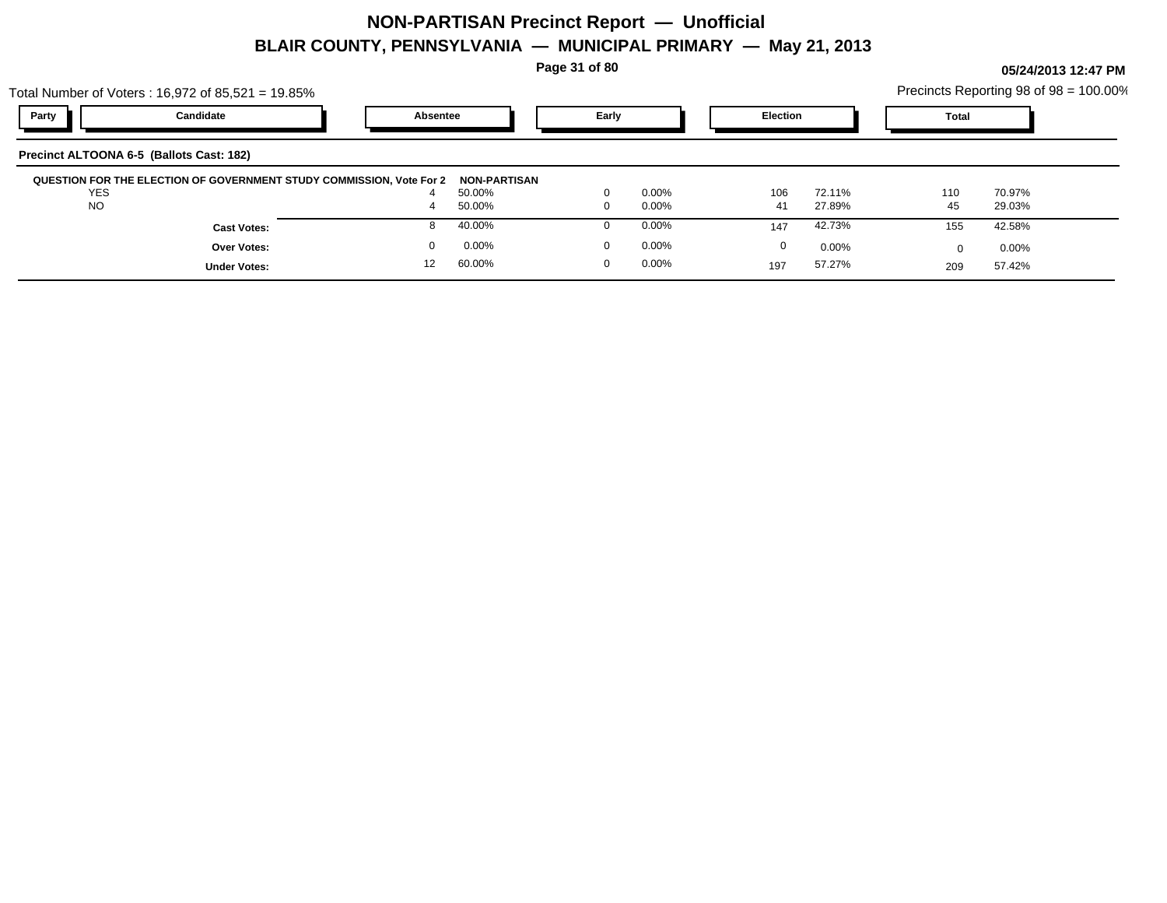**Page 31 of 80**

|                                          | Total Number of Voters: $16,972$ of $85,521 = 19.85\%$               |                |                     |          |          |                 |          |              | Precincts Reporting 98 of 98 = 100.00% |
|------------------------------------------|----------------------------------------------------------------------|----------------|---------------------|----------|----------|-----------------|----------|--------------|----------------------------------------|
| Party                                    | Candidate                                                            | Absentee       |                     | Early    |          | <b>Election</b> |          | <b>Total</b> |                                        |
| Precinct ALTOONA 6-5 (Ballots Cast: 182) |                                                                      |                |                     |          |          |                 |          |              |                                        |
|                                          | QUESTION FOR THE ELECTION OF GOVERNMENT STUDY COMMISSION, Vote For 2 |                | <b>NON-PARTISAN</b> |          |          |                 |          |              |                                        |
| <b>YES</b>                               |                                                                      |                | 50.00%              | $\Omega$ | $0.00\%$ | 106             | 72.11%   | 110          | 70.97%                                 |
| <b>NO</b>                                |                                                                      | $\overline{a}$ | 50.00%              | $\Omega$ | $0.00\%$ | 41              | 27.89%   | 45           | 29.03%                                 |
|                                          | <b>Cast Votes:</b>                                                   | 8              | 40.00%              |          | $0.00\%$ | 147             | 42.73%   | 155          | 42.58%                                 |
|                                          | <b>Over Votes:</b>                                                   |                | 0.00%               | $\Omega$ | $0.00\%$ | 0               | $0.00\%$ |              | 0.00%                                  |
|                                          | <b>Under Votes:</b>                                                  | 12             | 60.00%              | $\Omega$ | $0.00\%$ | 197             | 57.27%   | 209          | 57.42%                                 |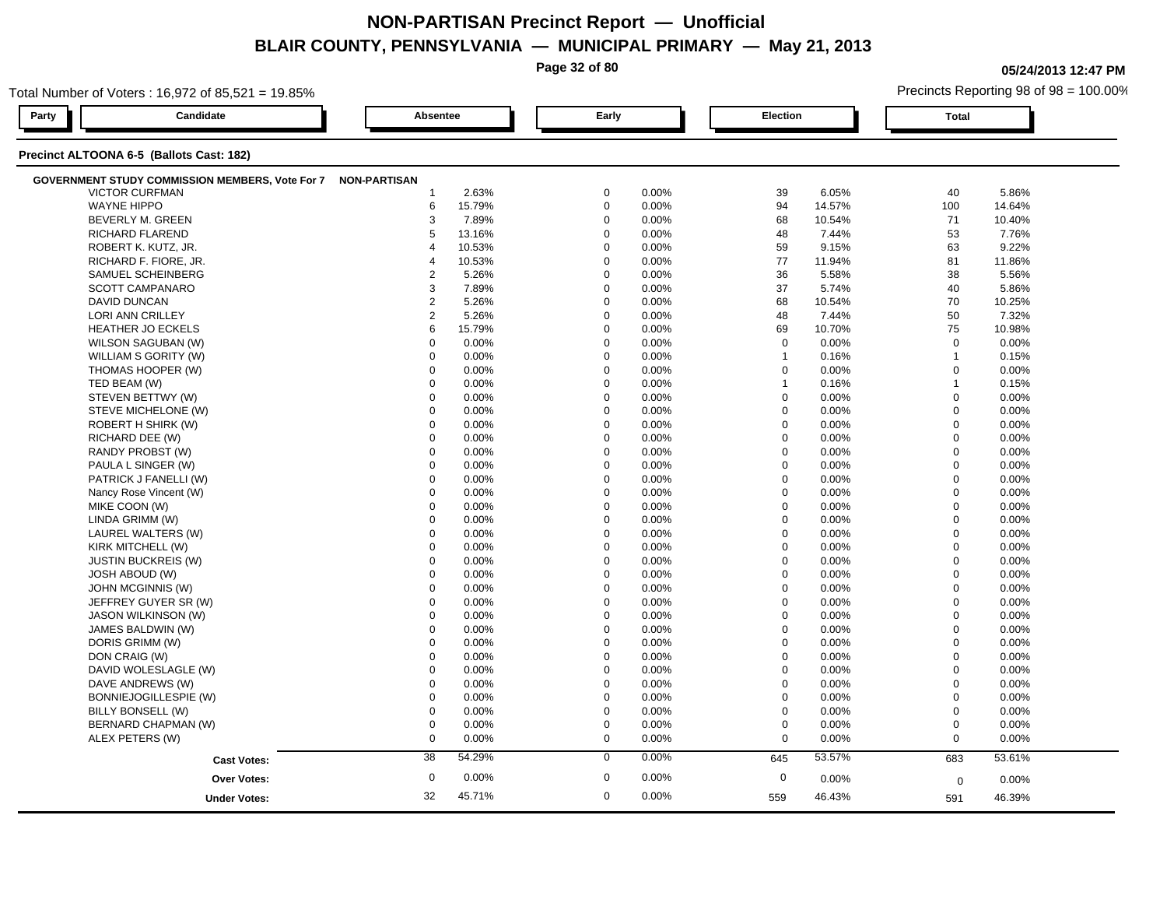|                                                        |                     |        | Page 32 of 80 |       |             |        |              | 05/24/2013 12:47 PM                    |
|--------------------------------------------------------|---------------------|--------|---------------|-------|-------------|--------|--------------|----------------------------------------|
| Total Number of Voters: 16.972 of 85.521 = 19.85%      |                     |        |               |       |             |        |              | Precincts Reporting 98 of 98 = 100.00% |
| Candidate<br>Party                                     | Absentee            |        | Early         |       | Election    |        | <b>Total</b> |                                        |
| Precinct ALTOONA 6-5 (Ballots Cast: 182)               |                     |        |               |       |             |        |              |                                        |
| <b>GOVERNMENT STUDY COMMISSION MEMBERS, Vote For 7</b> | <b>NON-PARTISAN</b> |        |               |       |             |        |              |                                        |
| <b>VICTOR CURFMAN</b>                                  |                     | 2.63%  | $\mathbf 0$   | 0.00% | 39          | 6.05%  | 40           | 5.86%                                  |
| <b>WAYNE HIPPO</b>                                     | 6                   | 15.79% | $\mathbf 0$   | 0.00% | 94          | 14.57% | 100          | 14.64%                                 |
| BEVERLY M. GREEN                                       | 3                   | 7.89%  | $\Omega$      | 0.00% | 68          | 10.54% | 71           | 10.40%                                 |
| <b>RICHARD FLAREND</b>                                 | 5                   | 13.16% | $\Omega$      | 0.00% | 48          | 7.44%  | 53           | 7.76%                                  |
| ROBERT K. KUTZ, JR.                                    | 4                   | 10.53% | $\Omega$      | 0.00% | 59          | 9.15%  | 63           | 9.22%                                  |
| RICHARD F. FIORE, JR.                                  |                     | 10.53% | $\mathbf 0$   | 0.00% | 77          | 11.94% | 81           | 11.86%                                 |
| SAMUEL SCHEINBERG                                      | $\overline{2}$      | 5.26%  | $\Omega$      | 0.00% | 36          | 5.58%  | 38           | 5.56%                                  |
| <b>SCOTT CAMPANARO</b>                                 | 3                   | 7.89%  | $\Omega$      | 0.00% | 37          | 5.74%  | 40           | 5.86%                                  |
| <b>DAVID DUNCAN</b>                                    | $\overline{2}$      | 5.26%  | $\mathbf 0$   | 0.00% | 68          | 10.54% | 70           | 10.25%                                 |
| LORI ANN CRILLEY                                       | $\overline{2}$      | 5.26%  | $\mathbf 0$   | 0.00% | 48          | 7.44%  | 50           | 7.32%                                  |
| <b>HEATHER JO ECKELS</b>                               |                     | 15.79% | $\Omega$      | 0.00% | 69          | 10.70% | 75           | 10.98%                                 |
| WILSON SAGUBAN (W)                                     |                     | 0.00%  | $\Omega$      | 0.00% | $\Omega$    | 0.00%  | $\Omega$     | 0.00%                                  |
| WILLIAM S GORITY (W)                                   | $\Omega$            | 0.00%  | $\Omega$      | 0.00% |             | 0.16%  |              | 0.15%                                  |
| THOMAS HOOPER (W)                                      | $\Omega$            | 0.00%  | $\Omega$      | 0.00% | $\Omega$    | 0.00%  | $\Omega$     | 0.00%                                  |
| TED BEAM (W)                                           |                     | 0.00%  | $\Omega$      | 0.00% |             | 0.16%  |              | 0.15%                                  |
| STEVEN BETTWY (W)                                      |                     | 0.00%  | $\Omega$      | 0.00% | $\Omega$    | 0.00%  | $\Omega$     | 0.00%                                  |
| STEVE MICHELONE (W)                                    | $\Omega$            | 0.00%  | $\Omega$      | 0.00% | $\Omega$    | 0.00%  | $\Omega$     | 0.00%                                  |
| ROBERT H SHIRK (W)                                     | $\Omega$            | 0.00%  | $\mathbf 0$   | 0.00% | 0           | 0.00%  | $\Omega$     | 0.00%                                  |
| RICHARD DEE (W)                                        | $\Omega$            | 0.00%  | $\Omega$      | 0.00% | $\mathbf 0$ | 0.00%  | $\mathbf 0$  | 0.00%                                  |
| RANDY PROBST (W)                                       |                     | 0.00%  | $\Omega$      | 0.00% | $\Omega$    | 0.00%  | $\Omega$     | 0.00%                                  |
| PAULA L SINGER (W)                                     |                     | 0.00%  | $\Omega$      | 0.00% | $\Omega$    | 0.00%  | $\Omega$     | 0.00%                                  |
| PATRICK J FANELLI (W)                                  | $\Omega$            | 0.00%  | $\Omega$      | 0.00% | $\mathbf 0$ | 0.00%  | $\Omega$     | 0.00%                                  |
| Nancy Rose Vincent (W)                                 | $\Omega$            | 0.00%  | $\Omega$      | 0.00% | 0           | 0.00%  | $\Omega$     | 0.00%                                  |
| MIKE COON (W)                                          |                     | 0.00%  | $\Omega$      | 0.00% | $\Omega$    | 0.00%  | $\Omega$     | 0.00%                                  |
| LINDA GRIMM (W)                                        |                     | 0.00%  | $\Omega$      | 0.00% | $\Omega$    | 0.00%  | $\Omega$     | 0.00%                                  |
| LAUREL WALTERS (W)                                     | $\Omega$            | 0.00%  | $\Omega$      | 0.00% | $\mathbf 0$ | 0.00%  | $\Omega$     | 0.00%                                  |
| KIRK MITCHELL (W)                                      | $\Omega$            | 0.00%  | $\mathbf 0$   | 0.00% | $\mathbf 0$ | 0.00%  | $\Omega$     | 0.00%                                  |
| <b>JUSTIN BUCKREIS (W)</b>                             |                     | 0.00%  | $\Omega$      | 0.00% | $\Omega$    | 0.00%  | $\Omega$     | 0.00%                                  |
| JOSH ABOUD (W)                                         |                     | 0.00%  | $\Omega$      | 0.00% | $\Omega$    | 0.00%  | $\Omega$     | 0.00%                                  |
| JOHN MCGINNIS (W)                                      |                     | 0.00%  | $\Omega$      | 0.00% | $\Omega$    | 0.00%  | $\Omega$     | 0.00%                                  |
| JEFFREY GUYER SR (W)                                   |                     | 0.00%  | $\Omega$      | 0.00% | $\Omega$    | 0.00%  | $\Omega$     | 0.00%                                  |
| <b>JASON WILKINSON (W)</b>                             | $\Omega$            | 0.00%  | $\Omega$      | 0.00% | $\mathbf 0$ | 0.00%  | $\mathbf 0$  | 0.00%                                  |

JAMES BALDWIN (W) 0 0.00% 0 0.00% 0 0.00% 0 0.00% DORIS GRIMM (W) 0 0.00% 0 0.00% 0 0.00% 0 0.00% DON CRAIG (W) 0 0.00% 0 0.00% 0 0.00% 0 0.00%

DAVE ANDREWS (W) 0 0.00% 0 0.00% 0 0.00% 0 0.00%

BILLY BONSELL (W) 0 0.00% 0 0.00% 0 0.00% 0 0.00%

ALEX PETERS (W) 0 0.00% 0 0.00% 0 0.00% 0 0.00%

0.00% 0 0.00%

**Cast Votes:** 38 54.29% 0 0.00% 645 53.57% 683 53.61%

0.00% 0

559

46.43%

 $0$  0.00%  $0$  0.00%  $0$  0.00%  $0$  0.00%  $0$  0.00%  $0$  0.00%

0.00% 0

46.43% 46.39% 591

 $\textsf{DAVID}\,\textsf{WOLESLAGLE}\,(W)$  0 0.00% 0 0.00% 0 0.00% 0 0.00% 0

BONNIEJOGILLESPIE (W) 0 0.00% 0 0.00% 0 0.00% 0 0.00%

 $\text{BERNARD CHAPMAN (W)} \quad \text{O} \quad \text{O} \quad \text{O} \quad \text{O} \quad \text{O} \quad \text{O} \quad \text{O} \quad \text{O} \quad \text{O} \quad \text{O} \quad \text{O} \quad \text{O} \quad \text{O} \quad \text{O} \quad \text{O} \quad \text{O} \quad \text{O} \quad \text{O} \quad \text{O} \quad \text{O} \quad \text{O} \quad \text{O} \quad \text{O} \quad \text{O} \quad \text{O} \quad \text{O} \quad \text{O} \quad \text{O} \quad \text{O} \quad \text{$ 

45.71% 32

**Over Votes:** 0.00% 0.00% 0.00% 0.00% 0.00% 0.00% 0.00% 0.00% 0.00% 0.00% 0.00% 0.00% 0.00% 0.00% 0.00% 0.00% 0.00% 0.00% 0.00% 0.00% 0.00% 0.00% 0.00% 0.00% 0.00% 0.00% 0.00% 0.00% 0.00% 0.00% 0.00% 0.00% 0.00% 0.00% 0.00

**Under Votes:**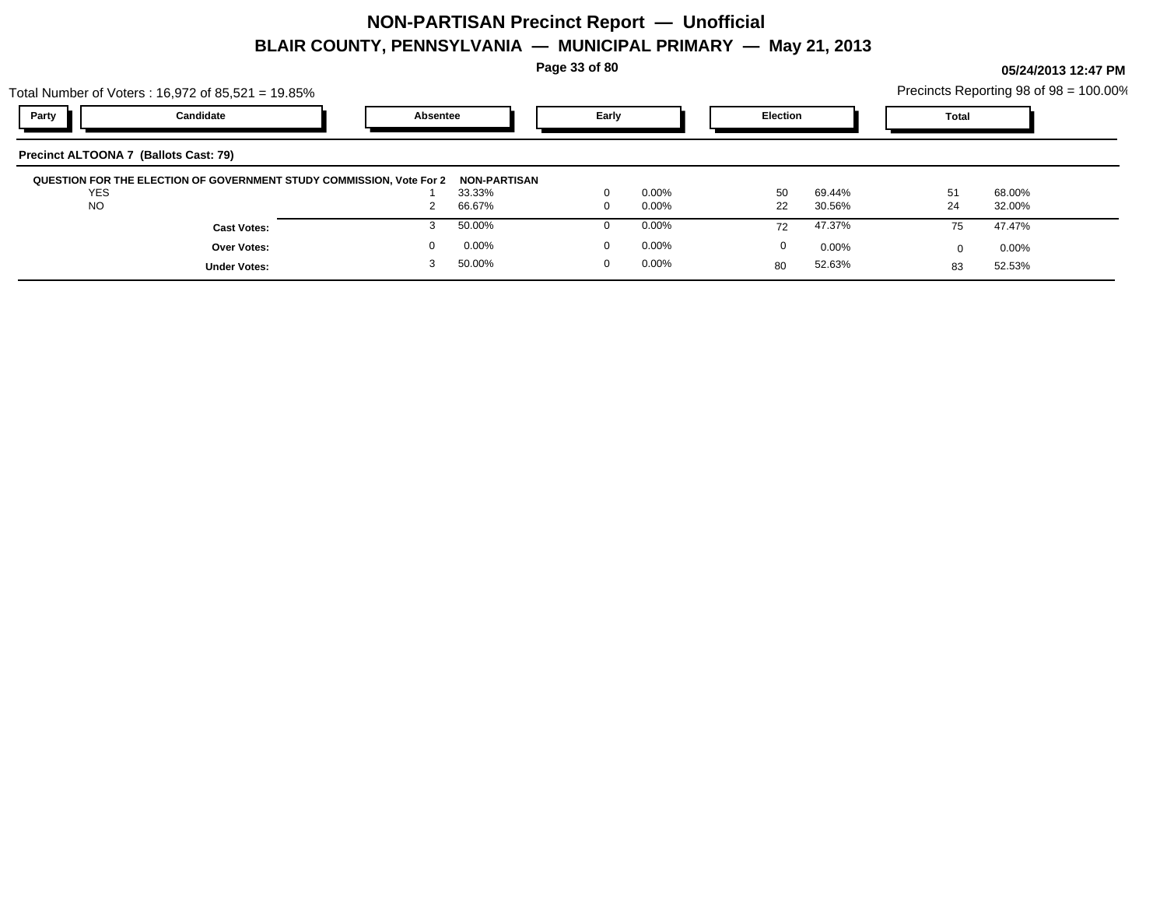**Page 33 of 80**

|            | Total Number of Voters: 16,972 of 85,521 = 19.85%                                 |          |        |       |          |                 |        | Precincts Reporting 98 of 98 = 100.00% |                    |  |
|------------|-----------------------------------------------------------------------------------|----------|--------|-------|----------|-----------------|--------|----------------------------------------|--------------------|--|
| Party      | Candidate                                                                         | Absentee |        | Early |          | <b>Election</b> |        | Total                                  |                    |  |
|            | Precinct ALTOONA 7 (Ballots Cast: 79)                                             |          |        |       |          |                 |        |                                        |                    |  |
|            | QUESTION FOR THE ELECTION OF GOVERNMENT STUDY COMMISSION, Vote For 2 NON-PARTISAN |          |        |       |          |                 |        |                                        |                    |  |
| <b>YES</b> |                                                                                   |          | 33.33% |       | 0.00%    | 50              | 69.44% |                                        | 68.00%             |  |
| <b>NO</b>  |                                                                                   |          | 66.67% |       | $0.00\%$ | つつ              | 30.56% | 24                                     | 32 UU <sub>o</sub> |  |

| QUESTION FOR THE ELECTION OF GOVERNMENT STUDY COMMISSION, Vote For 2 NON-PARTISAN |        |          |    |        |    |        |  |
|-----------------------------------------------------------------------------------|--------|----------|----|--------|----|--------|--|
| <b>YES</b>                                                                        | 33.33% | 0.00%    | 50 | 69.44% | 51 | 68.00% |  |
| <b>NO</b>                                                                         | 66.67% | 0.00%    | 22 | 30.56% | 24 | 32.00% |  |
| <b>Cast Votes:</b>                                                                | 50.00% | 0.00%    | 72 | 47.37% |    | 47.47% |  |
| Over Votes:                                                                       | 0.00%  | $0.00\%$ |    | 0.00%  |    | 0.00%  |  |
| <b>Under Votes:</b>                                                               | 50.00% | 0.00%    | 80 | 52.63% |    | 52.53% |  |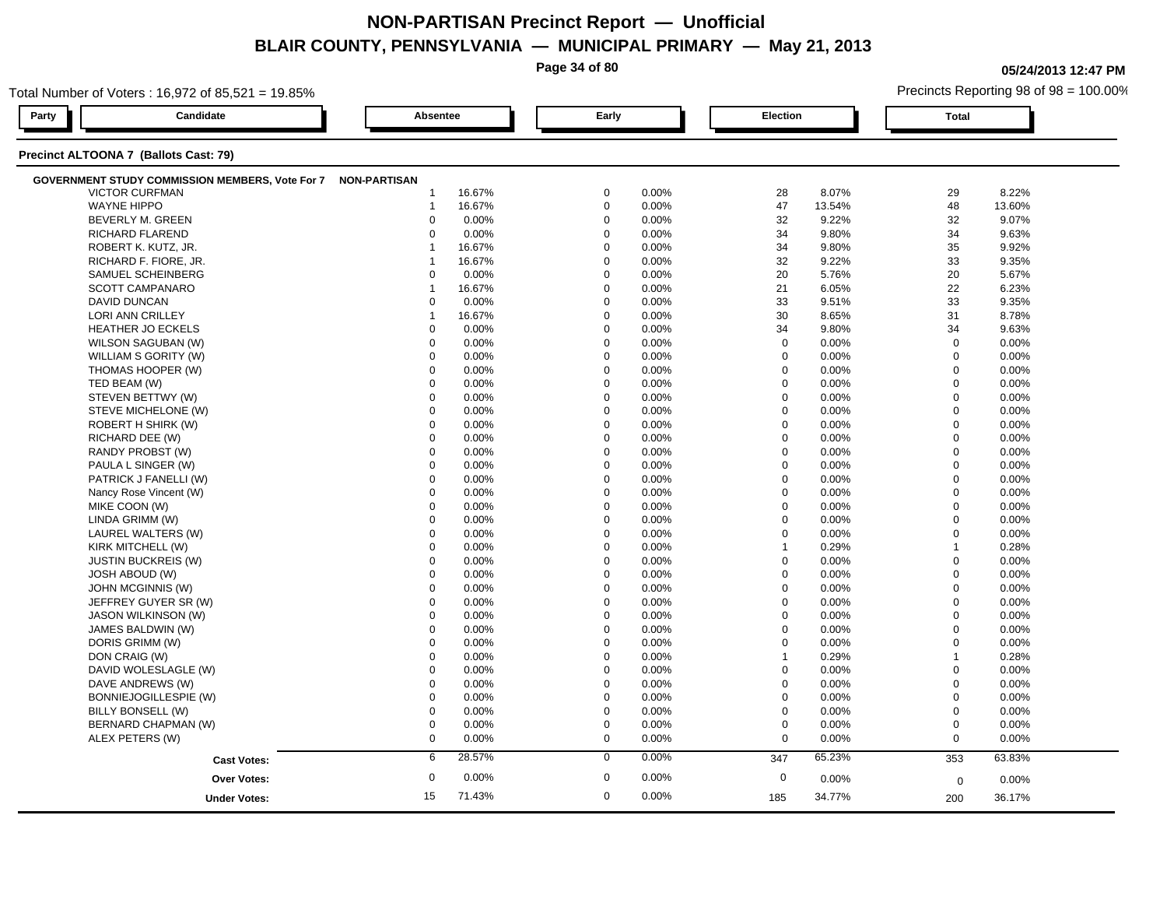**Page 34 of 80**

**05/24/2013 12:47 PM**

| Total Number of Voters: 16,972 of 85,521 = 19.85% |                                                              |                      |        |                      |       |              |          |                            | Precincts Reporting 98 of 98 = 100.00% |  |  |
|---------------------------------------------------|--------------------------------------------------------------|----------------------|--------|----------------------|-------|--------------|----------|----------------------------|----------------------------------------|--|--|
| Party                                             | Candidate                                                    | Absentee             |        | Early                |       | Election     |          | <b>Total</b>               |                                        |  |  |
|                                                   | Precinct ALTOONA 7 (Ballots Cast: 79)                        |                      |        |                      |       |              |          |                            |                                        |  |  |
|                                                   | GOVERNMENT STUDY COMMISSION MEMBERS, Vote For 7 NON-PARTISAN |                      |        |                      |       |              |          |                            |                                        |  |  |
|                                                   | <b>VICTOR CURFMAN</b>                                        | -1                   | 16.67% | $\mathbf 0$          | 0.00% | 28           | 8.07%    | 29                         | 8.22%                                  |  |  |
|                                                   | <b>WAYNE HIPPO</b>                                           | $\overline{1}$       | 16.67% | $\mathbf 0$          | 0.00% | 47           | 13.54%   | 48                         | 13.60%                                 |  |  |
|                                                   | BEVERLY M. GREEN                                             | $\mathbf 0$          | 0.00%  | $\mathbf 0$          | 0.00% | 32           | 9.22%    | 32                         | 9.07%                                  |  |  |
|                                                   | RICHARD FLAREND                                              | $\Omega$             | 0.00%  | $\mathbf 0$          | 0.00% | 34           | 9.80%    | 34                         | 9.63%                                  |  |  |
|                                                   | ROBERT K. KUTZ, JR.                                          | 1                    | 16.67% | $\mathbf 0$          | 0.00% | 34           | 9.80%    | 35                         | 9.92%                                  |  |  |
|                                                   | RICHARD F. FIORE, JR.                                        | 1                    | 16.67% | $\mathbf 0$          | 0.00% | 32           | 9.22%    | 33                         | 9.35%                                  |  |  |
|                                                   | SAMUEL SCHEINBERG                                            | $\mathbf 0$          | 0.00%  | $\Omega$             | 0.00% | 20           | 5.76%    | 20                         | 5.67%                                  |  |  |
|                                                   | SCOTT CAMPANARO                                              | $\mathbf{1}$         | 16.67% | $\mathbf 0$          | 0.00% | 21           | 6.05%    | 22                         | 6.23%                                  |  |  |
|                                                   | <b>DAVID DUNCAN</b>                                          | $\mathbf 0$          | 0.00%  | $\mathbf 0$          | 0.00% | 33           | 9.51%    | 33                         | 9.35%                                  |  |  |
|                                                   | LORI ANN CRILLEY                                             | 1                    | 16.67% | $\Omega$             | 0.00% | 30           | 8.65%    | 31                         | 8.78%                                  |  |  |
|                                                   | <b>HEATHER JO ECKELS</b>                                     | $\mathbf 0$          | 0.00%  | $\Omega$             | 0.00% | 34           | 9.80%    | 34                         | 9.63%                                  |  |  |
|                                                   | WILSON SAGUBAN (W)                                           | $\mathbf 0$          | 0.00%  | $\mathbf 0$          | 0.00% | $\mathbf 0$  | 0.00%    | $\mathbf 0$                | 0.00%                                  |  |  |
|                                                   | WILLIAM S GORITY (W)                                         | $\mathbf 0$          | 0.00%  | $\mathbf 0$          | 0.00% | $\mathbf 0$  | 0.00%    | $\mathbf 0$                | 0.00%                                  |  |  |
|                                                   | THOMAS HOOPER (W)                                            | $\Omega$             | 0.00%  | $\Omega$             | 0.00% | $\mathbf 0$  | 0.00%    | $\mathbf 0$                | 0.00%                                  |  |  |
|                                                   | TED BEAM (W)                                                 | $\Omega$             | 0.00%  | $\Omega$             | 0.00% | $\mathbf 0$  | 0.00%    | $\mathbf 0$                | 0.00%                                  |  |  |
|                                                   | STEVEN BETTWY (W)                                            | $\mathbf 0$          | 0.00%  | $\Omega$             | 0.00% | $\mathbf 0$  | 0.00%    | $\mathbf 0$                | 0.00%                                  |  |  |
|                                                   | STEVE MICHELONE (W)                                          | $\mathbf 0$          | 0.00%  | $\Omega$             | 0.00% | $\mathbf 0$  | 0.00%    | $\mathbf 0$                | 0.00%                                  |  |  |
|                                                   | ROBERT H SHIRK (W)                                           | $\mathbf 0$          | 0.00%  | $\Omega$             | 0.00% | $\mathbf 0$  | 0.00%    | $\mathbf 0$                | 0.00%                                  |  |  |
|                                                   | RICHARD DEE (W)                                              | $\Omega$             | 0.00%  | $\Omega$             | 0.00% | $\mathbf 0$  | 0.00%    | $\mathbf{0}$               | 0.00%                                  |  |  |
|                                                   | RANDY PROBST (W)                                             | $\Omega$             | 0.00%  | $\Omega$             | 0.00% | $\mathbf 0$  | 0.00%    | $\mathbf 0$                | 0.00%                                  |  |  |
|                                                   | PAULA L SINGER (W)                                           | $\mathbf 0$          | 0.00%  | $\mathbf 0$          | 0.00% | $\mathbf 0$  | 0.00%    | $\mathbf 0$                | 0.00%                                  |  |  |
|                                                   | PATRICK J FANELLI (W)                                        | $\mathbf 0$          | 0.00%  | $\mathbf 0$          | 0.00% | $\mathbf 0$  | 0.00%    | $\mathbf 0$                | 0.00%                                  |  |  |
|                                                   |                                                              | $\mathbf 0$          |        | $\mathbf 0$          |       |              |          | $\mathbf 0$                |                                        |  |  |
|                                                   | Nancy Rose Vincent (W)                                       |                      | 0.00%  |                      | 0.00% | $\mathbf 0$  | 0.00%    |                            | 0.00%                                  |  |  |
|                                                   | MIKE COON (W)                                                | $\Omega$<br>$\Omega$ | 0.00%  | $\Omega$<br>$\Omega$ | 0.00% | $\Omega$     | 0.00%    | $\mathbf 0$<br>$\mathbf 0$ | 0.00%                                  |  |  |
|                                                   | LINDA GRIMM (W)                                              |                      | 0.00%  |                      | 0.00% | $\pmb{0}$    | 0.00%    |                            | 0.00%                                  |  |  |
|                                                   | LAUREL WALTERS (W)                                           | $\mathbf 0$          | 0.00%  | $\mathbf 0$          | 0.00% | $\mathbf 0$  | 0.00%    | $\mathbf 0$                | 0.00%                                  |  |  |
|                                                   | KIRK MITCHELL (W)                                            | $\mathbf 0$          | 0.00%  | $\mathbf 0$          | 0.00% | $\mathbf{1}$ | 0.29%    | $\overline{1}$             | 0.28%                                  |  |  |
|                                                   | <b>JUSTIN BUCKREIS (W)</b>                                   | $\mathbf 0$          | 0.00%  | $\Omega$             | 0.00% | $\mathbf 0$  | 0.00%    | $\mathbf 0$                | 0.00%                                  |  |  |
|                                                   | <b>JOSH ABOUD (W)</b>                                        | $\Omega$             | 0.00%  | $\Omega$             | 0.00% | $\Omega$     | 0.00%    | $\mathbf 0$                | 0.00%                                  |  |  |
|                                                   | JOHN MCGINNIS (W)                                            | $\mathbf 0$          | 0.00%  | $\mathbf 0$          | 0.00% | $\mathbf 0$  | 0.00%    | $\overline{0}$             | 0.00%                                  |  |  |
|                                                   | JEFFREY GUYER SR (W)                                         | $\mathbf 0$          | 0.00%  | $\mathbf 0$          | 0.00% | $\mathbf 0$  | 0.00%    | $\mathbf 0$                | 0.00%                                  |  |  |
|                                                   | <b>JASON WILKINSON (W)</b>                                   | $\mathbf 0$          | 0.00%  | $\mathbf 0$          | 0.00% | $\mathbf 0$  | 0.00%    | $\mathbf 0$                | 0.00%                                  |  |  |
|                                                   | JAMES BALDWIN (W)                                            | $\Omega$             | 0.00%  | $\Omega$             | 0.00% | $\mathbf 0$  | 0.00%    | $\mathbf 0$                | 0.00%                                  |  |  |
|                                                   | DORIS GRIMM (W)                                              | $\Omega$             | 0.00%  | $\Omega$             | 0.00% | 0            | 0.00%    | $\mathbf 0$                | 0.00%                                  |  |  |
|                                                   | DON CRAIG (W)                                                | $\mathbf 0$          | 0.00%  | $\mathbf 0$          | 0.00% | $\mathbf{1}$ | 0.29%    | $\overline{1}$             | 0.28%                                  |  |  |
|                                                   | DAVID WOLESLAGLE (W)                                         | $\mathbf 0$          | 0.00%  | $\mathbf 0$          | 0.00% | $\mathbf 0$  | 0.00%    | $\mathbf 0$                | 0.00%                                  |  |  |
|                                                   | DAVE ANDREWS (W)                                             | $\mathbf 0$          | 0.00%  | $\Omega$             | 0.00% | $\mathbf 0$  | $0.00\%$ | $\Omega$                   | 0.00%                                  |  |  |
|                                                   | BONNIEJOGILLESPIE (W)                                        | $\Omega$             | 0.00%  | $\Omega$             | 0.00% | $\pmb{0}$    | 0.00%    | $\mathbf 0$                | 0.00%                                  |  |  |
|                                                   | BILLY BONSELL (W)                                            | $\mathbf 0$          | 0.00%  | $\mathbf 0$          | 0.00% | $\mathbf 0$  | 0.00%    | $\mathbf 0$                | 0.00%                                  |  |  |
|                                                   | BERNARD CHAPMAN (W)                                          | $\mathbf 0$          | 0.00%  | $\mathbf 0$          | 0.00% | $\mathbf 0$  | 0.00%    | $\mathbf 0$                | 0.00%                                  |  |  |
|                                                   | ALEX PETERS (W)                                              | $\mathbf 0$          | 0.00%  | $\mathbf 0$          | 0.00% | $\mathbf 0$  | 0.00%    | $\mathbf 0$                | 0.00%                                  |  |  |
|                                                   | <b>Cast Votes:</b>                                           | 6                    | 28.57% | $\mathbf 0$          | 0.00% | 347          | 65.23%   | 353                        | 63.83%                                 |  |  |
|                                                   | Over Votes:                                                  | $\boldsymbol{0}$     | 0.00%  | $\mathbf 0$          | 0.00% | $\mathbf 0$  | 0.00%    | $\mathbf 0$                | 0.00%                                  |  |  |
|                                                   | <b>Under Votes:</b>                                          | 15                   | 71.43% | $\mathbf 0$          | 0.00% | 185          | 34.77%   | 200                        | 36.17%                                 |  |  |
|                                                   |                                                              |                      |        |                      |       |              |          |                            |                                        |  |  |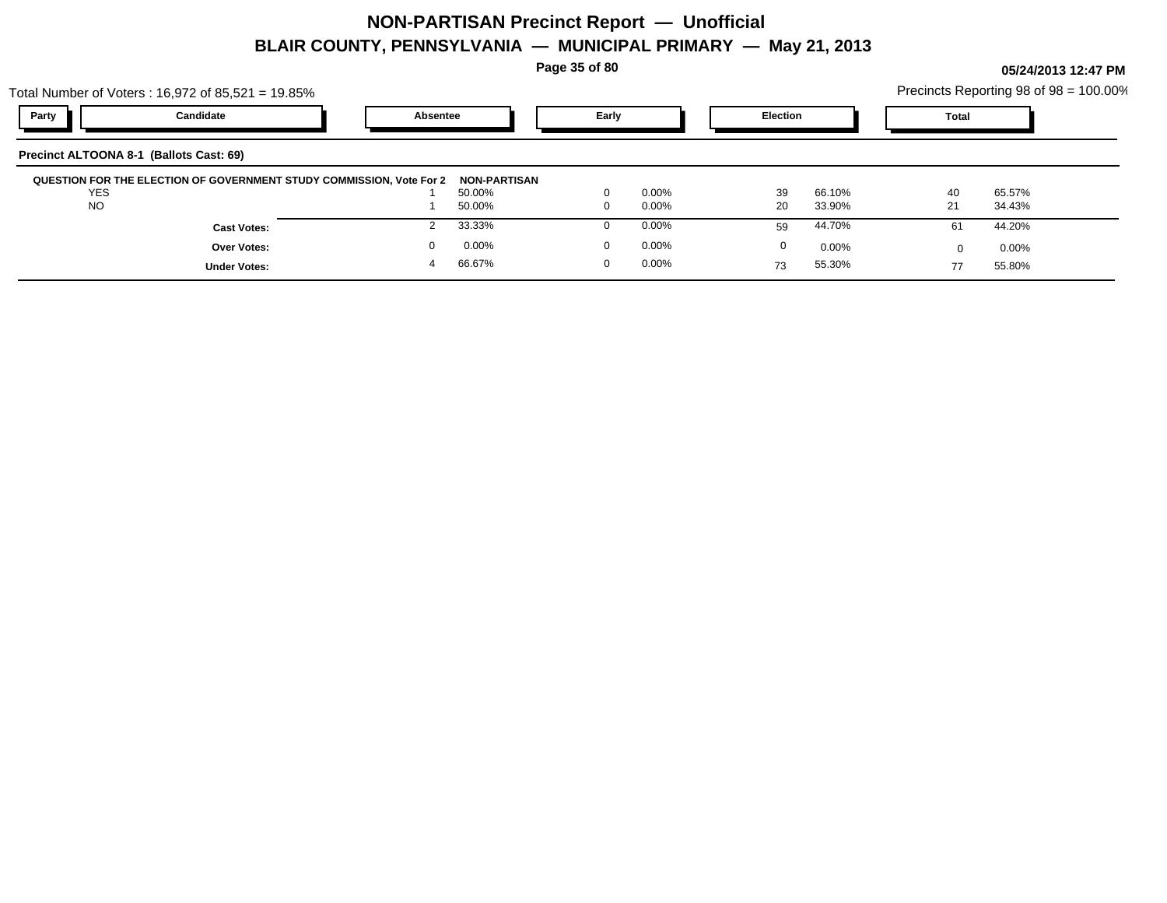Total Number of Voters : 16,972 of 85,521 = 19.85%

**Page 35 of 80**

| Party<br>Candidate<br>Early<br>Election<br><b>Total</b><br>Absentee | al Number of Voters : 16,972 of 85,521 = 19.85% |  |  |  | Precincts Reporting 98 of 98 = 100.00% |  |
|---------------------------------------------------------------------|-------------------------------------------------|--|--|--|----------------------------------------|--|
|                                                                     |                                                 |  |  |  |                                        |  |

| Precinct ALTOONA 8-1 (Ballots Cast: 69)                              |                     |          |    |        |    |          |
|----------------------------------------------------------------------|---------------------|----------|----|--------|----|----------|
| QUESTION FOR THE ELECTION OF GOVERNMENT STUDY COMMISSION, Vote For 2 | <b>NON-PARTISAN</b> |          |    |        |    |          |
| <b>YES</b>                                                           | 50.00%              | $0.00\%$ | 39 | 66.10% | 40 | 65.57%   |
| <b>NO</b>                                                            | 50.00%              | $0.00\%$ | 20 | 33.90% | 21 | 34.43%   |
| <b>Cast Votes:</b>                                                   | 33.33%              | $0.00\%$ | 59 | 44.70% | 61 | 44.20%   |
| Over Votes:                                                          | 0.00%               | $0.00\%$ |    | 0.00%  |    | $0.00\%$ |
| <b>Under Votes:</b>                                                  | 66.67%              | $0.00\%$ | 73 | 55.30% | 77 | 55.80%   |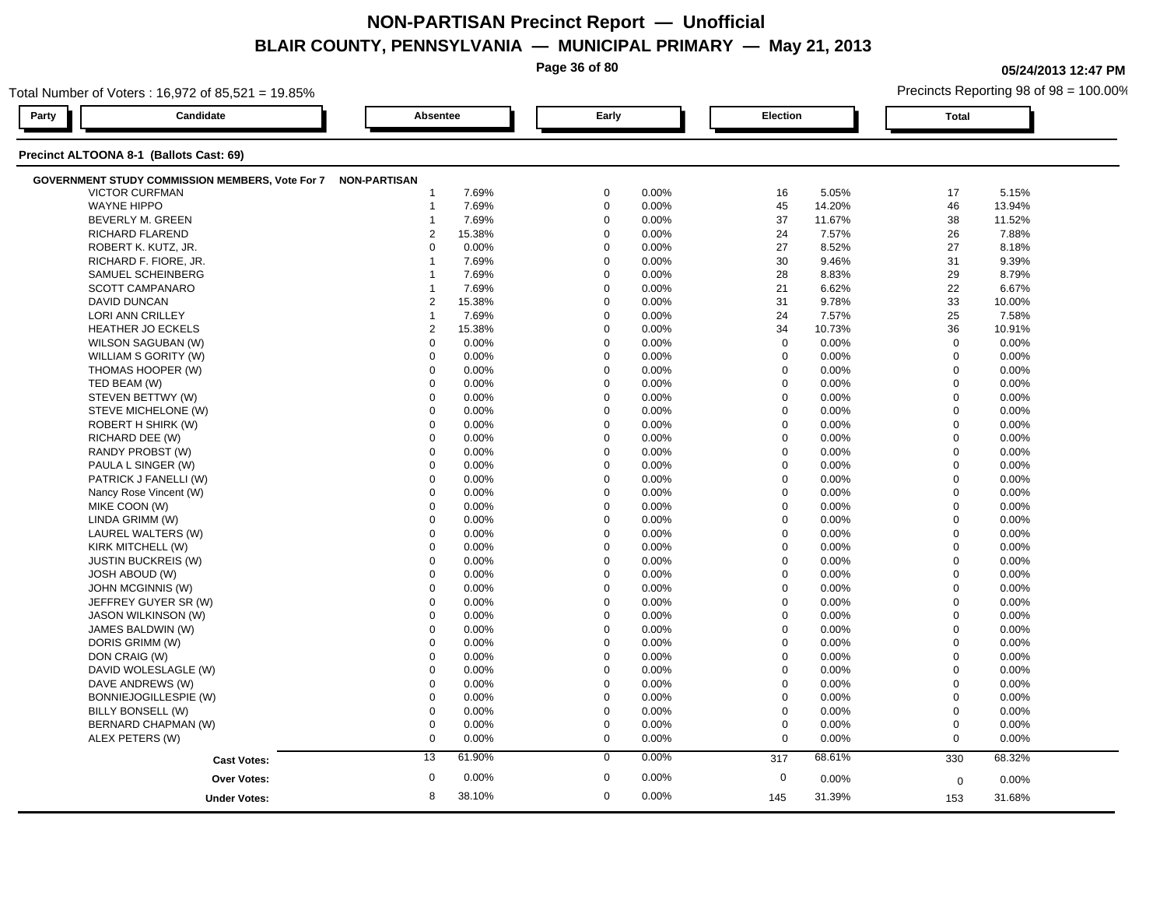**Page 36 of 80**

**05/24/2013 12:47 PM**

| Total Number of Voters: 16,972 of 85,521 = 19.85%            |                  |        |                      |                  | Precincts Reporting 98 of 98 = 100.00% |                |        |  |
|--------------------------------------------------------------|------------------|--------|----------------------|------------------|----------------------------------------|----------------|--------|--|
| Candidate<br>Party                                           | Absentee         |        | Early                | <b>Election</b>  |                                        | <b>Total</b>   |        |  |
| Precinct ALTOONA 8-1 (Ballots Cast: 69)                      |                  |        |                      |                  |                                        |                |        |  |
| GOVERNMENT STUDY COMMISSION MEMBERS, Vote For 7 NON-PARTISAN |                  |        |                      |                  |                                        |                |        |  |
| <b>VICTOR CURFMAN</b>                                        | -1               | 7.69%  | $\mathbf 0$<br>0.00% | 16               | 5.05%                                  | 17             | 5.15%  |  |
| <b>WAYNE HIPPO</b>                                           | $\mathbf 1$      | 7.69%  | $\mathbf 0$<br>0.00% | 45               | 14.20%                                 | 46             | 13.94% |  |
| BEVERLY M. GREEN                                             | -1               | 7.69%  | $\mathbf 0$<br>0.00% | 37               | 11.67%                                 | 38             | 11.52% |  |
| RICHARD FLAREND                                              | $\overline{2}$   | 15.38% | $\mathbf 0$<br>0.00% | 24               | 7.57%                                  | 26             | 7.88%  |  |
| ROBERT K. KUTZ, JR.                                          | $\Omega$         | 0.00%  | $\mathbf 0$<br>0.00% | 27               | 8.52%                                  | 27             | 8.18%  |  |
| RICHARD F. FIORE, JR.                                        | 1                | 7.69%  | $\mathbf 0$<br>0.00% | 30               | 9.46%                                  | 31             | 9.39%  |  |
| SAMUEL SCHEINBERG                                            |                  | 7.69%  | $\Omega$<br>0.00%    | 28               | 8.83%                                  | 29             | 8.79%  |  |
| SCOTT CAMPANARO                                              | 1                | 7.69%  | $\mathbf 0$<br>0.00% | 21               | 6.62%                                  | 22             | 6.67%  |  |
| <b>DAVID DUNCAN</b>                                          | $\overline{2}$   | 15.38% | $\mathbf 0$<br>0.00% | 31               | 9.78%                                  | 33             | 10.00% |  |
| LORI ANN CRILLEY                                             | 1                | 7.69%  | $\Omega$<br>0.00%    | 24               | 7.57%                                  | 25             | 7.58%  |  |
| <b>HEATHER JO ECKELS</b>                                     | 2                | 15.38% | $\Omega$<br>0.00%    | 34               | 10.73%                                 | 36             | 10.91% |  |
| WILSON SAGUBAN (W)                                           | $\mathbf 0$      | 0.00%  | $\mathbf 0$<br>0.00% | $\mathbf 0$      | 0.00%                                  | $\mathbf 0$    | 0.00%  |  |
| WILLIAM S GORITY (W)                                         | $\mathbf 0$      | 0.00%  | $\mathbf 0$<br>0.00% | $\mathbf 0$      | 0.00%                                  | $\mathbf 0$    | 0.00%  |  |
| THOMAS HOOPER (W)                                            | $\mathbf 0$      | 0.00%  | $\Omega$<br>0.00%    | $\mathbf 0$      | 0.00%                                  | $\mathbf 0$    | 0.00%  |  |
| TED BEAM (W)                                                 | $\Omega$         | 0.00%  | $\Omega$<br>0.00%    | $\mathbf 0$      | 0.00%                                  | $\mathbf 0$    | 0.00%  |  |
| STEVEN BETTWY (W)                                            | $\mathbf 0$      | 0.00%  | $\Omega$<br>0.00%    | $\mathbf 0$      | 0.00%                                  | $\mathbf 0$    | 0.00%  |  |
| STEVE MICHELONE (W)                                          | $\mathbf 0$      | 0.00%  | $\Omega$<br>0.00%    | $\mathbf 0$      | 0.00%                                  | $\mathbf 0$    | 0.00%  |  |
| ROBERT H SHIRK (W)                                           | $\mathbf 0$      | 0.00%  | $\Omega$<br>0.00%    | $\mathbf 0$      | 0.00%                                  | $\mathbf 0$    | 0.00%  |  |
| RICHARD DEE (W)                                              | $\Omega$         | 0.00%  | $\Omega$<br>0.00%    | $\mathbf 0$      | 0.00%                                  | $\mathbf 0$    | 0.00%  |  |
| RANDY PROBST (W)                                             | $\Omega$         | 0.00%  | $\Omega$<br>0.00%    | $\mathbf 0$      | 0.00%                                  | $\mathbf 0$    | 0.00%  |  |
| PAULA L SINGER (W)                                           | $\mathbf 0$      | 0.00%  | $\mathbf 0$<br>0.00% | $\boldsymbol{0}$ | 0.00%                                  | $\mathbf 0$    | 0.00%  |  |
| PATRICK J FANELLI (W)                                        | $\mathbf 0$      | 0.00%  | $\mathbf 0$<br>0.00% | $\mathbf 0$      | 0.00%                                  | $\mathbf 0$    | 0.00%  |  |
| Nancy Rose Vincent (W)                                       | $\mathbf 0$      | 0.00%  | $\mathbf 0$<br>0.00% | $\mathbf 0$      | 0.00%                                  | $\mathbf 0$    | 0.00%  |  |
| MIKE COON (W)                                                | $\Omega$         | 0.00%  | $\Omega$<br>0.00%    | $\Omega$         | 0.00%                                  | $\mathbf 0$    | 0.00%  |  |
| LINDA GRIMM (W)                                              | $\Omega$         | 0.00%  | $\Omega$<br>0.00%    | $\mathbf 0$      | 0.00%                                  | $\mathbf 0$    | 0.00%  |  |
| LAUREL WALTERS (W)                                           | $\mathbf 0$      | 0.00%  | 0.00%<br>$\mathbf 0$ | $\mathbf 0$      | 0.00%                                  | $\mathbf 0$    | 0.00%  |  |
| KIRK MITCHELL (W)                                            | $\mathbf 0$      | 0.00%  | $\mathbf 0$<br>0.00% | $\mathbf 0$      | 0.00%                                  | $\overline{0}$ | 0.00%  |  |
| <b>JUSTIN BUCKREIS (W)</b>                                   | $\mathbf 0$      | 0.00%  | $\Omega$<br>0.00%    | $\mathbf 0$      | 0.00%                                  | $\mathbf 0$    | 0.00%  |  |
| <b>JOSH ABOUD (W)</b>                                        | $\Omega$         | 0.00%  | $\Omega$<br>0.00%    | $\Omega$         | 0.00%                                  | $\mathbf 0$    | 0.00%  |  |
| JOHN MCGINNIS (W)                                            | $\mathbf 0$      | 0.00%  | $\mathbf 0$<br>0.00% | $\mathbf 0$      | 0.00%                                  | $\overline{0}$ | 0.00%  |  |
| JEFFREY GUYER SR (W)                                         | $\mathbf 0$      | 0.00%  | $\mathbf 0$<br>0.00% | $\mathbf 0$      | 0.00%                                  | $\mathbf 0$    | 0.00%  |  |
| <b>JASON WILKINSON (W)</b>                                   | $\mathbf 0$      | 0.00%  | $\mathbf 0$<br>0.00% | $\mathbf 0$      | 0.00%                                  | $\mathbf 0$    | 0.00%  |  |
| JAMES BALDWIN (W)                                            | $\Omega$         | 0.00%  | $\Omega$<br>0.00%    | $\mathbf 0$      | 0.00%                                  | $\mathbf 0$    | 0.00%  |  |
| DORIS GRIMM (W)                                              | $\Omega$         | 0.00%  | $\Omega$<br>0.00%    | 0                | 0.00%                                  | $\mathbf 0$    | 0.00%  |  |
| DON CRAIG (W)                                                | $\mathbf 0$      | 0.00%  | $\mathbf 0$<br>0.00% | $\mathbf 0$      | 0.00%                                  | $\mathbf 0$    | 0.00%  |  |
| DAVID WOLESLAGLE (W)                                         | $\mathbf 0$      | 0.00%  | $\mathbf 0$<br>0.00% | $\mathbf 0$      | 0.00%                                  | $\mathbf 0$    | 0.00%  |  |
| DAVE ANDREWS (W)                                             | $\mathbf 0$      | 0.00%  | $\Omega$<br>0.00%    | $\mathbf 0$      | $0.00\%$                               | $\Omega$       | 0.00%  |  |
| BONNIEJOGILLESPIE (W)                                        | $\Omega$         | 0.00%  | $\Omega$<br>0.00%    | $\boldsymbol{0}$ | 0.00%                                  | $\mathbf 0$    | 0.00%  |  |
| BILLY BONSELL (W)                                            | $\mathbf 0$      | 0.00%  | $\mathbf 0$<br>0.00% | $\mathbf 0$      | 0.00%                                  | $\mathbf 0$    | 0.00%  |  |
| BERNARD CHAPMAN (W)                                          | $\mathbf 0$      | 0.00%  | $\mathbf 0$<br>0.00% | $\mathbf 0$      | 0.00%                                  | $\mathbf 0$    | 0.00%  |  |
| ALEX PETERS (W)                                              | $\mathbf 0$      | 0.00%  | $\mathbf 0$<br>0.00% | $\mathbf 0$      | 0.00%                                  | $\mathbf 0$    | 0.00%  |  |
| <b>Cast Votes:</b>                                           | 13               | 61.90% | 0.00%<br>$\mathbf 0$ | 317              | 68.61%                                 | 330            | 68.32% |  |
| Over Votes:                                                  | $\boldsymbol{0}$ | 0.00%  | $\mathbf 0$<br>0.00% | $\mathbf 0$      | 0.00%                                  |                |        |  |
|                                                              |                  |        |                      |                  |                                        | 0              | 0.00%  |  |
| <b>Under Votes:</b>                                          | 8                | 38.10% | $\mathbf 0$<br>0.00% | 145              | 31.39%                                 | 153            | 31.68% |  |
|                                                              |                  |        |                      |                  |                                        |                |        |  |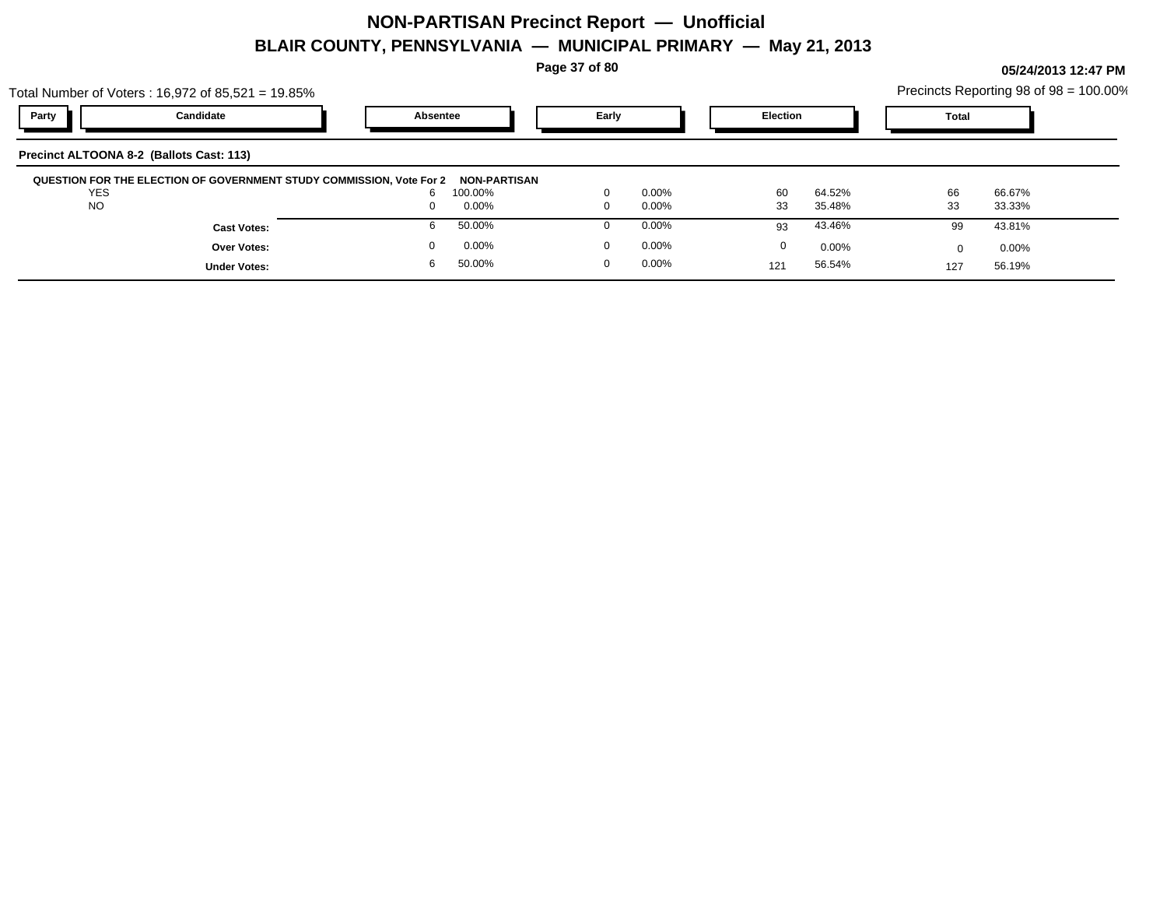**Page 37 of 80**

**05/24/2013 12:47 PM**

Precincts Reporting  $98 \text{ of } 98 = 100.00\%$ 

|            | Total Number of Voters: $16,972$ of $85,521 = 19.85\%$               |          |                     |          |                 |        |              | Precincts Reporting 98 of 98 = 100.00% |  |
|------------|----------------------------------------------------------------------|----------|---------------------|----------|-----------------|--------|--------------|----------------------------------------|--|
| Party      | Candidate                                                            | Absentee | Early               |          | <b>Election</b> |        | <b>Total</b> |                                        |  |
|            | Precinct ALTOONA 8-2 (Ballots Cast: 113)                             |          |                     |          |                 |        |              |                                        |  |
|            |                                                                      |          |                     |          |                 |        |              |                                        |  |
| <b>YES</b> | QUESTION FOR THE ELECTION OF GOVERNMENT STUDY COMMISSION, Vote For 2 | 100.00%  | <b>NON-PARTISAN</b> | $0.00\%$ | 60              | 64.52% | 66           | 66.67%                                 |  |
| <b>NO</b>  |                                                                      | $0.00\%$ |                     | $0.00\%$ | 33              | 35.48% | 33           | 33.33%                                 |  |
|            | <b>Cast Votes:</b>                                                   | 50.00%   |                     | $0.00\%$ | 93              | 43.46% | 99           | 43.81%                                 |  |
|            | <b>Over Votes:</b>                                                   | $0.00\%$ |                     | $0.00\%$ | 0               | 0.00%  | U            | $0.00\%$                               |  |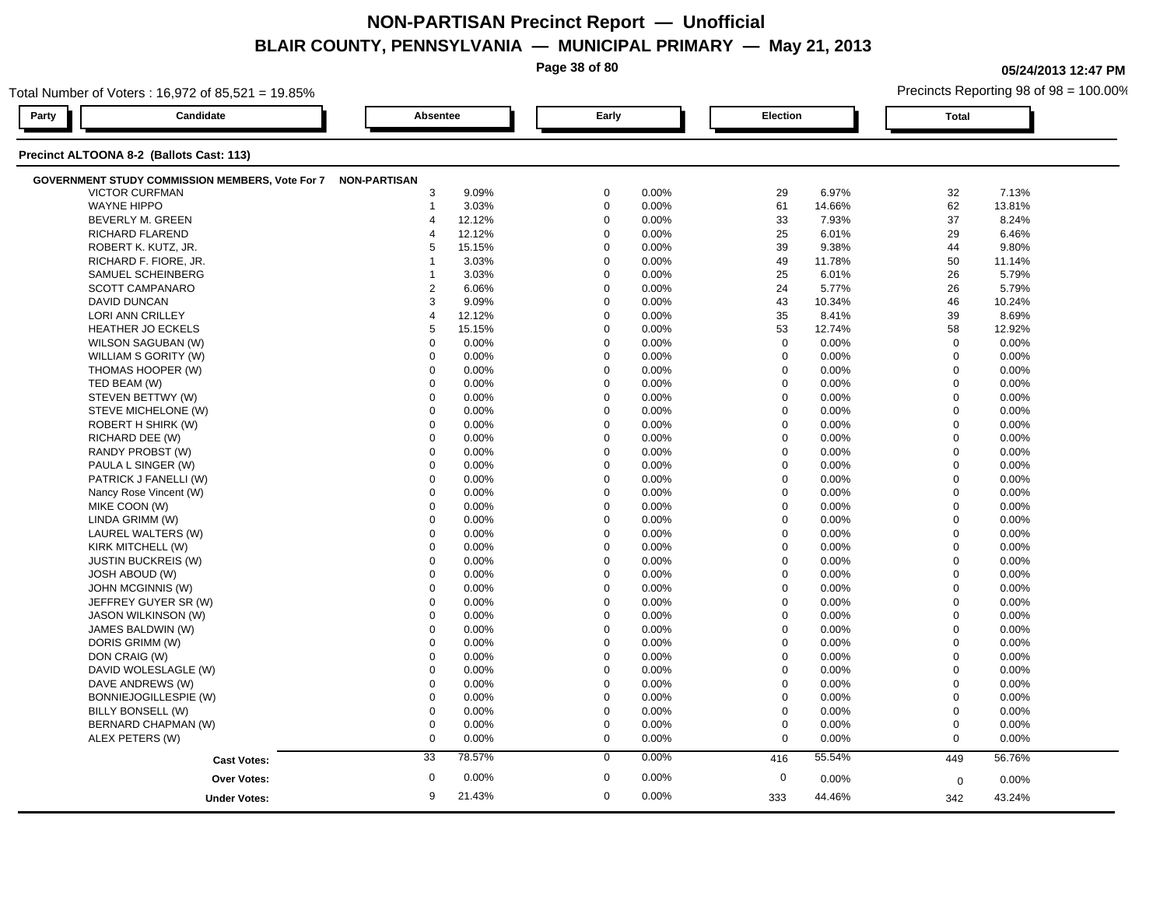**Page 38 of 80**

**05/24/2013 12:47 PM**

| Total Number of Voters: 16,972 of 85,521 = 19.85%            |                           |             |                           | Precincts Reporting 98 of 98 = 100.00% |              |        |
|--------------------------------------------------------------|---------------------------|-------------|---------------------------|----------------------------------------|--------------|--------|
| Candidate<br>Party                                           | Absentee                  | Early       | <b>Election</b>           |                                        | <b>Total</b> |        |
| Precinct ALTOONA 8-2 (Ballots Cast: 113)                     |                           |             |                           |                                        |              |        |
| GOVERNMENT STUDY COMMISSION MEMBERS, Vote For 7 NON-PARTISAN |                           |             |                           |                                        |              |        |
| <b>VICTOR CURFMAN</b>                                        | 3<br>9.09%                | 0           | 0.00%<br>29               | 6.97%                                  | 32           | 7.13%  |
| <b>WAYNE HIPPO</b>                                           | 3.03%<br>$\mathbf{1}$     | $\mathbf 0$ | 61<br>0.00%               | 14.66%                                 | 62           | 13.81% |
| BEVERLY M. GREEN                                             | 12.12%<br>$\overline{4}$  | $\mathbf 0$ | 33<br>0.00%               | 7.93%                                  | 37           | 8.24%  |
| RICHARD FLAREND                                              | 12.12%<br>$\overline{4}$  | $\Omega$    | 25<br>0.00%               | 6.01%                                  | 29           | 6.46%  |
| ROBERT K. KUTZ, JR.                                          | 15.15%<br>5               | $\mathbf 0$ | 0.00%<br>39               | 9.38%                                  | 44           | 9.80%  |
| RICHARD F. FIORE, JR.                                        | 3.03%                     | $\mathbf 0$ | 0.00%<br>49               | 11.78%                                 | 50           | 11.14% |
| SAMUEL SCHEINBERG                                            | 3.03%                     | $\Omega$    | 25<br>0.00%               | 6.01%                                  | 26           | 5.79%  |
| <b>SCOTT CAMPANARO</b>                                       | $\overline{2}$<br>6.06%   | $\mathbf 0$ | 0.00%<br>24               | 5.77%                                  | 26           | 5.79%  |
| DAVID DUNCAN                                                 | 3<br>9.09%                | $\mathbf 0$ | 43<br>0.00%               | 10.34%                                 | 46           | 10.24% |
| LORI ANN CRILLEY                                             | 12.12%<br>$\overline{4}$  | $\mathbf 0$ | 0.00%<br>35               | 8.41%                                  | 39           | 8.69%  |
| HEATHER JO ECKELS                                            | 5<br>15.15%               | $\mathbf 0$ | 0.00%<br>53               | 12.74%                                 | 58           | 12.92% |
| WILSON SAGUBAN (W)                                           | $\mathbf 0$<br>0.00%      | $\Omega$    | $\mathbf 0$<br>0.00%      | 0.00%                                  | $\mathbf 0$  | 0.00%  |
| WILLIAM S GORITY (W)                                         | $\Omega$<br>0.00%         | $\mathbf 0$ | 0.00%<br>$\mathbf 0$      | 0.00%                                  | $\mathbf 0$  | 0.00%  |
| THOMAS HOOPER (W)                                            | $\mathbf 0$<br>0.00%      | $\mathbf 0$ | $\mathbf 0$<br>0.00%      | 0.00%                                  | $\mathbf 0$  | 0.00%  |
| TED BEAM (W)                                                 | $\Omega$<br>0.00%         | $\Omega$    | 0.00%<br>$\mathbf 0$      | 0.00%                                  | $\mathbf 0$  | 0.00%  |
| STEVEN BETTWY (W)                                            | 0.00%<br>$\mathbf 0$      | $\mathbf 0$ | 0.00%<br>$\mathbf 0$      | 0.00%                                  | $\mathbf 0$  | 0.00%  |
| STEVE MICHELONE (W)                                          | $\mathbf 0$<br>0.00%      | $\Omega$    | $\mathbf 0$<br>0.00%      | 0.00%                                  | $\Omega$     | 0.00%  |
| ROBERT H SHIRK (W)                                           | $\Omega$<br>0.00%         | $\Omega$    | $\mathbf 0$<br>0.00%      | 0.00%                                  | $\mathbf 0$  | 0.00%  |
| RICHARD DEE (W)                                              | $\mathbf 0$<br>0.00%      | $\mathbf 0$ | $\mathbf 0$<br>0.00%      | 0.00%                                  | $\mathbf 0$  | 0.00%  |
| RANDY PROBST (W)                                             | $\Omega$<br>0.00%         | $\Omega$    | $\mathsf 0$<br>0.00%      | 0.00%                                  | $\mathbf 0$  | 0.00%  |
| PAULA L SINGER (W)                                           | $\Omega$<br>0.00%         | $\Omega$    | 0.00%<br>$\mathbf 0$      | 0.00%                                  | $\mathbf{0}$ | 0.00%  |
| PATRICK J FANELLI (W)                                        | $\mathbf 0$<br>0.00%      | $\Omega$    | $\mathbf 0$<br>0.00%      | 0.00%                                  | $\mathbf 0$  | 0.00%  |
| Nancy Rose Vincent (W)                                       | $\mathbf 0$<br>0.00%      | $\Omega$    | $\mathbf 0$<br>0.00%      | 0.00%                                  | $\mathbf 0$  | 0.00%  |
| MIKE COON (W)                                                | $\mathbf 0$<br>0.00%      | $\mathbf 0$ | $\mathbf 0$<br>0.00%      | 0.00%                                  | $\mathbf 0$  | 0.00%  |
| LINDA GRIMM (W)                                              | $\mathbf 0$<br>0.00%      | $\mathbf 0$ | $\mathbf 0$<br>0.00%      | 0.00%                                  | $\mathbf 0$  | 0.00%  |
| LAUREL WALTERS (W)                                           | $\mathbf 0$<br>0.00%      | $\mathbf 0$ | 0.00%<br>$\mathbf 0$      | 0.00%                                  | $\mathbf{0}$ | 0.00%  |
| KIRK MITCHELL (W)                                            | $\mathbf 0$<br>0.00%      | $\Omega$    | $\mathbf 0$<br>0.00%      | 0.00%                                  | $\mathbf 0$  | 0.00%  |
| <b>JUSTIN BUCKREIS (W)</b>                                   | $\Omega$<br>0.00%         | $\Omega$    | $\boldsymbol{0}$<br>0.00% | 0.00%                                  | $\mathbf 0$  | 0.00%  |
| <b>JOSH ABOUD (W)</b>                                        | 0.00%<br>$\mathbf 0$      | $\mathbf 0$ | $\mathbf 0$<br>0.00%      | 0.00%                                  | $\mathbf 0$  | 0.00%  |
| JOHN MCGINNIS (W)                                            | $\mathbf 0$<br>0.00%      | $\mathbf 0$ | $\mathbf 0$<br>0.00%      | 0.00%                                  | $\mathbf 0$  | 0.00%  |
| JEFFREY GUYER SR (W)                                         | $\mathbf 0$<br>0.00%      | $\Omega$    | 0.00%<br>$\mathbf 0$      | 0.00%                                  | $\Omega$     | 0.00%  |
| <b>JASON WILKINSON (W)</b>                                   | $\mathbf 0$<br>0.00%      | $\Omega$    | $\mathbf 0$<br>0.00%      | 0.00%                                  | $\mathbf 0$  | 0.00%  |
| JAMES BALDWIN (W)                                            | $\mathbf 0$<br>0.00%      | $\mathbf 0$ | $\mathbf 0$<br>0.00%      | 0.00%                                  | $\mathbf 0$  | 0.00%  |
| DORIS GRIMM (W)                                              | 0.00%<br>$\Omega$         | $\Omega$    | $\mathbf 0$<br>0.00%      | 0.00%                                  | $\mathbf 0$  | 0.00%  |
| DON CRAIG (W)                                                | $\mathbf 0$<br>0.00%      | $\mathbf 0$ | $\mathbf 0$<br>0.00%      | 0.00%                                  | $\mathbf 0$  | 0.00%  |
| DAVID WOLESLAGLE (W)                                         | 0.00%<br>$\Omega$         | $\Omega$    | $\mathbf 0$<br>0.00%      | 0.00%                                  | $\mathbf 0$  | 0.00%  |
| DAVE ANDREWS (W)                                             | $\mathbf 0$<br>0.00%      | $\Omega$    | $\mathbf 0$<br>0.00%      | 0.00%                                  | $\mathbf 0$  | 0.00%  |
| BONNIEJOGILLESPIE (W)                                        | $\mathbf 0$<br>0.00%      | $\mathbf 0$ | $\boldsymbol{0}$<br>0.00% | 0.00%                                  | $\mathbf 0$  | 0.00%  |
| BILLY BONSELL (W)                                            | $\mathbf 0$<br>0.00%      | $\Omega$    | $\mathbf 0$<br>0.00%      | 0.00%                                  | $\mathbf 0$  | 0.00%  |
| BERNARD CHAPMAN (W)                                          | $\mathbf 0$<br>0.00%      | $\mathbf 0$ | $\mathbf 0$<br>0.00%      | 0.00%                                  | $\mathbf 0$  | 0.00%  |
| ALEX PETERS (W)                                              | $\mathbf 0$<br>0.00%      | $\mathbf 0$ | $\mathbf 0$<br>0.00%      | 0.00%                                  | $\mathbf 0$  | 0.00%  |
| <b>Cast Votes:</b>                                           | 33<br>78.57%              | $\mathbf 0$ | 0.00%<br>416              | 55.54%                                 | 449          | 56.76% |
|                                                              | $\boldsymbol{0}$<br>0.00% | $\mathbf 0$ | 0.00%<br>$\mathbf 0$      |                                        |              |        |
| <b>Over Votes:</b>                                           |                           |             |                           | 0.00%                                  | $\mathbf 0$  | 0.00%  |
| <b>Under Votes:</b>                                          | 21.43%<br>9               | $\mathbf 0$ | 0.00%<br>333              | 44.46%                                 | 342          | 43.24% |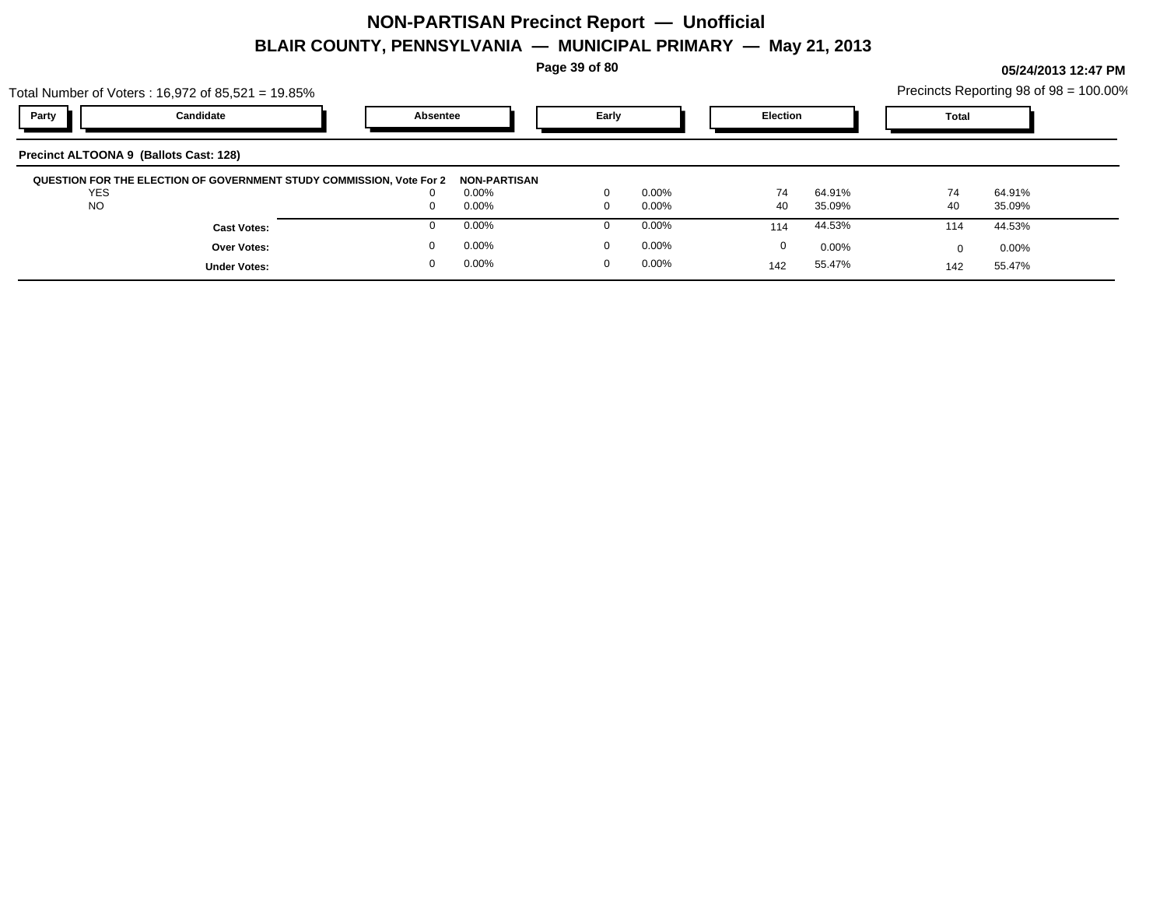**Page 39 of 80**

**05/24/2013 12:47 PM**

|                                        | Total Number of Voters: $16,972$ of $85,521 = 19.85\%$               |          |                     |       |          |                 |              |        | Precincts Reporting 98 of 98 = 100.00% |
|----------------------------------------|----------------------------------------------------------------------|----------|---------------------|-------|----------|-----------------|--------------|--------|----------------------------------------|
| Party                                  | Candidate                                                            | Absentee |                     | Early |          | <b>Election</b> | <b>Total</b> |        |                                        |
| Precinct ALTOONA 9 (Ballots Cast: 128) |                                                                      |          |                     |       |          |                 |              |        |                                        |
|                                        | QUESTION FOR THE ELECTION OF GOVERNMENT STUDY COMMISSION, Vote For 2 |          | <b>NON-PARTISAN</b> |       |          |                 |              |        |                                        |
| <b>YES</b>                             |                                                                      |          | $0.00\%$            |       | $0.00\%$ | 74<br>64.91%    | 74           | 64.91% |                                        |
|                                        |                                                                      |          |                     |       |          |                 |              |        |                                        |
| <b>NO</b>                              |                                                                      |          | $0.00\%$            |       | 0.00%    | 40<br>35.09%    | 40           | 35.09% |                                        |

0.00% 0

 $0.00%$ 

0.00% 0

142

55.47%

 $0$  0.00%  $0$  0.00%  $0$  0.00%  $0$  0.00%  $0$  0.00%  $0$  0.00%

0.00% 0

55.47% 55.47% 142

**Under Votes:**

**Over Votes:** 0.00% 0.00% 0.00% 0.00% 0.00% 0.00% 0.00% 0.00% 0.00% 0.00% 0.00% 0.00% 0.00% 0.00% 0.00% 0.00% 0.00% 0.00% 0.00% 0.00% 0.00% 0.00% 0.00% 0.00% 0.00% 0.00% 0.00% 0.00% 0.00% 0.00% 0.00% 0.00% 0.00% 0.00% 0.00

0 0.00%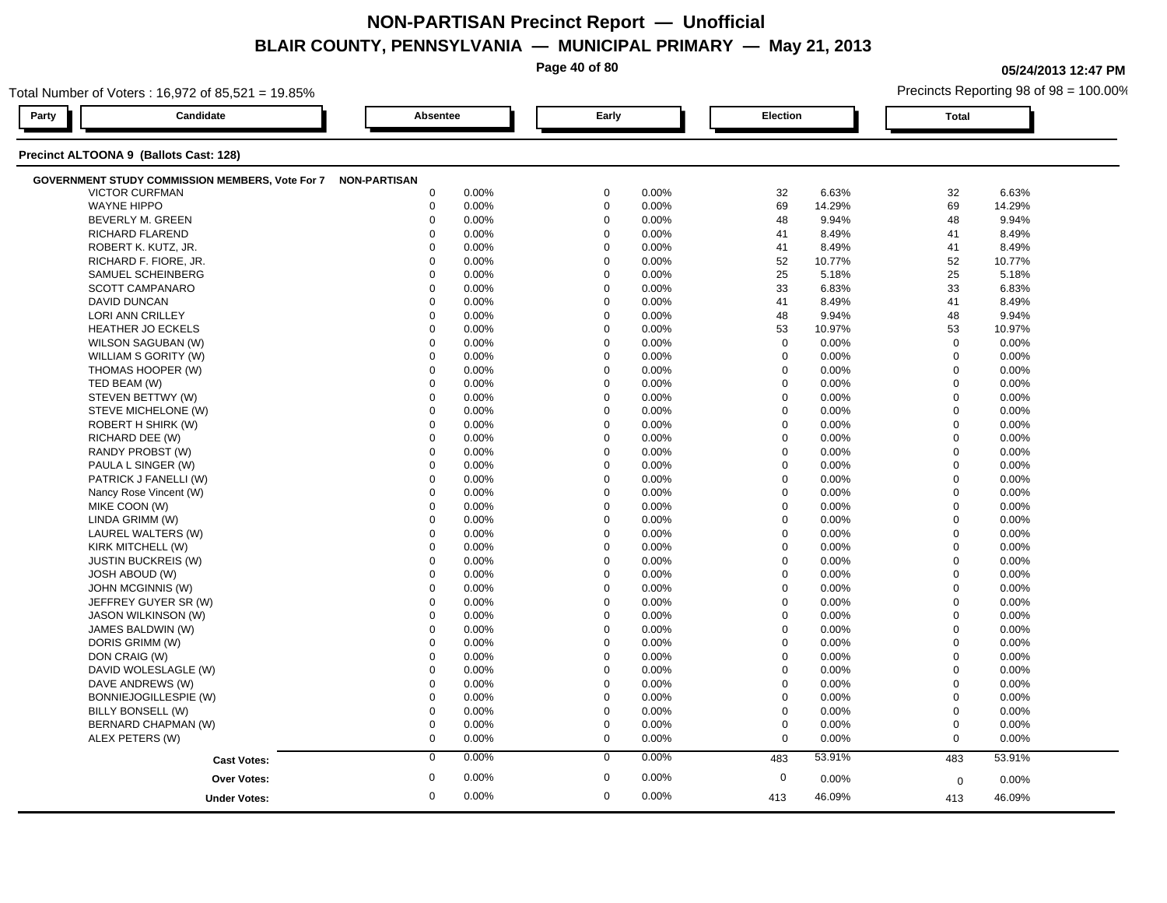**Page 40 of 80**

**05/24/2013 12:47 PM**

|       | Total Number of Voters: 16,972 of 85,521 = 19.85%            |             |       |             |       |             |        |              | Precincts Reporting 98 of 98 = 100.00% |
|-------|--------------------------------------------------------------|-------------|-------|-------------|-------|-------------|--------|--------------|----------------------------------------|
| Party | Candidate                                                    | Absentee    |       | Early       |       | Election    |        | <b>Total</b> |                                        |
|       | Precinct ALTOONA 9 (Ballots Cast: 128)                       |             |       |             |       |             |        |              |                                        |
|       | GOVERNMENT STUDY COMMISSION MEMBERS, Vote For 7 NON-PARTISAN |             |       |             |       |             |        |              |                                        |
|       | <b>VICTOR CURFMAN</b>                                        | 0           | 0.00% | $\mathbf 0$ | 0.00% | 32          | 6.63%  | 32           | 6.63%                                  |
|       | <b>WAYNE HIPPO</b>                                           | $\mathbf 0$ | 0.00% | $\mathbf 0$ | 0.00% | 69          | 14.29% | 69           | 14.29%                                 |
|       | <b>BEVERLY M. GREEN</b>                                      | $\mathbf 0$ | 0.00% | $\mathbf 0$ | 0.00% | 48          | 9.94%  | 48           | 9.94%                                  |
|       | RICHARD FLAREND                                              | $\Omega$    | 0.00% | $\mathbf 0$ | 0.00% | 41          | 8.49%  | 41           | 8.49%                                  |
|       | ROBERT K. KUTZ, JR.                                          | $\Omega$    | 0.00% | $\mathbf 0$ | 0.00% | 41          | 8.49%  | 41           | 8.49%                                  |
|       | RICHARD F. FIORE, JR.                                        | $\Omega$    | 0.00% | $\mathbf 0$ | 0.00% | 52          | 10.77% | 52           | 10.77%                                 |
|       | SAMUEL SCHEINBERG                                            | $\Omega$    | 0.00% | $\mathbf 0$ | 0.00% | 25          | 5.18%  | 25           | 5.18%                                  |
|       | SCOTT CAMPANARO                                              | $\mathbf 0$ | 0.00% | $\mathbf 0$ | 0.00% | 33          | 6.83%  | 33           | 6.83%                                  |
|       | <b>DAVID DUNCAN</b>                                          | $\mathbf 0$ | 0.00% | $\mathbf 0$ | 0.00% | 41          | 8.49%  | 41           | 8.49%                                  |
|       | <b>LORI ANN CRILLEY</b>                                      | $\Omega$    | 0.00% | $\mathbf 0$ | 0.00% | 48          | 9.94%  | 48           | 9.94%                                  |
|       | <b>HEATHER JO ECKELS</b>                                     | $\mathbf 0$ | 0.00% | $\mathbf 0$ | 0.00% | 53          | 10.97% | 53           | 10.97%                                 |
|       | WILSON SAGUBAN (W)                                           | $\mathbf 0$ | 0.00% | $\mathbf 0$ | 0.00% | $\mathbf 0$ | 0.00%  | $\mathbf 0$  | 0.00%                                  |
|       | WILLIAM S GORITY (W)                                         | $\mathbf 0$ | 0.00% | $\mathbf 0$ | 0.00% | 0           | 0.00%  | $\mathbf 0$  | 0.00%                                  |
|       | THOMAS HOOPER (W)                                            | $\mathbf 0$ | 0.00% | $\mathbf 0$ | 0.00% | $\mathbf 0$ | 0.00%  | $\mathbf 0$  | 0.00%                                  |
|       | TED BEAM (W)                                                 | $\mathbf 0$ | 0.00% | $\mathbf 0$ | 0.00% | $\mathbf 0$ | 0.00%  | $\mathbf 0$  | 0.00%                                  |
|       | STEVEN BETTWY (W)                                            | $\mathbf 0$ | 0.00% | $\mathbf 0$ | 0.00% | $\mathbf 0$ | 0.00%  | $\mathbf 0$  | 0.00%                                  |
|       | STEVE MICHELONE (W)                                          | 0           | 0.00% | $\mathbf 0$ | 0.00% | $\mathbf 0$ | 0.00%  | $\mathbf 0$  | 0.00%                                  |
|       | ROBERT H SHIRK (W)                                           | $\mathbf 0$ | 0.00% | $\mathbf 0$ | 0.00% | $\mathbf 0$ | 0.00%  | $\mathbf 0$  | 0.00%                                  |
|       | RICHARD DEE (W)                                              | $\mathbf 0$ | 0.00% | $\mathbf 0$ | 0.00% | $\Omega$    | 0.00%  | $\mathbf 0$  | 0.00%                                  |
|       | RANDY PROBST (W)                                             | $\Omega$    | 0.00% | $\mathbf 0$ | 0.00% | $\Omega$    | 0.00%  | $\mathbf 0$  | 0.00%                                  |
|       | PAULA L SINGER (W)                                           | $\mathbf 0$ | 0.00% | $\mathbf 0$ | 0.00% | $\mathbf 0$ | 0.00%  | $\mathbf 0$  | 0.00%                                  |
|       | PATRICK J FANELLI (W)                                        | $\mathbf 0$ | 0.00% | 0           | 0.00% | $\mathbf 0$ | 0.00%  | $\mathbf 0$  | 0.00%                                  |
|       | Nancy Rose Vincent (W)                                       | 0           | 0.00% | $\mathbf 0$ | 0.00% | $\mathbf 0$ | 0.00%  | $\mathbf 0$  | $0.00\%$                               |
|       | MIKE COON (W)                                                | $\Omega$    | 0.00% | $\mathbf 0$ | 0.00% | $\Omega$    | 0.00%  | $\mathbf 0$  | 0.00%                                  |
|       | LINDA GRIMM (W)                                              | $\mathbf 0$ | 0.00% | $\mathbf 0$ | 0.00% | $\mathbf 0$ | 0.00%  | $\mathbf 0$  | 0.00%                                  |
|       | LAUREL WALTERS (W)                                           | $\Omega$    | 0.00% | $\Omega$    | 0.00% | $\Omega$    | 0.00%  | $\mathbf 0$  | 0.00%                                  |
|       | KIRK MITCHELL (W)                                            | $\mathbf 0$ | 0.00% | $\mathbf 0$ | 0.00% | $\mathbf 0$ | 0.00%  | $\mathbf 0$  | 0.00%                                  |
|       | <b>JUSTIN BUCKREIS (W)</b>                                   | 0           | 0.00% | $\mathbf 0$ | 0.00% | 0           | 0.00%  | $\mathbf 0$  | 0.00%                                  |
|       | <b>JOSH ABOUD (W)</b>                                        | $\Omega$    | 0.00% | $\mathbf 0$ | 0.00% | $\Omega$    | 0.00%  | $\mathbf 0$  | 0.00%                                  |
|       | JOHN MCGINNIS (W)                                            | $\Omega$    | 0.00% | $\mathbf 0$ | 0.00% | $\Omega$    | 0.00%  | $\mathbf 0$  | 0.00%                                  |
|       | JEFFREY GUYER SR (W)                                         | $\Omega$    | 0.00% | $\mathbf 0$ | 0.00% | $\Omega$    | 0.00%  | $\mathbf 0$  | $0.00\%$                               |
|       | <b>JASON WILKINSON (W)</b>                                   | $\Omega$    | 0.00% | $\mathbf 0$ | 0.00% | $\Omega$    | 0.00%  | $\mathbf 0$  | 0.00%                                  |
|       | JAMES BALDWIN (W)                                            | $\mathbf 0$ | 0.00% | $\mathbf 0$ | 0.00% | $\mathbf 0$ | 0.00%  | $\mathbf 0$  | 0.00%                                  |
|       | DORIS GRIMM (W)                                              | $\mathbf 0$ | 0.00% | $\mathbf 0$ | 0.00% | $\mathbf 0$ | 0.00%  | $\mathbf 0$  | 0.00%                                  |
|       | DON CRAIG (W)                                                | $\mathbf 0$ | 0.00% | $\mathbf 0$ | 0.00% | $\mathbf 0$ | 0.00%  | $\mathbf 0$  | 0.00%                                  |
|       | DAVID WOLESLAGLE (W)                                         | 0           | 0.00% | $\mathbf 0$ | 0.00% | $\mathbf 0$ | 0.00%  | $\mathbf 0$  | 0.00%                                  |
|       | DAVE ANDREWS (W)                                             | $\Omega$    | 0.00% | $\mathbf 0$ | 0.00% | $\Omega$    | 0.00%  | $\mathbf 0$  | 0.00%                                  |
|       | BONNIEJOGILLESPIE (W)                                        | 0           | 0.00% | $\mathbf 0$ | 0.00% | $\mathbf 0$ | 0.00%  | $\mathbf 0$  | 0.00%                                  |
|       | BILLY BONSELL (W)                                            | 0           | 0.00% | $\mathbf 0$ | 0.00% | 0           | 0.00%  | $\mathbf 0$  | 0.00%                                  |
|       | BERNARD CHAPMAN (W)                                          | $\mathbf 0$ | 0.00% | $\mathbf 0$ | 0.00% | $\mathbf 0$ | 0.00%  | $\mathbf 0$  | 0.00%                                  |
|       | ALEX PETERS (W)                                              | $\mathbf 0$ | 0.00% | $\mathbf 0$ | 0.00% | $\mathbf 0$ | 0.00%  | $\mathbf 0$  | 0.00%                                  |
|       |                                                              | $\mathbf 0$ | 0.00% | $\mathbf 0$ | 0.00% |             | 53.91% |              |                                        |
|       | <b>Cast Votes:</b>                                           |             |       |             |       | 483         |        | 483          | 53.91%                                 |
|       | <b>Over Votes:</b>                                           | $\mathbf 0$ | 0.00% | $\mathbf 0$ | 0.00% | $\mathbf 0$ | 0.00%  | $\mathbf 0$  | 0.00%                                  |
|       | <b>Under Votes:</b>                                          | 0           | 0.00% | $\mathbf 0$ | 0.00% | 413         | 46.09% | 413          | 46.09%                                 |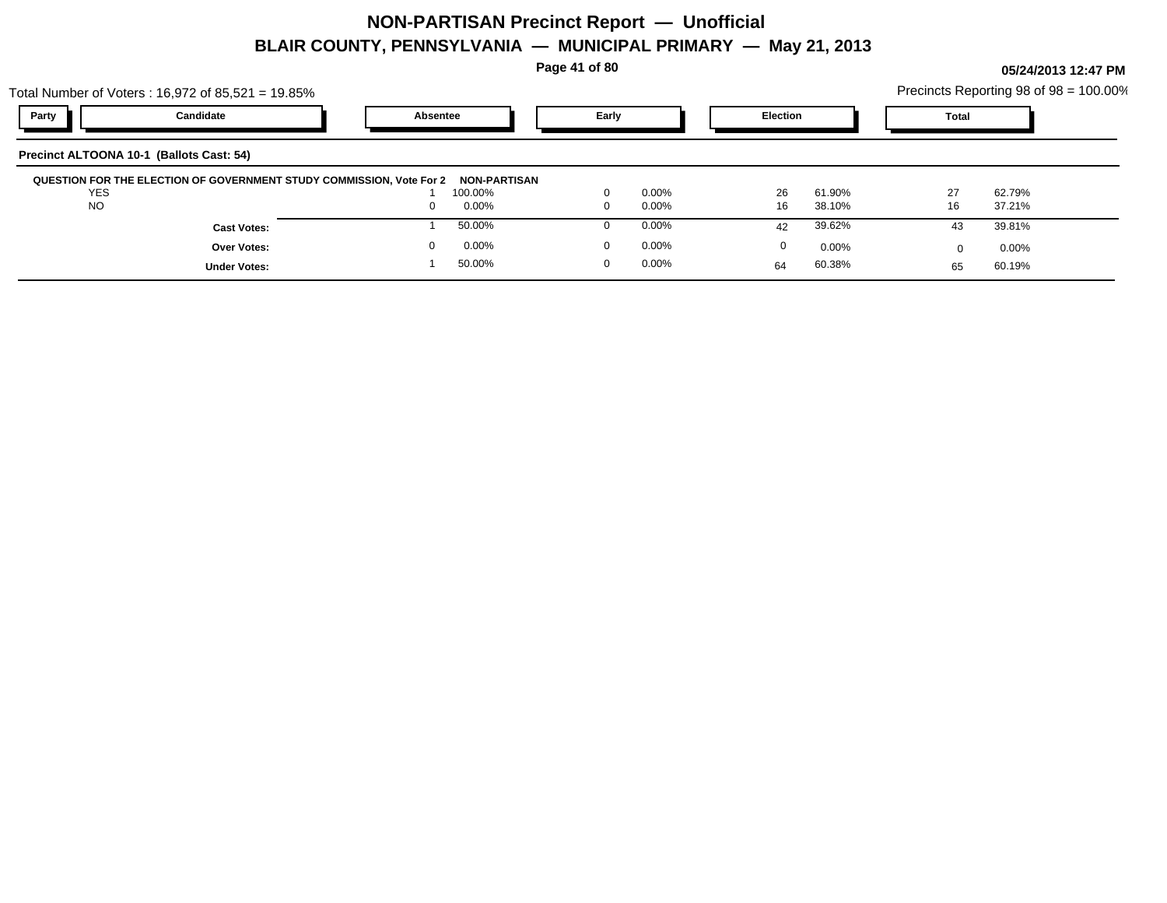**Page 41 of 80**

| Total Number of Voters: 16,972 of 85,521 = 19.85%                    |                 |                   |                          | Precincts Reporting 98 of 98 = 100.00% |
|----------------------------------------------------------------------|-----------------|-------------------|--------------------------|----------------------------------------|
| Party<br>Candidate                                                   | <b>Absentee</b> | Early             | <b>Election</b>          | Total                                  |
| Precinct ALTOONA 10-1 (Ballots Cast: 54)                             |                 |                   |                          |                                        |
| QUESTION FOR THE ELECTION OF GOVERNMENT STUDY COMMISSION, Vote For 2 | NON-PARTISAN    |                   |                          |                                        |
| <b>YES</b>                                                           | 100.00%         | 0.00%<br>$\Omega$ | 26<br>61.90%             | 27<br>62.79%                           |
| <b>NO</b>                                                            | $0.00\%$<br>0   | $0.00\%$<br>0     | 16<br>38.10%             | 16<br>37.21%                           |
| <b>Cast Votes:</b>                                                   | 50.00%          | $0.00\%$          | 39.62%<br>42             | 39.81%<br>43                           |
| <b>Over Votes:</b>                                                   | 0.00%<br>0      | $0.00\%$          | $\mathbf{0}$<br>$0.00\%$ | $0.00\%$                               |
| <b>Under Votes:</b>                                                  | 50.00%          | $0.00\%$          | 60.38%<br>64             | 60.19%<br>65                           |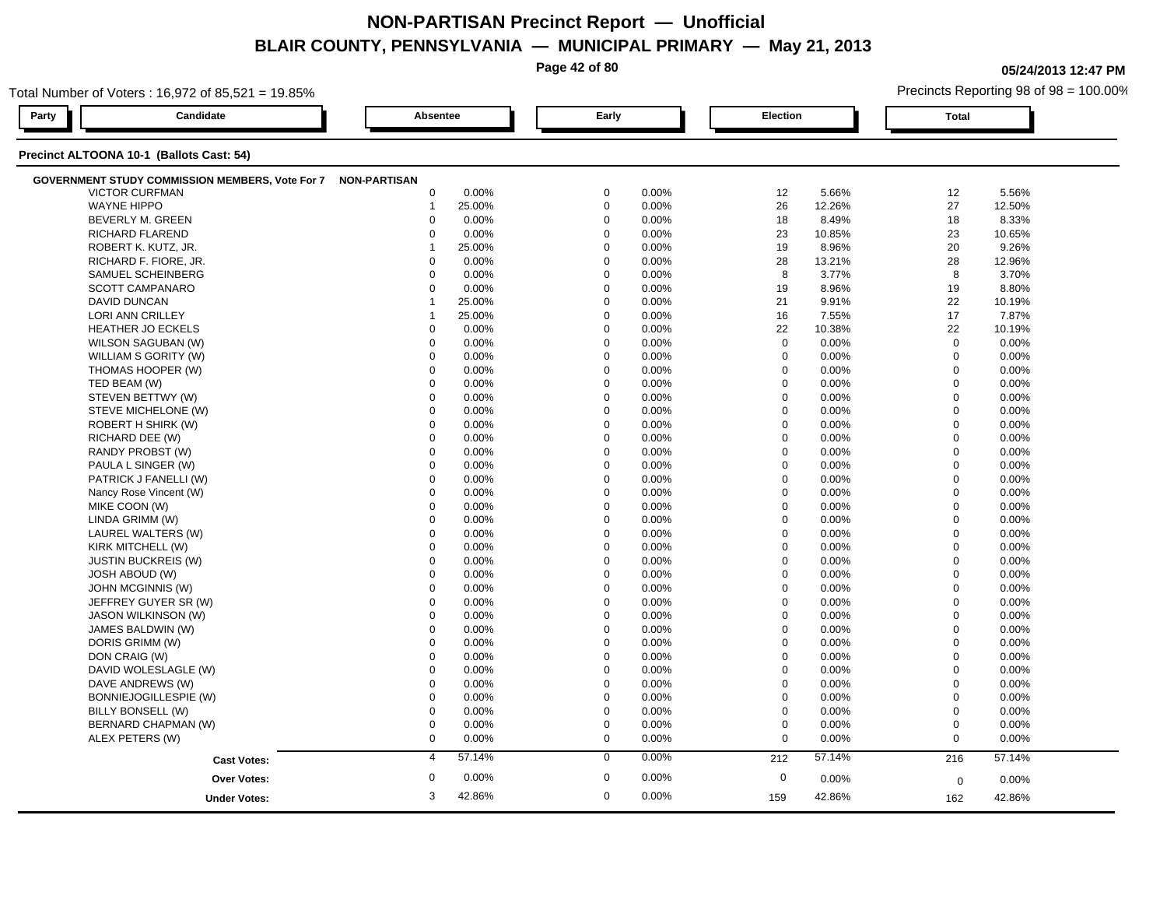**Page 42 of 80**

**05/24/2013 12:47 PM**

|       | Total Number of Voters: 16,972 of 85,521 = 19.85%            |                           |             |       | Precincts Reporting 98 of 98 = 100.00% |          |              |        |  |
|-------|--------------------------------------------------------------|---------------------------|-------------|-------|----------------------------------------|----------|--------------|--------|--|
| Party | Candidate                                                    | Absentee                  | Early       |       | Election                               |          | <b>Total</b> |        |  |
|       | Precinct ALTOONA 10-1 (Ballots Cast: 54)                     |                           |             |       |                                        |          |              |        |  |
|       | GOVERNMENT STUDY COMMISSION MEMBERS, Vote For 7 NON-PARTISAN |                           |             |       |                                        |          |              |        |  |
|       | <b>VICTOR CURFMAN</b>                                        | $\mathbf 0$<br>0.00%      | 0           | 0.00% | 12                                     | 5.66%    | 12           | 5.56%  |  |
|       | <b>WAYNE HIPPO</b>                                           | 25.00%<br>$\overline{1}$  | $\mathbf 0$ | 0.00% | 26                                     | 12.26%   | 27           | 12.50% |  |
|       | BEVERLY M. GREEN                                             | $\Omega$<br>0.00%         | $\mathbf 0$ | 0.00% | 18                                     | 8.49%    | 18           | 8.33%  |  |
|       | RICHARD FLAREND                                              | 0.00%<br>$\Omega$         | $\Omega$    | 0.00% | 23                                     | 10.85%   | 23           | 10.65% |  |
|       | ROBERT K. KUTZ, JR.                                          | 25.00%<br>1               | $\mathbf 0$ | 0.00% | 19                                     | 8.96%    | 20           | 9.26%  |  |
|       | RICHARD F. FIORE, JR.                                        | 0.00%<br>$\mathbf 0$      | $\mathbf 0$ | 0.00% | 28                                     | 13.21%   | 28           | 12.96% |  |
|       | SAMUEL SCHEINBERG                                            | $\Omega$<br>0.00%         | $\Omega$    | 0.00% | 8                                      | 3.77%    | 8            | 3.70%  |  |
|       | <b>SCOTT CAMPANARO</b>                                       | $\mathbf 0$<br>0.00%      | $\mathbf 0$ | 0.00% | 19                                     | 8.96%    | 19           | 8.80%  |  |
|       | DAVID DUNCAN                                                 | 25.00%<br>$\overline{1}$  | $\mathbf 0$ | 0.00% | 21                                     | 9.91%    | 22           | 10.19% |  |
|       | LORI ANN CRILLEY                                             | 25.00%<br>1               | $\mathbf 0$ | 0.00% | 16                                     | 7.55%    | 17           | 7.87%  |  |
|       | HEATHER JO ECKELS                                            | 0.00%<br>0                | $\mathbf 0$ | 0.00% | 22                                     | 10.38%   | 22           | 10.19% |  |
|       | WILSON SAGUBAN (W)                                           | $\mathbf 0$<br>0.00%      | $\Omega$    | 0.00% | $\mathbf 0$                            | 0.00%    | $\mathbf 0$  | 0.00%  |  |
|       | WILLIAM S GORITY (W)                                         | $\Omega$<br>0.00%         | $\mathbf 0$ | 0.00% | $\mathbf 0$                            | 0.00%    | $\mathbf 0$  | 0.00%  |  |
|       | THOMAS HOOPER (W)                                            | $\mathbf 0$<br>0.00%      | $\mathbf 0$ | 0.00% | $\mathbf 0$                            | 0.00%    | $\mathbf 0$  | 0.00%  |  |
|       | TED BEAM (W)                                                 | $\Omega$<br>0.00%         | $\Omega$    | 0.00% | $\mathbf 0$                            | 0.00%    | $\mathbf 0$  | 0.00%  |  |
|       | STEVEN BETTWY (W)                                            | 0.00%<br>$\mathbf 0$      | $\mathbf 0$ | 0.00% | $\mathbf 0$                            | 0.00%    | $\mathbf 0$  | 0.00%  |  |
|       | STEVE MICHELONE (W)                                          | $\mathbf 0$<br>0.00%      | $\Omega$    | 0.00% | $\mathbf 0$                            | 0.00%    | $\Omega$     | 0.00%  |  |
|       | ROBERT H SHIRK (W)                                           | $\Omega$<br>0.00%         | $\Omega$    | 0.00% | $\mathbf 0$                            | 0.00%    | $\mathbf 0$  | 0.00%  |  |
|       | RICHARD DEE (W)                                              | $\mathbf 0$<br>0.00%      | $\mathbf 0$ | 0.00% | $\mathbf 0$                            | 0.00%    | $\mathbf 0$  | 0.00%  |  |
|       | RANDY PROBST (W)                                             | $\Omega$<br>0.00%         | $\Omega$    | 0.00% | $\mathsf 0$                            | 0.00%    | $\mathbf 0$  | 0.00%  |  |
|       | PAULA L SINGER (W)                                           | $\Omega$<br>0.00%         | $\Omega$    | 0.00% | $\mathbf 0$                            | 0.00%    | $\mathbf{0}$ | 0.00%  |  |
|       | PATRICK J FANELLI (W)                                        | $\mathbf 0$<br>0.00%      | $\Omega$    | 0.00% | $\mathbf 0$                            | $0.00\%$ | $\mathbf 0$  | 0.00%  |  |
|       | Nancy Rose Vincent (W)                                       | $\mathbf 0$<br>0.00%      | $\Omega$    | 0.00% | $\mathbf 0$                            | 0.00%    | $\mathbf 0$  | 0.00%  |  |
|       | MIKE COON (W)                                                | $\mathbf 0$<br>0.00%      | $\mathbf 0$ | 0.00% | $\mathbf 0$                            | 0.00%    | $\mathbf 0$  | 0.00%  |  |
|       | LINDA GRIMM (W)                                              | $\mathbf 0$<br>0.00%      | $\mathbf 0$ | 0.00% | $\mathbf 0$                            | 0.00%    | $\mathbf 0$  | 0.00%  |  |
|       | LAUREL WALTERS (W)                                           | $\mathbf 0$<br>0.00%      | $\mathbf 0$ | 0.00% | $\mathbf 0$                            | 0.00%    | $\mathbf{0}$ | 0.00%  |  |
|       | KIRK MITCHELL (W)                                            | $\mathbf 0$<br>0.00%      | $\Omega$    | 0.00% | $\mathbf 0$                            | 0.00%    | $\mathbf 0$  | 0.00%  |  |
|       | <b>JUSTIN BUCKREIS (W)</b>                                   | $\Omega$<br>0.00%         | $\Omega$    | 0.00% | $\boldsymbol{0}$                       | 0.00%    | $\mathbf 0$  | 0.00%  |  |
|       | <b>JOSH ABOUD (W)</b>                                        | 0.00%<br>0                | $\mathbf 0$ | 0.00% | $\mathbf 0$                            | 0.00%    | $\mathbf 0$  | 0.00%  |  |
|       | JOHN MCGINNIS (W)                                            | $\mathbf 0$<br>0.00%      | $\mathbf 0$ | 0.00% | $\mathbf 0$                            | 0.00%    | $\mathbf 0$  | 0.00%  |  |
|       | JEFFREY GUYER SR (W)                                         | $\mathbf 0$<br>0.00%      | $\Omega$    | 0.00% | $\mathbf 0$                            | 0.00%    | $\Omega$     | 0.00%  |  |
|       | <b>JASON WILKINSON (W)</b>                                   | $\mathbf 0$<br>0.00%      | $\Omega$    | 0.00% | $\mathbf 0$                            | 0.00%    | $\mathbf 0$  | 0.00%  |  |
|       | JAMES BALDWIN (W)                                            | $\mathbf 0$<br>0.00%      | $\mathbf 0$ | 0.00% | $\mathbf 0$                            | 0.00%    | $\mathbf 0$  | 0.00%  |  |
|       | DORIS GRIMM (W)                                              | 0.00%<br>$\Omega$         | $\Omega$    | 0.00% | $\mathbf 0$                            | 0.00%    | $\mathbf 0$  | 0.00%  |  |
|       | DON CRAIG (W)                                                | $\mathbf 0$<br>0.00%      | $\mathbf 0$ | 0.00% | $\mathbf 0$                            | 0.00%    | $\mathbf 0$  | 0.00%  |  |
|       | DAVID WOLESLAGLE (W)                                         | 0.00%<br>$\Omega$         | $\Omega$    | 0.00% | $\mathbf 0$                            | 0.00%    | $\mathbf 0$  | 0.00%  |  |
|       | DAVE ANDREWS (W)                                             | $\mathbf 0$<br>0.00%      | $\Omega$    | 0.00% | $\mathbf 0$                            | 0.00%    | $\mathbf 0$  | 0.00%  |  |
|       | BONNIEJOGILLESPIE (W)                                        | $\mathbf 0$<br>0.00%      | $\mathbf 0$ | 0.00% | $\mathbf 0$                            | 0.00%    | $\mathbf 0$  | 0.00%  |  |
|       | BILLY BONSELL (W)                                            | $\mathbf 0$<br>0.00%      | $\Omega$    | 0.00% | $\mathbf 0$                            | 0.00%    | $\mathbf 0$  | 0.00%  |  |
|       | BERNARD CHAPMAN (W)                                          | $\mathbf 0$<br>0.00%      | $\mathbf 0$ | 0.00% | $\mathbf 0$                            | 0.00%    | $\mathbf 0$  | 0.00%  |  |
|       | ALEX PETERS (W)                                              | $\mathbf 0$<br>0.00%      | $\mathbf 0$ | 0.00% | $\mathbf 0$                            | 0.00%    | $\mathbf 0$  | 0.00%  |  |
|       | <b>Cast Votes:</b>                                           | 57.14%<br>$\overline{4}$  | $\mathbf 0$ | 0.00% | 212                                    | 57.14%   | 216          | 57.14% |  |
|       | <b>Over Votes:</b>                                           | $\boldsymbol{0}$<br>0.00% | $\mathbf 0$ | 0.00% | $\boldsymbol{0}$                       | 0.00%    | $\mathbf 0$  | 0.00%  |  |
|       |                                                              | 3<br>42.86%               | $\mathbf 0$ | 0.00% | 159                                    | 42.86%   |              |        |  |
|       | <b>Under Votes:</b>                                          |                           |             |       |                                        |          | 162          | 42.86% |  |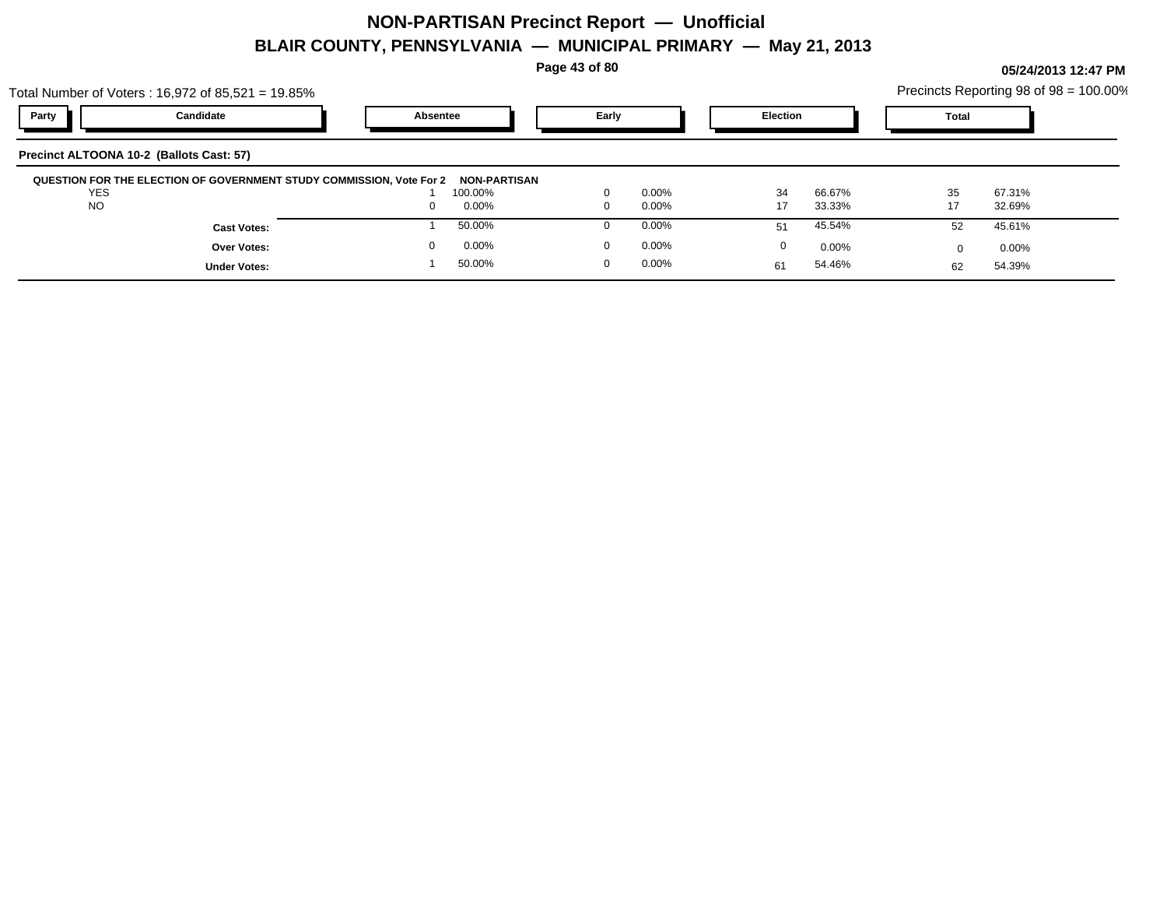**Page 43 of 80**

**05/24/2013 12:47 PM**

54.46% 54.39% 62

54.46%

61

| Total Number of Voters : 16,972 of 85,521 = 19.85%                   |                                 |                      |                              | Precincts Reporting 98 of 98 = 100.00% |
|----------------------------------------------------------------------|---------------------------------|----------------------|------------------------------|----------------------------------------|
| Party<br>Candidate                                                   | Absentee                        | Early                | <b>Election</b>              | Total                                  |
| Precinct ALTOONA 10-2 (Ballots Cast: 57)                             |                                 |                      |                              |                                        |
| QUESTION FOR THE ELECTION OF GOVERNMENT STUDY COMMISSION, Vote For 2 | NON-PARTISAN                    |                      |                              |                                        |
| <b>YES</b><br><b>NO</b>                                              | 100.00%<br>$0.00\%$<br>$\Omega$ | $0.00\%$<br>$0.00\%$ | 66.67%<br>34<br>33.33%<br>17 | 35<br>67.31%<br>32.69%                 |
| <b>Cast Votes:</b>                                                   | 50.00%                          | $0.00\%$             | 45.54%<br>51                 | 45.61%<br>52                           |
| <b>Over Votes:</b>                                                   | $0.00\%$                        | $0.00\%$             | $0.00\%$<br>0                | $0.00\%$                               |

50.00% 1

0 0.00%

**Under Votes:**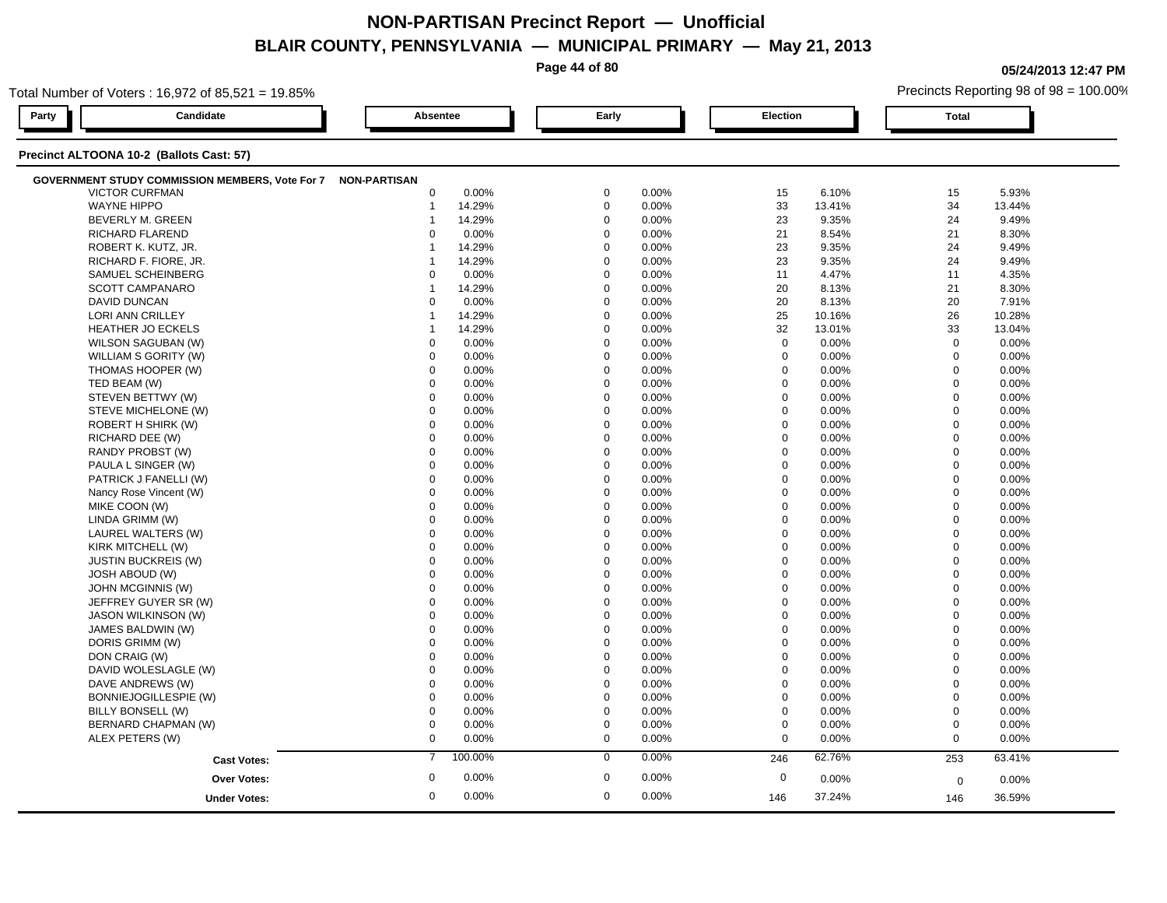**Page 44 of 80**

**05/24/2013 12:47 PM**

| Total Number of Voters: 16,972 of 85,521 = 19.85%            |                 |         |             |       |                  |        |                | Precincts Reporting 98 of 98 = 100.00% |
|--------------------------------------------------------------|-----------------|---------|-------------|-------|------------------|--------|----------------|----------------------------------------|
| Party<br>Candidate                                           | <b>Absentee</b> |         | Early       |       | <b>Election</b>  |        | <b>Total</b>   |                                        |
| Precinct ALTOONA 10-2 (Ballots Cast: 57)                     |                 |         |             |       |                  |        |                |                                        |
| GOVERNMENT STUDY COMMISSION MEMBERS, Vote For 7 NON-PARTISAN |                 |         |             |       |                  |        |                |                                        |
| <b>VICTOR CURFMAN</b>                                        | $\mathbf 0$     | 0.00%   | $\mathbf 0$ | 0.00% | 15               | 6.10%  | 15             | 5.93%                                  |
| <b>WAYNE HIPPO</b>                                           | $\mathbf 1$     | 14.29%  | $\mathbf 0$ | 0.00% | 33               | 13.41% | 34             | 13.44%                                 |
| BEVERLY M. GREEN                                             | -1              | 14.29%  | $\mathbf 0$ | 0.00% | 23               | 9.35%  | 24             | 9.49%                                  |
| <b>RICHARD FLAREND</b>                                       | $\Omega$        | 0.00%   | $\mathbf 0$ | 0.00% | 21               | 8.54%  | 21             | 8.30%                                  |
| ROBERT K. KUTZ, JR.                                          | 1               | 14.29%  | $\Omega$    | 0.00% | 23               | 9.35%  | 24             | 9.49%                                  |
| RICHARD F. FIORE, JR.                                        | 1               | 14.29%  | $\Omega$    | 0.00% | 23               | 9.35%  | 24             | 9.49%                                  |
| SAMUEL SCHEINBERG                                            | $\Omega$        | 0.00%   | $\Omega$    | 0.00% | 11               | 4.47%  | 11             | 4.35%                                  |
| <b>SCOTT CAMPANARO</b>                                       | $\overline{1}$  | 14.29%  | $\mathbf 0$ | 0.00% | 20               | 8.13%  | 21             | 8.30%                                  |
| <b>DAVID DUNCAN</b>                                          | $\Omega$        | 0.00%   | $\mathbf 0$ | 0.00% | 20               | 8.13%  | 20             | 7.91%                                  |
| LORI ANN CRILLEY                                             | -1              | 14.29%  | $\mathbf 0$ | 0.00% | 25               | 10.16% | 26             | 10.28%                                 |
| <b>HEATHER JO ECKELS</b>                                     | 1               | 14.29%  | $\mathbf 0$ | 0.00% | 32               | 13.01% | 33             | 13.04%                                 |
| WILSON SAGUBAN (W)                                           | $\mathbf 0$     | 0.00%   | $\Omega$    | 0.00% | $\mathbf 0$      | 0.00%  | $\mathbf 0$    | 0.00%                                  |
| WILLIAM S GORITY (W)                                         | 0               | 0.00%   | $\Omega$    | 0.00% | $\mathbf 0$      | 0.00%  | $\mathbf 0$    | 0.00%                                  |
| THOMAS HOOPER (W)                                            | $\mathbf 0$     | 0.00%   | $\mathbf 0$ | 0.00% | $\mathbf 0$      | 0.00%  | $\mathbf 0$    | 0.00%                                  |
| TED BEAM (W)                                                 | $\mathbf 0$     | 0.00%   | $\mathbf 0$ | 0.00% | $\mathbf 0$      | 0.00%  | $\mathbf 0$    | 0.00%                                  |
| STEVEN BETTWY (W)                                            | $\mathbf 0$     | 0.00%   | $\mathbf 0$ | 0.00% | $\mathbf 0$      | 0.00%  | $\mathbf 0$    | 0.00%                                  |
| STEVE MICHELONE (W)                                          | $\mathbf 0$     | 0.00%   | $\Omega$    | 0.00% | 0                | 0.00%  | $\mathbf 0$    | 0.00%                                  |
| ROBERT H SHIRK (W)                                           | $\mathbf 0$     | 0.00%   | $\mathbf 0$ | 0.00% | $\mathbf 0$      | 0.00%  | $\mathbf 0$    | 0.00%                                  |
| RICHARD DEE (W)                                              | $\Omega$        | 0.00%   | $\Omega$    | 0.00% | $\mathbf 0$      | 0.00%  | $\mathbf 0$    | 0.00%                                  |
| RANDY PROBST (W)                                             | $\Omega$        | 0.00%   | $\Omega$    | 0.00% | $\mathbf 0$      | 0.00%  | $\mathbf 0$    | 0.00%                                  |
| PAULA L SINGER (W)                                           | $\mathbf 0$     | 0.00%   | $\mathbf 0$ | 0.00% | $\mathbf 0$      | 0.00%  | $\Omega$       | 0.00%                                  |
| PATRICK J FANELLI (W)                                        | $\mathbf 0$     | 0.00%   | $\mathbf 0$ | 0.00% | $\mathbf 0$      | 0.00%  | $\mathbf 0$    | 0.00%                                  |
| Nancy Rose Vincent (W)                                       | $\mathbf 0$     | 0.00%   | $\mathbf 0$ | 0.00% | $\mathbf 0$      | 0.00%  | $\mathbf 0$    | 0.00%                                  |
| MIKE COON (W)                                                | $\Omega$        | 0.00%   | $\Omega$    | 0.00% | $\mathbf 0$      | 0.00%  | $\mathbf 0$    | 0.00%                                  |
| LINDA GRIMM (W)                                              | $\mathbf 0$     | 0.00%   | $\Omega$    | 0.00% | $\mathbf 0$      | 0.00%  | $\mathbf 0$    | 0.00%                                  |
| LAUREL WALTERS (W)                                           | $\Omega$        | 0.00%   | $\Omega$    | 0.00% | $\Omega$         | 0.00%  | $\Omega$       | 0.00%                                  |
| KIRK MITCHELL (W)                                            | $\mathbf 0$     | 0.00%   | $\mathbf 0$ | 0.00% | $\mathbf 0$      | 0.00%  | $\overline{0}$ | 0.00%                                  |
| <b>JUSTIN BUCKREIS (W)</b>                                   | $\mathbf 0$     | 0.00%   | $\mathbf 0$ | 0.00% | $\mathbf 0$      | 0.00%  | $\mathbf 0$    | 0.00%                                  |
| <b>JOSH ABOUD (W)</b>                                        | $\Omega$        | 0.00%   | $\Omega$    | 0.00% | 0                | 0.00%  | $\mathbf 0$    | 0.00%                                  |
| JOHN MCGINNIS (W)                                            | $\Omega$        | 0.00%   | $\Omega$    | 0.00% | $\mathbf 0$      | 0.00%  | $\mathbf 0$    | 0.00%                                  |
| JEFFREY GUYER SR (W)                                         | $\Omega$        | 0.00%   | $\Omega$    | 0.00% | $\mathbf 0$      | 0.00%  | $\Omega$       | 0.00%                                  |
| JASON WILKINSON (W)                                          | $\Omega$        | 0.00%   | $\Omega$    | 0.00% | $\mathbf 0$      | 0.00%  | $\mathbf 0$    | 0.00%                                  |
| JAMES BALDWIN (W)                                            | $\mathbf 0$     | 0.00%   | $\mathbf 0$ | 0.00% | $\mathbf 0$      | 0.00%  | $\mathbf 0$    | 0.00%                                  |
| DORIS GRIMM (W)                                              | $\mathbf 0$     | 0.00%   | $\Omega$    | 0.00% | $\mathbf 0$      | 0.00%  | $\mathbf 0$    | 0.00%                                  |
| DON CRAIG (W)                                                | $\mathbf 0$     | 0.00%   | $\mathbf 0$ | 0.00% | $\mathbf 0$      | 0.00%  | $\mathbf 0$    | 0.00%                                  |
| DAVID WOLESLAGLE (W)                                         | $\mathbf 0$     | 0.00%   | $\mathbf 0$ | 0.00% | $\mathbf 0$      | 0.00%  | $\mathbf 0$    | 0.00%                                  |
| DAVE ANDREWS (W)                                             | $\Omega$        | 0.00%   | $\Omega$    | 0.00% | $\mathbf 0$      | 0.00%  | $\mathbf 0$    | 0.00%                                  |
| BONNIEJOGILLESPIE (W)                                        | $\mathbf 0$     | 0.00%   | $\Omega$    | 0.00% | $\mathbf 0$      | 0.00%  | $\mathbf 0$    | 0.00%                                  |
| BILLY BONSELL (W)                                            | 0               | 0.00%   | $\Omega$    | 0.00% | $\boldsymbol{0}$ | 0.00%  | $\mathbf 0$    | 0.00%                                  |
| BERNARD CHAPMAN (W)                                          | $\mathbf 0$     | 0.00%   | $\mathbf 0$ | 0.00% | $\pmb{0}$        | 0.00%  | $\mathbf 0$    | 0.00%                                  |
| ALEX PETERS (W)                                              | $\mathbf 0$     | 0.00%   | $\mathbf 0$ | 0.00% | $\mathbf 0$      | 0.00%  | $\mathbf 0$    | 0.00%                                  |
|                                                              | $\overline{7}$  | 100.00% | $\mathbf 0$ | 0.00% | 246              | 62.76% | 253            | 63.41%                                 |
| <b>Cast Votes:</b>                                           |                 |         |             |       |                  |        |                |                                        |
| <b>Over Votes:</b>                                           | $\mathbf 0$     | 0.00%   | $\mathbf 0$ | 0.00% | $\mathbf 0$      | 0.00%  | $\mathbf 0$    | 0.00%                                  |
| <b>Under Votes:</b>                                          | $\mathbf 0$     | 0.00%   | $\mathbf 0$ | 0.00% | 146              | 37.24% | 146            | 36.59%                                 |
|                                                              |                 |         |             |       |                  |        |                |                                        |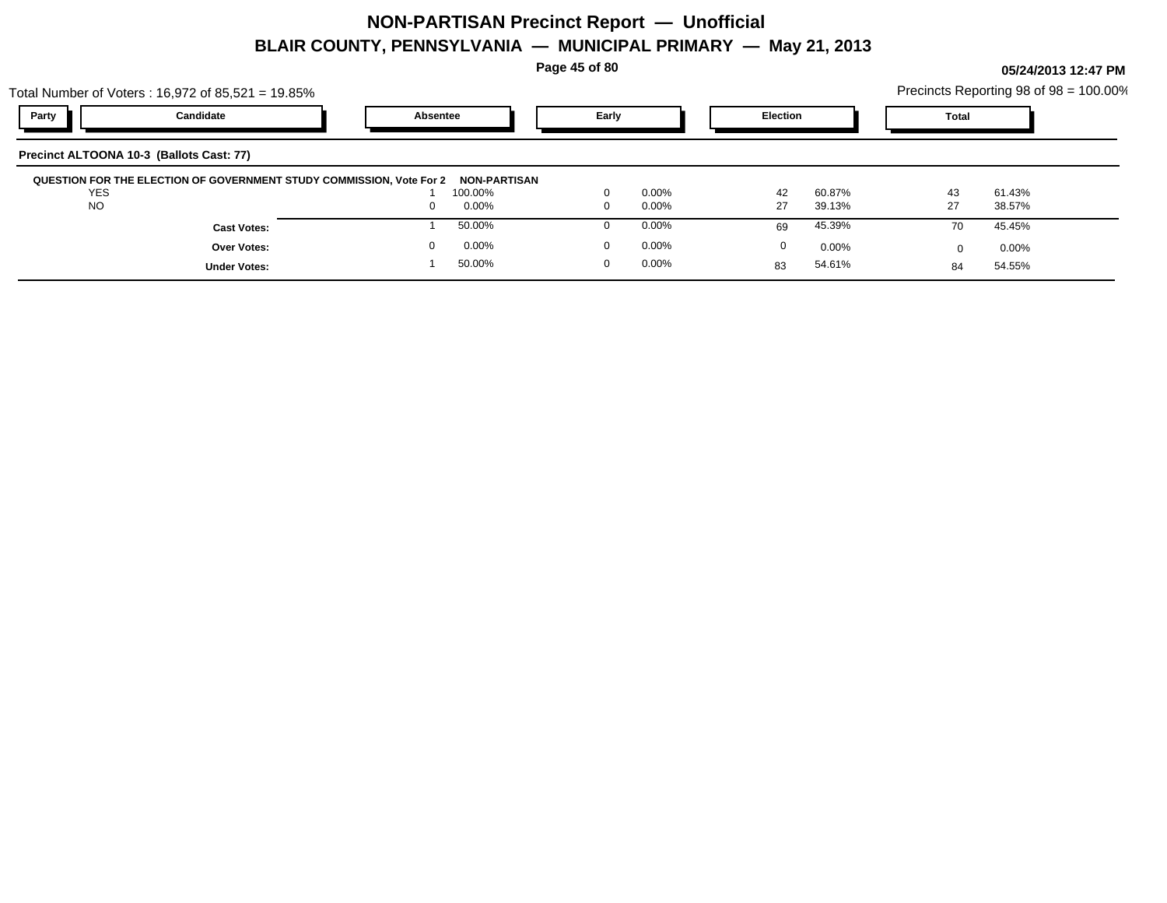**Page 45 of 80**

|              | Total Number of Voters: 16,972 of 85,521 = 19.85%                                 |                 |        |                   | Precincts Reporting 98 of 98 = 100.00% |   |  |
|--------------|-----------------------------------------------------------------------------------|-----------------|--------|-------------------|----------------------------------------|---|--|
| Party        | Candidate                                                                         | <b>Absentee</b> | Early  | <b>Election</b>   | <b>Total</b>                           |   |  |
|              | Precinct ALTOONA 10-3 (Ballots Cast: 77)                                          |                 |        |                   |                                        |   |  |
| $\cdot$ $ -$ | QUESTION FOR THE ELECTION OF GOVERNMENT STUDY COMMISSION, Vote For 2 NON-PARTISAN | .               | ------ | -------<br>$\sim$ | $\sim$                                 | . |  |

| QUESTION FOR THE ELECTION OF GOVERNMENT STUDY COMMISSION, Vote For 2 | <b>NON-PARTISAN</b> |          |    |        |    |        |  |
|----------------------------------------------------------------------|---------------------|----------|----|--------|----|--------|--|
| <b>YES</b>                                                           | 100.00%             | 0.00%    | 42 | 60.87% | 43 | 61.43% |  |
| <b>NO</b>                                                            | 0.00%               | 0.00%    |    | 39.13% |    | 38.57% |  |
| <b>Cast Votes:</b>                                                   | 50.00%              | $0.00\%$ |    | 45.39% |    | 45.45% |  |
| Over Votes:                                                          | 0.00%               | 0.00%    |    | 0.00%  |    | 0.00%  |  |
| <b>Under Votes:</b>                                                  | 50.00%              | 0.00%    |    | 54.61% |    | 54.55% |  |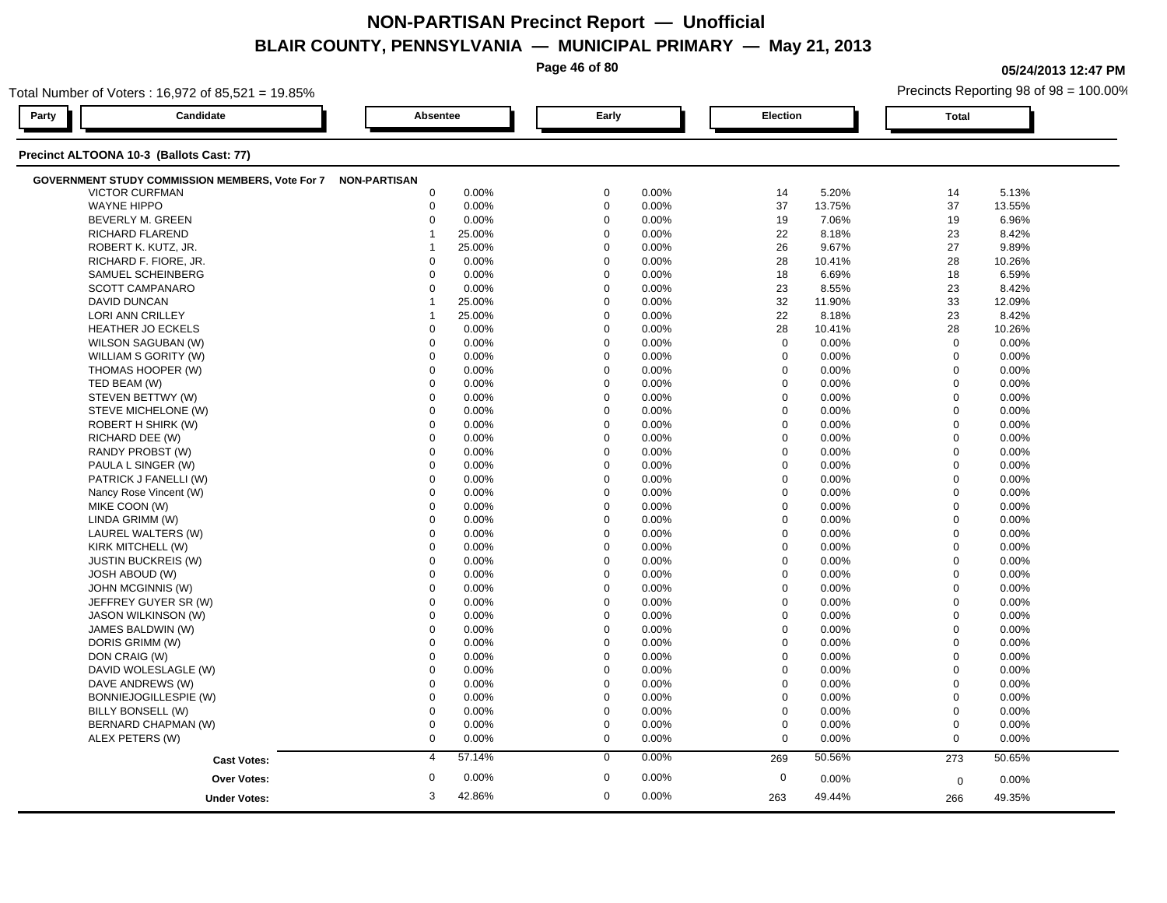**Page 46 of 80**

**05/24/2013 12:47 PM**

| Total Number of Voters: 16,972 of 85,521 = 19.85%            |                           |                      |                  | Precincts Reporting 98 of 98 = 100.00% |
|--------------------------------------------------------------|---------------------------|----------------------|------------------|----------------------------------------|
| Candidate<br>Party                                           | Absentee                  | Early                | <b>Election</b>  | <b>Total</b>                           |
| Precinct ALTOONA 10-3 (Ballots Cast: 77)                     |                           |                      |                  |                                        |
| GOVERNMENT STUDY COMMISSION MEMBERS, Vote For 7 NON-PARTISAN |                           |                      |                  |                                        |
| <b>VICTOR CURFMAN</b>                                        | $\mathbf 0$               | $\mathbf 0$          | 14               | 5.13%                                  |
|                                                              | 0.00%                     | 0.00%                | 5.20%            | 14                                     |
| <b>WAYNE HIPPO</b>                                           | $\mathbf 0$               | $\mathbf 0$          | 37               | 37                                     |
|                                                              | 0.00%                     | 0.00%                | 13.75%           | 13.55%                                 |
| BEVERLY M. GREEN                                             | $\mathbf 0$               | $\mathbf 0$          | 19               | 19                                     |
|                                                              | 0.00%                     | 0.00%                | 7.06%            | 6.96%                                  |
| RICHARD FLAREND                                              | 25.00%                    | $\mathbf 0$          | 22               | 23                                     |
|                                                              | $\mathbf 1$               | 0.00%                | 8.18%            | 8.42%                                  |
| ROBERT K. KUTZ, JR.                                          | 25.00%                    | $\mathbf 0$<br>0.00% | 26<br>9.67%      | 27<br>9.89%                            |
| RICHARD F. FIORE, JR.                                        | 0.00%                     | $\mathbf 0$          | 28               | 28                                     |
|                                                              | $\mathbf 0$               | 0.00%                | 10.41%           | 10.26%                                 |
| SAMUEL SCHEINBERG                                            | 0.00%                     | $\Omega$             | 18               | 18                                     |
|                                                              | $\Omega$                  | 0.00%                | 6.69%            | 6.59%                                  |
| SCOTT CAMPANARO                                              | 0.00%                     | $\mathbf 0$          | 23               | 23                                     |
|                                                              | $\mathbf 0$               | 0.00%                | 8.55%            | 8.42%                                  |
| <b>DAVID DUNCAN</b>                                          | 25.00%                    | $\mathbf 0$          | 32               | 33                                     |
|                                                              | -1                        | 0.00%                | 11.90%           | 12.09%                                 |
| LORI ANN CRILLEY                                             | 25.00%                    | $\Omega$             | 22               | 23                                     |
|                                                              | 1                         | 0.00%                | 8.18%            | 8.42%                                  |
| <b>HEATHER JO ECKELS</b>                                     | $\mathbf 0$               | $\Omega$             | 28               | 28                                     |
|                                                              | 0.00%                     | 0.00%                | 10.41%           | 10.26%                                 |
| WILSON SAGUBAN (W)                                           | $\mathbf 0$               | $\mathbf 0$          | $\mathbf 0$      | $\mathbf 0$                            |
|                                                              | 0.00%                     | 0.00%                | 0.00%            | 0.00%                                  |
| WILLIAM S GORITY (W)                                         | 0.00%                     | $\mathbf 0$          | $\mathbf 0$      | $\mathbf 0$                            |
|                                                              | $\mathbf 0$               | 0.00%                | 0.00%            | 0.00%                                  |
| THOMAS HOOPER (W)                                            | $\Omega$                  | $\Omega$             | $\mathbf 0$      | $\mathbf 0$                            |
|                                                              | 0.00%                     | 0.00%                | 0.00%            | 0.00%                                  |
| TED BEAM (W)                                                 | $\Omega$                  | $\Omega$             | $\mathbf 0$      | $\mathbf 0$                            |
|                                                              | 0.00%                     | 0.00%                | 0.00%            | 0.00%                                  |
| STEVEN BETTWY (W)                                            | $\mathbf 0$               | $\Omega$             | $\mathbf 0$      | $\mathbf 0$                            |
|                                                              | 0.00%                     | 0.00%                | 0.00%            | 0.00%                                  |
| STEVE MICHELONE (W)                                          | $\mathbf 0$               | $\Omega$             | $\mathbf 0$      | $\mathbf 0$                            |
|                                                              | 0.00%                     | 0.00%                | 0.00%            | 0.00%                                  |
| ROBERT H SHIRK (W)                                           | $\mathbf 0$               | $\Omega$             | $\mathbf 0$      | $\mathbf 0$                            |
|                                                              | 0.00%                     | 0.00%                | 0.00%            | 0.00%                                  |
| RICHARD DEE (W)                                              | $\Omega$                  | $\Omega$             | $\mathbf 0$      | $\mathbf{0}$                           |
|                                                              | 0.00%                     | 0.00%                | 0.00%            | 0.00%                                  |
| RANDY PROBST (W)                                             | 0.00%                     | $\Omega$             | $\mathbf 0$      | $\mathbf 0$                            |
|                                                              | $\Omega$                  | 0.00%                | 0.00%            | 0.00%                                  |
| PAULA L SINGER (W)                                           | 0.00%                     | $\mathbf 0$          | $\boldsymbol{0}$ | $\mathbf 0$                            |
|                                                              | $\mathbf 0$               | 0.00%                | 0.00%            | 0.00%                                  |
| PATRICK J FANELLI (W)                                        | 0.00%                     | $\mathbf 0$          | $\mathbf 0$      | $\mathbf 0$                            |
|                                                              | $\mathbf 0$               | 0.00%                | 0.00%            | 0.00%                                  |
| Nancy Rose Vincent (W)                                       | $\mathbf 0$               | $\mathbf 0$          | $\mathbf 0$      | $\mathbf 0$                            |
|                                                              | 0.00%                     | 0.00%                | 0.00%            | 0.00%                                  |
| MIKE COON (W)                                                | $\Omega$                  | $\Omega$             | $\Omega$         | $\mathbf 0$                            |
|                                                              | 0.00%                     | 0.00%                | 0.00%            | 0.00%                                  |
| LINDA GRIMM (W)                                              | 0.00%                     | $\Omega$             | $\mathbf 0$      | $\mathbf 0$                            |
|                                                              | $\Omega$                  | 0.00%                | 0.00%            | 0.00%                                  |
| LAUREL WALTERS (W)                                           | 0.00%                     | 0.00%                | $\mathbf 0$      | $\mathbf 0$                            |
|                                                              | $\mathbf 0$               | $\mathbf 0$          | 0.00%            | 0.00%                                  |
| KIRK MITCHELL (W)                                            | $\mathbf 0$               | $\mathbf 0$          | $\mathbf 0$      | $\overline{0}$                         |
|                                                              | 0.00%                     | 0.00%                | 0.00%            | 0.00%                                  |
| <b>JUSTIN BUCKREIS (W)</b>                                   | $\mathbf 0$               | $\Omega$             | $\mathbf 0$      | $\mathbf 0$                            |
|                                                              | 0.00%                     | 0.00%                | 0.00%            | 0.00%                                  |
| <b>JOSH ABOUD (W)</b>                                        | $\Omega$                  | $\Omega$             | $\Omega$         | $\mathbf 0$                            |
|                                                              | 0.00%                     | 0.00%                | 0.00%            | 0.00%                                  |
| JOHN MCGINNIS (W)                                            | $\mathbf 0$               | $\mathbf 0$          | $\mathbf 0$      | $\overline{0}$                         |
|                                                              | 0.00%                     | 0.00%                | 0.00%            | 0.00%                                  |
| JEFFREY GUYER SR (W)                                         | 0.00%                     | $\mathbf 0$          | $\mathbf 0$      | $\mathbf 0$                            |
|                                                              | $\mathbf 0$               | 0.00%                | 0.00%            | 0.00%                                  |
| <b>JASON WILKINSON (W)</b>                                   | $\mathbf 0$               | $\mathbf 0$          | $\mathbf 0$      | $\mathbf 0$                            |
|                                                              | 0.00%                     | 0.00%                | 0.00%            | 0.00%                                  |
| JAMES BALDWIN (W)                                            | 0.00%                     | $\Omega$             | $\mathbf 0$      | $\mathbf 0$                            |
|                                                              | $\Omega$                  | 0.00%                | 0.00%            | 0.00%                                  |
| DORIS GRIMM (W)                                              | $\Omega$                  | $\Omega$             | 0                | $\mathbf 0$                            |
|                                                              | 0.00%                     | 0.00%                | 0.00%            | 0.00%                                  |
| DON CRAIG (W)                                                | $\mathbf 0$               | $\mathbf 0$          | $\mathbf 0$      | $\mathbf 0$                            |
|                                                              | 0.00%                     | 0.00%                | 0.00%            | 0.00%                                  |
| DAVID WOLESLAGLE (W)                                         | $\mathbf 0$               | $\mathbf 0$          | $\mathbf 0$      | $\mathbf 0$                            |
|                                                              | 0.00%                     | 0.00%                | 0.00%            | 0.00%                                  |
| DAVE ANDREWS (W)                                             | $\mathbf 0$               | $\Omega$             | $\mathbf 0$      | $\Omega$                               |
|                                                              | 0.00%                     | 0.00%                | $0.00\%$         | 0.00%                                  |
| BONNIEJOGILLESPIE (W)                                        | 0.00%                     | $\Omega$             | $\boldsymbol{0}$ | $\mathbf 0$                            |
|                                                              | $\Omega$                  | 0.00%                | 0.00%            | 0.00%                                  |
| BILLY BONSELL (W)                                            | $\mathbf 0$               | $\mathbf 0$          | $\mathbf 0$      | $\mathbf 0$                            |
|                                                              | 0.00%                     | 0.00%                | 0.00%            | 0.00%                                  |
| BERNARD CHAPMAN (W)                                          | $\mathbf 0$               | $\mathbf 0$          | $\mathbf 0$      | $\mathbf 0$                            |
|                                                              | 0.00%                     | 0.00%                | 0.00%            | 0.00%                                  |
| ALEX PETERS (W)                                              | $\mathbf 0$               | $\mathbf 0$          | $\mathbf 0$      | $\mathbf 0$                            |
|                                                              | 0.00%                     | 0.00%                | 0.00%            | 0.00%                                  |
| <b>Cast Votes:</b>                                           | 57.14%                    | 0.00%                | 50.56%           | 50.65%                                 |
|                                                              | $\overline{4}$            | $\mathbf 0$          | 269              | 273                                    |
|                                                              | $\boldsymbol{0}$<br>0.00% | $\mathbf 0$<br>0.00% | $\mathbf 0$      |                                        |
| Over Votes:                                                  |                           |                      | 0.00%            | 0.00%<br>0                             |
| <b>Under Votes:</b>                                          | 3                         | $\mathbf 0$          | 49.44%           | 49.35%                                 |
|                                                              | 42.86%                    | 0.00%                | 263              | 266                                    |
|                                                              |                           |                      |                  |                                        |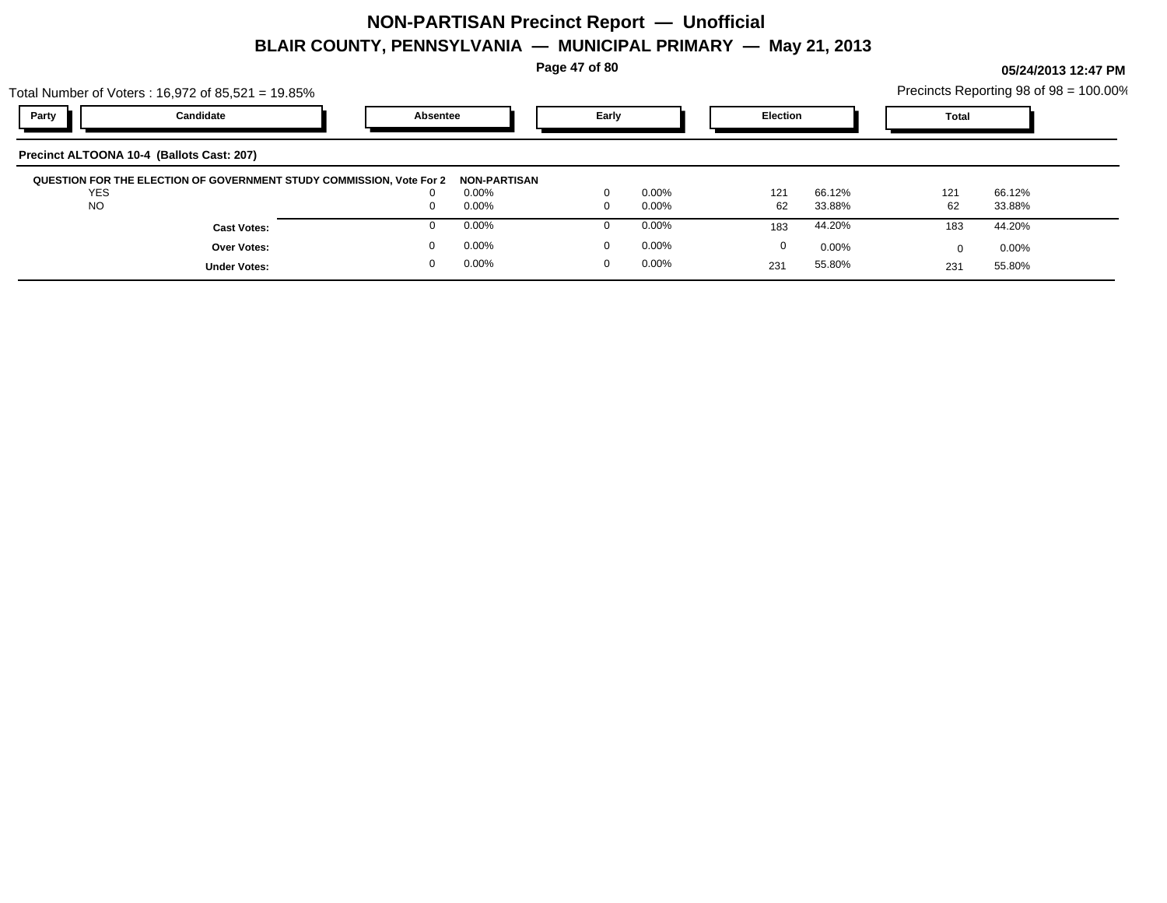**Page 47 of 80**

**05/24/2013 12:47 PM**

|                         | Total Number of Voters: $16,972$ of $85,521 = 19.85\%$               |          |                      |       |                      |                 |                  |              | Precincts Reporting 98 of 98 = 100.00% |
|-------------------------|----------------------------------------------------------------------|----------|----------------------|-------|----------------------|-----------------|------------------|--------------|----------------------------------------|
| Party                   | Candidate                                                            | Absentee |                      | Early |                      | <b>Election</b> |                  | <b>Total</b> |                                        |
|                         | Precinct ALTOONA 10-4 (Ballots Cast: 207)                            |          |                      |       |                      |                 |                  |              |                                        |
|                         | QUESTION FOR THE ELECTION OF GOVERNMENT STUDY COMMISSION, Vote For 2 |          | <b>NON-PARTISAN</b>  |       |                      |                 |                  |              |                                        |
| <b>YES</b><br><b>NO</b> |                                                                      |          | $0.00\%$<br>$0.00\%$ |       | $0.00\%$<br>$0.00\%$ | 121<br>62       | 66.12%<br>33.88% | 121<br>62    | 66.12%<br>33.88%                       |
|                         | <b>Cast Votes:</b>                                                   |          | $0.00\%$             |       | $0.00\%$             | 183             | 44.20%           | 183          | 44.20%                                 |
|                         | <b>Over Votes:</b>                                                   |          | $0.00\%$             |       | $0.00\%$             | 0               | 0.00%            | O            | $0.00\%$                               |
|                         | <b>Under Votes:</b>                                                  |          | $0.00\%$             |       | $0.00\%$             | 231             | 55.80%           | 231          | 55.80%                                 |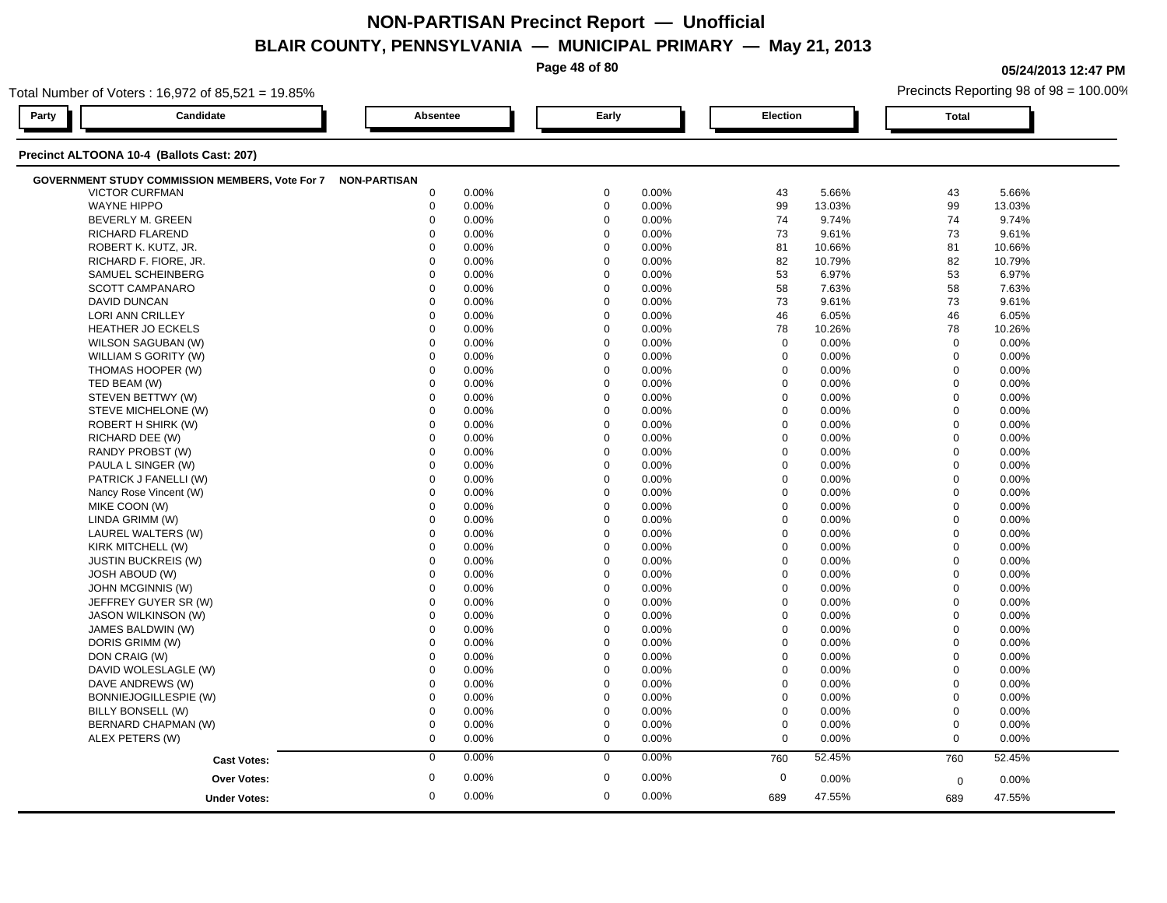**Page 48 of 80**

**05/24/2013 12:47 PM**

|                        | Total Number of Voters: 16,972 of 85,521 = 19.85% |                     |       |             |       |                 |          |                | Precincts Reporting 98 of 98 = 100.00% |  |
|------------------------|---------------------------------------------------|---------------------|-------|-------------|-------|-----------------|----------|----------------|----------------------------------------|--|
| Party                  | Candidate                                         | <b>Absentee</b>     |       | Early       |       | <b>Election</b> |          | <b>Total</b>   |                                        |  |
|                        | Precinct ALTOONA 10-4 (Ballots Cast: 207)         |                     |       |             |       |                 |          |                |                                        |  |
|                        | GOVERNMENT STUDY COMMISSION MEMBERS, Vote For 7   | <b>NON-PARTISAN</b> |       |             |       |                 |          |                |                                        |  |
| <b>VICTOR CURFMAN</b>  |                                                   | $\mathbf 0$         | 0.00% | $\mathbf 0$ | 0.00% | 43              | 5.66%    | 43             | 5.66%                                  |  |
| <b>WAYNE HIPPO</b>     |                                                   | $\boldsymbol{0}$    | 0.00% | $\mathbf 0$ | 0.00% | 99              | 13.03%   | 99             | 13.03%                                 |  |
|                        | BEVERLY M. GREEN                                  | $\mathbf 0$         | 0.00% | $\mathbf 0$ | 0.00% | 74              | 9.74%    | 74             | 9.74%                                  |  |
| <b>RICHARD FLAREND</b> |                                                   | $\Omega$            | 0.00% | $\Omega$    | 0.00% | 73              | 9.61%    | 73             | 9.61%                                  |  |
|                        | ROBERT K. KUTZ, JR.                               | $\Omega$            | 0.00% | $\Omega$    | 0.00% | 81              | 10.66%   | 81             | 10.66%                                 |  |
|                        | RICHARD F. FIORE, JR.                             | $\Omega$            | 0.00% | $\Omega$    | 0.00% | 82              | 10.79%   | 82             | 10.79%                                 |  |
|                        | SAMUEL SCHEINBERG                                 | $\Omega$            | 0.00% | $\Omega$    | 0.00% | 53              | 6.97%    | 53             | 6.97%                                  |  |
|                        | <b>SCOTT CAMPANARO</b>                            | $\mathbf 0$         | 0.00% | $\mathbf 0$ | 0.00% | 58              | 7.63%    | 58             | 7.63%                                  |  |
| <b>DAVID DUNCAN</b>    |                                                   | $\mathbf 0$         | 0.00% | $\mathbf 0$ | 0.00% | 73              | 9.61%    | 73             | 9.61%                                  |  |
| LORI ANN CRILLEY       |                                                   | $\mathbf 0$         | 0.00% | $\mathbf 0$ | 0.00% | 46              | 6.05%    | 46             | 6.05%                                  |  |
|                        | <b>HEATHER JO ECKELS</b>                          | $\mathbf 0$         | 0.00% | $\Omega$    | 0.00% | 78              | 10.26%   | 78             | 10.26%                                 |  |
|                        | WILSON SAGUBAN (W)                                | $\mathbf 0$         | 0.00% | $\Omega$    | 0.00% | $\mathbf 0$     | 0.00%    | $\mathbf 0$    | 0.00%                                  |  |
|                        | WILLIAM S GORITY (W)                              | $\Omega$            | 0.00% | $\Omega$    | 0.00% | $\mathbf 0$     | $0.00\%$ | $\mathbf 0$    | 0.00%                                  |  |
|                        | THOMAS HOOPER (W)                                 | 0                   | 0.00% | $\mathbf 0$ | 0.00% | $\mathbf 0$     | 0.00%    | $\mathbf 0$    | 0.00%                                  |  |
| TED BEAM (W)           |                                                   | $\mathbf 0$         | 0.00% | $\mathbf 0$ | 0.00% | $\mathbf 0$     | 0.00%    | $\mathbf 0$    | 0.00%                                  |  |
|                        | STEVEN BETTWY (W)                                 | $\mathbf 0$         | 0.00% | $\mathbf 0$ | 0.00% | $\mathbf 0$     | 0.00%    | $\mathbf 0$    | 0.00%                                  |  |
|                        | STEVE MICHELONE (W)                               | $\mathbf 0$         | 0.00% | $\Omega$    | 0.00% | 0               | 0.00%    | $\mathbf 0$    | 0.00%                                  |  |
|                        | ROBERT H SHIRK (W)                                | $\mathbf 0$         | 0.00% | $\mathbf 0$ | 0.00% | $\mathbf 0$     | 0.00%    | $\mathbf 0$    | 0.00%                                  |  |
| RICHARD DEE (W)        |                                                   | $\Omega$            | 0.00% | $\Omega$    | 0.00% | $\mathbf 0$     | 0.00%    | $\mathbf 0$    | 0.00%                                  |  |
|                        | RANDY PROBST (W)                                  | $\Omega$            | 0.00% | $\Omega$    | 0.00% | $\mathbf 0$     | 0.00%    | $\mathbf 0$    | 0.00%                                  |  |
|                        | PAULA L SINGER (W)                                | $\mathbf 0$         | 0.00% | $\mathbf 0$ | 0.00% | $\mathbf 0$     | 0.00%    | $\Omega$       | 0.00%                                  |  |
|                        | PATRICK J FANELLI (W)                             | $\mathbf 0$         | 0.00% | $\mathbf 0$ | 0.00% | $\mathbf 0$     | 0.00%    | $\mathbf 0$    | 0.00%                                  |  |
|                        | Nancy Rose Vincent (W)                            | $\mathbf 0$         | 0.00% | $\mathbf 0$ | 0.00% | $\mathbf 0$     | 0.00%    | $\mathbf 0$    | 0.00%                                  |  |
| MIKE COON (W)          |                                                   | $\Omega$            | 0.00% | $\Omega$    | 0.00% | $\mathbf 0$     | $0.00\%$ | $\mathbf 0$    | 0.00%                                  |  |
| LINDA GRIMM (W)        |                                                   | $\mathbf 0$         | 0.00% | $\Omega$    | 0.00% | $\mathbf 0$     | 0.00%    | $\mathbf 0$    | 0.00%                                  |  |
|                        | LAUREL WALTERS (W)                                | $\Omega$            | 0.00% | $\Omega$    | 0.00% | $\Omega$        | 0.00%    | $\Omega$       | 0.00%                                  |  |
| KIRK MITCHELL (W)      |                                                   | $\mathbf 0$         | 0.00% | $\mathbf 0$ | 0.00% | $\mathbf 0$     | 0.00%    | $\overline{0}$ | 0.00%                                  |  |
|                        | <b>JUSTIN BUCKREIS (W)</b>                        | $\mathbf 0$         | 0.00% | $\mathbf 0$ | 0.00% | $\mathbf 0$     | 0.00%    | $\mathbf 0$    | 0.00%                                  |  |
| <b>JOSH ABOUD (W)</b>  |                                                   | $\Omega$            | 0.00% | $\Omega$    | 0.00% | 0               | 0.00%    | $\mathbf 0$    | 0.00%                                  |  |
|                        | JOHN MCGINNIS (W)                                 | $\Omega$            | 0.00% | $\Omega$    | 0.00% | $\mathbf 0$     | 0.00%    | $\mathbf 0$    | 0.00%                                  |  |
|                        | JEFFREY GUYER SR (W)                              | $\Omega$            | 0.00% | $\Omega$    | 0.00% | $\mathbf 0$     | 0.00%    | $\Omega$       | 0.00%                                  |  |
|                        | <b>JASON WILKINSON (W)</b>                        | $\Omega$            | 0.00% | $\Omega$    | 0.00% | $\mathbf 0$     | 0.00%    | $\mathbf 0$    | 0.00%                                  |  |
|                        | JAMES BALDWIN (W)                                 | $\mathbf 0$         | 0.00% | $\mathbf 0$ | 0.00% | $\mathbf 0$     | 0.00%    | $\mathbf 0$    | 0.00%                                  |  |
| DORIS GRIMM (W)        |                                                   | $\mathbf 0$         | 0.00% | $\Omega$    | 0.00% | $\mathbf 0$     | 0.00%    | $\mathbf 0$    | 0.00%                                  |  |
| DON CRAIG (W)          |                                                   | $\mathbf 0$         | 0.00% | $\mathbf 0$ | 0.00% | $\mathbf 0$     | 0.00%    | $\mathbf 0$    | 0.00%                                  |  |
|                        | DAVID WOLESLAGLE (W)                              | $\mathbf 0$         | 0.00% | $\Omega$    | 0.00% | $\mathbf 0$     | 0.00%    | $\mathbf 0$    | 0.00%                                  |  |
|                        | DAVE ANDREWS (W)                                  | $\Omega$            | 0.00% | $\Omega$    | 0.00% | $\mathbf 0$     | 0.00%    | $\mathbf 0$    | 0.00%                                  |  |
|                        | BONNIEJOGILLESPIE (W)                             | $\mathbf 0$         | 0.00% | $\Omega$    | 0.00% | $\mathbf 0$     | 0.00%    | $\mathbf 0$    | 0.00%                                  |  |
| BILLY BONSELL (W)      |                                                   | $\mathbf 0$         | 0.00% | $\Omega$    | 0.00% | $\mathbf 0$     | 0.00%    | $\mathbf 0$    | 0.00%                                  |  |
|                        | BERNARD CHAPMAN (W)                               | $\mathbf 0$         | 0.00% | $\mathbf 0$ | 0.00% | $\pmb{0}$       | 0.00%    | $\mathbf 0$    | 0.00%                                  |  |
| ALEX PETERS (W)        |                                                   | $\mathbf 0$         | 0.00% | $\mathbf 0$ | 0.00% | $\mathbf 0$     | 0.00%    | $\mathbf 0$    | 0.00%                                  |  |
|                        |                                                   | $\mathbf 0$         | 0.00% | $\mathbf 0$ | 0.00% |                 | 52.45%   |                |                                        |  |
|                        | <b>Cast Votes:</b>                                |                     |       |             |       | 760             |          | 760            | 52.45%                                 |  |
|                        | <b>Over Votes:</b>                                | $\mathbf 0$         | 0.00% | $\mathbf 0$ | 0.00% | $\mathbf 0$     | 0.00%    | $\mathbf 0$    | 0.00%                                  |  |
|                        | <b>Under Votes:</b>                               | $\mathbf 0$         | 0.00% | $\mathbf 0$ | 0.00% | 689             | 47.55%   | 689            | 47.55%                                 |  |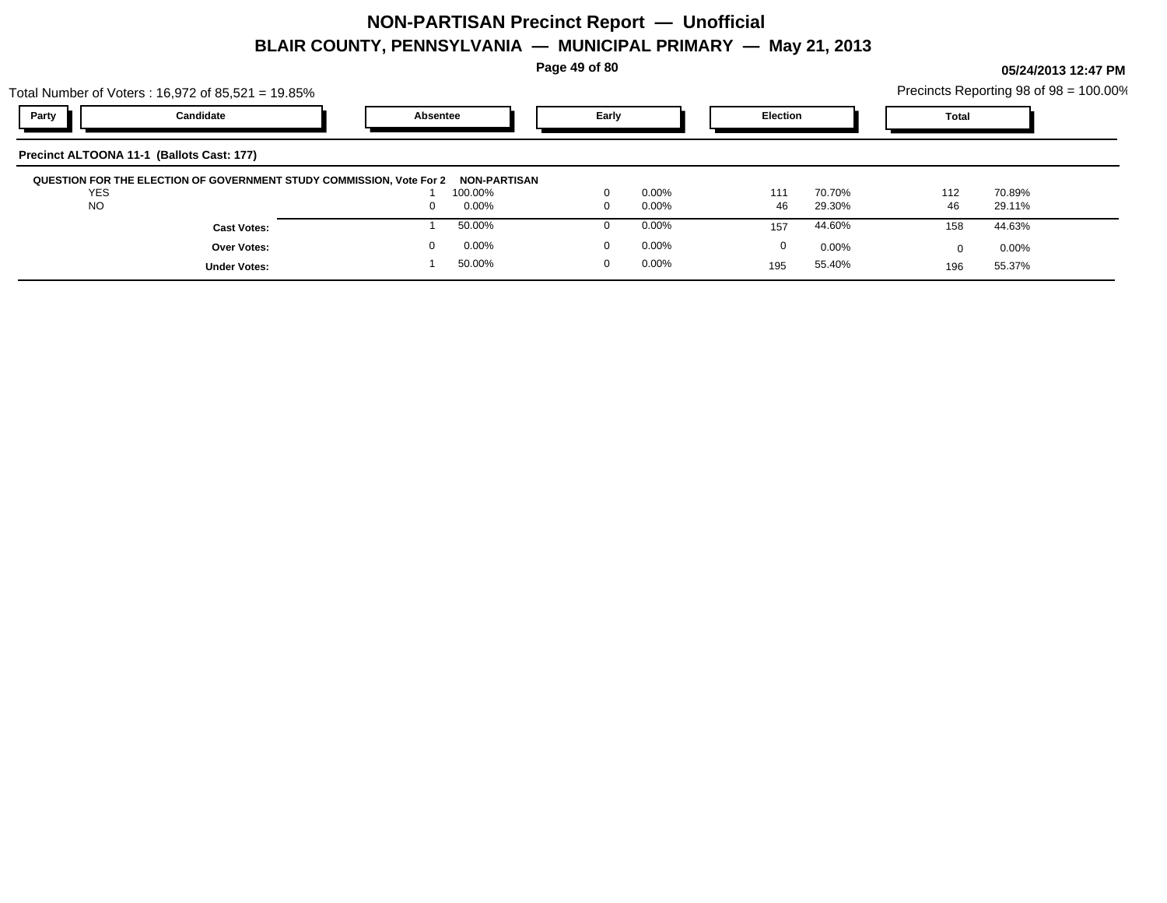**Page 49 of 80**

|                                           | Total Number of Voters: $16,972$ of $85,521 = 19.85\%$               |              |          |          |                 |       | Precincts Reporting 98 of 98 = 100.00% |
|-------------------------------------------|----------------------------------------------------------------------|--------------|----------|----------|-----------------|-------|----------------------------------------|
| Party                                     | Candidate                                                            | Absentee     | Early    |          | <b>Election</b> | Total |                                        |
| Precinct ALTOONA 11-1 (Ballots Cast: 177) |                                                                      |              |          |          |                 |       |                                        |
|                                           | QUESTION FOR THE ELECTION OF GOVERNMENT STUDY COMMISSION, Vote For 2 | NON-PARTISAN |          |          |                 |       |                                        |
| <b>YES</b>                                |                                                                      | 100.00%      | $\Omega$ | $0.00\%$ | 70.70%<br>111   | 112   | 70.89%                                 |
| <b>NO</b>                                 |                                                                      | $0.00\%$     | $\Omega$ | $0.00\%$ | 46<br>29.30%    | 46    | 29.11%                                 |
|                                           | <b>Cast Votes:</b>                                                   | 50.00%       | $\Omega$ | 0.00%    | 44.60%<br>157   | 158   | 44.63%                                 |
|                                           | Over Votes:                                                          | 0.00%        | 0        | 0.00%    | 0<br>$0.00\%$   |       | $0.00\%$                               |
|                                           | <b>Under Votes:</b>                                                  | 50.00%       | $\Omega$ | $0.00\%$ | 55.40%<br>195   | 196   | 55.37%                                 |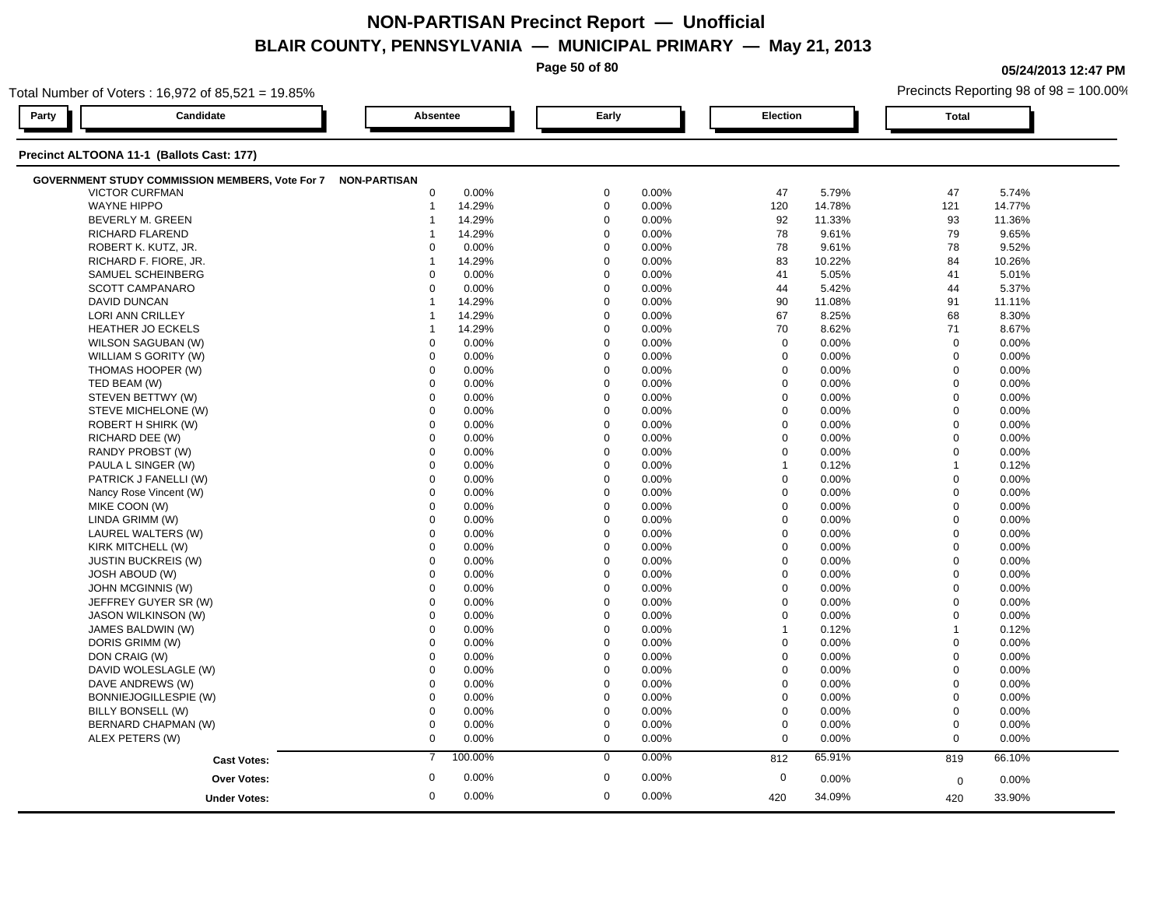**Page 50 of 80** Total Number of Voters : 16,972 of 85,521 = 19.85% **05/24/2013 12:47 PM** Precincts Reporting 98 of 98 = 100.00% **Party Candidate Absentee Early Election Total Precinct ALTOONA 11-1 (Ballots Cast: 177) GOVERNMENT STUDY COMMISSION MEMBERS, Vote For 7 NON-PARTISAN** VICTOR CURFMAN 0 0.00% 0 0.00% 47 5.79% 47 5.74% WAYNE HIPPO 1 14.29% 0 0.00% 120 14.78% 121 14.77% BEVERLY M. GREEN 1 14.29% 0 0.00% 92 11.33% 93 11.36% RICHARD FLAREND 1 14.29% 0 0.00% 78 9.61% 79 9.65% ROBERT K. KUTZ, JR. 0 0.00% 0 0.00% 78 9.61% 78 9.52% RICHARD F. FIORE, JR. 1 14.29% 0 0.00% 83 10.22% 84 10.26% SAMUEL SCHEINBERG 0 0.00% 0 0.00% 41 5.05% 41 5.01%  $\text{SCOTT}\text{ CAMPANARO} \quad \text{SUSY} \quad \text{SUSY} \quad \text{SUSY} \quad \text{SUSY} \quad \text{SUSY} \quad \text{SUSY} \quad \text{SUSY} \quad \text{SUSY} \quad \text{SUSY} \quad \text{SUSY} \quad \text{SUSY} \quad \text{SUSY} \quad \text{SUSY} \quad \text{SUSY} \quad \text{SUSY} \quad \text{SUSY} \quad \text{SUSY} \quad \text{SUSY} \quad \text{SUSY} \quad \text{SUSY} \quad \text{SUSY} \quad \text{SUSY} \quad \text{SUS$ DAVID DUNCAN 1 14.29% 0 0.00% 90 11.08% 91 11.11% LORI ANN CRILLEY 1 14.29% 0 0.00% 67 8.25% 68 8.30% HEATHER JO ECKELS 1 14.29% 0 0.00% 70 8.62% 71 8.67% WILSON SAGUBAN (W) 0 0.00% 0 0.00% 0 0.00% 0 0.00% WILLIAM S GORITY (W) 0 0.00% 0 0.00% 0 0.00% 0 0.00% THOMAS HOOPER (W) 0 0.00% 0 0.00% 0 0.00% 0 0.00% TED BEAM (W) 0 0.00% 0 0.00% 0 0.00% 0 0.00% STEVEN BETTWY (W) 0 0.00% 0 0.00% 0 0.00% 0 0.00% STEVE MICHELONE (W) 0 0.00% 0 0.00% 0 0.00% 0 0.00% ROBERT H SHIRK (W) 0 0.00% 0 0.00% 0 0.00% 0 0.00% RICHARD DEE (W) 0 0.00% 0 0.00% 0 0.00% 0 0.00% RANDY PROBST (W) 0 0.00% 0 0.00% 0 0.00% 0 0.00% PAULA L SINGER (W) 0 0.00% 0 0.00% 1 0.12% 1 0.12% PATRICK J FANELLI (W) 0 0.00% 0 0.00% 0 0.00% 0 0.00% Nancy Rose Vincent (W) 0 0.00% 0 0.00% 0 0.00% 0 0.00%

| <b>JUUTTUAINE ANANU</b>      |              | 0.UU /0 |          | <b>0.UU</b> /0 | 44       | 0.42 / 0 | ┅           | 0. ، ، ، ، ، |  |
|------------------------------|--------------|---------|----------|----------------|----------|----------|-------------|--------------|--|
| DAVID DUNCAN                 |              | 14.29%  |          | 0.00%          | 90       | 11.08%   | 91          | 11.11%       |  |
| <b>LORI ANN CRILLEY</b>      |              | 14.29%  | 0        | 0.00%          | 67       | 8.25%    | 68          | 8.30%        |  |
| <b>HEATHER JO ECKELS</b>     |              | 14.29%  | 0        | 0.00%          | 70       | 8.62%    | 71          | 8.67%        |  |
| WILSON SAGUBAN (W)           | $\Omega$     | 0.00%   | 0        | 0.00%          | $\Omega$ | 0.00%    | $\mathbf 0$ | 0.00%        |  |
| WILLIAM S GORITY (W)         | $\Omega$     | 0.00%   | $\Omega$ | 0.00%          | $\Omega$ | 0.00%    | $\Omega$    | 0.00%        |  |
| THOMAS HOOPER (W)            | $\Omega$     | 0.00%   | $\Omega$ | 0.00%          | $\Omega$ | 0.00%    | $\Omega$    | 0.00%        |  |
| TED BEAM (W)                 | $\Omega$     | 0.00%   | 0        | 0.00%          | $\Omega$ | 0.00%    | $\mathbf 0$ | 0.00%        |  |
| STEVEN BETTWY (W)            | $\Omega$     | 0.00%   | $\Omega$ | 0.00%          | $\Omega$ | 0.00%    | $\Omega$    | 0.00%        |  |
| STEVE MICHELONE (W)          | $\Omega$     | 0.00%   | U        | 0.00%          | $\Omega$ | 0.00%    | $\Omega$    | 0.00%        |  |
| ROBERT H SHIRK (W)           | $\Omega$     | 0.00%   | 0        | 0.00%          | $\Omega$ | 0.00%    | $\Omega$    | 0.00%        |  |
| RICHARD DEE (W)              | $\Omega$     | 0.00%   | 0        | 0.00%          | $\Omega$ | 0.00%    | $\Omega$    | 0.00%        |  |
| RANDY PROBST (W)             | $\Omega$     | 0.00%   |          | 0.00%          | $\Omega$ | 0.00%    | $\Omega$    | 0.00%        |  |
| PAULA L SINGER (W)           | $\Omega$     | 0.00%   |          | 0.00%          |          | 0.12%    |             | 0.12%        |  |
| PATRICK J FANELLI (W)        | $\Omega$     | 0.00%   |          | 0.00%          | $\Omega$ | 0.00%    | $\Omega$    | 0.00%        |  |
| Nancy Rose Vincent (W)       | $\Omega$     | 0.00%   |          | 0.00%          | $\Omega$ | 0.00%    | $\Omega$    | 0.00%        |  |
| MIKE COON (W)                | $\Omega$     | 0.00%   |          | 0.00%          | $\Omega$ | 0.00%    | $\Omega$    | 0.00%        |  |
| LINDA GRIMM (W)              | $\Omega$     | 0.00%   |          | 0.00%          | $\Omega$ | $0.00\%$ | $\Omega$    | 0.00%        |  |
| LAUREL WALTERS (W)           | $\Omega$     | 0.00%   |          | 0.00%          | $\Omega$ | $0.00\%$ | $\Omega$    | 0.00%        |  |
| KIRK MITCHELL (W)            | $\Omega$     | 0.00%   |          | 0.00%          | $\Omega$ | $0.00\%$ | $\Omega$    | 0.00%        |  |
| <b>JUSTIN BUCKREIS (W)</b>   | $\Omega$     | 0.00%   |          | 0.00%          | $\Omega$ | 0.00%    | $\Omega$    | 0.00%        |  |
| JOSH ABOUD (W)               | $\Omega$     | 0.00%   |          | 0.00%          | $\Omega$ | 0.00%    | $\Omega$    | 0.00%        |  |
| <b>JOHN MCGINNIS (W)</b>     | $\Omega$     | 0.00%   |          | 0.00%          |          | 0.00%    | $\Omega$    | 0.00%        |  |
| JEFFREY GUYER SR (W)         | $\Omega$     | 0.00%   |          | 0.00%          | $\Omega$ | 0.00%    | $\Omega$    | 0.00%        |  |
| <b>JASON WILKINSON (W)</b>   | $\Omega$     | 0.00%   |          | 0.00%          | $\Omega$ | 0.00%    | $\Omega$    | 0.00%        |  |
| JAMES BALDWIN (W)            | $\Omega$     | 0.00%   |          | 0.00%          |          | 0.12%    |             | 0.12%        |  |
| DORIS GRIMM (W)              | $\Omega$     | 0.00%   |          | 0.00%          | $\Omega$ | 0.00%    | $\Omega$    | 0.00%        |  |
| DON CRAIG (W)                | $\Omega$     | 0.00%   |          | 0.00%          | $\Omega$ | 0.00%    | $\Omega$    | 0.00%        |  |
| DAVID WOLESLAGLE (W)         | $\Omega$     | 0.00%   |          | 0.00%          | $\Omega$ | 0.00%    | $\Omega$    | 0.00%        |  |
| DAVE ANDREWS (W)             | $\Omega$     | 0.00%   |          | 0.00%          | $\Omega$ | 0.00%    | $\Omega$    | 0.00%        |  |
| <b>BONNIEJOGILLESPIE (W)</b> | $\Omega$     | 0.00%   |          | 0.00%          | $\Omega$ | 0.00%    | $\Omega$    | 0.00%        |  |
| BILLY BONSELL (W)            | $\Omega$     | 0.00%   |          | 0.00%          | $\Omega$ | 0.00%    | $\Omega$    | 0.00%        |  |
| BERNARD CHAPMAN (W)          | $\Omega$     | 0.00%   |          | 0.00%          | $\Omega$ | 0.00%    | $\Omega$    | 0.00%        |  |
| ALEX PETERS (W)              | $\mathbf 0$  | 0.00%   | 0        | 0.00%          | $\Omega$ | 0.00%    | $\Omega$    | 0.00%        |  |
| <b>Cast Votes:</b>           | 7            | 100.00% | $\Omega$ | 0.00%          | 812      | 65.91%   | 819         | 66.10%       |  |
| <b>Over Votes:</b>           | $\mathbf{0}$ | 0.00%   | O        | 0.00%          | 0        | $0.00\%$ | $\Omega$    | 0.00%        |  |
| <b>Under Votes:</b>          | $\mathbf 0$  | 0.00%   | $\Omega$ | 0.00%          | 420      | 34.09%   | 420         | 33.90%       |  |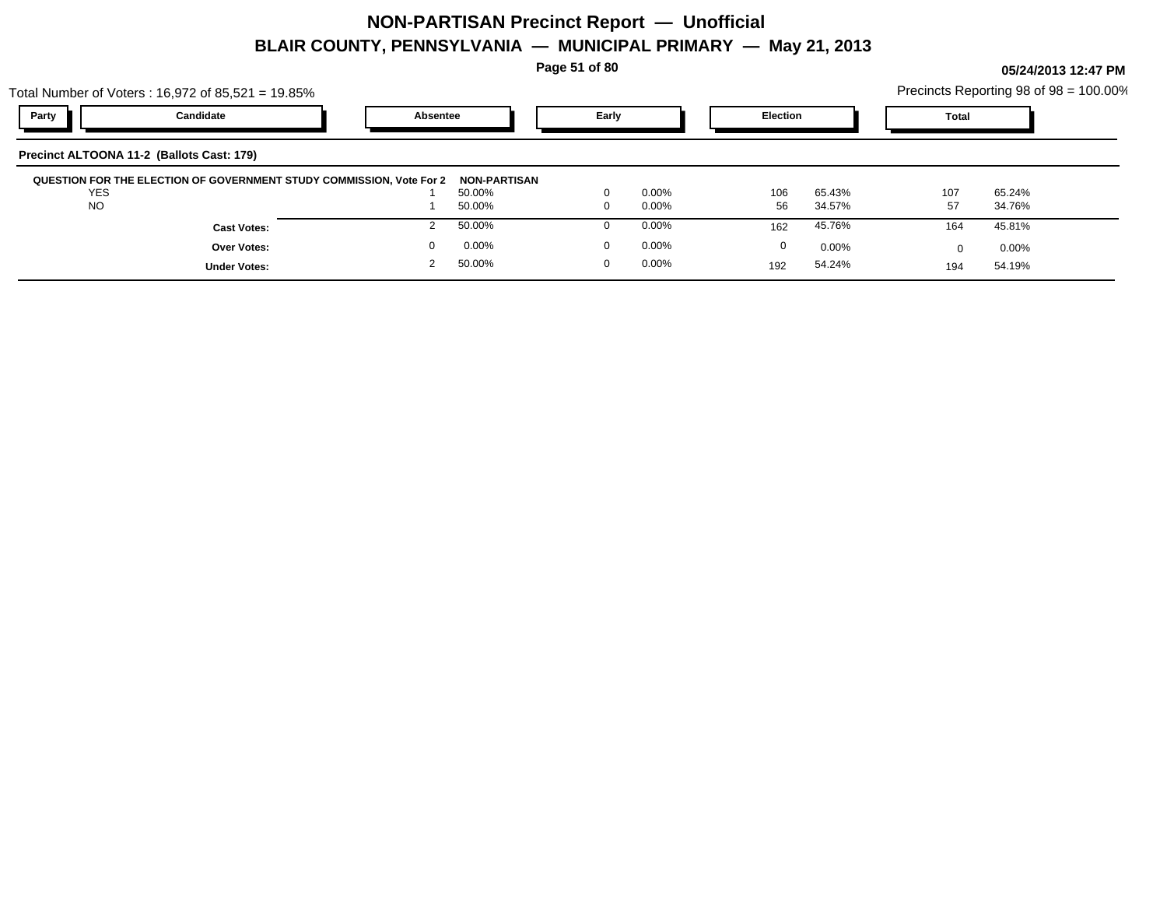**Page 51 of 80**

**05/24/2013 12:47 PM**

54.24% 54.19% 194

54.24%

192

|            | Total Number of Voters: 16,972 of 85,521 = 19.85%                    |          |              |       |          |                 |        |       |        | Precincts Reporting 98 of 98 = 100.00% |
|------------|----------------------------------------------------------------------|----------|--------------|-------|----------|-----------------|--------|-------|--------|----------------------------------------|
| Party      | Candidate                                                            | Absentee |              | Early |          | <b>Election</b> |        | Total |        |                                        |
|            | Precinct ALTOONA 11-2 (Ballots Cast: 179)                            |          |              |       |          |                 |        |       |        |                                        |
|            | QUESTION FOR THE ELECTION OF GOVERNMENT STUDY COMMISSION, Vote For 2 |          | NON-PARTISAN |       |          |                 |        |       |        |                                        |
| <b>YES</b> |                                                                      |          | 50.00%       |       | $0.00\%$ | 106             | 65.43% | 107   | 65.24% |                                        |
| <b>NO</b>  |                                                                      |          | 50.00%       |       | $0.00\%$ | 56              | 34.57% | 57    | 34.76% |                                        |
|            |                                                                      |          |              |       |          |                 |        |       |        |                                        |
|            | <b>Cast Votes:</b>                                                   |          | 50.00%       |       | $0.00\%$ | 162             | 45.76% | 164   | 45.81% |                                        |

50.00% 2

0 0.00%

**Under Votes:**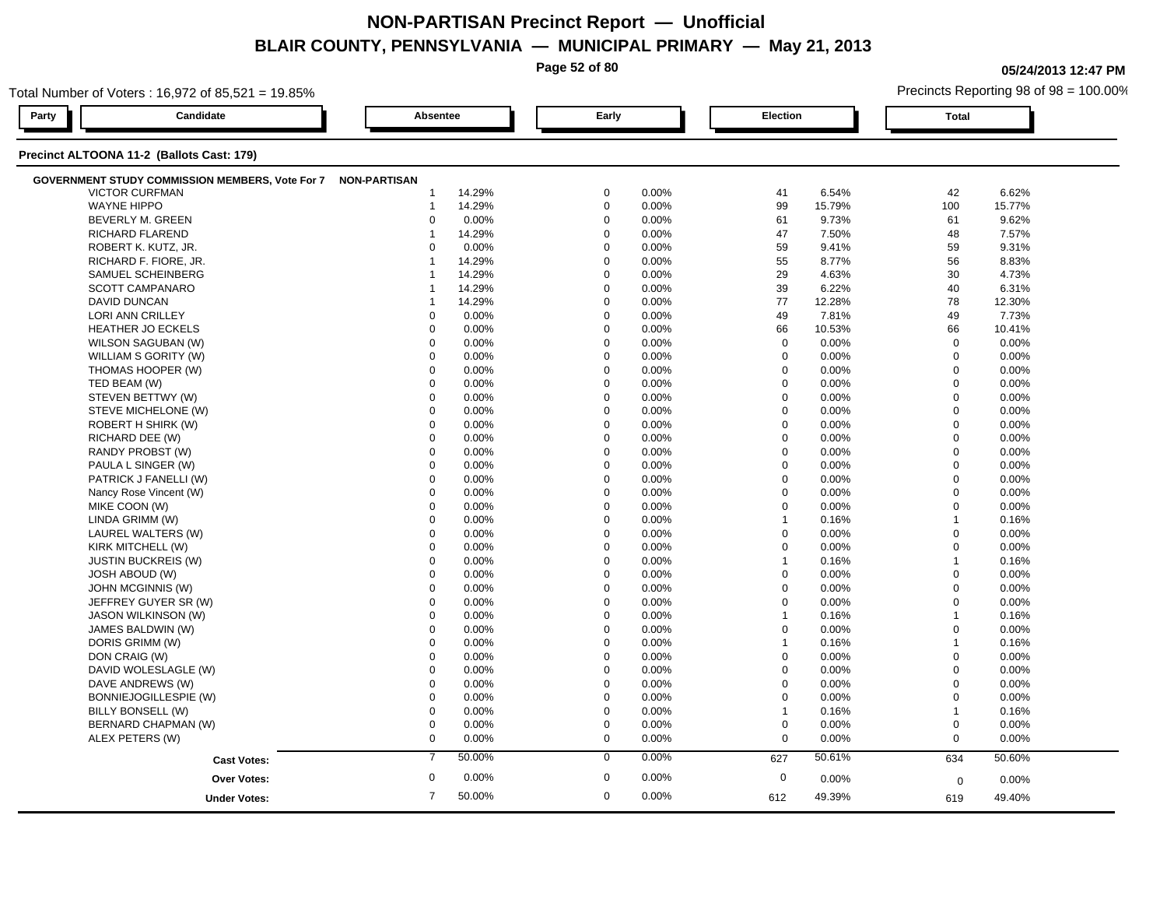|                                                                                 |                     |          | Page 52 of 80 |       |          |        |              | 05/24/2013 12:47 PM                    |  |
|---------------------------------------------------------------------------------|---------------------|----------|---------------|-------|----------|--------|--------------|----------------------------------------|--|
| Total Number of Voters: $16,972$ of $85,521 = 19.85\%$                          |                     |          |               |       |          |        |              | Precincts Reporting 98 of 98 = 100.00% |  |
| Party<br>Candidate                                                              | Absentee            |          | Early         |       | Election |        | <b>Total</b> |                                        |  |
| Precinct ALTOONA 11-2 (Ballots Cast: 179)                                       |                     |          |               |       |          |        |              |                                        |  |
| <b>GOVERNMENT STUDY COMMISSION MEMBERS, Vote For 7</b><br><b>VICTOR CURFMAN</b> | <b>NON-PARTISAN</b> | 14.29%   | $\mathbf 0$   | 0.00% | 41       | 6.54%  | 42           | 6.62%                                  |  |
| <b>WAYNE HIPPO</b>                                                              |                     | 14.29%   | $\mathbf 0$   | 0.00% | 99       | 15.79% | 100          | 15.77%                                 |  |
| BEVERLY M. GREEN                                                                |                     | $0.00\%$ | $\Omega$      | 0.00% | 61       | 9.73%  | 61           | 9.62%                                  |  |
| <b>RICHARD FLAREND</b>                                                          |                     | 14.29%   |               | 0.00% | 47       | 7.50%  | 48           | 7.57%                                  |  |
| ROBERT K. KUTZ, JR.                                                             |                     | 0.00%    | $\Omega$      | 0.00% | 59       | 9.41%  | 59           | 9.31%                                  |  |
| RICHARD F. FIORE, JR.                                                           |                     | 14.29%   |               | 0.00% | 55       | 8.77%  | 56           | 8.83%                                  |  |
| SAMUEL SCHEINBERG                                                               |                     | 14.29%   |               | 0.00% | 29       | 4.63%  | 30           | 4.73%                                  |  |
| <b>SCOTT CAMPANARO</b>                                                          |                     | 14.29%   |               | 0.00% | 39       | 6.22%  | 40           | 6.31%                                  |  |
| DAVID DUNCAN                                                                    |                     | 14.29%   |               | 0.00% | 77       | 12.28% | 78           | 12.30%                                 |  |
| <b>LORI ANN CRILLEY</b>                                                         |                     | 0.00%    |               | 0.00% | 49       | 7.81%  | 49           | 7.73%                                  |  |
| <b>HEATHER JO ECKELS</b>                                                        |                     | 0.00%    |               | 0.00% | 66       | 10.53% | 66           | 10.41%                                 |  |
| WILSON SAGUBAN (W)                                                              |                     | $0.00\%$ |               | 0.00% | $\Omega$ | 0.00%  | $\Omega$     | 0.00%                                  |  |
| WILLIAM S GORITY (W)                                                            |                     | $0.00\%$ | $\Omega$      | 0.00% | $\Omega$ | 0.00%  |              | 0.00%                                  |  |
| THOMAS HOOPER (W)                                                               |                     | $0.00\%$ |               | 0.00% | $\Omega$ | 0.00%  |              | 0.00%                                  |  |
| TED BEAM (W)                                                                    |                     | 0.00%    |               | 0.00% |          | 0.00%  |              | $0.00\%$                               |  |
| STEVEN BETTWY (W)                                                               |                     | 0.00%    |               | 0.00% |          | 0.00%  |              | 0.00%                                  |  |
| STEVE MICHELONE (W)                                                             |                     | $0.00\%$ |               | 0.00% | $\Omega$ | 0.00%  |              | $0.00\%$                               |  |
| ROBERT H SHIRK (W)                                                              |                     | 0.00%    |               | 0.00% |          | 0.00%  |              | 0.00%                                  |  |
| RICHARD DEE (W)                                                                 |                     | 0.00%    | $\Omega$      | 0.00% | $\Omega$ | 0.00%  | 0            | 0.00%                                  |  |

| <b>RICHARD FLAREND</b>       |                | 14.29% | 0            | $0.00\%$ | 47           | $1.50\%$ | 48          | 1.51%  |  |
|------------------------------|----------------|--------|--------------|----------|--------------|----------|-------------|--------|--|
| ROBERT K. KUTZ, JR.          | $\Omega$       | 0.00%  | $\mathbf 0$  | 0.00%    | 59           | 9.41%    | 59          | 9.31%  |  |
| RICHARD F. FIORE, JR.        |                | 14.29% | $\mathbf 0$  | 0.00%    | 55           | 8.77%    | 56          | 8.83%  |  |
| SAMUEL SCHEINBERG            |                | 14.29% | $\mathbf 0$  | 0.00%    | 29           | 4.63%    | 30          | 4.73%  |  |
| <b>SCOTT CAMPANARO</b>       |                | 14.29% | $\mathbf 0$  | 0.00%    | 39           | 6.22%    | 40          | 6.31%  |  |
| <b>DAVID DUNCAN</b>          |                | 14.29% | $\mathbf 0$  | 0.00%    | 77           | 12.28%   | 78          | 12.30% |  |
| <b>LORI ANN CRILLEY</b>      | $\Omega$       | 0.00%  | $\mathbf 0$  | 0.00%    | 49           | 7.81%    | 49          | 7.73%  |  |
| <b>HEATHER JO ECKELS</b>     | $\Omega$       | 0.00%  | $\mathbf{0}$ | 0.00%    | 66           | 10.53%   | 66          | 10.41% |  |
| WILSON SAGUBAN (W)           | $\Omega$       | 0.00%  | $\mathbf 0$  | 0.00%    | $\mathbf 0$  | 0.00%    | $\mathbf 0$ | 0.00%  |  |
| WILLIAM S GORITY (W)         | $\Omega$       | 0.00%  | $\mathbf 0$  | 0.00%    | $\Omega$     | 0.00%    | 0           | 0.00%  |  |
| THOMAS HOOPER (W)            | $\Omega$       | 0.00%  | $\mathbf 0$  | 0.00%    | $\Omega$     | 0.00%    | $\Omega$    | 0.00%  |  |
| TED BEAM (W)                 | $\Omega$       | 0.00%  | $\mathbf{0}$ | 0.00%    | $\mathbf 0$  | 0.00%    | 0           | 0.00%  |  |
| STEVEN BETTWY (W)            | $\Omega$       | 0.00%  | $\mathbf 0$  | 0.00%    | $\mathbf 0$  | 0.00%    | 0           | 0.00%  |  |
| STEVE MICHELONE (W)          | $\Omega$       | 0.00%  | $\mathbf 0$  | 0.00%    | $\Omega$     | 0.00%    | 0           | 0.00%  |  |
| <b>ROBERT H SHIRK (W)</b>    | $\Omega$       | 0.00%  | $\mathbf 0$  | 0.00%    | $\mathbf 0$  | 0.00%    | 0           | 0.00%  |  |
| RICHARD DEE (W)              | $\Omega$       | 0.00%  | $\mathbf 0$  | 0.00%    | $\mathbf 0$  | 0.00%    | 0           | 0.00%  |  |
| RANDY PROBST (W)             | $\Omega$       | 0.00%  | $\mathbf 0$  | 0.00%    | $\Omega$     | 0.00%    | 0           | 0.00%  |  |
| PAULA L SINGER (W)           | $\Omega$       | 0.00%  | $\mathbf 0$  | 0.00%    | $\Omega$     | 0.00%    | 0           | 0.00%  |  |
| PATRICK J FANELLI (W)        | $\Omega$       | 0.00%  | $\mathbf 0$  | 0.00%    | $\mathbf 0$  | 0.00%    | $\Omega$    | 0.00%  |  |
| Nancy Rose Vincent (W)       | $\mathbf 0$    | 0.00%  | $\mathbf 0$  | 0.00%    | $\mathbf 0$  | 0.00%    | 0           | 0.00%  |  |
| MIKE COON (W)                | $\Omega$       | 0.00%  | $\mathbf 0$  | 0.00%    | $\Omega$     | 0.00%    | 0           | 0.00%  |  |
| LINDA GRIMM (W)              | $\Omega$       | 0.00%  | $\mathbf 0$  | 0.00%    | $\mathbf{1}$ | 0.16%    |             | 0.16%  |  |
| LAUREL WALTERS (W)           | $\Omega$       | 0.00%  | $\mathbf{0}$ | 0.00%    | $\mathbf 0$  | 0.00%    | 0           | 0.00%  |  |
| KIRK MITCHELL (W)            | $\Omega$       | 0.00%  | $\mathbf 0$  | 0.00%    | $\mathbf 0$  | 0.00%    | 0           | 0.00%  |  |
| <b>JUSTIN BUCKREIS (W)</b>   |                | 0.00%  | $\mathbf 0$  | 0.00%    | $\mathbf{1}$ | 0.16%    |             | 0.16%  |  |
| JOSH ABOUD (W)               | $\Omega$       | 0.00%  | $\mathbf 0$  | 0.00%    | $\mathbf 0$  | 0.00%    | 0           | 0.00%  |  |
| JOHN MCGINNIS (W)            | $\Omega$       | 0.00%  | $\mathbf 0$  | 0.00%    | $\mathbf 0$  | 0.00%    | 0           | 0.00%  |  |
| JEFFREY GUYER SR (W)         | $\Omega$       | 0.00%  | $\mathbf 0$  | 0.00%    | $\mathbf 0$  | 0.00%    | 0           | 0.00%  |  |
| JASON WILKINSON (W)          | $\Omega$       | 0.00%  | $\mathbf 0$  | 0.00%    | $\mathbf{1}$ | 0.16%    |             | 0.16%  |  |
| JAMES BALDWIN (W)            | $\Omega$       | 0.00%  | $\mathbf 0$  | 0.00%    | $\mathbf 0$  | 0.00%    | $\Omega$    | 0.00%  |  |
| DORIS GRIMM (W)              | $\Omega$       | 0.00%  | $\mathbf 0$  | 0.00%    | $\mathbf{1}$ | 0.16%    |             | 0.16%  |  |
| DON CRAIG (W)                | $\Omega$       | 0.00%  | $\mathbf 0$  | 0.00%    | $\Omega$     | 0.00%    | 0           | 0.00%  |  |
| DAVID WOLESLAGLE (W)         | $\Omega$       | 0.00%  | $\mathbf 0$  | 0.00%    | $\Omega$     | 0.00%    | 0           | 0.00%  |  |
| DAVE ANDREWS (W)             | $\Omega$       | 0.00%  | $\mathbf 0$  | 0.00%    | $\Omega$     | 0.00%    | 0           | 0.00%  |  |
| <b>BONNIEJOGILLESPIE (W)</b> | $\Omega$       | 0.00%  | $\mathbf 0$  | 0.00%    | $\Omega$     | 0.00%    | 0           | 0.00%  |  |
| BILLY BONSELL (W)            | $\Omega$       | 0.00%  | $\mathbf 0$  | 0.00%    | $\mathbf{1}$ | 0.16%    |             | 0.16%  |  |
| BERNARD CHAPMAN (W)          | $\Omega$       | 0.00%  | $\mathbf 0$  | 0.00%    | $\mathbf 0$  | 0.00%    | 0           | 0.00%  |  |
| ALEX PETERS (W)              | $\mathbf 0$    | 0.00%  | $\mathbf 0$  | 0.00%    | $\mathbf 0$  | 0.00%    | $\mathbf 0$ | 0.00%  |  |
| <b>Cast Votes:</b>           | $\overline{7}$ | 50.00% | $\mathbf 0$  | 0.00%    | 627          | 50.61%   | 634         | 50.60% |  |
| Over Votes:                  | $\mathbf 0$    | 0.00%  | $\mathbf{0}$ | 0.00%    | $\mathbf 0$  | 0.00%    | $\mathbf 0$ | 0.00%  |  |
| <b>Under Votes:</b>          | 7              | 50.00% | $\mathbf{0}$ | 0.00%    | 612          | 49.39%   | 619         | 49.40% |  |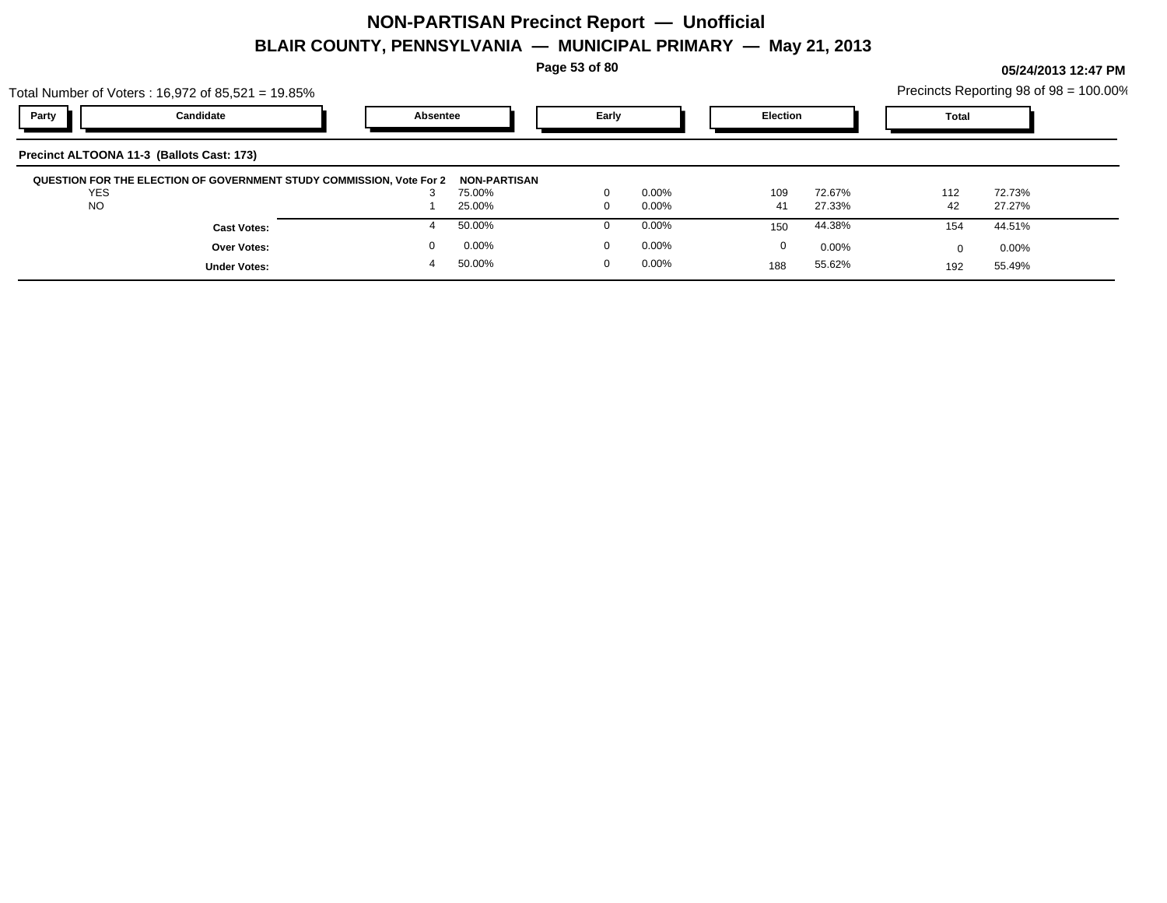**Page 53 of 80**

|                                           | Total Number of Voters: 16,972 of 85,521 = 19.85%                    |                  |          |          |                 |        |              | Precincts Reporting 98 of 98 = 100.00% |  |
|-------------------------------------------|----------------------------------------------------------------------|------------------|----------|----------|-----------------|--------|--------------|----------------------------------------|--|
| Party                                     | Candidate                                                            | Absentee         | Early    |          | <b>Election</b> |        | <b>Total</b> |                                        |  |
| Precinct ALTOONA 11-3 (Ballots Cast: 173) |                                                                      |                  |          |          |                 |        |              |                                        |  |
| <b>YES</b>                                | QUESTION FOR THE ELECTION OF GOVERNMENT STUDY COMMISSION, Vote For 2 | NON-PARTISAN     |          | $0.00\%$ | 109             | 72.67% | 112          | 72.73%                                 |  |
| <b>NO</b>                                 |                                                                      | 75.00%<br>25.00% |          | $0.00\%$ | 41              | 27.33% | 42           | 27.27%                                 |  |
|                                           | <b>Cast Votes:</b>                                                   | 50.00%           |          | $0.00\%$ | 150             | 44.38% | 154          | 44.51%                                 |  |
|                                           | <b>Over Votes:</b>                                                   | 0.00%            |          | $0.00\%$ | 0               | 0.00%  | <sup>n</sup> | $0.00\%$                               |  |
|                                           | <b>Under Votes:</b>                                                  | 50.00%           | $\Omega$ | $0.00\%$ | 188             | 55.62% | 192          | 55.49%                                 |  |
|                                           |                                                                      |                  |          |          |                 |        |              |                                        |  |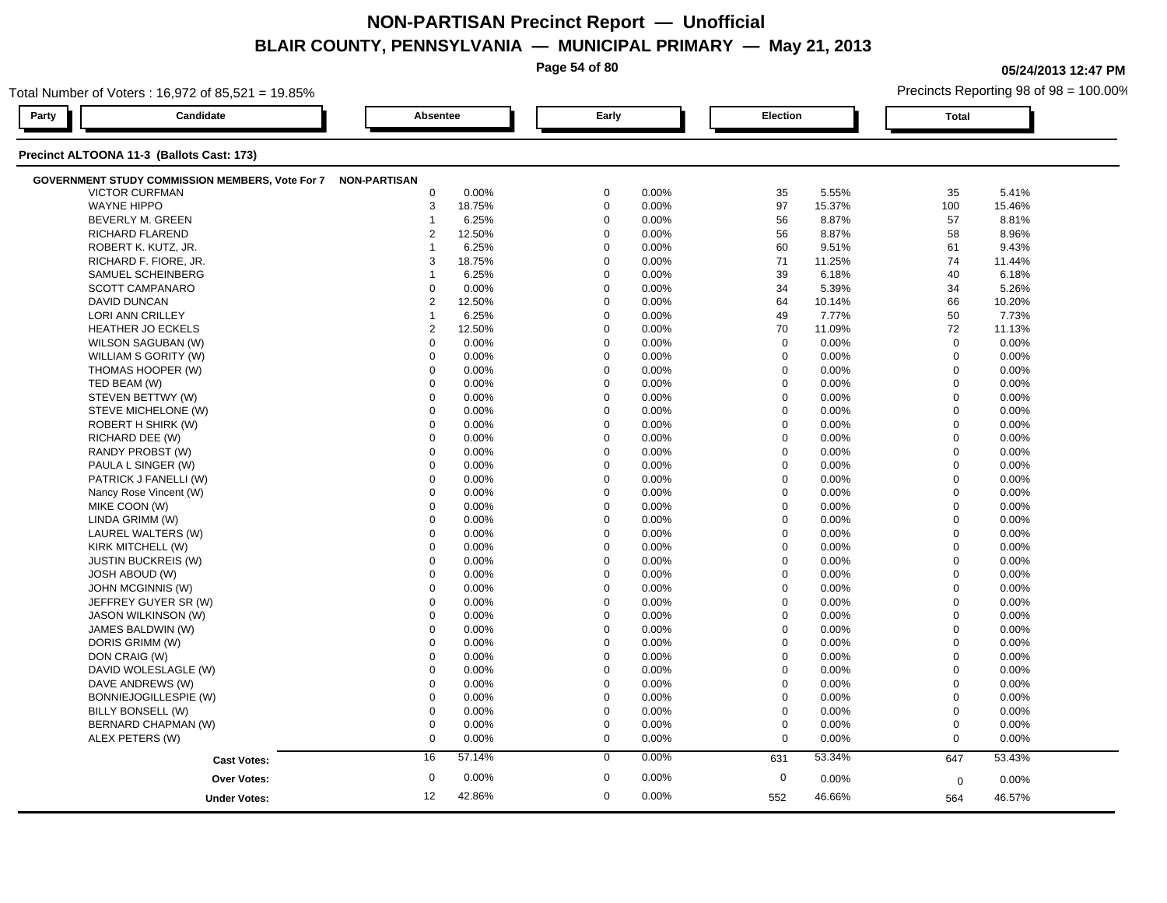**Page 54 of 80**

**05/24/2013 12:47 PM**

|       | Total Number of Voters: 16,972 of 85,521 = 19.85%            |                 |        |             |       |                  |        |              | Precincts Reporting 98 of 98 = 100.00% |  |
|-------|--------------------------------------------------------------|-----------------|--------|-------------|-------|------------------|--------|--------------|----------------------------------------|--|
| Party | Candidate                                                    | <b>Absentee</b> |        | Early       |       | <b>Election</b>  |        | <b>Total</b> |                                        |  |
|       | Precinct ALTOONA 11-3 (Ballots Cast: 173)                    |                 |        |             |       |                  |        |              |                                        |  |
|       | GOVERNMENT STUDY COMMISSION MEMBERS, Vote For 7 NON-PARTISAN |                 |        |             |       |                  |        |              |                                        |  |
|       | <b>VICTOR CURFMAN</b>                                        | $\mathbf 0$     | 0.00%  | $\mathbf 0$ | 0.00% | 35               | 5.55%  | 35           | 5.41%                                  |  |
|       | <b>WAYNE HIPPO</b>                                           | 3               | 18.75% | $\mathbf 0$ | 0.00% | 97               | 15.37% | 100          | 15.46%                                 |  |
|       | BEVERLY M. GREEN                                             | $\mathbf{1}$    | 6.25%  | $\mathbf 0$ | 0.00% | 56               | 8.87%  | 57           | 8.81%                                  |  |
|       | <b>RICHARD FLAREND</b>                                       | $\overline{2}$  | 12.50% | $\Omega$    | 0.00% | 56               | 8.87%  | 58           | 8.96%                                  |  |
|       | ROBERT K. KUTZ, JR.                                          | 1               | 6.25%  | $\Omega$    | 0.00% | 60               | 9.51%  | 61           | 9.43%                                  |  |
|       | RICHARD F. FIORE, JR.                                        | 3               | 18.75% | $\Omega$    | 0.00% | 71               | 11.25% | 74           | 11.44%                                 |  |
|       | SAMUEL SCHEINBERG                                            | 1               | 6.25%  | $\Omega$    | 0.00% | 39               | 6.18%  | 40           | 6.18%                                  |  |
|       | <b>SCOTT CAMPANARO</b>                                       | $\mathbf 0$     | 0.00%  | $\mathbf 0$ | 0.00% | 34               | 5.39%  | 34           | 5.26%                                  |  |
|       | <b>DAVID DUNCAN</b>                                          | 2               | 12.50% | $\mathbf 0$ | 0.00% | 64               | 10.14% | 66           | 10.20%                                 |  |
|       | LORI ANN CRILLEY                                             | -1              | 6.25%  | $\mathbf 0$ | 0.00% | 49               | 7.77%  | 50           | 7.73%                                  |  |
|       | <b>HEATHER JO ECKELS</b>                                     | $\overline{2}$  | 12.50% | $\mathbf 0$ | 0.00% | 70               | 11.09% | 72           | 11.13%                                 |  |
|       | WILSON SAGUBAN (W)                                           | $\mathbf 0$     | 0.00%  | $\Omega$    | 0.00% | $\mathbf 0$      | 0.00%  | $\mathbf 0$  | 0.00%                                  |  |
|       | WILLIAM S GORITY (W)                                         | $\mathbf 0$     | 0.00%  | $\Omega$    | 0.00% | $\mathbf 0$      | 0.00%  | $\mathbf 0$  | 0.00%                                  |  |
|       | THOMAS HOOPER (W)                                            | 0               | 0.00%  | $\mathbf 0$ | 0.00% | $\mathbf 0$      | 0.00%  | $\mathbf 0$  | 0.00%                                  |  |
|       | TED BEAM (W)                                                 | $\mathbf 0$     | 0.00%  | $\mathbf 0$ | 0.00% | $\mathbf 0$      | 0.00%  | $\mathbf 0$  | 0.00%                                  |  |
|       | STEVEN BETTWY (W)                                            | $\mathbf 0$     | 0.00%  | $\mathbf 0$ | 0.00% | $\mathbf 0$      | 0.00%  | $\mathbf 0$  | 0.00%                                  |  |
|       | STEVE MICHELONE (W)                                          | $\mathbf 0$     | 0.00%  | $\Omega$    | 0.00% | 0                | 0.00%  | $\mathbf 0$  | 0.00%                                  |  |
|       | ROBERT H SHIRK (W)                                           | $\mathbf 0$     | 0.00%  | $\mathbf 0$ | 0.00% | $\mathbf 0$      | 0.00%  | $\mathbf 0$  | 0.00%                                  |  |
|       | RICHARD DEE (W)                                              | $\Omega$        | 0.00%  | $\Omega$    | 0.00% | $\mathbf 0$      | 0.00%  | $\mathbf 0$  | 0.00%                                  |  |
|       | RANDY PROBST (W)                                             | $\Omega$        | 0.00%  | $\Omega$    | 0.00% | $\mathbf 0$      | 0.00%  | $\mathbf 0$  | 0.00%                                  |  |
|       | PAULA L SINGER (W)                                           | $\mathbf 0$     | 0.00%  | $\mathbf 0$ | 0.00% | $\mathbf 0$      | 0.00%  | $\Omega$     | 0.00%                                  |  |
|       | PATRICK J FANELLI (W)                                        | $\mathbf 0$     | 0.00%  | $\mathbf 0$ | 0.00% | $\mathbf 0$      | 0.00%  | $\mathbf 0$  | 0.00%                                  |  |
|       | Nancy Rose Vincent (W)                                       | $\mathbf 0$     | 0.00%  | $\mathbf 0$ | 0.00% | $\mathbf 0$      | 0.00%  | $\mathbf 0$  | 0.00%                                  |  |
|       | MIKE COON (W)                                                | $\Omega$        | 0.00%  | $\Omega$    | 0.00% | $\mathbf 0$      | 0.00%  | $\mathbf 0$  | 0.00%                                  |  |
|       | LINDA GRIMM (W)                                              | $\mathbf 0$     | 0.00%  | $\Omega$    | 0.00% | $\mathbf 0$      | 0.00%  | $\mathbf 0$  | 0.00%                                  |  |
|       | LAUREL WALTERS (W)                                           | $\Omega$        | 0.00%  | $\Omega$    | 0.00% | $\Omega$         | 0.00%  | $\Omega$     | 0.00%                                  |  |
|       | KIRK MITCHELL (W)                                            | $\mathbf 0$     | 0.00%  | $\mathbf 0$ | 0.00% | $\mathbf 0$      | 0.00%  | $\mathbf 0$  | 0.00%                                  |  |
|       | <b>JUSTIN BUCKREIS (W)</b>                                   | $\mathbf 0$     | 0.00%  | $\mathbf 0$ | 0.00% | $\mathbf 0$      | 0.00%  | $\mathbf 0$  | 0.00%                                  |  |
|       | <b>JOSH ABOUD (W)</b>                                        | $\Omega$        | 0.00%  | $\Omega$    | 0.00% | 0                | 0.00%  | $\mathbf 0$  | 0.00%                                  |  |
|       | JOHN MCGINNIS (W)                                            | $\Omega$        | 0.00%  | $\Omega$    | 0.00% | $\mathbf 0$      | 0.00%  | $\mathbf 0$  | 0.00%                                  |  |
|       | JEFFREY GUYER SR (W)                                         | $\Omega$        | 0.00%  | $\Omega$    | 0.00% | $\mathbf 0$      | 0.00%  | $\Omega$     | 0.00%                                  |  |
|       | <b>JASON WILKINSON (W)</b>                                   | $\Omega$        | 0.00%  | $\Omega$    | 0.00% | $\mathbf 0$      | 0.00%  | $\mathbf 0$  | 0.00%                                  |  |
|       | JAMES BALDWIN (W)                                            | $\mathbf 0$     | 0.00%  | $\mathbf 0$ | 0.00% | $\mathbf 0$      | 0.00%  | $\mathbf 0$  | 0.00%                                  |  |
|       | DORIS GRIMM (W)                                              | $\mathbf 0$     | 0.00%  | $\Omega$    | 0.00% | $\mathbf 0$      | 0.00%  | $\mathbf 0$  | 0.00%                                  |  |
|       | DON CRAIG (W)                                                | $\mathbf 0$     | 0.00%  | $\mathbf 0$ | 0.00% | $\mathbf 0$      | 0.00%  | $\mathbf 0$  | 0.00%                                  |  |
|       | DAVID WOLESLAGLE (W)                                         | $\mathbf 0$     | 0.00%  | $\mathbf 0$ | 0.00% | $\mathbf 0$      | 0.00%  | $\mathbf 0$  | 0.00%                                  |  |
|       | DAVE ANDREWS (W)                                             | $\Omega$        | 0.00%  | $\Omega$    | 0.00% | $\mathbf 0$      | 0.00%  | $\mathbf 0$  | 0.00%                                  |  |
|       | BONNIEJOGILLESPIE (W)                                        | $\mathbf 0$     | 0.00%  | $\Omega$    | 0.00% | $\mathbf 0$      | 0.00%  | $\mathbf 0$  | 0.00%                                  |  |
|       | BILLY BONSELL (W)                                            | $\mathbf 0$     | 0.00%  | $\Omega$    | 0.00% | $\mathbf 0$      | 0.00%  | $\mathbf 0$  | 0.00%                                  |  |
|       | BERNARD CHAPMAN (W)                                          | $\mathbf 0$     | 0.00%  | $\mathbf 0$ | 0.00% | $\boldsymbol{0}$ | 0.00%  | $\mathbf 0$  | 0.00%                                  |  |
|       | ALEX PETERS (W)                                              | $\mathbf 0$     | 0.00%  | $\mathbf 0$ | 0.00% | $\mathbf 0$      | 0.00%  | $\mathbf 0$  | 0.00%                                  |  |
|       | <b>Cast Votes:</b>                                           | 16              | 57.14% | $\mathbf 0$ | 0.00% | 631              | 53.34% | 647          | 53.43%                                 |  |
|       | <b>Over Votes:</b>                                           | $\mathbf 0$     | 0.00%  | $\mathbf 0$ | 0.00% | $\mathbf 0$      | 0.00%  | $\mathbf 0$  | 0.00%                                  |  |
|       |                                                              | 12              | 42.86% | $\mathbf 0$ | 0.00% | 552              | 46.66% |              | 46.57%                                 |  |
|       | <b>Under Votes:</b>                                          |                 |        |             |       |                  |        | 564          |                                        |  |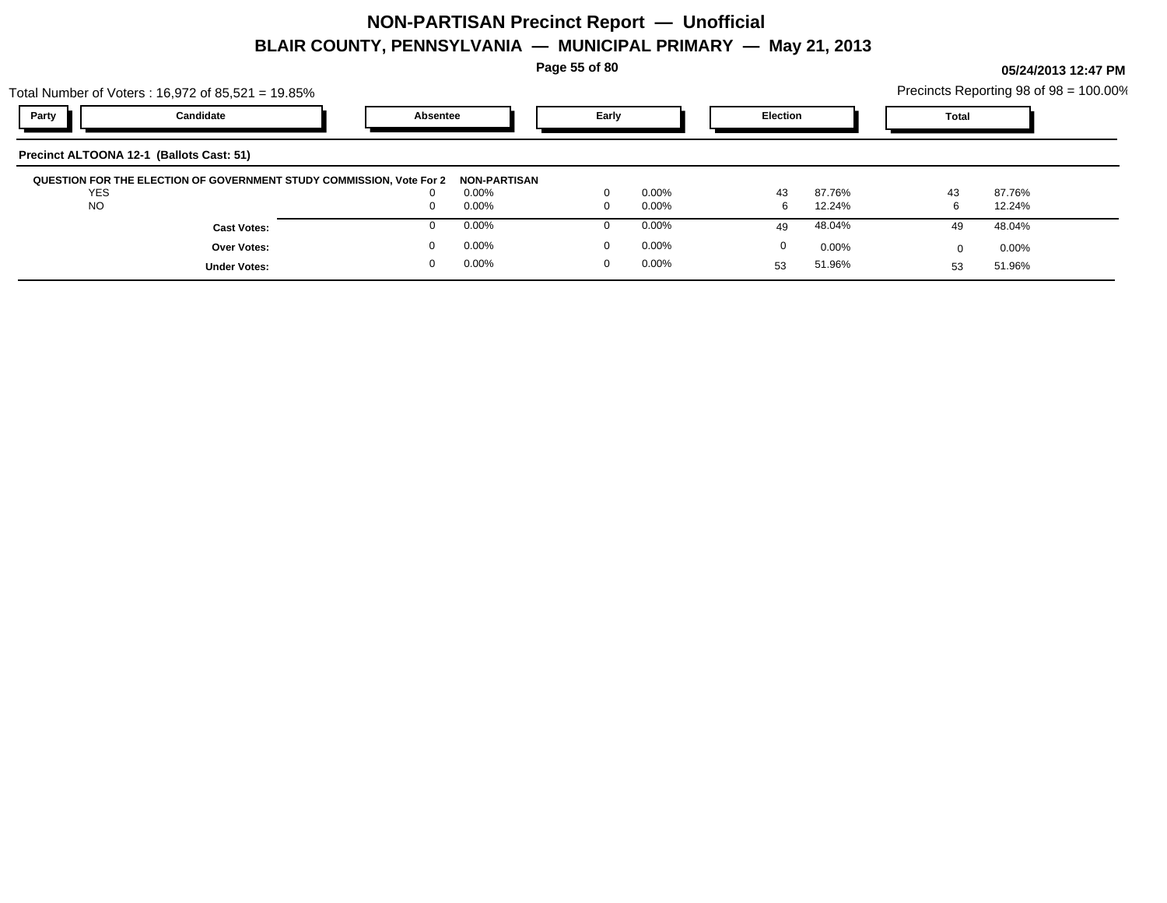**Page 55 of 80**

**05/24/2013 12:47 PM**

|                         | Total Number of Voters: $16,972$ of $85,521 = 19.85\%$               |          |                     |                         |                      |                 |                  |              | Precincts Reporting 98 of 98 = 100.00% |
|-------------------------|----------------------------------------------------------------------|----------|---------------------|-------------------------|----------------------|-----------------|------------------|--------------|----------------------------------------|
| Party                   | Candidate                                                            | Absentee |                     | Early                   |                      | <b>Election</b> |                  | <b>Total</b> |                                        |
|                         | Precinct ALTOONA 12-1 (Ballots Cast: 51)                             |          |                     |                         |                      |                 |                  |              |                                        |
|                         | QUESTION FOR THE ELECTION OF GOVERNMENT STUDY COMMISSION, Vote For 2 |          | <b>NON-PARTISAN</b> |                         |                      |                 |                  |              |                                        |
| <b>YES</b><br><b>NO</b> |                                                                      |          | $0.00\%$<br>0.00%   | $\Omega$<br>$\mathbf 0$ | $0.00\%$<br>$0.00\%$ | 43<br>6         | 87.76%<br>12.24% | 43           | 87.76%<br>12.24%                       |
|                         | <b>Cast Votes:</b>                                                   |          | 0.00%               |                         | $0.00\%$             | 49              | 48.04%           | 49           | 48.04%                                 |
|                         | Over Votes:                                                          |          | 0.00%               | $\Omega$                | $0.00\%$             | $\Omega$        | $0.00\%$         |              | $0.00\%$                               |
|                         | <b>Under Votes:</b>                                                  | 0        | 0.00%               | $\Omega$                | $0.00\%$             | 53              | 51.96%           | 53           | 51.96%                                 |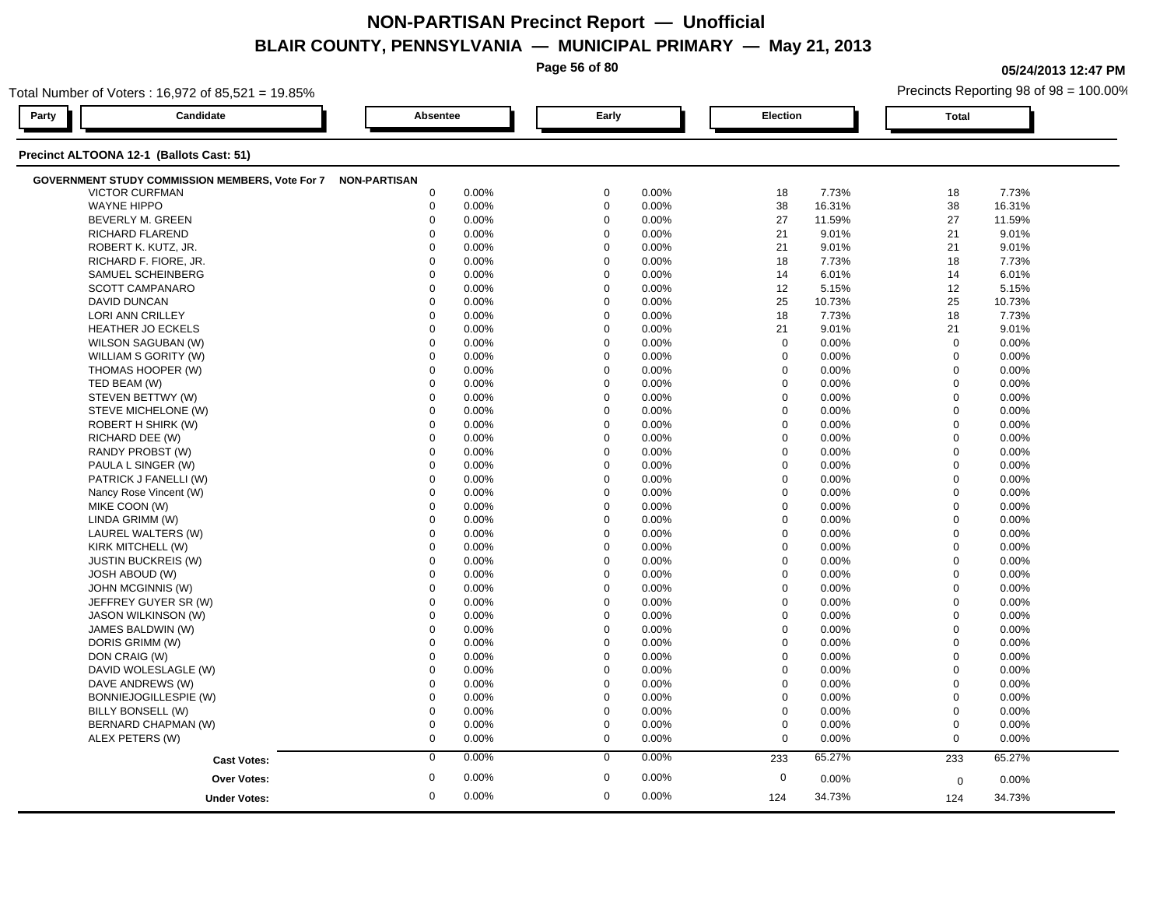**Page 56 of 80**

**05/24/2013 12:47 PM**

|       | Total Number of Voters: 16,972 of 85,521 = 19.85%            |             |       |             |       |             |        |              | Precincts Reporting 98 of 98 = 100.00% |
|-------|--------------------------------------------------------------|-------------|-------|-------------|-------|-------------|--------|--------------|----------------------------------------|
| Party | Candidate                                                    | Absentee    |       | Early       |       | Election    |        | <b>Total</b> |                                        |
|       | Precinct ALTOONA 12-1 (Ballots Cast: 51)                     |             |       |             |       |             |        |              |                                        |
|       | GOVERNMENT STUDY COMMISSION MEMBERS, Vote For 7 NON-PARTISAN |             |       |             |       |             |        |              |                                        |
|       | <b>VICTOR CURFMAN</b>                                        | 0           | 0.00% | $\mathbf 0$ | 0.00% | 18          | 7.73%  | 18           | 7.73%                                  |
|       | <b>WAYNE HIPPO</b>                                           | $\mathbf 0$ | 0.00% | $\mathbf 0$ | 0.00% | 38          | 16.31% | 38           | 16.31%                                 |
|       | <b>BEVERLY M. GREEN</b>                                      | $\mathbf 0$ | 0.00% | $\mathbf 0$ | 0.00% | 27          | 11.59% | 27           | 11.59%                                 |
|       | RICHARD FLAREND                                              | $\Omega$    | 0.00% | $\mathbf 0$ | 0.00% | 21          | 9.01%  | 21           | 9.01%                                  |
|       | ROBERT K. KUTZ, JR.                                          | $\Omega$    | 0.00% | $\mathbf 0$ | 0.00% | 21          | 9.01%  | 21           | 9.01%                                  |
|       | RICHARD F. FIORE, JR.                                        | $\Omega$    | 0.00% | $\mathbf 0$ | 0.00% | 18          | 7.73%  | 18           | 7.73%                                  |
|       | SAMUEL SCHEINBERG                                            | $\Omega$    | 0.00% | $\mathbf 0$ | 0.00% | 14          | 6.01%  | 14           | 6.01%                                  |
|       | SCOTT CAMPANARO                                              | $\mathbf 0$ | 0.00% | $\mathbf 0$ | 0.00% | 12          | 5.15%  | 12           | 5.15%                                  |
|       | <b>DAVID DUNCAN</b>                                          | $\mathbf 0$ | 0.00% | $\mathbf 0$ | 0.00% | 25          | 10.73% | 25           | 10.73%                                 |
|       | <b>LORI ANN CRILLEY</b>                                      | $\Omega$    | 0.00% | $\mathbf 0$ | 0.00% | 18          | 7.73%  | 18           | 7.73%                                  |
|       | <b>HEATHER JO ECKELS</b>                                     | $\mathbf 0$ | 0.00% | $\mathbf 0$ | 0.00% | 21          | 9.01%  | 21           | 9.01%                                  |
|       | WILSON SAGUBAN (W)                                           | $\mathbf 0$ | 0.00% | $\mathbf 0$ | 0.00% | $\mathbf 0$ | 0.00%  | $\mathbf 0$  | 0.00%                                  |
|       | WILLIAM S GORITY (W)                                         | $\mathbf 0$ | 0.00% | $\mathbf 0$ | 0.00% | 0           | 0.00%  | $\mathbf 0$  | 0.00%                                  |
|       | THOMAS HOOPER (W)                                            | $\mathbf 0$ | 0.00% | $\mathbf 0$ | 0.00% | $\mathbf 0$ | 0.00%  | $\mathbf 0$  | 0.00%                                  |
|       | TED BEAM (W)                                                 | $\mathbf 0$ | 0.00% | $\mathbf 0$ | 0.00% | $\mathbf 0$ | 0.00%  | $\mathbf 0$  | 0.00%                                  |
|       | STEVEN BETTWY (W)                                            | $\mathbf 0$ | 0.00% | $\mathbf 0$ | 0.00% | $\mathbf 0$ | 0.00%  | $\mathbf 0$  | 0.00%                                  |
|       | STEVE MICHELONE (W)                                          | 0           | 0.00% | $\mathbf 0$ | 0.00% | $\mathbf 0$ | 0.00%  | $\mathbf 0$  | 0.00%                                  |
|       | ROBERT H SHIRK (W)                                           | $\mathbf 0$ | 0.00% | $\mathbf 0$ | 0.00% | $\mathbf 0$ | 0.00%  | $\mathbf 0$  | 0.00%                                  |
|       | RICHARD DEE (W)                                              | $\mathbf 0$ | 0.00% | $\mathbf 0$ | 0.00% | $\Omega$    | 0.00%  | $\mathbf 0$  | 0.00%                                  |
|       | RANDY PROBST (W)                                             | $\Omega$    | 0.00% | $\mathbf 0$ | 0.00% | $\Omega$    | 0.00%  | $\mathbf 0$  | 0.00%                                  |
|       | PAULA L SINGER (W)                                           | $\mathbf 0$ | 0.00% | $\mathbf 0$ | 0.00% | $\mathbf 0$ | 0.00%  | $\mathbf 0$  | 0.00%                                  |
|       | PATRICK J FANELLI (W)                                        | $\mathbf 0$ | 0.00% | 0           | 0.00% | $\mathbf 0$ | 0.00%  | $\mathbf 0$  | 0.00%                                  |
|       | Nancy Rose Vincent (W)                                       | 0           | 0.00% | $\mathbf 0$ | 0.00% | $\mathbf 0$ | 0.00%  | $\mathbf 0$  | $0.00\%$                               |
|       | MIKE COON (W)                                                | $\Omega$    | 0.00% | $\mathbf 0$ | 0.00% | $\Omega$    | 0.00%  | $\mathbf 0$  | 0.00%                                  |
|       | LINDA GRIMM (W)                                              | $\mathbf 0$ | 0.00% | $\mathbf 0$ | 0.00% | $\mathbf 0$ | 0.00%  | $\mathbf 0$  | 0.00%                                  |
|       | LAUREL WALTERS (W)                                           | $\Omega$    | 0.00% | $\Omega$    | 0.00% | $\Omega$    | 0.00%  | $\mathbf 0$  | 0.00%                                  |
|       | KIRK MITCHELL (W)                                            | $\mathbf 0$ | 0.00% | $\mathbf 0$ | 0.00% | $\mathbf 0$ | 0.00%  | $\mathbf 0$  | 0.00%                                  |
|       | <b>JUSTIN BUCKREIS (W)</b>                                   | 0           | 0.00% | $\mathbf 0$ | 0.00% | 0           | 0.00%  | $\mathbf 0$  | 0.00%                                  |
|       | <b>JOSH ABOUD (W)</b>                                        | $\Omega$    | 0.00% | $\mathbf 0$ | 0.00% | $\Omega$    | 0.00%  | $\mathbf 0$  | 0.00%                                  |
|       | JOHN MCGINNIS (W)                                            | $\Omega$    | 0.00% | $\mathbf 0$ | 0.00% | $\Omega$    | 0.00%  | $\mathbf 0$  | 0.00%                                  |
|       | JEFFREY GUYER SR (W)                                         | $\Omega$    | 0.00% | $\mathbf 0$ | 0.00% | $\Omega$    | 0.00%  | $\mathbf 0$  | 0.00%                                  |
|       | <b>JASON WILKINSON (W)</b>                                   | $\Omega$    | 0.00% | $\mathbf 0$ | 0.00% | $\Omega$    | 0.00%  | $\mathbf 0$  | 0.00%                                  |
|       | JAMES BALDWIN (W)                                            | $\mathbf 0$ | 0.00% | $\mathbf 0$ | 0.00% | $\mathbf 0$ | 0.00%  | $\mathbf 0$  | 0.00%                                  |
|       | DORIS GRIMM (W)                                              | $\mathbf 0$ | 0.00% | $\mathbf 0$ | 0.00% | $\mathbf 0$ | 0.00%  | $\mathbf 0$  | 0.00%                                  |
|       | DON CRAIG (W)                                                | $\mathbf 0$ | 0.00% | $\mathbf 0$ | 0.00% | $\mathbf 0$ | 0.00%  | $\mathbf 0$  | 0.00%                                  |
|       | DAVID WOLESLAGLE (W)                                         | 0           | 0.00% | $\mathbf 0$ | 0.00% | $\mathbf 0$ | 0.00%  | $\mathbf 0$  | 0.00%                                  |
|       | DAVE ANDREWS (W)                                             | $\Omega$    | 0.00% | $\mathbf 0$ | 0.00% | $\Omega$    | 0.00%  | $\mathbf 0$  | 0.00%                                  |
|       | BONNIEJOGILLESPIE (W)                                        | $\mathbf 0$ | 0.00% | $\mathbf 0$ | 0.00% | $\mathbf 0$ | 0.00%  | $\mathbf 0$  | 0.00%                                  |
|       | BILLY BONSELL (W)                                            | 0           | 0.00% | $\mathbf 0$ | 0.00% | 0           | 0.00%  | $\mathbf 0$  | 0.00%                                  |
|       | BERNARD CHAPMAN (W)                                          | $\mathbf 0$ | 0.00% | $\mathbf 0$ | 0.00% | $\mathbf 0$ | 0.00%  | $\mathbf 0$  | 0.00%                                  |
|       | ALEX PETERS (W)                                              | $\mathbf 0$ | 0.00% | $\mathbf 0$ | 0.00% | $\mathbf 0$ | 0.00%  | $\mathbf 0$  | 0.00%                                  |
|       |                                                              | $\mathbf 0$ | 0.00% | $\mathbf 0$ | 0.00% | 233         | 65.27% | 233          | 65.27%                                 |
|       | <b>Cast Votes:</b>                                           |             |       |             |       |             |        |              |                                        |
|       | <b>Over Votes:</b>                                           | $\mathbf 0$ | 0.00% | $\mathbf 0$ | 0.00% | $\mathbf 0$ | 0.00%  | $\mathbf 0$  | 0.00%                                  |
|       | <b>Under Votes:</b>                                          | 0           | 0.00% | $\mathbf 0$ | 0.00% | 124         | 34.73% | 124          | 34.73%                                 |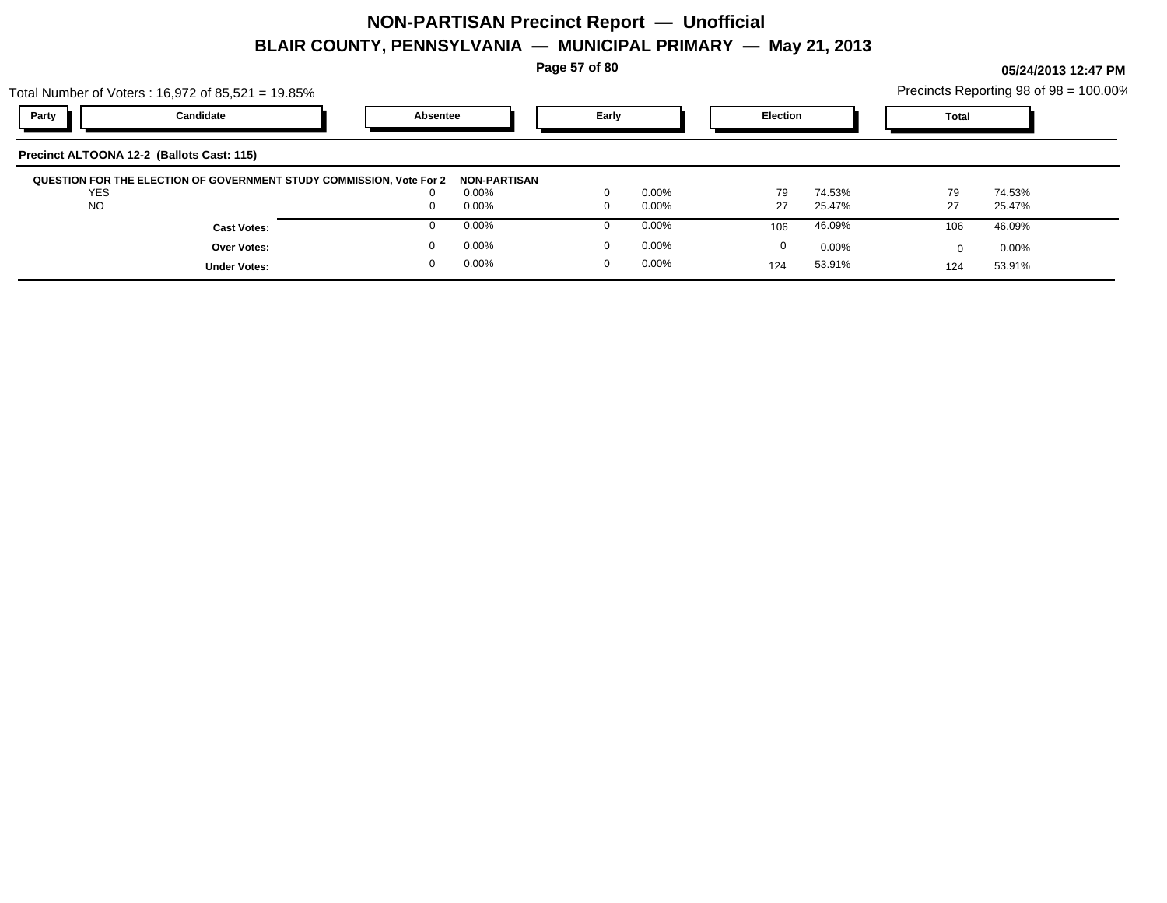**Page 57 of 80**

|                                           | Total Number of Voters: 16,972 of 85,521 = 19.85%                    |              |       |          |                 |          |              | Precincts Reporting 98 of 98 = 100.00% |  |
|-------------------------------------------|----------------------------------------------------------------------|--------------|-------|----------|-----------------|----------|--------------|----------------------------------------|--|
| Party                                     | Candidate                                                            | Absentee     | Early |          | <b>Election</b> |          | <b>Total</b> |                                        |  |
| Precinct ALTOONA 12-2 (Ballots Cast: 115) |                                                                      |              |       |          |                 |          |              |                                        |  |
|                                           | QUESTION FOR THE ELECTION OF GOVERNMENT STUDY COMMISSION, Vote For 2 | NON-PARTISAN |       |          |                 |          |              |                                        |  |
| <b>YES</b>                                |                                                                      | 0.00%        |       | $0.00\%$ | 79              | 74.53%   | 79           | 74.53%                                 |  |
| <b>NO</b>                                 |                                                                      | 0.00%        |       | $0.00\%$ | 27              | 25.47%   | 27           | 25.47%                                 |  |
|                                           | <b>Cast Votes:</b>                                                   | 0.00%        |       | $0.00\%$ | 106             | 46.09%   | 106          | 46.09%                                 |  |
|                                           | <b>Over Votes:</b>                                                   | 0.00%        |       | $0.00\%$ | 0               | $0.00\%$ | <sup>0</sup> | $0.00\%$                               |  |
|                                           | <b>Under Votes:</b>                                                  | 0.00%        | 0     | $0.00\%$ | 124             | 53.91%   | 124          | 53.91%                                 |  |
|                                           |                                                                      |              |       |          |                 |          |              |                                        |  |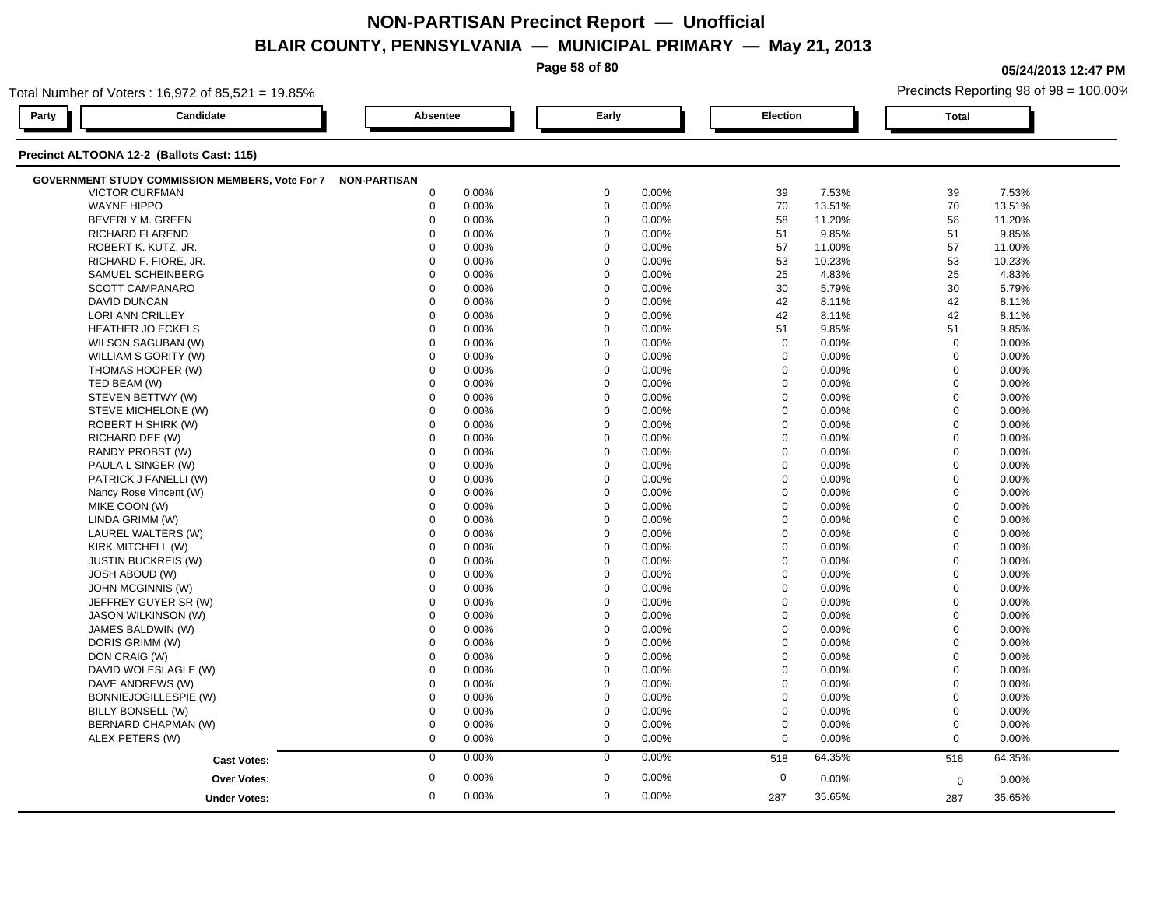**Page 58 of 80**

**05/24/2013 12:47 PM**

|       | Total Number of Voters: 16,972 of 85,521 = 19.85% |                     |       |             |       |                  |        |                | Precincts Reporting 98 of 98 = 100.00% |  |
|-------|---------------------------------------------------|---------------------|-------|-------------|-------|------------------|--------|----------------|----------------------------------------|--|
| Party | Candidate                                         | <b>Absentee</b>     |       | Early       |       | Election         |        | <b>Total</b>   |                                        |  |
|       | Precinct ALTOONA 12-2 (Ballots Cast: 115)         |                     |       |             |       |                  |        |                |                                        |  |
|       | GOVERNMENT STUDY COMMISSION MEMBERS, Vote For 7   | <b>NON-PARTISAN</b> |       |             |       |                  |        |                |                                        |  |
|       | <b>VICTOR CURFMAN</b>                             | $\mathbf 0$         | 0.00% | $\mathbf 0$ | 0.00% | 39               | 7.53%  | 39             | 7.53%                                  |  |
|       | <b>WAYNE HIPPO</b>                                | $\boldsymbol{0}$    | 0.00% | $\mathbf 0$ | 0.00% | 70               | 13.51% | 70             | 13.51%                                 |  |
|       | BEVERLY M. GREEN                                  | $\mathbf 0$         | 0.00% | $\mathbf 0$ | 0.00% | 58               | 11.20% | 58             | 11.20%                                 |  |
|       | <b>RICHARD FLAREND</b>                            | $\Omega$            | 0.00% | $\Omega$    | 0.00% | 51               | 9.85%  | 51             | 9.85%                                  |  |
|       | ROBERT K. KUTZ, JR.                               | $\Omega$            | 0.00% | $\Omega$    | 0.00% | 57               | 11.00% | 57             | 11.00%                                 |  |
|       | RICHARD F. FIORE, JR.                             | $\Omega$            | 0.00% | $\Omega$    | 0.00% | 53               | 10.23% | 53             | 10.23%                                 |  |
|       | SAMUEL SCHEINBERG                                 | $\Omega$            | 0.00% | $\Omega$    | 0.00% | 25               | 4.83%  | 25             | 4.83%                                  |  |
|       | <b>SCOTT CAMPANARO</b>                            | $\mathbf 0$         | 0.00% | $\mathbf 0$ | 0.00% | 30               | 5.79%  | 30             | 5.79%                                  |  |
|       | <b>DAVID DUNCAN</b>                               | $\mathbf 0$         | 0.00% | $\mathbf 0$ | 0.00% | 42               | 8.11%  | 42             | 8.11%                                  |  |
|       | LORI ANN CRILLEY                                  | $\mathbf 0$         | 0.00% | $\mathbf 0$ | 0.00% | 42               | 8.11%  | 42             | 8.11%                                  |  |
|       | <b>HEATHER JO ECKELS</b>                          | $\mathbf 0$         | 0.00% | $\Omega$    | 0.00% | 51               | 9.85%  | 51             | 9.85%                                  |  |
|       | WILSON SAGUBAN (W)                                | $\mathbf 0$         | 0.00% | $\Omega$    | 0.00% | $\mathbf 0$      | 0.00%  | $\mathbf 0$    | 0.00%                                  |  |
|       | WILLIAM S GORITY (W)                              | $\Omega$            | 0.00% | $\Omega$    | 0.00% | $\mathbf 0$      | 0.00%  | $\mathbf 0$    | 0.00%                                  |  |
|       | THOMAS HOOPER (W)                                 | 0                   | 0.00% | $\mathbf 0$ | 0.00% | $\mathbf 0$      | 0.00%  | $\mathbf 0$    | 0.00%                                  |  |
|       | TED BEAM (W)                                      | $\mathbf 0$         | 0.00% | $\mathbf 0$ | 0.00% | $\mathbf 0$      | 0.00%  | $\mathbf 0$    | 0.00%                                  |  |
|       | STEVEN BETTWY (W)                                 | $\mathbf 0$         | 0.00% | $\mathbf 0$ | 0.00% | $\mathbf 0$      | 0.00%  | $\mathbf 0$    | 0.00%                                  |  |
|       | STEVE MICHELONE (W)                               | $\mathbf 0$         | 0.00% | $\Omega$    | 0.00% | 0                | 0.00%  | $\mathbf 0$    | 0.00%                                  |  |
|       | ROBERT H SHIRK (W)                                | $\mathbf 0$         | 0.00% | $\mathbf 0$ | 0.00% | $\mathbf 0$      | 0.00%  | $\mathbf 0$    | 0.00%                                  |  |
|       | RICHARD DEE (W)                                   | $\Omega$            | 0.00% | $\Omega$    | 0.00% | $\mathbf 0$      | 0.00%  | $\mathbf 0$    | 0.00%                                  |  |
|       | RANDY PROBST (W)                                  | $\Omega$            | 0.00% | $\Omega$    | 0.00% | $\mathbf 0$      | 0.00%  | $\mathbf 0$    | 0.00%                                  |  |
|       | PAULA L SINGER (W)                                | $\mathbf 0$         | 0.00% | $\mathbf 0$ | 0.00% | $\mathbf 0$      | 0.00%  | $\Omega$       | 0.00%                                  |  |
|       | PATRICK J FANELLI (W)                             | $\mathbf 0$         | 0.00% | $\mathbf 0$ | 0.00% | $\mathbf 0$      | 0.00%  | $\mathbf 0$    | 0.00%                                  |  |
|       | Nancy Rose Vincent (W)                            | $\mathbf 0$         | 0.00% | $\mathbf 0$ | 0.00% | $\mathbf 0$      | 0.00%  | $\mathbf 0$    | 0.00%                                  |  |
|       | MIKE COON (W)                                     | $\Omega$            | 0.00% | $\Omega$    | 0.00% | $\mathbf 0$      | 0.00%  | $\mathbf 0$    | 0.00%                                  |  |
|       | LINDA GRIMM (W)                                   | $\mathbf 0$         | 0.00% | $\Omega$    | 0.00% | $\mathbf 0$      | 0.00%  | $\mathbf 0$    | 0.00%                                  |  |
|       | LAUREL WALTERS (W)                                | $\Omega$            | 0.00% | $\Omega$    | 0.00% | $\Omega$         | 0.00%  | $\Omega$       | 0.00%                                  |  |
|       | KIRK MITCHELL (W)                                 | $\mathbf 0$         | 0.00% | $\mathbf 0$ | 0.00% | $\mathbf 0$      | 0.00%  | $\overline{0}$ | 0.00%                                  |  |
|       | <b>JUSTIN BUCKREIS (W)</b>                        | $\mathbf 0$         | 0.00% | $\mathbf 0$ | 0.00% | $\mathbf 0$      | 0.00%  | $\mathbf 0$    | 0.00%                                  |  |
|       | <b>JOSH ABOUD (W)</b>                             | $\Omega$            | 0.00% | $\Omega$    | 0.00% | 0                | 0.00%  | $\mathbf 0$    | 0.00%                                  |  |
|       | JOHN MCGINNIS (W)                                 | $\Omega$            | 0.00% | $\Omega$    | 0.00% | $\mathbf 0$      | 0.00%  | $\mathbf 0$    | 0.00%                                  |  |
|       | JEFFREY GUYER SR (W)                              | $\Omega$            | 0.00% | $\Omega$    | 0.00% | $\mathbf 0$      | 0.00%  | $\Omega$       | 0.00%                                  |  |
|       | <b>JASON WILKINSON (W)</b>                        | $\Omega$            | 0.00% | $\Omega$    | 0.00% | $\mathbf 0$      | 0.00%  | $\mathbf 0$    | 0.00%                                  |  |
|       | JAMES BALDWIN (W)                                 | $\mathbf 0$         | 0.00% | $\mathbf 0$ | 0.00% | $\mathbf 0$      | 0.00%  | $\mathbf 0$    | 0.00%                                  |  |
|       | DORIS GRIMM (W)                                   | $\mathbf 0$         | 0.00% | $\Omega$    | 0.00% | $\mathbf 0$      | 0.00%  | $\mathbf 0$    | 0.00%                                  |  |
|       | DON CRAIG (W)                                     | $\mathbf 0$         | 0.00% | $\mathbf 0$ | 0.00% | $\mathbf 0$      | 0.00%  | $\mathbf 0$    | 0.00%                                  |  |
|       | DAVID WOLESLAGLE (W)                              | $\mathbf 0$         | 0.00% | $\mathbf 0$ | 0.00% | $\mathbf 0$      | 0.00%  | $\mathbf 0$    | 0.00%                                  |  |
|       | DAVE ANDREWS (W)                                  | $\Omega$            | 0.00% | $\Omega$    | 0.00% | $\mathbf 0$      | 0.00%  | $\mathbf 0$    | 0.00%                                  |  |
|       | BONNIEJOGILLESPIE (W)                             | $\mathbf 0$         | 0.00% | $\Omega$    | 0.00% | $\mathbf 0$      | 0.00%  | $\mathbf 0$    | 0.00%                                  |  |
|       | BILLY BONSELL (W)                                 | $\mathbf 0$         | 0.00% | $\Omega$    | 0.00% | $\boldsymbol{0}$ | 0.00%  | $\mathbf 0$    | 0.00%                                  |  |
|       | BERNARD CHAPMAN (W)                               | $\mathbf 0$         | 0.00% | $\mathbf 0$ | 0.00% | $\boldsymbol{0}$ | 0.00%  | $\mathbf 0$    | 0.00%                                  |  |
|       | ALEX PETERS (W)                                   | $\mathbf 0$         | 0.00% | $\mathbf 0$ | 0.00% | $\mathbf 0$      | 0.00%  | $\mathbf 0$    | 0.00%                                  |  |
|       | <b>Cast Votes:</b>                                | $\mathbf 0$         | 0.00% | $\mathbf 0$ | 0.00% | 518              | 64.35% | 518            | 64.35%                                 |  |
|       | <b>Over Votes:</b>                                | $\mathbf 0$         | 0.00% | $\mathbf 0$ | 0.00% | $\mathbf 0$      | 0.00%  | $\mathbf 0$    | 0.00%                                  |  |
|       |                                                   | $\mathbf 0$         | 0.00% | $\mathbf 0$ | 0.00% | 287              | 35.65% |                | 35.65%                                 |  |
|       | <b>Under Votes:</b>                               |                     |       |             |       |                  |        | 287            |                                        |  |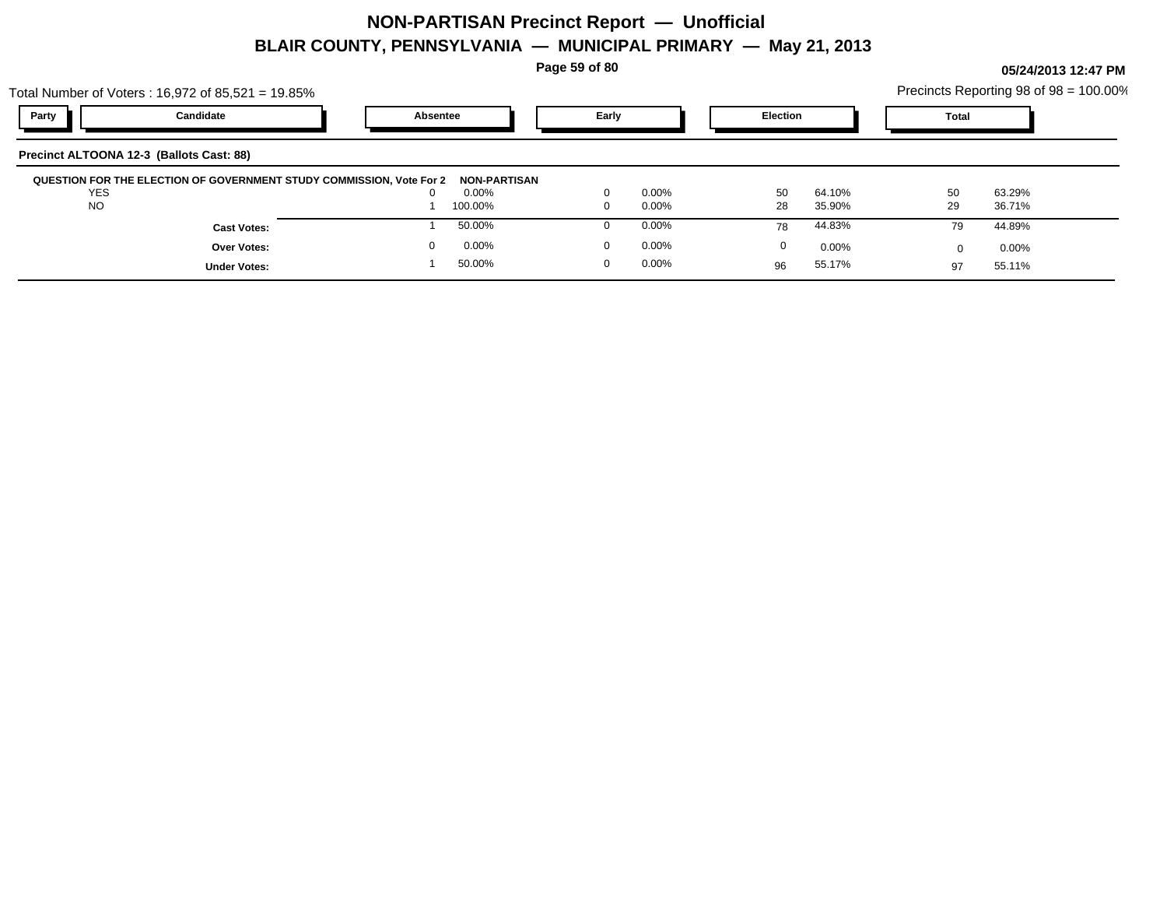**Page 59 of 80**

|                                          | Total Number of Voters: 16,972 of 85,521 = 19.85% |                                                                      |                       |       |          |                 |          |              | Precincts Reporting 98 of 98 = 100.00% |  |
|------------------------------------------|---------------------------------------------------|----------------------------------------------------------------------|-----------------------|-------|----------|-----------------|----------|--------------|----------------------------------------|--|
| Party                                    | Candidate                                         | Absentee                                                             |                       | Early |          | <b>Election</b> |          | <b>Total</b> |                                        |  |
| Precinct ALTOONA 12-3 (Ballots Cast: 88) |                                                   |                                                                      |                       |       |          |                 |          |              |                                        |  |
| <b>YES</b>                               |                                                   | QUESTION FOR THE ELECTION OF GOVERNMENT STUDY COMMISSION, Vote For 2 | NON-PARTISAN<br>0.00% |       | $0.00\%$ | 50              | 64.10%   | 50           | 63.29%                                 |  |
| <b>NO</b>                                |                                                   |                                                                      | 100.00%               |       | $0.00\%$ | 28              | 35.90%   | 29           | 36.71%                                 |  |
|                                          | <b>Cast Votes:</b>                                |                                                                      | 50.00%                |       | $0.00\%$ | 78              | 44.83%   | 79           | 44.89%                                 |  |
|                                          | <b>Over Votes:</b>                                |                                                                      | 0.00%                 |       | $0.00\%$ | 0               | $0.00\%$ | 0            | $0.00\%$                               |  |
|                                          | <b>Under Votes:</b>                               |                                                                      | 50.00%                |       | $0.00\%$ | 96              | 55.17%   | 97           | 55.11%                                 |  |
|                                          |                                                   |                                                                      |                       |       |          |                 |          |              |                                        |  |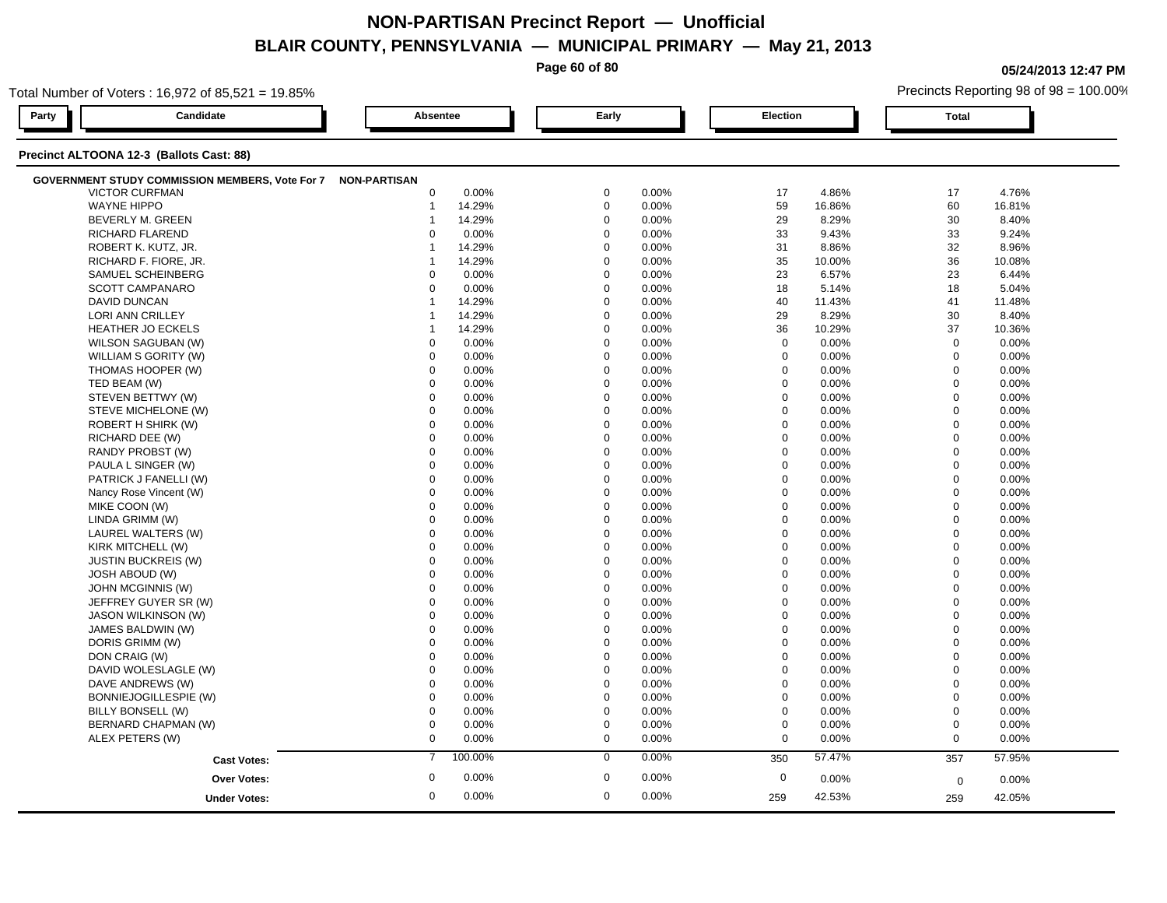**Page 60 of 80**

**05/24/2013 12:47 PM**

| Total Number of Voters: 16,972 of 85,521 = 19.85%            |                |             |             | Precincts Reporting 98 of 98 = 100.00% |  |  |  |
|--------------------------------------------------------------|----------------|-------------|-------------|----------------------------------------|--|--|--|
| Party<br>Candidate                                           | Absentee       | Early       | Election    | <b>Total</b>                           |  |  |  |
| Precinct ALTOONA 12-3 (Ballots Cast: 88)                     |                |             |             |                                        |  |  |  |
| GOVERNMENT STUDY COMMISSION MEMBERS, Vote For 7 NON-PARTISAN |                |             |             |                                        |  |  |  |
| <b>VICTOR CURFMAN</b>                                        | 0              | $\mathbf 0$ | 17          | 4.76%                                  |  |  |  |
|                                                              | 0.00%          | 0.00%       | 4.86%       | 17                                     |  |  |  |
| <b>WAYNE HIPPO</b>                                           | 14.29%         | $\mathbf 0$ | 59          | 60                                     |  |  |  |
|                                                              | $\mathbf{1}$   | 0.00%       | 16.86%      | 16.81%                                 |  |  |  |
| <b>BEVERLY M. GREEN</b>                                      | 14.29%         | $\mathbf 0$ | 29          | 30                                     |  |  |  |
|                                                              | -1             | 0.00%       | 8.29%       | 8.40%                                  |  |  |  |
| RICHARD FLAREND                                              | $\mathbf 0$    | $\mathbf 0$ | 33          | 33                                     |  |  |  |
|                                                              | 0.00%          | 0.00%       | 9.43%       | 9.24%                                  |  |  |  |
| ROBERT K. KUTZ, JR.                                          | 14.29%         | $\mathbf 0$ | 31          | 32                                     |  |  |  |
|                                                              | $\mathbf 1$    | 0.00%       | 8.86%       | 8.96%                                  |  |  |  |
| RICHARD F. FIORE, JR.                                        | 14.29%         | $\mathbf 0$ | 35          | 36                                     |  |  |  |
|                                                              | $\mathbf 1$    | 0.00%       | 10.00%      | 10.08%                                 |  |  |  |
| SAMUEL SCHEINBERG                                            | $\mathbf 0$    | $\mathbf 0$ | 23          | 23                                     |  |  |  |
|                                                              | 0.00%          | 0.00%       | 6.57%       | 6.44%                                  |  |  |  |
| <b>SCOTT CAMPANARO</b>                                       | 0              | $\mathbf 0$ | 18          | 18                                     |  |  |  |
|                                                              | 0.00%          | 0.00%       | 5.14%       | 5.04%                                  |  |  |  |
| DAVID DUNCAN                                                 | 14.29%         | $\Omega$    | 40          | 41                                     |  |  |  |
|                                                              | $\overline{1}$ | 0.00%       | 11.43%      | 11.48%                                 |  |  |  |
| LORI ANN CRILLEY                                             | 14.29%         | $\mathbf 0$ | 29          | 30                                     |  |  |  |
|                                                              | $\mathbf 1$    | 0.00%       | 8.29%       | 8.40%                                  |  |  |  |
| <b>HEATHER JO ECKELS</b>                                     | 14.29%         | $\mathbf 0$ | 36          | 37                                     |  |  |  |
|                                                              | -1             | 0.00%       | 10.29%      | 10.36%                                 |  |  |  |
| WILSON SAGUBAN (W)                                           | 0.00%          | $\mathbf 0$ | $\mathbf 0$ | $\mathbf 0$                            |  |  |  |
|                                                              | $\mathbf 0$    | 0.00%       | 0.00%       | 0.00%                                  |  |  |  |
| WILLIAM S GORITY (W)                                         | $\Omega$       | $\Omega$    | $\mathbf 0$ | $\mathbf 0$                            |  |  |  |
|                                                              | 0.00%          | 0.00%       | 0.00%       | 0.00%                                  |  |  |  |
| THOMAS HOOPER (W)                                            | $\mathbf 0$    | $\mathbf 0$ | $\mathbf 0$ | $\mathbf 0$                            |  |  |  |
|                                                              | 0.00%          | 0.00%       | 0.00%       | 0.00%                                  |  |  |  |
| TED BEAM (W)                                                 | 0              | $\mathbf 0$ | $\mathbf 0$ | $\mathbf 0$                            |  |  |  |
|                                                              | 0.00%          | 0.00%       | 0.00%       | 0.00%                                  |  |  |  |
| STEVEN BETTWY (W)                                            | $\mathbf 0$    | $\mathbf 0$ | $\mathbf 0$ | $\mathbf 0$                            |  |  |  |
|                                                              | 0.00%          | 0.00%       | 0.00%       | $0.00\%$                               |  |  |  |
| STEVE MICHELONE (W)                                          | $\mathbf 0$    | $\Omega$    | $\Omega$    | $\mathbf 0$                            |  |  |  |
|                                                              | 0.00%          | 0.00%       | 0.00%       | 0.00%                                  |  |  |  |
| ROBERT H SHIRK (W)                                           | $\mathbf 0$    | $\mathbf 0$ | $\mathbf 0$ | $\mathbf 0$                            |  |  |  |
|                                                              | 0.00%          | 0.00%       | 0.00%       | 0.00%                                  |  |  |  |
| RICHARD DEE (W)                                              | $\Omega$       | $\mathbf 0$ | $\Omega$    | $\mathbf 0$                            |  |  |  |
|                                                              | 0.00%          | 0.00%       | 0.00%       | 0.00%                                  |  |  |  |
| RANDY PROBST (W)                                             | $\Omega$       | $\mathbf 0$ | $\mathbf 0$ | $\mathbf 0$                            |  |  |  |
|                                                              | 0.00%          | 0.00%       | 0.00%       | 0.00%                                  |  |  |  |
| PAULA L SINGER (W)                                           | 0              | $\mathbf 0$ | 0           | $\mathbf 0$                            |  |  |  |
|                                                              | 0.00%          | 0.00%       | 0.00%       | 0.00%                                  |  |  |  |
| PATRICK J FANELLI (W)                                        | $\mathbf 0$    | $\mathbf 0$ | $\mathbf 0$ | $\mathbf 0$                            |  |  |  |
|                                                              | 0.00%          | 0.00%       | 0.00%       | 0.00%                                  |  |  |  |
| Nancy Rose Vincent (W)                                       | $\mathbf 0$    | $\mathbf 0$ | $\mathbf 0$ | $\mathbf 0$                            |  |  |  |
|                                                              | 0.00%          | 0.00%       | 0.00%       | 0.00%                                  |  |  |  |
| MIKE COON (W)                                                | $\Omega$       | $\mathbf 0$ | $\Omega$    | $\mathbf 0$                            |  |  |  |
|                                                              | 0.00%          | 0.00%       | 0.00%       | 0.00%                                  |  |  |  |
| LINDA GRIMM (W)                                              | 0              | $\mathbf 0$ | $\mathbf 0$ | $\mathbf 0$                            |  |  |  |
|                                                              | 0.00%          | 0.00%       | 0.00%       | 0.00%                                  |  |  |  |
| LAUREL WALTERS (W)                                           | 0.00%          | $\mathbf 0$ | $\mathbf 0$ | $\mathbf 0$                            |  |  |  |
|                                                              | 0              | 0.00%       | 0.00%       | $0.00\%$                               |  |  |  |
| KIRK MITCHELL (W)                                            | $\Omega$       | $\mathbf 0$ | $\Omega$    | $\mathbf 0$                            |  |  |  |
|                                                              | 0.00%          | 0.00%       | 0.00%       | 0.00%                                  |  |  |  |
| <b>JUSTIN BUCKREIS (W)</b>                                   | $\Omega$       | $\mathbf 0$ | $\mathbf 0$ | $\mathbf 0$                            |  |  |  |
|                                                              | 0.00%          | 0.00%       | 0.00%       | 0.00%                                  |  |  |  |
| <b>JOSH ABOUD (W)</b>                                        | $\mathbf 0$    | $\mathbf 0$ | $\mathbf 0$ | $\mathbf 0$                            |  |  |  |
|                                                              | 0.00%          | 0.00%       | 0.00%       | 0.00%                                  |  |  |  |
| JOHN MCGINNIS (W)                                            | $\mathbf 0$    | $\mathbf 0$ | $\mathbf 0$ | $\mathbf 0$                            |  |  |  |
|                                                              | 0.00%          | 0.00%       | 0.00%       | 0.00%                                  |  |  |  |
| JEFFREY GUYER SR (W)                                         | $\mathbf 0$    | $\mathbf 0$ | $\mathbf 0$ | $\mathbf 0$                            |  |  |  |
|                                                              | 0.00%          | 0.00%       | 0.00%       | $0.00\%$                               |  |  |  |
| <b>JASON WILKINSON (W)</b>                                   | $\mathbf 0$    | $\mathbf 0$ | $\Omega$    | $\boldsymbol{0}$                       |  |  |  |
|                                                              | 0.00%          | 0.00%       | 0.00%       | 0.00%                                  |  |  |  |
| JAMES BALDWIN (W)                                            | $\mathbf 0$    | $\mathbf 0$ | $\mathbf 0$ | $\mathbf 0$                            |  |  |  |
|                                                              | 0.00%          | 0.00%       | 0.00%       | 0.00%                                  |  |  |  |
| DORIS GRIMM (W)                                              | $\Omega$       | $\mathbf 0$ | $\mathbf 0$ | $\mathbf 0$                            |  |  |  |
|                                                              | 0.00%          | 0.00%       | 0.00%       | $0.00\%$                               |  |  |  |
| DON CRAIG (W)                                                | $\mathbf 0$    | $\mathbf 0$ | $\mathbf 0$ | $\mathbf 0$                            |  |  |  |
|                                                              | 0.00%          | 0.00%       | 0.00%       | 0.00%                                  |  |  |  |
| DAVID WOLESLAGLE (W)                                         | 0              | $\mathbf 0$ | 0           | $\boldsymbol{0}$                       |  |  |  |
|                                                              | 0.00%          | 0.00%       | 0.00%       | 0.00%                                  |  |  |  |
| DAVE ANDREWS (W)                                             | $\mathbf 0$    | $\mathbf 0$ | $\mathbf 0$ | $\mathbf 0$                            |  |  |  |
|                                                              | 0.00%          | 0.00%       | 0.00%       | 0.00%                                  |  |  |  |
| BONNIEJOGILLESPIE (W)                                        | $\mathbf 0$    | $\mathbf 0$ | $\mathbf 0$ | $\mathbf 0$                            |  |  |  |
|                                                              | 0.00%          | 0.00%       | 0.00%       | 0.00%                                  |  |  |  |
| BILLY BONSELL (W)                                            | $\Omega$       | $\mathbf 0$ | $\mathbf 0$ | $\mathbf 0$                            |  |  |  |
|                                                              | 0.00%          | 0.00%       | 0.00%       | 0.00%                                  |  |  |  |
| BERNARD CHAPMAN (W)                                          | $\mathbf 0$    | $\mathbf 0$ | $\mathbf 0$ | $\mathbf 0$                            |  |  |  |
|                                                              | 0.00%          | 0.00%       | 0.00%       | 0.00%                                  |  |  |  |
| ALEX PETERS (W)                                              | $\mathbf 0$    | $\mathbf 0$ | $\mathbf 0$ | $\mathbf 0$                            |  |  |  |
|                                                              | 0.00%          | 0.00%       | 0.00%       | 0.00%                                  |  |  |  |
|                                                              |                |             |             |                                        |  |  |  |
| <b>Cast Votes:</b>                                           | 100.00%        | 0.00%       | 57.47%      | 57.95%                                 |  |  |  |
|                                                              | $\overline{7}$ | 0           | 350         | 357                                    |  |  |  |
| <b>Over Votes:</b>                                           | 0.00%          | $\mathbf 0$ | $\mathbf 0$ | 0.00%                                  |  |  |  |
|                                                              | $\mathbf 0$    | 0.00%       | 0.00%       | $\mathbf 0$                            |  |  |  |
| <b>Under Votes:</b>                                          | 0.00%          | 0.00%       | 42.53%      | 42.05%                                 |  |  |  |
|                                                              | $\mathbf 0$    | $\mathbf 0$ | 259         | 259                                    |  |  |  |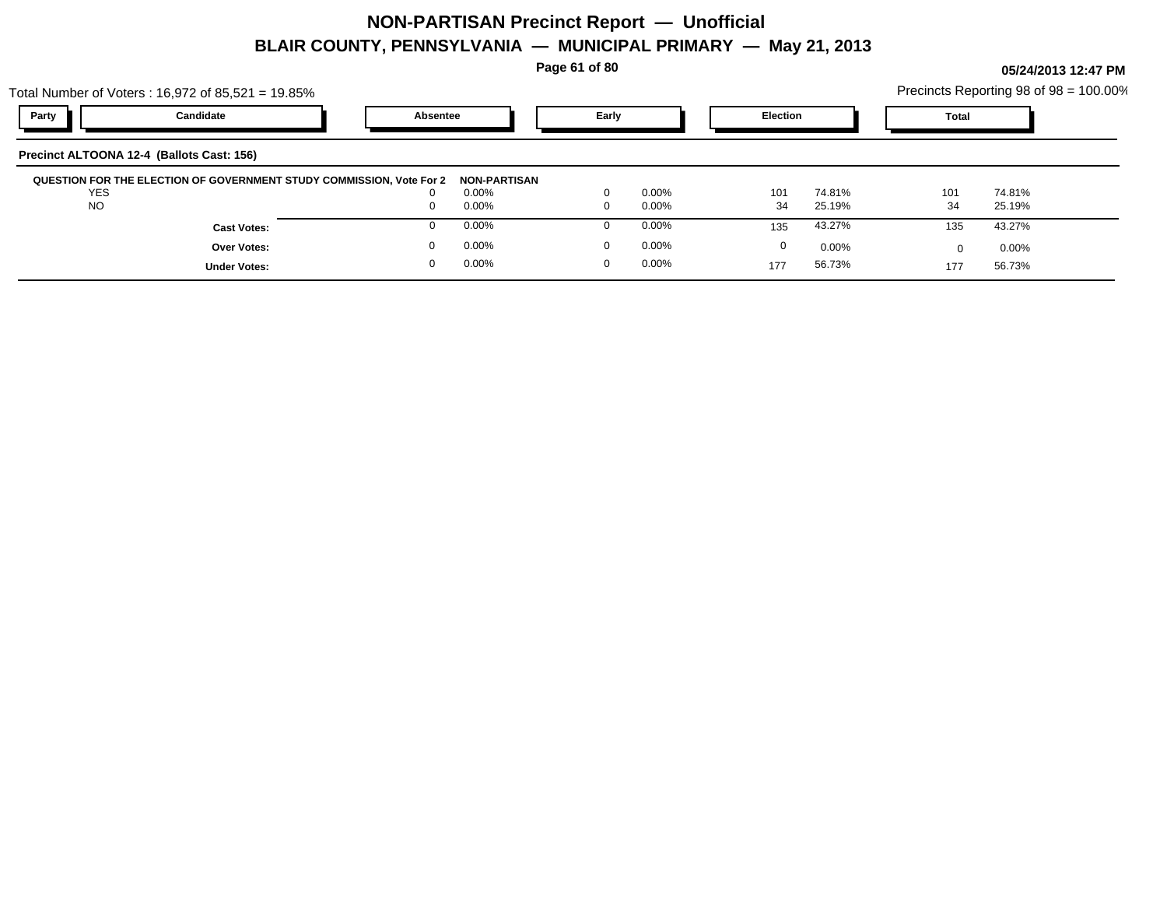**Page 61 of 80**

|                                           | Total Number of Voters : 16,972 of 85,521 = 19.85%                   |          |                       |          |          |                 |          |              | Precincts Reporting 98 of 98 = 100.00% |  |
|-------------------------------------------|----------------------------------------------------------------------|----------|-----------------------|----------|----------|-----------------|----------|--------------|----------------------------------------|--|
| Party                                     | Candidate                                                            | Absentee |                       | Early    |          | <b>Election</b> |          | <b>Total</b> |                                        |  |
| Precinct ALTOONA 12-4 (Ballots Cast: 156) |                                                                      |          |                       |          |          |                 |          |              |                                        |  |
| <b>YES</b>                                | QUESTION FOR THE ELECTION OF GOVERNMENT STUDY COMMISSION, Vote For 2 |          | NON-PARTISAN<br>0.00% |          | $0.00\%$ | 101             | 74.81%   | 101          | 74.81%                                 |  |
| <b>NO</b>                                 |                                                                      |          | 0.00%                 |          | $0.00\%$ | 34              | 25.19%   | 34           | 25.19%                                 |  |
|                                           | <b>Cast Votes:</b>                                                   |          | 0.00%                 |          | $0.00\%$ | 135             | 43.27%   | 135          | 43.27%                                 |  |
|                                           | <b>Over Votes:</b>                                                   |          | 0.00%                 |          | $0.00\%$ | 0               | $0.00\%$ | <sup>0</sup> | $0.00\%$                               |  |
|                                           | <b>Under Votes:</b>                                                  |          | 0.00%                 | $\Omega$ | $0.00\%$ | 177             | 56.73%   | 177          | 56.73%                                 |  |
|                                           |                                                                      |          |                       |          |          |                 |          |              |                                        |  |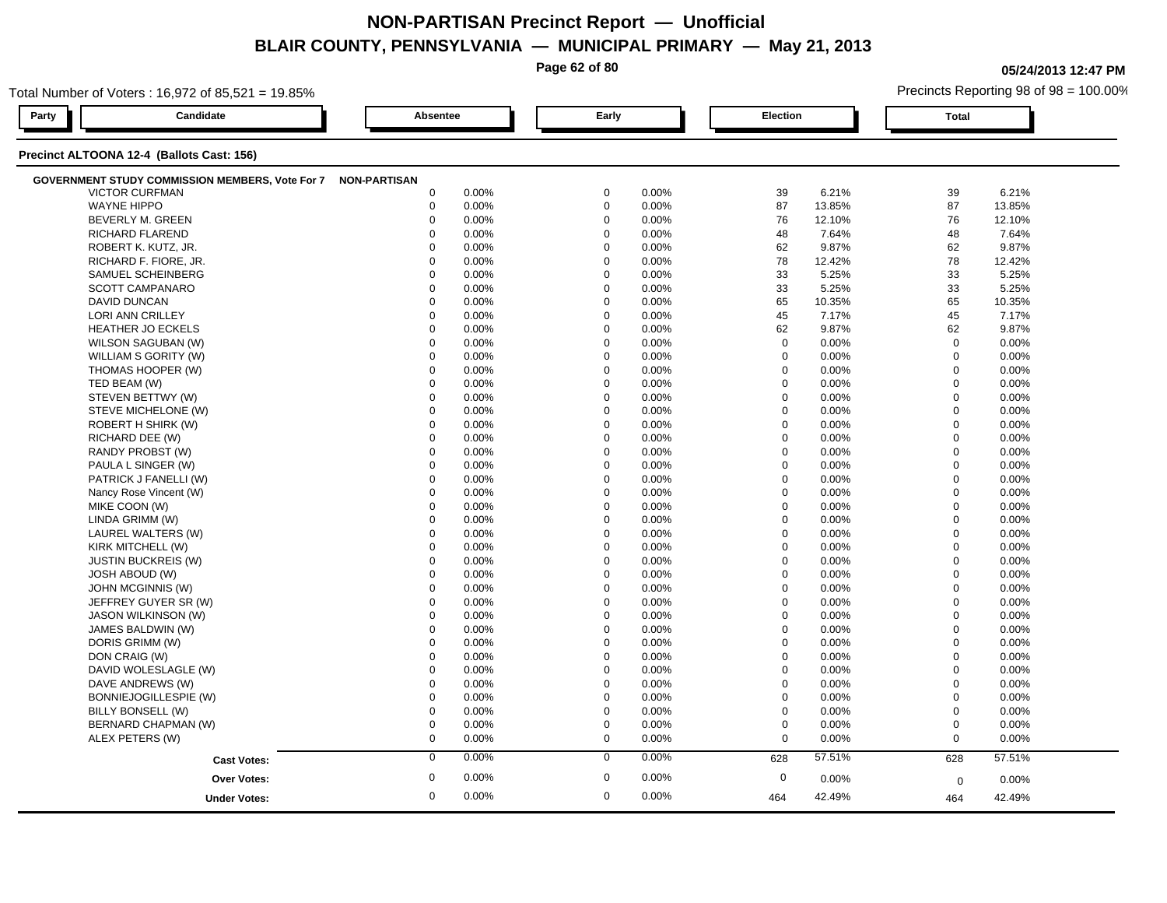**Page 62 of 80**

**05/24/2013 12:47 PM**

| Total Number of Voters: 16,972 of 85,521 = 19.85%      |                     |                      |                  | Precincts Reporting 98 of 98 = 100.00% |  |  |  |  |  |  |  |
|--------------------------------------------------------|---------------------|----------------------|------------------|----------------------------------------|--|--|--|--|--|--|--|
| Candidate<br>Party                                     | Absentee            | Early                | <b>Election</b>  | <b>Total</b>                           |  |  |  |  |  |  |  |
| Precinct ALTOONA 12-4 (Ballots Cast: 156)              |                     |                      |                  |                                        |  |  |  |  |  |  |  |
| <b>GOVERNMENT STUDY COMMISSION MEMBERS, Vote For 7</b> | <b>NON-PARTISAN</b> |                      |                  |                                        |  |  |  |  |  |  |  |
| <b>VICTOR CURFMAN</b>                                  | $\mathbf 0$         | $\mathbf 0$          | 6.21%            | 39                                     |  |  |  |  |  |  |  |
|                                                        | 0.00%               | 0.00%                | 39               | 6.21%                                  |  |  |  |  |  |  |  |
| <b>WAYNE HIPPO</b>                                     | $\mathbf 0$         | $\mathbf 0$          | 87               | 87                                     |  |  |  |  |  |  |  |
|                                                        | 0.00%               | 0.00%                | 13.85%           | 13.85%                                 |  |  |  |  |  |  |  |
| BEVERLY M. GREEN                                       | $\mathbf 0$         | $\Omega$             | 76               | 76                                     |  |  |  |  |  |  |  |
|                                                        | 0.00%               | 0.00%                | 12.10%           | 12.10%                                 |  |  |  |  |  |  |  |
| RICHARD FLAREND                                        | 0.00%               | $\Omega$             | 48               | 48                                     |  |  |  |  |  |  |  |
|                                                        | $\Omega$            | 0.00%                | 7.64%            | 7.64%                                  |  |  |  |  |  |  |  |
| ROBERT K. KUTZ, JR.                                    | $\Omega$            | $\Omega$             | 62               | 9.87%                                  |  |  |  |  |  |  |  |
|                                                        | 0.00%               | 0.00%                | 9.87%            | 62                                     |  |  |  |  |  |  |  |
| RICHARD F. FIORE, JR.                                  | $\mathbf 0$         | $\mathbf 0$          | 78               | 78                                     |  |  |  |  |  |  |  |
|                                                        | 0.00%               | 0.00%                | 12.42%           | 12.42%                                 |  |  |  |  |  |  |  |
| SAMUEL SCHEINBERG                                      | $\mathbf 0$         | $\Omega$             | 33               | 33                                     |  |  |  |  |  |  |  |
|                                                        | 0.00%               | 0.00%                | 5.25%            | 5.25%                                  |  |  |  |  |  |  |  |
| <b>SCOTT CAMPANARO</b>                                 | $\mathbf 0$         | $\mathbf 0$          | 33               | 33                                     |  |  |  |  |  |  |  |
|                                                        | 0.00%               | 0.00%                | 5.25%            | 5.25%                                  |  |  |  |  |  |  |  |
| <b>DAVID DUNCAN</b>                                    | $\Omega$            | $\mathbf 0$          | 65               | 65                                     |  |  |  |  |  |  |  |
|                                                        | 0.00%               | 0.00%                | 10.35%           | 10.35%                                 |  |  |  |  |  |  |  |
| LORI ANN CRILLEY                                       | $\Omega$            | $\Omega$             | 45               | 45                                     |  |  |  |  |  |  |  |
|                                                        | 0.00%               | 0.00%                | 7.17%            | 7.17%                                  |  |  |  |  |  |  |  |
| <b>HEATHER JO ECKELS</b>                               | $\mathbf 0$         | $\Omega$             | 62               | 62                                     |  |  |  |  |  |  |  |
|                                                        | 0.00%               | 0.00%                | 9.87%            | 9.87%                                  |  |  |  |  |  |  |  |
| WILSON SAGUBAN (W)                                     | $\Omega$            | $\Omega$             | $\mathbf 0$      | $\mathbf 0$                            |  |  |  |  |  |  |  |
|                                                        | 0.00%               | 0.00%                | 0.00%            | 0.00%                                  |  |  |  |  |  |  |  |
| WILLIAM S GORITY (W)                                   | $\Omega$            | $\mathbf 0$          | $\mathbf 0$      | $\mathbf 0$                            |  |  |  |  |  |  |  |
|                                                        | 0.00%               | 0.00%                | 0.00%            | 0.00%                                  |  |  |  |  |  |  |  |
| THOMAS HOOPER (W)                                      | $\mathbf 0$         | $\mathbf 0$          | $\mathbf 0$      | $\mathbf 0$                            |  |  |  |  |  |  |  |
|                                                        | 0.00%               | 0.00%                | 0.00%            | 0.00%                                  |  |  |  |  |  |  |  |
| TED BEAM (W)                                           | $\Omega$            | $\Omega$             | $\mathbf 0$      | $\overline{0}$                         |  |  |  |  |  |  |  |
|                                                        | 0.00%               | 0.00%                | 0.00%            | 0.00%                                  |  |  |  |  |  |  |  |
| STEVEN BETTWY (W)                                      | 0.00%               | $\mathbf 0$          | $\mathbf 0$      | $\mathbf 0$                            |  |  |  |  |  |  |  |
|                                                        | $\mathbf 0$         | 0.00%                | 0.00%            | 0.00%                                  |  |  |  |  |  |  |  |
| STEVE MICHELONE (W)                                    | $\mathbf 0$         | $\mathbf 0$          | $\mathbf 0$      | $\mathbf 0$                            |  |  |  |  |  |  |  |
|                                                        | 0.00%               | 0.00%                | 0.00%            | 0.00%                                  |  |  |  |  |  |  |  |
| ROBERT H SHIRK (W)                                     | 0.00%               | $\Omega$             | $\mathbf 0$      | $\mathbf 0$                            |  |  |  |  |  |  |  |
|                                                        | $\Omega$            | 0.00%                | 0.00%            | 0.00%                                  |  |  |  |  |  |  |  |
| RICHARD DEE (W)                                        | $\Omega$            | $\Omega$             | $\mathbf 0$      | $\mathbf{0}$                           |  |  |  |  |  |  |  |
|                                                        | 0.00%               | 0.00%                | 0.00%            | 0.00%                                  |  |  |  |  |  |  |  |
| RANDY PROBST (W)                                       | $\Omega$            | $\Omega$             | $\boldsymbol{0}$ | $\mathbf 0$                            |  |  |  |  |  |  |  |
|                                                        | 0.00%               | 0.00%                | 0.00%            | 0.00%                                  |  |  |  |  |  |  |  |
| PAULA L SINGER (W)                                     | 0.00%               | $\Omega$             | $\mathbf 0$      | $\Omega$                               |  |  |  |  |  |  |  |
|                                                        | $\Omega$            | 0.00%                | 0.00%            | 0.00%                                  |  |  |  |  |  |  |  |
| PATRICK J FANELLI (W)                                  | $\mathbf 0$         | $\mathbf 0$          | $\mathbf 0$      | $\mathbf 0$                            |  |  |  |  |  |  |  |
|                                                        | 0.00%               | 0.00%                | 0.00%            | 0.00%                                  |  |  |  |  |  |  |  |
| Nancy Rose Vincent (W)                                 | $\mathbf 0$         | $\mathbf 0$          | $\boldsymbol{0}$ | $\mathbf 0$                            |  |  |  |  |  |  |  |
|                                                        | 0.00%               | 0.00%                | 0.00%            | 0.00%                                  |  |  |  |  |  |  |  |
| MIKE COON (W)                                          | $\Omega$            | $\Omega$             | 0                | $\mathbf 0$                            |  |  |  |  |  |  |  |
|                                                        | 0.00%               | 0.00%                | 0.00%            | 0.00%                                  |  |  |  |  |  |  |  |
| LINDA GRIMM (W)                                        | 0.00%               | $\mathbf 0$          | $\mathbf 0$      | $\mathbf 0$                            |  |  |  |  |  |  |  |
|                                                        | $\mathbf 0$         | 0.00%                | 0.00%            | 0.00%                                  |  |  |  |  |  |  |  |
| LAUREL WALTERS (W)                                     | $\Omega$            | $\Omega$             | $\mathbf 0$      | $\mathbf 0$                            |  |  |  |  |  |  |  |
|                                                        | 0.00%               | 0.00%                | 0.00%            | 0.00%                                  |  |  |  |  |  |  |  |
| KIRK MITCHELL (W)                                      | $\Omega$            | $\Omega$             | $\mathbf 0$      | $\Omega$                               |  |  |  |  |  |  |  |
|                                                        | 0.00%               | 0.00%                | 0.00%            | 0.00%                                  |  |  |  |  |  |  |  |
| <b>JUSTIN BUCKREIS (W)</b>                             | $\mathbf 0$         | $\Omega$             | $\mathbf 0$      | $\mathbf 0$                            |  |  |  |  |  |  |  |
|                                                        | 0.00%               | 0.00%                | 0.00%            | 0.00%                                  |  |  |  |  |  |  |  |
| <b>JOSH ABOUD (W)</b>                                  | $\Omega$            | $\Omega$             | $\mathbf 0$      | $\mathbf 0$                            |  |  |  |  |  |  |  |
|                                                        | 0.00%               | 0.00%                | 0.00%            | 0.00%                                  |  |  |  |  |  |  |  |
| JOHN MCGINNIS (W)                                      | $\mathbf 0$         | $\mathbf 0$          | $\mathbf 0$      | $\mathbf 0$                            |  |  |  |  |  |  |  |
|                                                        | 0.00%               | 0.00%                | 0.00%            | 0.00%                                  |  |  |  |  |  |  |  |
| JEFFREY GUYER SR (W)                                   | 0.00%               | $\mathbf 0$          | $\mathbf 0$      | $\Omega$                               |  |  |  |  |  |  |  |
|                                                        | $\mathbf 0$         | 0.00%                | 0.00%            | 0.00%                                  |  |  |  |  |  |  |  |
| <b>JASON WILKINSON (W)</b>                             | $\mathbf 0$         | $\mathbf 0$          | $\mathbf 0$      | $\mathbf 0$                            |  |  |  |  |  |  |  |
|                                                        | 0.00%               | 0.00%                | 0.00%            | 0.00%                                  |  |  |  |  |  |  |  |
| JAMES BALDWIN (W)                                      | $\mathbf 0$         | $\mathbf 0$          | $\mathbf 0$      | $\mathbf 0$                            |  |  |  |  |  |  |  |
|                                                        | 0.00%               | 0.00%                | 0.00%            | 0.00%                                  |  |  |  |  |  |  |  |
| DORIS GRIMM (W)                                        | $\Omega$            | $\Omega$             | $\mathbf 0$      | $\mathbf 0$                            |  |  |  |  |  |  |  |
|                                                        | 0.00%               | 0.00%                | 0.00%            | 0.00%                                  |  |  |  |  |  |  |  |
| DON CRAIG (W)                                          | $\mathbf 0$         | $\mathbf 0$          | $\mathbf 0$      | $\mathbf 0$                            |  |  |  |  |  |  |  |
|                                                        | 0.00%               | 0.00%                | 0.00%            | 0.00%                                  |  |  |  |  |  |  |  |
| DAVID WOLESLAGLE (W)                                   | $\Omega$            | $\Omega$             | $\Omega$         | $\mathbf 0$                            |  |  |  |  |  |  |  |
|                                                        | 0.00%               | 0.00%                | 0.00%            | 0.00%                                  |  |  |  |  |  |  |  |
| DAVE ANDREWS (W)                                       | 0.00%               | $\Omega$             | $\mathbf 0$      | $\mathbf 0$                            |  |  |  |  |  |  |  |
|                                                        | $\Omega$            | 0.00%                | 0.00%            | 0.00%                                  |  |  |  |  |  |  |  |
| <b>BONNIEJOGILLESPIE (W)</b>                           | $\mathbf 0$         | $\mathbf 0$          | $\mathbf 0$      | $\mathbf 0$                            |  |  |  |  |  |  |  |
|                                                        | 0.00%               | 0.00%                | 0.00%            | 0.00%                                  |  |  |  |  |  |  |  |
| BILLY BONSELL (W)                                      | $\mathbf 0$         | $\mathbf 0$          | $\boldsymbol{0}$ | $\mathbf 0$                            |  |  |  |  |  |  |  |
|                                                        | 0.00%               | 0.00%                | 0.00%            | 0.00%                                  |  |  |  |  |  |  |  |
| BERNARD CHAPMAN (W)                                    | $\mathbf 0$         | $\mathbf 0$          | $\mathbf 0$      | $\mathbf 0$                            |  |  |  |  |  |  |  |
|                                                        | 0.00%               | 0.00%                | 0.00%            | 0.00%                                  |  |  |  |  |  |  |  |
| ALEX PETERS (W)                                        | $\mathbf 0$         | $\mathbf 0$          | $\mathbf 0$      | $\mathbf{0}$                           |  |  |  |  |  |  |  |
|                                                        | 0.00%               | 0.00%                | 0.00%            | 0.00%                                  |  |  |  |  |  |  |  |
| <b>Cast Votes:</b>                                     | 0.00%               | 0.00%                | 57.51%           | 628                                    |  |  |  |  |  |  |  |
|                                                        | $\mathbf 0$         | $\mathbf 0$          | 628              | 57.51%                                 |  |  |  |  |  |  |  |
|                                                        | 0.00%               | $\mathbf 0$<br>0.00% | $\mathbf 0$      |                                        |  |  |  |  |  |  |  |
| <b>Over Votes:</b>                                     | $\mathbf 0$         |                      | 0.00%            | 0.00%<br>$\mathbf 0$                   |  |  |  |  |  |  |  |
| <b>Under Votes:</b>                                    | $\mathbf 0$         | $\mathbf 0$          | 42.49%           | 42.49%                                 |  |  |  |  |  |  |  |
|                                                        | 0.00%               | 0.00%                | 464              | 464                                    |  |  |  |  |  |  |  |
|                                                        |                     |                      |                  |                                        |  |  |  |  |  |  |  |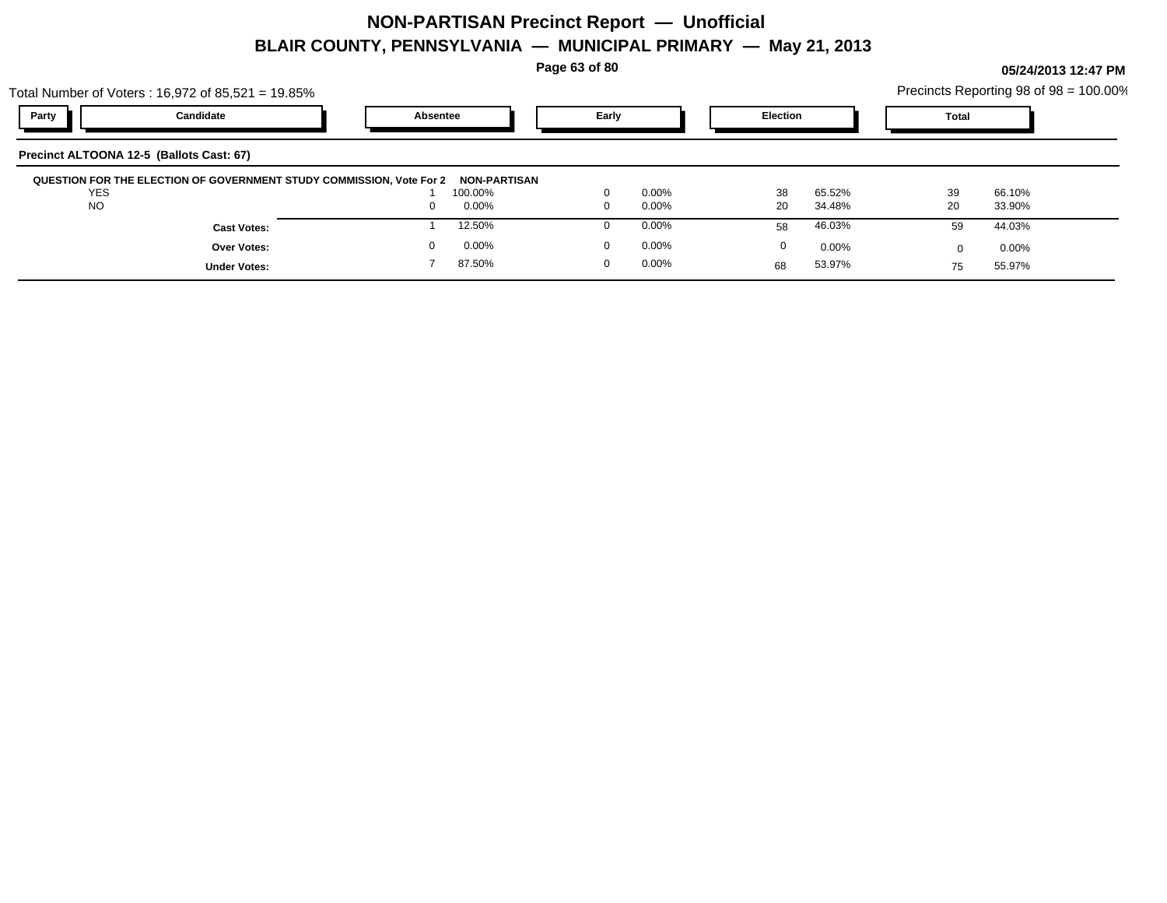**Page 63 of 80**

**05/24/2013 12:47 PM**

|                         | Total Number of Voters: 16,972 of 85,521 = 19.85%                    |                                  |                         |                      |          |                  |          | Precincts Reporting 98 of 98 = 100.00% |
|-------------------------|----------------------------------------------------------------------|----------------------------------|-------------------------|----------------------|----------|------------------|----------|----------------------------------------|
| Party                   | Candidate                                                            | Absentee                         |                         | Early                |          | <b>Election</b>  |          |                                        |
|                         | Precinct ALTOONA 12-5 (Ballots Cast: 67)                             |                                  |                         |                      |          |                  |          |                                        |
| <b>YES</b><br><b>NO</b> | QUESTION FOR THE ELECTION OF GOVERNMENT STUDY COMMISSION, Vote For 2 | NON-PARTISAN<br>100.00%<br>0.00% | $\Omega$<br>$\mathbf 0$ | $0.00\%$<br>$0.00\%$ | 38<br>20 | 65.52%<br>34.48% | 39<br>20 | 66.10%<br>33.90%                       |
|                         | <b>Cast Votes:</b>                                                   | 12.50%                           |                         | $0.00\%$             | 58       | 46.03%           | 59       | 44.03%                                 |
|                         | Over Votes:                                                          | $0.00\%$                         | $\Omega$                | $0.00\%$             | $\Omega$ | $0.00\%$         |          | $0.00\%$                               |
|                         | <b>Under Votes:</b>                                                  | 87.50%                           | $\Omega$                | $0.00\%$             | 68       | 53.97%           | 75       | 55.97%                                 |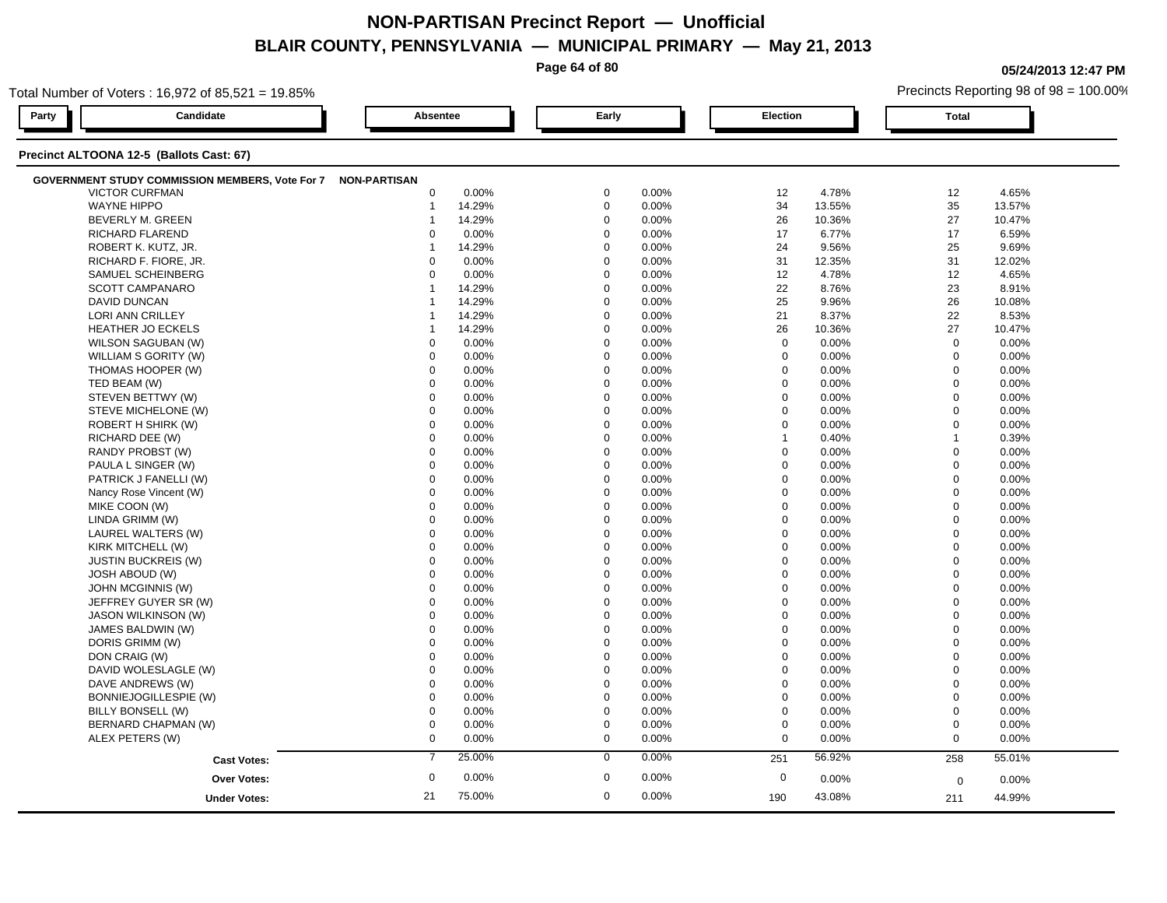**Page 64 of 80**

**05/24/2013 12:47 PM**

|       | Total Number of Voters: 16,972 of 85,521 = 19.85%            |                |        |             |       |              |          | Precincts Reporting 98 of 98 = 100.00% |          |  |  |  |
|-------|--------------------------------------------------------------|----------------|--------|-------------|-------|--------------|----------|----------------------------------------|----------|--|--|--|
| Party | Candidate                                                    | Absentee       |        | Early       |       |              | Election |                                        |          |  |  |  |
|       | Precinct ALTOONA 12-5 (Ballots Cast: 67)                     |                |        |             |       |              |          |                                        |          |  |  |  |
|       | GOVERNMENT STUDY COMMISSION MEMBERS, Vote For 7 NON-PARTISAN |                |        |             |       |              |          |                                        |          |  |  |  |
|       | <b>VICTOR CURFMAN</b>                                        | 0              | 0.00%  | $\mathbf 0$ | 0.00% | 12           | 4.78%    | 12                                     | 4.65%    |  |  |  |
|       | <b>WAYNE HIPPO</b>                                           | $\mathbf 1$    | 14.29% | $\mathbf 0$ | 0.00% | 34           | 13.55%   | 35                                     | 13.57%   |  |  |  |
|       | <b>BEVERLY M. GREEN</b>                                      | -1             | 14.29% | $\mathbf 0$ | 0.00% | 26           | 10.36%   | 27                                     | 10.47%   |  |  |  |
|       | RICHARD FLAREND                                              | $\Omega$       | 0.00%  | $\mathbf 0$ | 0.00% | 17           | 6.77%    | 17                                     | 6.59%    |  |  |  |
|       | ROBERT K. KUTZ, JR.                                          | $\overline{1}$ | 14.29% | $\mathbf 0$ | 0.00% | 24           | 9.56%    | 25                                     | 9.69%    |  |  |  |
|       | RICHARD F. FIORE, JR.                                        | $\mathbf 0$    | 0.00%  | $\mathbf 0$ | 0.00% | 31           | 12.35%   | 31                                     | 12.02%   |  |  |  |
|       | SAMUEL SCHEINBERG                                            | $\Omega$       | 0.00%  | $\mathbf 0$ | 0.00% | 12           | 4.78%    | 12                                     | 4.65%    |  |  |  |
|       | <b>SCOTT CAMPANARO</b>                                       | $\overline{1}$ | 14.29% | $\mathbf 0$ | 0.00% | 22           | 8.76%    | 23                                     | 8.91%    |  |  |  |
|       | <b>DAVID DUNCAN</b>                                          | -1             | 14.29% | $\mathbf 0$ | 0.00% | 25           | 9.96%    | 26                                     | 10.08%   |  |  |  |
|       | <b>LORI ANN CRILLEY</b>                                      | -1             | 14.29% | $\mathbf 0$ | 0.00% | 21           | 8.37%    | 22                                     | 8.53%    |  |  |  |
|       | <b>HEATHER JO ECKELS</b>                                     | -1             | 14.29% | $\mathbf 0$ | 0.00% | 26           | 10.36%   | 27                                     | 10.47%   |  |  |  |
|       | WILSON SAGUBAN (W)                                           | 0              | 0.00%  | $\mathbf 0$ | 0.00% | $\mathbf 0$  | 0.00%    | $\mathbf 0$                            | 0.00%    |  |  |  |
|       | WILLIAM S GORITY (W)                                         | $\mathbf 0$    | 0.00%  | $\mathbf 0$ | 0.00% | 0            | 0.00%    | $\mathbf 0$                            | 0.00%    |  |  |  |
|       | THOMAS HOOPER (W)                                            | $\mathbf 0$    | 0.00%  | $\mathbf 0$ | 0.00% | $\mathbf 0$  | 0.00%    | $\mathbf 0$                            | 0.00%    |  |  |  |
|       | TED BEAM (W)                                                 | $\mathbf 0$    | 0.00%  | $\mathbf 0$ | 0.00% | $\mathbf 0$  | 0.00%    | $\mathbf 0$                            | 0.00%    |  |  |  |
|       | STEVEN BETTWY (W)                                            | $\mathbf 0$    | 0.00%  | $\mathbf 0$ | 0.00% | $\mathbf 0$  | 0.00%    | $\mathbf 0$                            | 0.00%    |  |  |  |
|       | STEVE MICHELONE (W)                                          | 0              | 0.00%  | $\mathbf 0$ | 0.00% | $\mathbf 0$  | 0.00%    | $\mathbf 0$                            | 0.00%    |  |  |  |
|       | ROBERT H SHIRK (W)                                           | $\mathbf 0$    | 0.00%  | $\mathbf 0$ | 0.00% | $\mathbf 0$  | 0.00%    | $\mathbf 0$                            | 0.00%    |  |  |  |
|       | RICHARD DEE (W)                                              | $\mathbf 0$    | 0.00%  | $\mathbf 0$ | 0.00% | $\mathbf{1}$ | 0.40%    | $\overline{1}$                         | 0.39%    |  |  |  |
|       | RANDY PROBST (W)                                             | $\Omega$       | 0.00%  | $\mathbf 0$ | 0.00% | $\Omega$     | 0.00%    | $\mathbf 0$                            | 0.00%    |  |  |  |
|       | PAULA L SINGER (W)                                           | $\mathbf 0$    | 0.00%  | $\mathbf 0$ | 0.00% | $\mathbf 0$  | 0.00%    | $\mathbf 0$                            | 0.00%    |  |  |  |
|       | PATRICK J FANELLI (W)                                        | $\mathbf 0$    | 0.00%  | 0           | 0.00% | $\mathbf 0$  | 0.00%    | $\mathbf 0$                            | 0.00%    |  |  |  |
|       | Nancy Rose Vincent (W)                                       | 0              | 0.00%  | $\mathbf 0$ | 0.00% | $\mathbf 0$  | 0.00%    | $\mathbf 0$                            | $0.00\%$ |  |  |  |
|       | MIKE COON (W)                                                | $\Omega$       | 0.00%  | $\mathbf 0$ | 0.00% | $\Omega$     | 0.00%    | $\mathbf 0$                            | 0.00%    |  |  |  |
|       | LINDA GRIMM (W)                                              | $\mathbf 0$    | 0.00%  | $\mathbf 0$ | 0.00% | $\mathbf 0$  | 0.00%    | $\mathbf 0$                            | 0.00%    |  |  |  |
|       | LAUREL WALTERS (W)                                           | $\Omega$       | 0.00%  | $\Omega$    | 0.00% | $\Omega$     | 0.00%    | $\mathbf 0$                            | 0.00%    |  |  |  |
|       | KIRK MITCHELL (W)                                            | $\mathbf 0$    | 0.00%  | $\mathbf 0$ | 0.00% | $\mathbf 0$  | 0.00%    | $\mathbf 0$                            | 0.00%    |  |  |  |
|       | <b>JUSTIN BUCKREIS (W)</b>                                   | 0              | 0.00%  | $\mathbf 0$ | 0.00% | 0            | 0.00%    | $\mathbf 0$                            | 0.00%    |  |  |  |
|       | <b>JOSH ABOUD (W)</b>                                        | $\Omega$       | 0.00%  | $\mathbf 0$ | 0.00% | $\Omega$     | 0.00%    | $\mathbf 0$                            | 0.00%    |  |  |  |
|       | JOHN MCGINNIS (W)                                            | $\Omega$       | 0.00%  | $\mathbf 0$ | 0.00% | $\Omega$     | 0.00%    | $\mathbf 0$                            | 0.00%    |  |  |  |
|       | JEFFREY GUYER SR (W)                                         | $\Omega$       | 0.00%  | $\mathbf 0$ | 0.00% | $\Omega$     | 0.00%    | $\mathbf 0$                            | $0.00\%$ |  |  |  |
|       | <b>JASON WILKINSON (W)</b>                                   | $\Omega$       | 0.00%  | $\mathbf 0$ | 0.00% | $\Omega$     | 0.00%    | $\mathbf 0$                            | 0.00%    |  |  |  |
|       | JAMES BALDWIN (W)                                            | $\mathbf 0$    | 0.00%  | $\mathbf 0$ | 0.00% | $\mathbf 0$  | 0.00%    | $\mathbf 0$                            | 0.00%    |  |  |  |
|       | DORIS GRIMM (W)                                              | $\mathbf 0$    | 0.00%  | $\mathbf 0$ | 0.00% | $\mathbf 0$  | 0.00%    | $\mathbf 0$                            | 0.00%    |  |  |  |
|       | DON CRAIG (W)                                                | $\mathbf 0$    | 0.00%  | $\mathbf 0$ | 0.00% | $\mathbf 0$  | 0.00%    | $\mathbf 0$                            | 0.00%    |  |  |  |
|       | DAVID WOLESLAGLE (W)                                         | 0              | 0.00%  | $\mathbf 0$ | 0.00% | $\mathbf 0$  | 0.00%    | $\mathbf 0$                            | 0.00%    |  |  |  |
|       | DAVE ANDREWS (W)                                             | $\Omega$       | 0.00%  | $\mathbf 0$ | 0.00% | $\Omega$     | 0.00%    | $\mathbf 0$                            | 0.00%    |  |  |  |
|       | BONNIEJOGILLESPIE (W)                                        | 0              | 0.00%  | $\mathbf 0$ | 0.00% | $\mathbf 0$  | 0.00%    | $\mathbf 0$                            | 0.00%    |  |  |  |
|       | BILLY BONSELL (W)                                            | 0              | 0.00%  | $\mathbf 0$ | 0.00% | 0            | 0.00%    | $\boldsymbol{0}$                       | 0.00%    |  |  |  |
|       | BERNARD CHAPMAN (W)                                          | $\mathbf 0$    | 0.00%  | $\mathbf 0$ | 0.00% | $\mathbf 0$  | 0.00%    | $\mathbf 0$                            | 0.00%    |  |  |  |
|       | ALEX PETERS (W)                                              | $\mathbf 0$    | 0.00%  | $\mathbf 0$ | 0.00% | $\mathbf 0$  | 0.00%    | $\mathbf 0$                            | 0.00%    |  |  |  |
|       |                                                              | $\overline{7}$ | 25.00% | $\mathbf 0$ | 0.00% | 251          | 56.92%   | 258                                    | 55.01%   |  |  |  |
|       | <b>Cast Votes:</b>                                           |                |        |             |       |              |          |                                        |          |  |  |  |
|       | <b>Over Votes:</b>                                           | $\mathbf 0$    | 0.00%  | $\mathbf 0$ | 0.00% | $\mathbf 0$  | 0.00%    | $\mathbf 0$                            | 0.00%    |  |  |  |
|       | <b>Under Votes:</b>                                          | 21             | 75.00% | $\mathbf 0$ | 0.00% | 190          | 43.08%   | 211                                    | 44.99%   |  |  |  |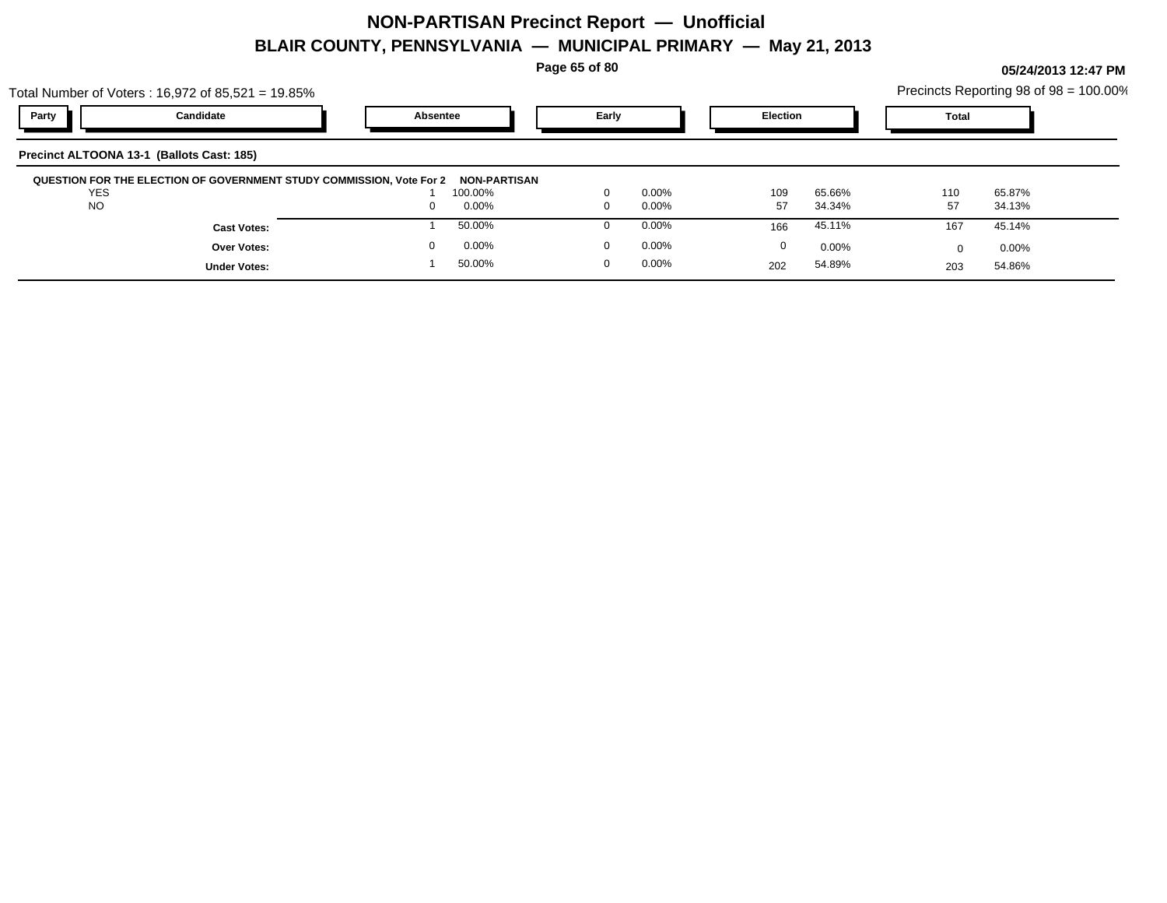**Page 65 of 80**

|            | Total Number of Voters: $16,972$ of $85,521 = 19.85\%$               |          |                                |             |          |                 |          |              | Precincts Reporting 98 of 98 = 100.00% |  |
|------------|----------------------------------------------------------------------|----------|--------------------------------|-------------|----------|-----------------|----------|--------------|----------------------------------------|--|
| Party      | Candidate                                                            |          | Early<br>Absentee              |             |          | <b>Election</b> |          | <b>Total</b> |                                        |  |
|            | Precinct ALTOONA 13-1 (Ballots Cast: 185)                            |          |                                |             |          |                 |          |              |                                        |  |
| <b>YES</b> | QUESTION FOR THE ELECTION OF GOVERNMENT STUDY COMMISSION, Vote For 2 |          | <b>NON-PARTISAN</b><br>100.00% | $\Omega$    | $0.00\%$ | 109             | 65.66%   | 110          | 65.87%                                 |  |
| <b>NO</b>  |                                                                      | $\Omega$ | 0.00%                          | $\Omega$    | $0.00\%$ | 57              | 34.34%   | 57           | 34.13%                                 |  |
|            | <b>Cast Votes:</b>                                                   |          | 50.00%                         | $\Omega$    | $0.00\%$ | 166             | 45.11%   | 167          | 45.14%                                 |  |
|            | Over Votes:                                                          |          | 0.00%                          | $\mathbf 0$ | $0.00\%$ | 0               | $0.00\%$ |              | $0.00\%$                               |  |
|            | <b>Under Votes:</b>                                                  |          | 50.00%                         | $\mathbf 0$ | $0.00\%$ | 202             | 54.89%   | 203          | 54.86%                                 |  |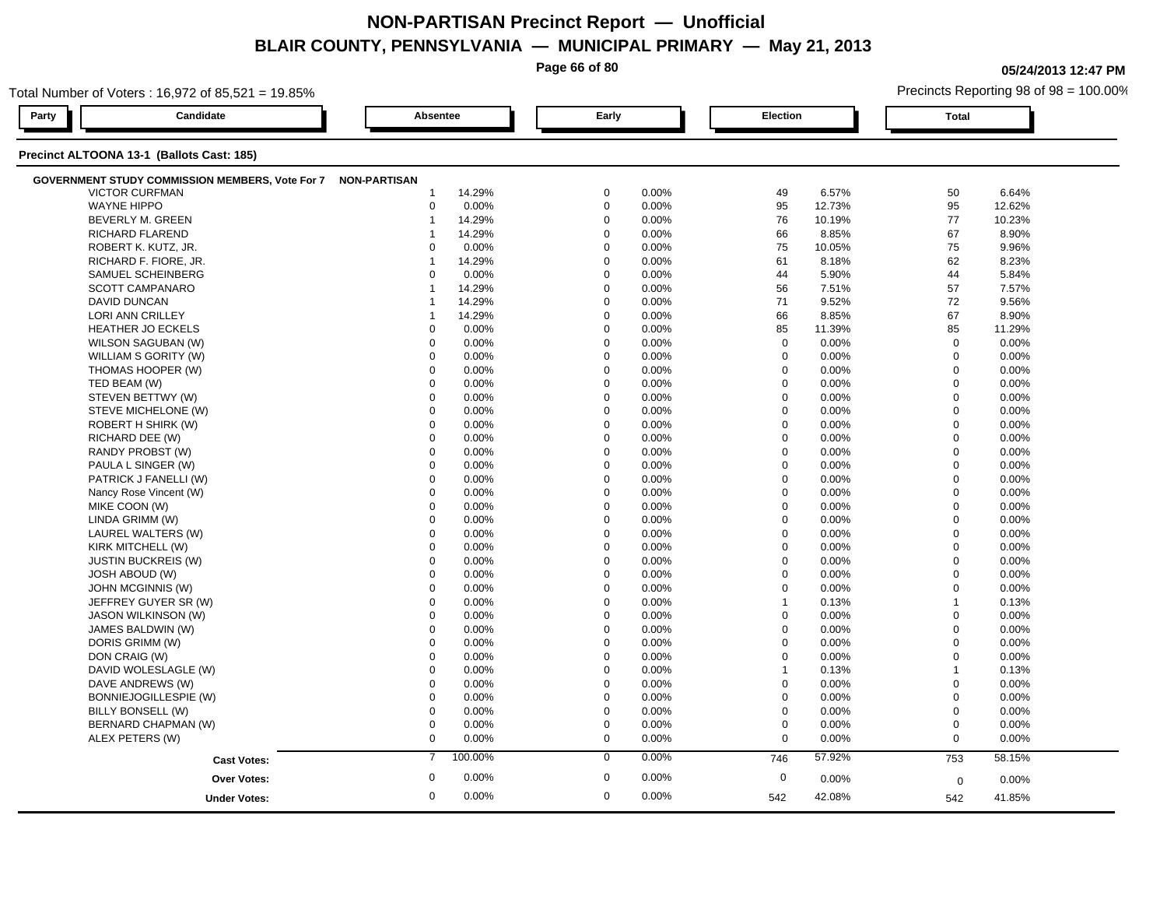**Page 66 of 80**

**05/24/2013 12:47 PM**

| Total Number of Voters: 16,972 of 85,521 = 19.85%            |                  |                      |                  | Precincts Reporting 98 of 98 = 100.00% |  |  |  |  |  |  |  |
|--------------------------------------------------------------|------------------|----------------------|------------------|----------------------------------------|--|--|--|--|--|--|--|
| Candidate<br>Party                                           | Absentee         | Early                | Election         | <b>Total</b>                           |  |  |  |  |  |  |  |
| Precinct ALTOONA 13-1 (Ballots Cast: 185)                    |                  |                      |                  |                                        |  |  |  |  |  |  |  |
| GOVERNMENT STUDY COMMISSION MEMBERS, Vote For 7 NON-PARTISAN |                  |                      |                  |                                        |  |  |  |  |  |  |  |
| <b>VICTOR CURFMAN</b>                                        | 14.29%           | 0.00%                | 6.57%            | 50                                     |  |  |  |  |  |  |  |
|                                                              | -1               | 0                    | 49               | 6.64%                                  |  |  |  |  |  |  |  |
| <b>WAYNE HIPPO</b>                                           | $\mathbf 0$      | $\mathbf 0$          | 95               | 95                                     |  |  |  |  |  |  |  |
|                                                              | 0.00%            | 0.00%                | 12.73%           | 12.62%                                 |  |  |  |  |  |  |  |
| BEVERLY M. GREEN                                             | 14.29%           | $\mathbf 0$          | 76               | 77                                     |  |  |  |  |  |  |  |
|                                                              | $\mathbf{1}$     | 0.00%                | 10.19%           | 10.23%                                 |  |  |  |  |  |  |  |
| RICHARD FLAREND                                              | 14.29%           | $\Omega$             | 66               | 67                                     |  |  |  |  |  |  |  |
|                                                              | -1               | 0.00%                | 8.85%            | 8.90%                                  |  |  |  |  |  |  |  |
| ROBERT K. KUTZ, JR.                                          | 0.00%            | $\mathbf 0$          | 75               | 75                                     |  |  |  |  |  |  |  |
|                                                              | 0                | 0.00%                | 10.05%           | 9.96%                                  |  |  |  |  |  |  |  |
| RICHARD F. FIORE, JR.                                        | 14.29%           | $\mathbf 0$          | 61               | 62                                     |  |  |  |  |  |  |  |
|                                                              | 1                | 0.00%                | 8.18%            | 8.23%                                  |  |  |  |  |  |  |  |
| SAMUEL SCHEINBERG                                            | $\Omega$         | $\Omega$             | 44               | 44                                     |  |  |  |  |  |  |  |
|                                                              | 0.00%            | 0.00%                | 5.90%            | 5.84%                                  |  |  |  |  |  |  |  |
| <b>SCOTT CAMPANARO</b>                                       | 14.29%           | $\mathbf 0$          | 56               | 57                                     |  |  |  |  |  |  |  |
|                                                              | $\mathbf{1}$     | 0.00%                | 7.51%            | 7.57%                                  |  |  |  |  |  |  |  |
| DAVID DUNCAN                                                 | 14.29%           | $\mathbf 0$<br>0.00% | 71<br>9.52%      | 72<br>9.56%                            |  |  |  |  |  |  |  |
| LORI ANN CRILLEY                                             | 14.29%           | $\mathbf 0$          | 66               | 67                                     |  |  |  |  |  |  |  |
|                                                              | 1                | 0.00%                | 8.85%            | 8.90%                                  |  |  |  |  |  |  |  |
| HEATHER JO ECKELS                                            | 0.00%            | $\mathbf 0$          | 85               | 85                                     |  |  |  |  |  |  |  |
|                                                              | $\mathbf 0$      | 0.00%                | 11.39%           | 11.29%                                 |  |  |  |  |  |  |  |
| WILSON SAGUBAN (W)                                           | $\mathbf 0$      | $\Omega$             | $\mathbf 0$      | $\mathbf 0$                            |  |  |  |  |  |  |  |
|                                                              | 0.00%            | 0.00%                | 0.00%            | 0.00%                                  |  |  |  |  |  |  |  |
| WILLIAM S GORITY (W)                                         | $\Omega$         | $\mathbf 0$          | $\mathbf 0$      | $\mathbf 0$                            |  |  |  |  |  |  |  |
|                                                              | 0.00%            | 0.00%                | 0.00%            | 0.00%                                  |  |  |  |  |  |  |  |
| THOMAS HOOPER (W)                                            | $\mathbf 0$      | $\mathbf 0$          | $\mathbf 0$      | $\mathbf 0$                            |  |  |  |  |  |  |  |
|                                                              | 0.00%            | 0.00%                | 0.00%            | 0.00%                                  |  |  |  |  |  |  |  |
| TED BEAM (W)                                                 | $\Omega$         | $\Omega$             | $\mathbf 0$      | $\mathbf 0$                            |  |  |  |  |  |  |  |
|                                                              | 0.00%            | 0.00%                | 0.00%            | 0.00%                                  |  |  |  |  |  |  |  |
| STEVEN BETTWY (W)                                            | 0.00%            | $\mathbf 0$          | $\mathbf 0$      | $\mathbf 0$                            |  |  |  |  |  |  |  |
|                                                              | $\mathbf 0$      | 0.00%                | 0.00%            | 0.00%                                  |  |  |  |  |  |  |  |
| STEVE MICHELONE (W)                                          | $\mathbf 0$      | $\Omega$             | $\mathbf 0$      | $\Omega$                               |  |  |  |  |  |  |  |
|                                                              | 0.00%            | 0.00%                | 0.00%            | 0.00%                                  |  |  |  |  |  |  |  |
| ROBERT H SHIRK (W)                                           | $\Omega$         | $\Omega$             | $\mathbf 0$      | $\mathbf 0$                            |  |  |  |  |  |  |  |
|                                                              | 0.00%            | 0.00%                | 0.00%            | 0.00%                                  |  |  |  |  |  |  |  |
| RICHARD DEE (W)                                              | $\mathbf 0$      | $\mathbf 0$          | $\mathbf 0$      | $\mathbf 0$                            |  |  |  |  |  |  |  |
|                                                              | 0.00%            | 0.00%                | 0.00%            | 0.00%                                  |  |  |  |  |  |  |  |
| RANDY PROBST (W)                                             | $\Omega$         | $\Omega$             | $\mathsf 0$      | $\mathbf 0$                            |  |  |  |  |  |  |  |
|                                                              | 0.00%            | 0.00%                | 0.00%            | 0.00%                                  |  |  |  |  |  |  |  |
| PAULA L SINGER (W)                                           | $\Omega$         | $\Omega$             | $\mathbf 0$      | $\mathbf{0}$                           |  |  |  |  |  |  |  |
|                                                              | 0.00%            | 0.00%                | 0.00%            | 0.00%                                  |  |  |  |  |  |  |  |
| PATRICK J FANELLI (W)                                        | $\mathbf 0$      | $\Omega$             | $\mathbf 0$      | $\mathbf 0$                            |  |  |  |  |  |  |  |
|                                                              | 0.00%            | 0.00%                | 0.00%            | 0.00%                                  |  |  |  |  |  |  |  |
| Nancy Rose Vincent (W)                                       | $\mathbf 0$      | $\Omega$             | $\mathbf 0$      | $\mathbf 0$                            |  |  |  |  |  |  |  |
|                                                              | 0.00%            | 0.00%                | 0.00%            | 0.00%                                  |  |  |  |  |  |  |  |
| MIKE COON (W)                                                | $\mathbf 0$      | $\mathbf 0$          | $\mathbf 0$      | $\mathbf 0$                            |  |  |  |  |  |  |  |
|                                                              | 0.00%            | 0.00%                | 0.00%            | 0.00%                                  |  |  |  |  |  |  |  |
| LINDA GRIMM (W)                                              | $\mathbf 0$      | $\mathbf 0$          | $\mathbf 0$      | $\mathbf 0$                            |  |  |  |  |  |  |  |
|                                                              | 0.00%            | 0.00%                | 0.00%            | 0.00%                                  |  |  |  |  |  |  |  |
| LAUREL WALTERS (W)                                           | $\mathbf 0$      | $\mathbf 0$          | $\mathbf 0$      | $\mathbf{0}$                           |  |  |  |  |  |  |  |
|                                                              | 0.00%            | 0.00%                | 0.00%            | 0.00%                                  |  |  |  |  |  |  |  |
| KIRK MITCHELL (W)                                            | $\mathbf 0$      | $\Omega$             | $\mathbf 0$      | $\mathbf 0$                            |  |  |  |  |  |  |  |
|                                                              | 0.00%            | 0.00%                | 0.00%            | 0.00%                                  |  |  |  |  |  |  |  |
| <b>JUSTIN BUCKREIS (W)</b>                                   | $\Omega$         | $\Omega$             | $\boldsymbol{0}$ | $\mathbf 0$                            |  |  |  |  |  |  |  |
|                                                              | 0.00%            | 0.00%                | 0.00%            | 0.00%                                  |  |  |  |  |  |  |  |
| <b>JOSH ABOUD (W)</b>                                        | 0.00%            | $\mathbf 0$          | $\mathbf 0$      | $\mathbf 0$                            |  |  |  |  |  |  |  |
|                                                              | $\mathbf 0$      | 0.00%                | 0.00%            | 0.00%                                  |  |  |  |  |  |  |  |
| JOHN MCGINNIS (W)                                            | $\mathbf 0$      | $\mathbf 0$          | $\mathbf 0$      | $\mathbf 0$                            |  |  |  |  |  |  |  |
|                                                              | 0.00%            | 0.00%                | 0.00%            | 0.00%                                  |  |  |  |  |  |  |  |
| JEFFREY GUYER SR (W)                                         | $\mathbf 0$      | $\Omega$             | 0.13%            | $\overline{1}$                         |  |  |  |  |  |  |  |
|                                                              | 0.00%            | 0.00%                | $\mathbf 1$      | 0.13%                                  |  |  |  |  |  |  |  |
| <b>JASON WILKINSON (W)</b>                                   | $\mathbf 0$      | $\Omega$             | $\mathbf 0$      | $\mathbf 0$                            |  |  |  |  |  |  |  |
|                                                              | 0.00%            | 0.00%                | 0.00%            | 0.00%                                  |  |  |  |  |  |  |  |
| JAMES BALDWIN (W)                                            | $\mathbf 0$      | $\mathbf 0$          | $\mathbf 0$      | $\mathbf 0$                            |  |  |  |  |  |  |  |
|                                                              | 0.00%            | 0.00%                | 0.00%            | 0.00%                                  |  |  |  |  |  |  |  |
| DORIS GRIMM (W)                                              | 0.00%            | $\Omega$             | $\mathbf 0$      | $\mathbf 0$                            |  |  |  |  |  |  |  |
|                                                              | $\Omega$         | 0.00%                | 0.00%            | 0.00%                                  |  |  |  |  |  |  |  |
| DON CRAIG (W)                                                | $\mathbf 0$      | $\mathbf 0$          | $\mathbf 0$      | $\mathbf 0$                            |  |  |  |  |  |  |  |
|                                                              | 0.00%            | 0.00%                | 0.00%            | 0.00%                                  |  |  |  |  |  |  |  |
| DAVID WOLESLAGLE (W)                                         | 0.00%            | $\Omega$             | 0.13%            | $\overline{1}$                         |  |  |  |  |  |  |  |
|                                                              | $\Omega$         | 0.00%                | $\overline{1}$   | 0.13%                                  |  |  |  |  |  |  |  |
| DAVE ANDREWS (W)                                             | $\mathbf 0$      | $\Omega$             | $\boldsymbol{0}$ | $\mathbf 0$                            |  |  |  |  |  |  |  |
|                                                              | 0.00%            | 0.00%                | 0.00%            | 0.00%                                  |  |  |  |  |  |  |  |
| BONNIEJOGILLESPIE (W)                                        | $\mathbf 0$      | $\mathbf 0$          | $\boldsymbol{0}$ | $\mathbf 0$                            |  |  |  |  |  |  |  |
|                                                              | 0.00%            | 0.00%                | 0.00%            | 0.00%                                  |  |  |  |  |  |  |  |
| BILLY BONSELL (W)                                            | $\mathbf 0$      | $\Omega$             | $\mathbf 0$      | $\mathbf 0$                            |  |  |  |  |  |  |  |
|                                                              | 0.00%            | 0.00%                | 0.00%            | 0.00%                                  |  |  |  |  |  |  |  |
| BERNARD CHAPMAN (W)                                          | $\mathbf 0$      | $\mathbf 0$          | $\mathbf 0$      | $\mathbf 0$                            |  |  |  |  |  |  |  |
|                                                              | 0.00%            | 0.00%                | 0.00%            | 0.00%                                  |  |  |  |  |  |  |  |
| ALEX PETERS (W)                                              | $\mathbf 0$      | $\mathbf 0$          | $\mathbf 0$      | $\mathbf 0$                            |  |  |  |  |  |  |  |
|                                                              | 0.00%            | 0.00%                | 0.00%            | 0.00%                                  |  |  |  |  |  |  |  |
| <b>Cast Votes:</b>                                           | 100.00%          | 0.00%                | 57.92%           | 58.15%                                 |  |  |  |  |  |  |  |
|                                                              | $\overline{7}$   | $\mathbf 0$          | 746              | 753                                    |  |  |  |  |  |  |  |
| <b>Over Votes:</b>                                           | $\boldsymbol{0}$ | $\mathbf 0$          | $\mathbf 0$      | 0.00%                                  |  |  |  |  |  |  |  |
|                                                              | 0.00%            | 0.00%                | 0.00%            | $\mathbf 0$                            |  |  |  |  |  |  |  |
|                                                              |                  |                      |                  |                                        |  |  |  |  |  |  |  |
| <b>Under Votes:</b>                                          | 0.00%            | 0.00%                | 42.08%           | 41.85%                                 |  |  |  |  |  |  |  |
|                                                              | $\mathbf 0$      | $\mathbf 0$          | 542              | 542                                    |  |  |  |  |  |  |  |
|                                                              |                  |                      |                  |                                        |  |  |  |  |  |  |  |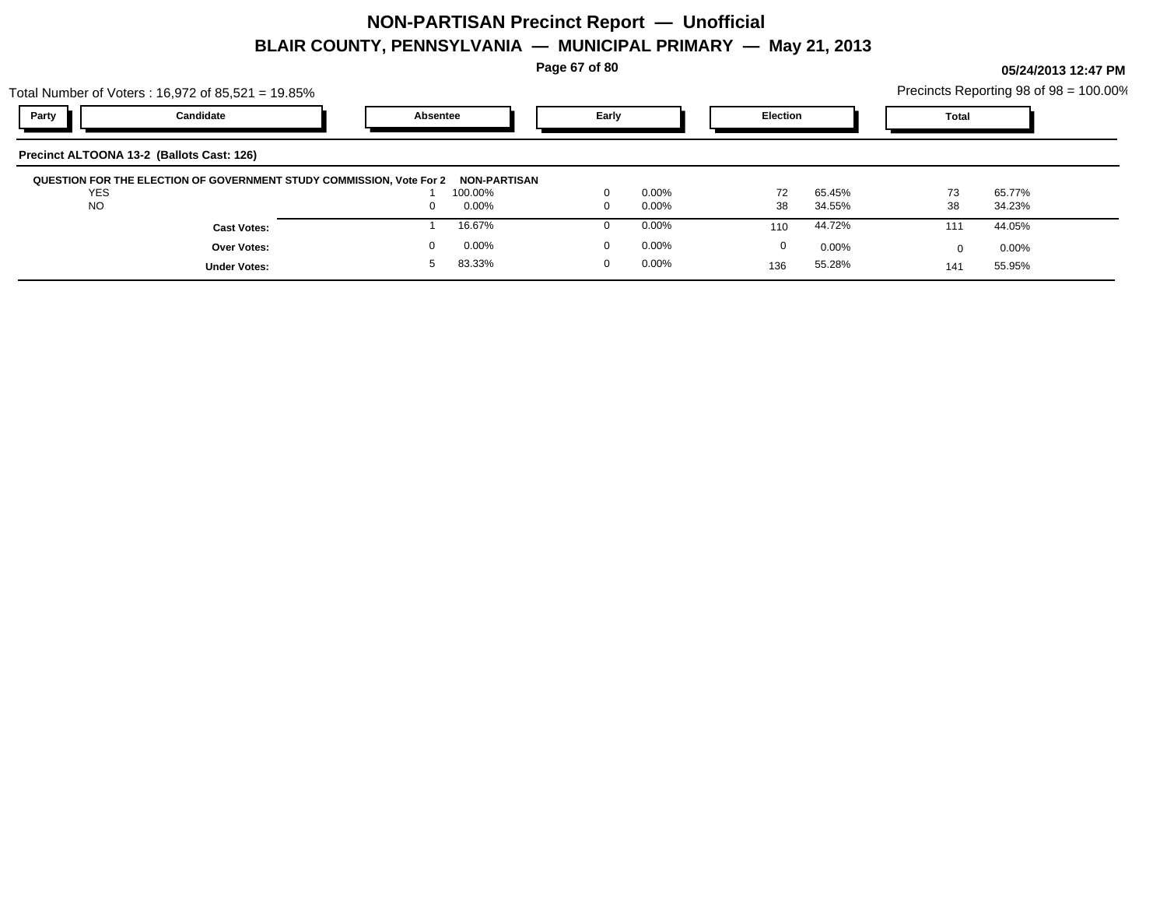**Page 67 of 80**

|                                           | Total Number of Voters : 16,972 of 85,521 = 19.85%                   |          |                         |       |          |                 |        |              | Precincts Reporting 98 of 98 = 100.00% |  |
|-------------------------------------------|----------------------------------------------------------------------|----------|-------------------------|-------|----------|-----------------|--------|--------------|----------------------------------------|--|
| Party                                     | Candidate                                                            | Absentee |                         | Early |          | <b>Election</b> |        | <b>Total</b> |                                        |  |
| Precinct ALTOONA 13-2 (Ballots Cast: 126) |                                                                      |          |                         |       |          |                 |        |              |                                        |  |
| <b>YES</b>                                | QUESTION FOR THE ELECTION OF GOVERNMENT STUDY COMMISSION, Vote For 2 |          | NON-PARTISAN<br>100.00% |       | $0.00\%$ | 72              | 65.45% | 73           | 65.77%                                 |  |
| <b>NO</b>                                 |                                                                      |          | 0.00%                   |       | $0.00\%$ | 38              | 34.55% | 38           | 34.23%                                 |  |
|                                           | <b>Cast Votes:</b>                                                   |          | 16.67%                  |       | $0.00\%$ | 110             | 44.72% | 111          | 44.05%                                 |  |
|                                           | <b>Over Votes:</b>                                                   |          | 0.00%                   |       | $0.00\%$ | 0               | 0.00%  | <sup>0</sup> | $0.00\%$                               |  |
|                                           | <b>Under Votes:</b>                                                  |          | 83.33%                  | 0     | $0.00\%$ | 136             | 55.28% | 141          | 55.95%                                 |  |
|                                           |                                                                      |          |                         |       |          |                 |        |              |                                        |  |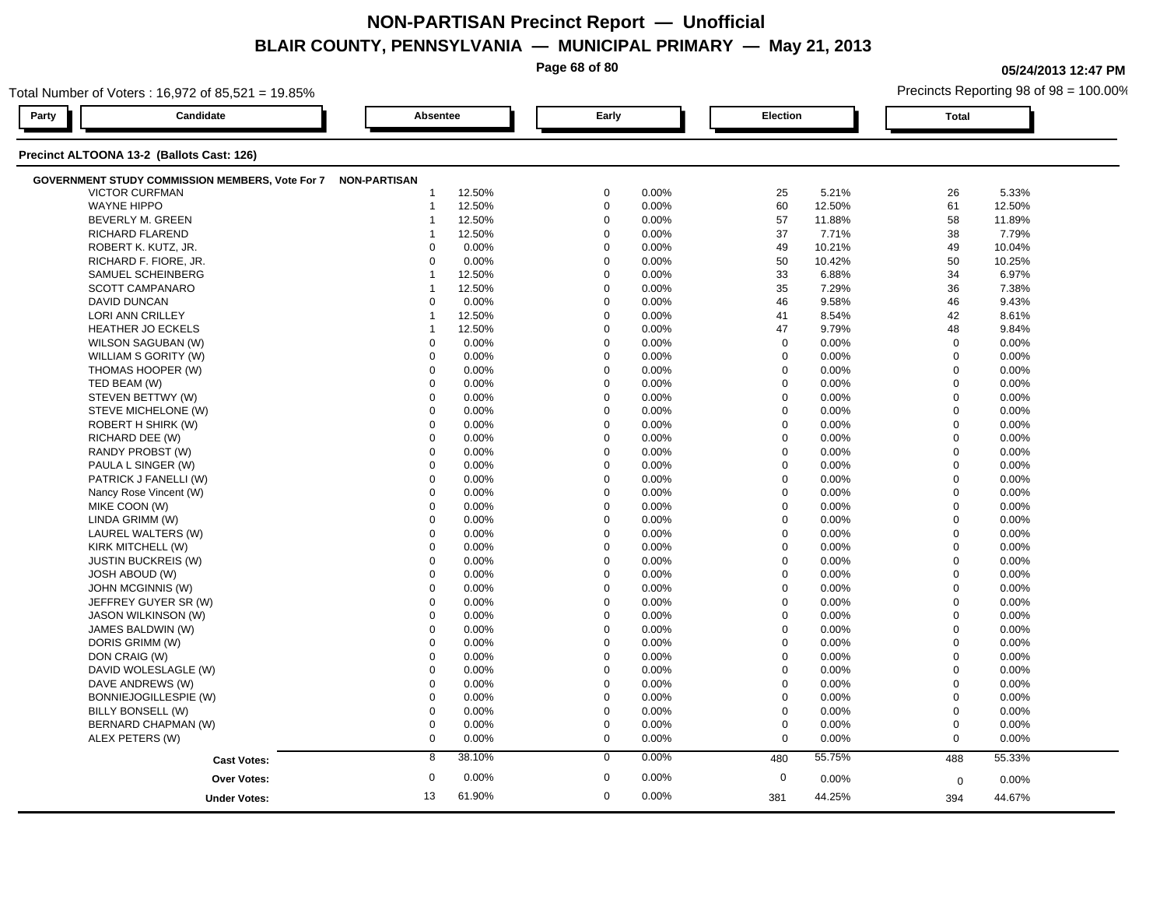**Page 68 of 80**

**05/24/2013 12:47 PM**

|       | Total Number of Voters: 16,972 of 85,521 = 19.85%            |                         |          |             |       |             |          | Precincts Reporting 98 of 98 = 100.00% |          |  |  |  |
|-------|--------------------------------------------------------------|-------------------------|----------|-------------|-------|-------------|----------|----------------------------------------|----------|--|--|--|
| Party | Candidate                                                    |                         | Absentee |             | Early |             | Election |                                        |          |  |  |  |
|       | Precinct ALTOONA 13-2 (Ballots Cast: 126)                    |                         |          |             |       |             |          |                                        |          |  |  |  |
|       | GOVERNMENT STUDY COMMISSION MEMBERS, Vote For 7 NON-PARTISAN |                         |          |             |       |             |          |                                        |          |  |  |  |
|       | <b>VICTOR CURFMAN</b>                                        | $\mathbf 1$             | 12.50%   | $\mathbf 0$ | 0.00% | 25          | 5.21%    | 26                                     | 5.33%    |  |  |  |
|       | <b>WAYNE HIPPO</b>                                           | $\mathbf 1$             | 12.50%   | $\mathbf 0$ | 0.00% | 60          | 12.50%   | 61                                     | 12.50%   |  |  |  |
|       | <b>BEVERLY M. GREEN</b>                                      | -1                      | 12.50%   | $\mathbf 0$ | 0.00% | 57          | 11.88%   | 58                                     | 11.89%   |  |  |  |
|       | RICHARD FLAREND                                              | -1                      | 12.50%   | $\mathbf 0$ | 0.00% | 37          | 7.71%    | 38                                     | 7.79%    |  |  |  |
|       | ROBERT K. KUTZ, JR.                                          | $\Omega$                | 0.00%    | $\mathbf 0$ | 0.00% | 49          | 10.21%   | 49                                     | 10.04%   |  |  |  |
|       | RICHARD F. FIORE, JR.                                        | $\Omega$                | 0.00%    | $\mathbf 0$ | 0.00% | 50          | 10.42%   | 50                                     | 10.25%   |  |  |  |
|       | SAMUEL SCHEINBERG                                            | -1                      | 12.50%   | $\mathbf 0$ | 0.00% | 33          | 6.88%    | 34                                     | 6.97%    |  |  |  |
|       | <b>SCOTT CAMPANARO</b>                                       | $\overline{\mathbf{1}}$ | 12.50%   | $\mathbf 0$ | 0.00% | 35          | 7.29%    | 36                                     | 7.38%    |  |  |  |
|       | <b>DAVID DUNCAN</b>                                          | $\Omega$                | 0.00%    | $\mathbf 0$ | 0.00% | 46          | 9.58%    | 46                                     | 9.43%    |  |  |  |
|       | <b>LORI ANN CRILLEY</b>                                      | -1                      | 12.50%   | $\mathbf 0$ | 0.00% | 41          | 8.54%    | 42                                     | 8.61%    |  |  |  |
|       | <b>HEATHER JO ECKELS</b>                                     | -1                      | 12.50%   | $\mathbf 0$ | 0.00% | 47          | 9.79%    | 48                                     | 9.84%    |  |  |  |
|       | WILSON SAGUBAN (W)                                           | 0                       | 0.00%    | $\mathbf 0$ | 0.00% | $\mathbf 0$ | 0.00%    | $\mathbf 0$                            | 0.00%    |  |  |  |
|       | WILLIAM S GORITY (W)                                         | $\mathbf 0$             | 0.00%    | $\mathbf 0$ | 0.00% | $\mathbf 0$ | 0.00%    | $\mathbf 0$                            | 0.00%    |  |  |  |
|       | THOMAS HOOPER (W)                                            | $\mathbf 0$             | 0.00%    | $\mathbf 0$ | 0.00% | $\mathbf 0$ | 0.00%    | $\mathbf 0$                            | 0.00%    |  |  |  |
|       | TED BEAM (W)                                                 | $\mathbf 0$             | 0.00%    | $\mathbf 0$ | 0.00% | $\mathbf 0$ | 0.00%    | $\mathbf 0$                            | 0.00%    |  |  |  |
|       | STEVEN BETTWY (W)                                            | $\mathbf 0$             | 0.00%    | $\mathbf 0$ | 0.00% | $\mathbf 0$ | 0.00%    | $\mathbf 0$                            | 0.00%    |  |  |  |
|       | STEVE MICHELONE (W)                                          | 0                       | 0.00%    | $\mathbf 0$ | 0.00% | $\mathbf 0$ | 0.00%    | $\mathbf 0$                            | 0.00%    |  |  |  |
|       | ROBERT H SHIRK (W)                                           | $\mathbf 0$             | 0.00%    | $\mathbf 0$ | 0.00% | $\mathbf 0$ | 0.00%    | $\mathbf 0$                            | 0.00%    |  |  |  |
|       | RICHARD DEE (W)                                              | $\mathbf 0$             | 0.00%    | $\mathbf 0$ | 0.00% | $\Omega$    | 0.00%    | $\mathbf 0$                            | 0.00%    |  |  |  |
|       | RANDY PROBST (W)                                             | $\Omega$                | 0.00%    | $\mathbf 0$ | 0.00% | $\Omega$    | 0.00%    | $\mathbf 0$                            | 0.00%    |  |  |  |
|       | PAULA L SINGER (W)                                           | $\mathbf 0$             | 0.00%    | $\mathbf 0$ | 0.00% | $\mathbf 0$ | 0.00%    | $\mathbf 0$                            | 0.00%    |  |  |  |
|       | PATRICK J FANELLI (W)                                        | $\mathbf 0$             | 0.00%    | 0           | 0.00% | $\mathbf 0$ | 0.00%    | $\mathbf 0$                            | 0.00%    |  |  |  |
|       | Nancy Rose Vincent (W)                                       | 0                       | 0.00%    | $\mathbf 0$ | 0.00% | $\mathbf 0$ | 0.00%    | $\mathbf 0$                            | $0.00\%$ |  |  |  |
|       | MIKE COON (W)                                                | $\Omega$                | 0.00%    | $\mathbf 0$ | 0.00% | $\Omega$    | 0.00%    | $\mathbf 0$                            | 0.00%    |  |  |  |
|       | LINDA GRIMM (W)                                              | $\mathbf 0$             | 0.00%    | $\mathbf 0$ | 0.00% | $\mathbf 0$ | 0.00%    | $\mathbf 0$                            | 0.00%    |  |  |  |
|       | LAUREL WALTERS (W)                                           | $\Omega$                | 0.00%    | $\Omega$    | 0.00% | $\Omega$    | 0.00%    | $\mathbf 0$                            | 0.00%    |  |  |  |
|       | KIRK MITCHELL (W)                                            | $\mathbf 0$             | 0.00%    | $\mathbf 0$ | 0.00% | $\mathbf 0$ | 0.00%    | $\mathbf 0$                            | 0.00%    |  |  |  |
|       | <b>JUSTIN BUCKREIS (W)</b>                                   | 0                       | 0.00%    | $\mathbf 0$ | 0.00% | 0           | 0.00%    | $\mathbf 0$                            | 0.00%    |  |  |  |
|       | <b>JOSH ABOUD (W)</b>                                        | $\Omega$                | 0.00%    | $\mathbf 0$ | 0.00% | $\Omega$    | 0.00%    | $\mathbf 0$                            | 0.00%    |  |  |  |
|       | JOHN MCGINNIS (W)                                            | $\Omega$                | 0.00%    | $\mathbf 0$ | 0.00% | $\Omega$    | 0.00%    | $\mathbf 0$                            | 0.00%    |  |  |  |
|       | JEFFREY GUYER SR (W)                                         | $\Omega$                | 0.00%    | $\mathbf 0$ | 0.00% | $\Omega$    | 0.00%    | $\mathbf{0}$                           | $0.00\%$ |  |  |  |
|       | <b>JASON WILKINSON (W)</b>                                   | $\Omega$                | 0.00%    | $\mathbf 0$ | 0.00% | $\Omega$    | 0.00%    | $\mathbf 0$                            | 0.00%    |  |  |  |
|       | JAMES BALDWIN (W)                                            | $\mathbf 0$             | 0.00%    | $\mathbf 0$ | 0.00% | $\mathbf 0$ | 0.00%    | $\mathbf 0$                            | 0.00%    |  |  |  |
|       | DORIS GRIMM (W)                                              | $\mathbf 0$             | 0.00%    | $\mathbf 0$ | 0.00% | $\mathbf 0$ | 0.00%    | $\mathbf 0$                            | 0.00%    |  |  |  |
|       | DON CRAIG (W)                                                | $\mathbf 0$             | 0.00%    | $\mathbf 0$ | 0.00% | $\mathbf 0$ | 0.00%    | $\mathbf 0$                            | 0.00%    |  |  |  |
|       | DAVID WOLESLAGLE (W)                                         | 0                       | 0.00%    | $\mathbf 0$ | 0.00% | $\mathbf 0$ | 0.00%    | $\mathbf 0$                            | 0.00%    |  |  |  |
|       | DAVE ANDREWS (W)                                             | $\Omega$                | 0.00%    | $\mathbf 0$ | 0.00% | $\Omega$    | 0.00%    | $\mathbf 0$                            | 0.00%    |  |  |  |
|       | BONNIEJOGILLESPIE (W)                                        | $\mathbf 0$             | 0.00%    | $\mathbf 0$ | 0.00% | $\mathbf 0$ | 0.00%    | $\mathbf 0$                            | 0.00%    |  |  |  |
|       | BILLY BONSELL (W)                                            | 0                       | 0.00%    | $\mathbf 0$ | 0.00% | 0           | 0.00%    | $\boldsymbol{0}$                       | 0.00%    |  |  |  |
|       | BERNARD CHAPMAN (W)                                          | $\mathbf 0$             | 0.00%    | $\mathbf 0$ | 0.00% | $\mathbf 0$ | 0.00%    | $\mathbf 0$                            | 0.00%    |  |  |  |
|       | ALEX PETERS (W)                                              | $\mathbf 0$             | 0.00%    | $\mathbf 0$ | 0.00% | $\mathbf 0$ | 0.00%    | $\mathbf 0$                            | 0.00%    |  |  |  |
|       |                                                              | 8                       | 38.10%   | $\mathbf 0$ | 0.00% | 480         | 55.75%   |                                        | 55.33%   |  |  |  |
|       | <b>Cast Votes:</b>                                           |                         |          |             |       |             |          | 488                                    |          |  |  |  |
|       | <b>Over Votes:</b>                                           | $\mathbf 0$             | 0.00%    | $\mathbf 0$ | 0.00% | $\mathbf 0$ | 0.00%    | $\mathbf 0$                            | 0.00%    |  |  |  |
|       | <b>Under Votes:</b>                                          | 13                      | 61.90%   | $\mathbf 0$ | 0.00% | 381         | 44.25%   | 394                                    | 44.67%   |  |  |  |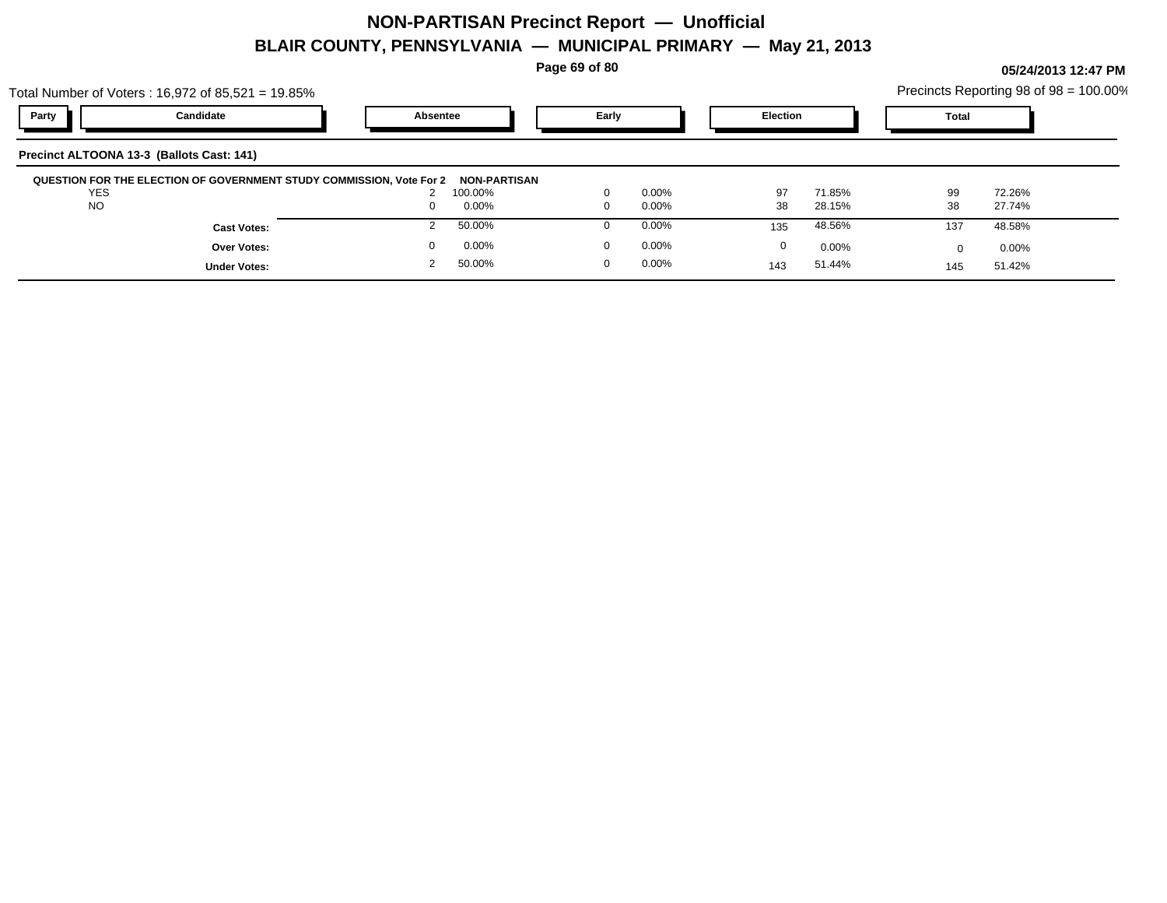**Page 69 of 80**

| Precincts Reporting 98 of 98 = 100.00% |  |
|----------------------------------------|--|
|----------------------------------------|--|

|            | Total Number of Voters: $16,972$ of $85,521 = 19.85\%$               |          |                                |             |          |                 |          |              | Precincts Reporting 98 of 98 = 100.00% |
|------------|----------------------------------------------------------------------|----------|--------------------------------|-------------|----------|-----------------|----------|--------------|----------------------------------------|
| Party      | Candidate                                                            | Absentee |                                | Early       |          | <b>Election</b> |          | <b>Total</b> |                                        |
|            | Precinct ALTOONA 13-3 (Ballots Cast: 141)                            |          |                                |             |          |                 |          |              |                                        |
| <b>YES</b> | QUESTION FOR THE ELECTION OF GOVERNMENT STUDY COMMISSION, Vote For 2 |          | <b>NON-PARTISAN</b><br>100.00% | $\Omega$    | $0.00\%$ | 97              | 71.85%   | 99           | 72.26%                                 |
| <b>NO</b>  |                                                                      |          | 0.00%                          | $\Omega$    | $0.00\%$ | 38              | 28.15%   | 38           | 27.74%                                 |
|            | <b>Cast Votes:</b>                                                   |          | 50.00%                         | $\Omega$    | $0.00\%$ | 135             | 48.56%   | 137          | 48.58%                                 |
|            | Over Votes:                                                          |          | $0.00\%$                       | $\mathbf 0$ | $0.00\%$ | 0               | $0.00\%$ |              | $0.00\%$                               |
|            | <b>Under Votes:</b>                                                  |          | 50.00%                         | $\mathbf 0$ | $0.00\%$ | 143             | 51.44%   | 145          | 51.42%                                 |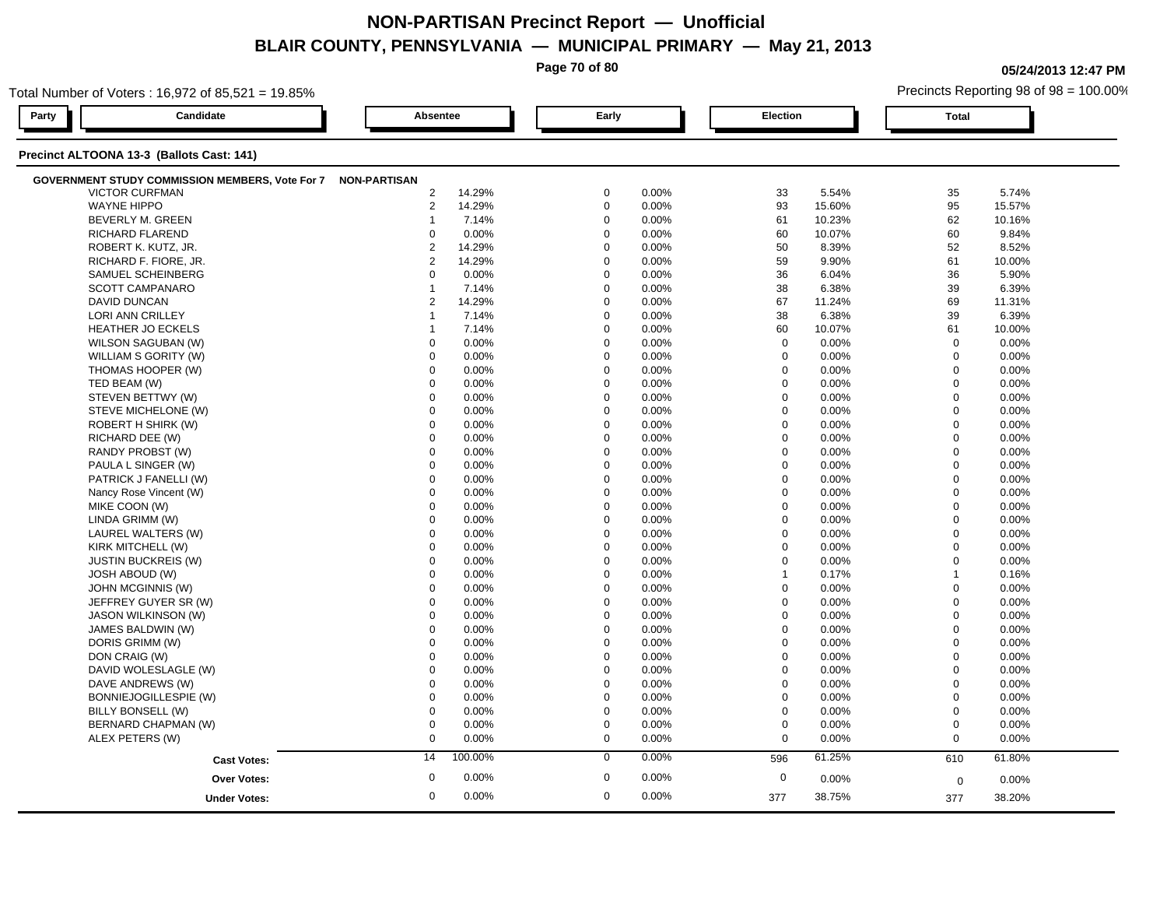**Page 70 of 80**

**05/24/2013 12:47 PM**

| Total Number of Voters: 16,972 of 85,521 = 19.85%            |                |          |             |          |                 |          | Precincts Reporting 98 of 98 = 100.00% |        |  |
|--------------------------------------------------------------|----------------|----------|-------------|----------|-----------------|----------|----------------------------------------|--------|--|
| Candidate<br>Party                                           |                | Absentee |             |          | <b>Election</b> |          | <b>Total</b>                           |        |  |
| Precinct ALTOONA 13-3 (Ballots Cast: 141)                    |                |          |             |          |                 |          |                                        |        |  |
| GOVERNMENT STUDY COMMISSION MEMBERS, Vote For 7 NON-PARTISAN |                |          |             |          |                 |          |                                        |        |  |
| <b>VICTOR CURFMAN</b>                                        | $\overline{2}$ | 14.29%   | $\mathbf 0$ | 0.00%    | 33              | 5.54%    | 35                                     | 5.74%  |  |
| <b>WAYNE HIPPO</b>                                           | $\overline{2}$ | 14.29%   | $\mathbf 0$ | 0.00%    | 93              | 15.60%   | 95                                     | 15.57% |  |
| BEVERLY M. GREEN                                             | 1              | 7.14%    | $\mathbf 0$ | 0.00%    | 61              | 10.23%   | 62                                     | 10.16% |  |
| RICHARD FLAREND                                              | $\Omega$       | 0.00%    | $\Omega$    | 0.00%    | 60              | 10.07%   | 60                                     | 9.84%  |  |
| ROBERT K. KUTZ, JR.                                          | $\overline{2}$ | 14.29%   | $\Omega$    | 0.00%    | 50              | 8.39%    | 52                                     | 8.52%  |  |
| RICHARD F. FIORE, JR.                                        | $\overline{c}$ | 14.29%   | $\Omega$    | 0.00%    | 59              | 9.90%    | 61                                     | 10.00% |  |
| SAMUEL SCHEINBERG                                            | 0              | 0.00%    | $\mathbf 0$ | 0.00%    | 36              | 6.04%    | 36                                     | 5.90%  |  |
| <b>SCOTT CAMPANARO</b>                                       | 1              | 7.14%    | $\mathbf 0$ | 0.00%    | 38              | 6.38%    | 39                                     | 6.39%  |  |
| <b>DAVID DUNCAN</b>                                          | $\overline{2}$ | 14.29%   | $\Omega$    | 0.00%    | 67              | 11.24%   | 69                                     | 11.31% |  |
| LORI ANN CRILLEY                                             | 1              | 7.14%    | $\Omega$    | 0.00%    | 38              | 6.38%    | 39                                     | 6.39%  |  |
| HEATHER JO ECKELS                                            |                | 7.14%    | $\mathbf 0$ | 0.00%    | 60              | 10.07%   | 61                                     | 10.00% |  |
| WILSON SAGUBAN (W)                                           | $\Omega$       | 0.00%    | $\Omega$    | 0.00%    | $\mathbf 0$     | 0.00%    | $\mathbf 0$                            | 0.00%  |  |
| WILLIAM S GORITY (W)                                         | $\mathbf 0$    | 0.00%    | $\Omega$    | 0.00%    | $\mathbf 0$     | 0.00%    | $\mathbf 0$                            | 0.00%  |  |
| THOMAS HOOPER (W)                                            | $\Omega$       | 0.00%    | $\Omega$    | 0.00%    | $\mathbf 0$     | 0.00%    | $\Omega$                               | 0.00%  |  |
| TED BEAM (W)                                                 | $\mathbf 0$    | 0.00%    | $\mathbf 0$ | 0.00%    | $\mathbf 0$     | 0.00%    | $\mathbf 0$                            | 0.00%  |  |
| STEVEN BETTWY (W)                                            | $\mathbf 0$    | 0.00%    | $\mathbf 0$ | 0.00%    | $\mathbf 0$     | $0.00\%$ | $\mathbf 0$                            | 0.00%  |  |
| STEVE MICHELONE (W)                                          | $\Omega$       | 0.00%    | $\Omega$    | 0.00%    | $\mathbf 0$     | 0.00%    | $\mathbf 0$                            | 0.00%  |  |
| ROBERT H SHIRK (W)                                           | $\Omega$       | 0.00%    | $\Omega$    | 0.00%    | $\mathbf 0$     | 0.00%    | $\mathbf 0$                            | 0.00%  |  |
| RICHARD DEE (W)                                              | $\mathbf 0$    | 0.00%    | $\mathbf 0$ | 0.00%    | $\mathbf 0$     | 0.00%    | $\mathbf 0$                            | 0.00%  |  |
| RANDY PROBST (W)                                             | $\mathbf 0$    | 0.00%    | $\mathbf 0$ | 0.00%    | $\mathbf 0$     | 0.00%    | $\mathbf 0$                            | 0.00%  |  |
| PAULA L SINGER (W)                                           | $\mathbf 0$    | 0.00%    | $\mathbf 0$ | 0.00%    | $\mathbf 0$     | 0.00%    | $\mathbf 0$                            | 0.00%  |  |
| PATRICK J FANELLI (W)                                        | $\Omega$       | 0.00%    | $\Omega$    | $0.00\%$ | $\mathbf 0$     | 0.00%    | $\mathbf 0$                            | 0.00%  |  |
| Nancy Rose Vincent (W)                                       | $\mathbf 0$    | 0.00%    | $\mathbf 0$ | 0.00%    | $\mathbf 0$     | 0.00%    | $\mathbf 0$                            | 0.00%  |  |
| MIKE COON (W)                                                | $\mathbf 0$    | 0.00%    | $\mathbf 0$ | 0.00%    | $\mathbf 0$     | 0.00%    | $\mathbf 0$                            | 0.00%  |  |
| LINDA GRIMM (W)                                              | $\mathbf 0$    | 0.00%    | $\mathbf 0$ | 0.00%    | $\mathbf 0$     | 0.00%    | $\mathbf 0$                            | 0.00%  |  |
| LAUREL WALTERS (W)                                           | $\mathbf 0$    | 0.00%    | $\mathbf 0$ | 0.00%    | $\mathbf 0$     | 0.00%    | $\mathbf 0$                            | 0.00%  |  |
| KIRK MITCHELL (W)                                            | $\mathbf 0$    | 0.00%    | $\mathbf 0$ | 0.00%    | $\mathbf 0$     | 0.00%    | $\overline{0}$                         | 0.00%  |  |
| <b>JUSTIN BUCKREIS (W)</b>                                   | $\mathbf 0$    | 0.00%    | $\mathbf 0$ | 0.00%    | $\mathbf 0$     | 0.00%    | $\mathbf 0$                            | 0.00%  |  |
| <b>JOSH ABOUD (W)</b>                                        | $\mathbf 0$    | 0.00%    | $\mathbf 0$ | 0.00%    | $\mathbf{1}$    | 0.17%    | $\overline{1}$                         | 0.16%  |  |
| JOHN MCGINNIS (W)                                            | $\Omega$       | 0.00%    | $\Omega$    | 0.00%    | $\mathbf 0$     | 0.00%    | $\mathbf 0$                            | 0.00%  |  |
| JEFFREY GUYER SR (W)                                         | $\mathbf 0$    | 0.00%    | $\Omega$    | 0.00%    | $\mathbf 0$     | 0.00%    | $\mathbf 0$                            | 0.00%  |  |
| JASON WILKINSON (W)                                          | $\mathbf 0$    | 0.00%    | $\Omega$    | 0.00%    | $\mathbf 0$     | 0.00%    | $\mathbf 0$                            | 0.00%  |  |
| JAMES BALDWIN (W)                                            | $\Omega$       | 0.00%    | $\Omega$    | 0.00%    | $\mathbf 0$     | 0.00%    | $\mathbf 0$                            | 0.00%  |  |
| DORIS GRIMM (W)                                              | $\Omega$       | 0.00%    | $\Omega$    | 0.00%    | $\mathbf 0$     | 0.00%    | $\Omega$                               | 0.00%  |  |
| DON CRAIG (W)                                                | $\Omega$       | 0.00%    | $\Omega$    | 0.00%    | $\mathbf 0$     | 0.00%    | $\mathbf 0$                            | 0.00%  |  |
| DAVID WOLESLAGLE (W)                                         | $\mathbf 0$    | 0.00%    | $\mathbf 0$ | 0.00%    | $\mathbf 0$     | 0.00%    | $\mathbf 0$                            | 0.00%  |  |
| DAVE ANDREWS (W)                                             | $\Omega$       | 0.00%    | $\Omega$    | 0.00%    | 0               | 0.00%    | $\mathbf 0$                            | 0.00%  |  |
| BONNIEJOGILLESPIE (W)                                        | $\mathbf 0$    | 0.00%    | $\mathbf 0$ | 0.00%    | $\mathbf 0$     | 0.00%    | $\mathbf 0$                            | 0.00%  |  |
| BILLY BONSELL (W)                                            | $\mathbf 0$    | 0.00%    | $\Omega$    | 0.00%    | $\mathbf 0$     | 0.00%    | $\mathbf 0$                            | 0.00%  |  |
| BERNARD CHAPMAN (W)                                          | $\mathbf 0$    | 0.00%    | $\mathbf 0$ | 0.00%    | $\mathbf 0$     | 0.00%    | $\mathbf 0$                            | 0.00%  |  |
| ALEX PETERS (W)                                              | 0              | 0.00%    | 0           | 0.00%    | $\mathbf 0$     | 0.00%    | $\mathbf{0}$                           | 0.00%  |  |
| <b>Cast Votes:</b>                                           | 14             | 100.00%  | 0           | 0.00%    | 596             | 61.25%   | 610                                    | 61.80% |  |
| Over Votes:                                                  | $\mathbf 0$    | 0.00%    | $\mathbf 0$ | 0.00%    | $\mathbf 0$     | 0.00%    |                                        | 0.00%  |  |
|                                                              |                |          |             |          |                 |          | $\mathbf 0$                            |        |  |
| <b>Under Votes:</b>                                          | $\mathbf{0}$   | 0.00%    | $\mathbf 0$ | 0.00%    | 377             | 38.75%   | 377                                    | 38.20% |  |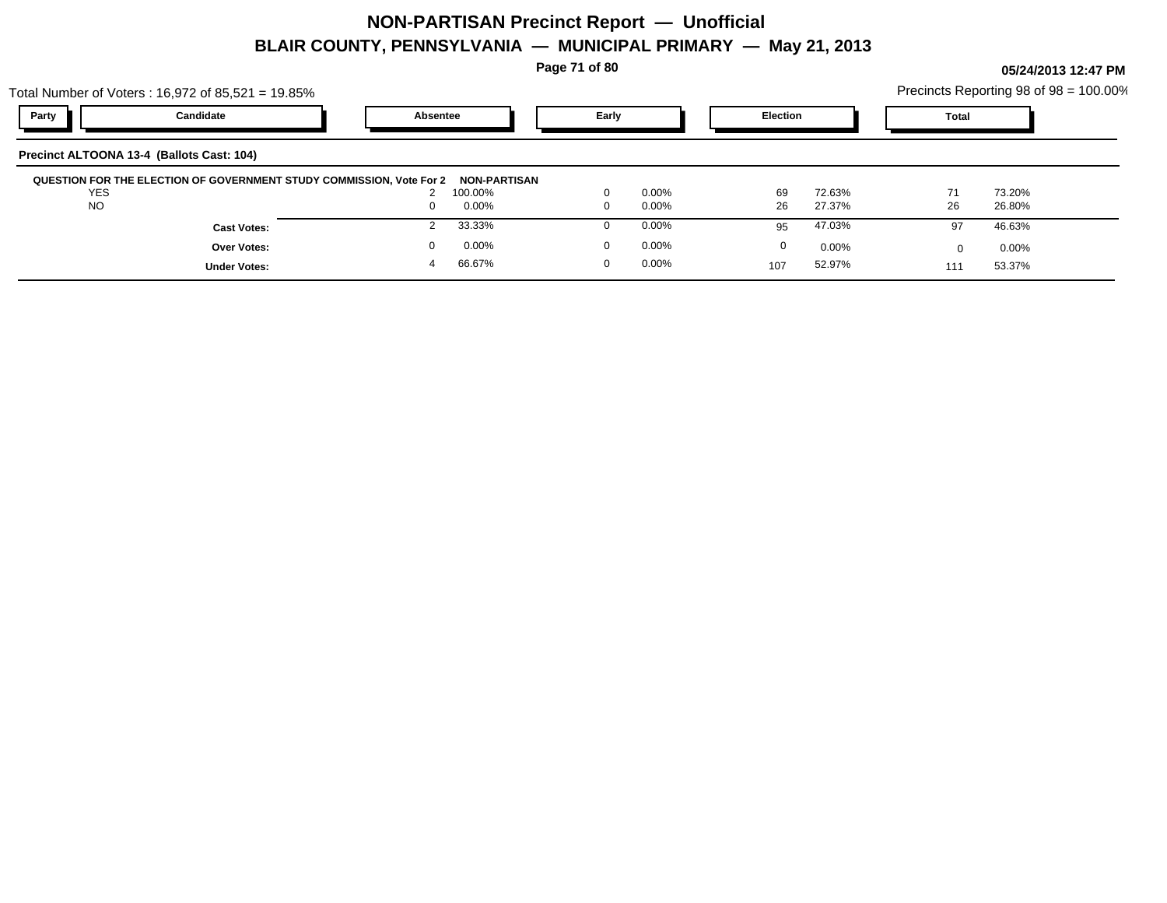**Page 71 of 80**

| Precincts Reporting 98 of 98 = 100.00% |  |
|----------------------------------------|--|
|----------------------------------------|--|

|            | Total Number of Voters: $16,972$ of $85,521 = 19.85\%$               |          |                         |          |          |                 |          |              | Precincts Reporting 98 of 98 = 100.00% |  |
|------------|----------------------------------------------------------------------|----------|-------------------------|----------|----------|-----------------|----------|--------------|----------------------------------------|--|
| Party      | Candidate                                                            | Absentee |                         | Early    |          | <b>Election</b> |          | <b>Total</b> |                                        |  |
|            | Precinct ALTOONA 13-4 (Ballots Cast: 104)                            |          |                         |          |          |                 |          |              |                                        |  |
| <b>YES</b> | QUESTION FOR THE ELECTION OF GOVERNMENT STUDY COMMISSION, Vote For 2 |          | NON-PARTISAN<br>100.00% | $\Omega$ | $0.00\%$ | 69              | 72.63%   | 71           | 73.20%                                 |  |
| <b>NO</b>  |                                                                      | 0        | 0.00%                   | $\Omega$ | $0.00\%$ | 26              | 27.37%   | 26           | 26.80%                                 |  |
|            | <b>Cast Votes:</b>                                                   |          | 33.33%                  |          | $0.00\%$ | 95              | 47.03%   | 97           | 46.63%                                 |  |
|            | Over Votes:                                                          |          | 0.00%                   | $\Omega$ | 0.00%    | 0               | $0.00\%$ |              | $0.00\%$                               |  |
|            | <b>Under Votes:</b>                                                  | 4        | 66.67%                  | $\Omega$ | $0.00\%$ | 107             | 52.97%   | 111          | 53.37%                                 |  |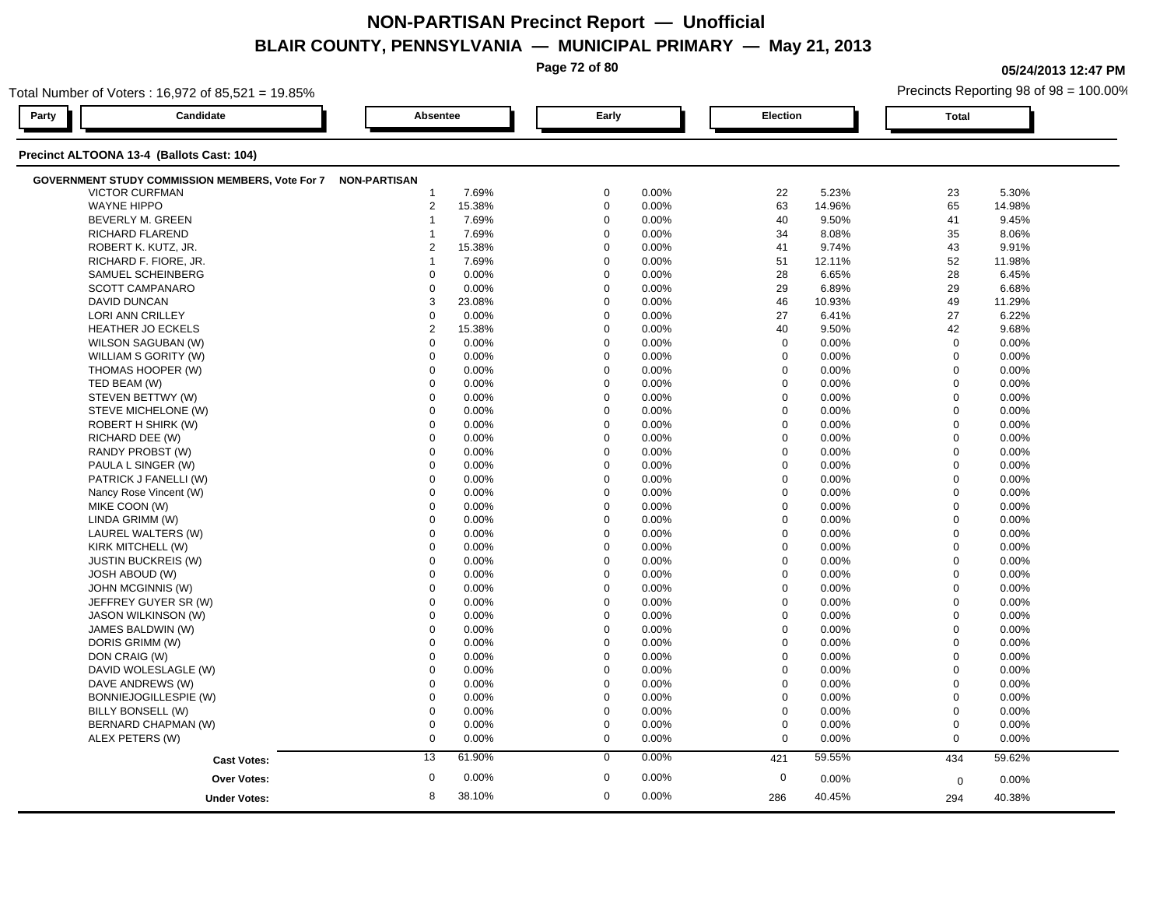**Page 72 of 80**

**05/24/2013 12:47 PM**

| Total Number of Voters: 16,972 of 85,521 = 19.85% |                     |                |        |  |             |       |                  |          |              | Precincts Reporting 98 of 98 = 100.00% |  |  |
|---------------------------------------------------|---------------------|----------------|--------|--|-------------|-------|------------------|----------|--------------|----------------------------------------|--|--|
| Candidate<br>Party                                |                     | Absentee       |        |  | Early       |       | <b>Election</b>  |          | <b>Total</b> |                                        |  |  |
| Precinct ALTOONA 13-4 (Ballots Cast: 104)         |                     |                |        |  |             |       |                  |          |              |                                        |  |  |
| GOVERNMENT STUDY COMMISSION MEMBERS, Vote For 7   | <b>NON-PARTISAN</b> |                |        |  |             |       |                  |          |              |                                        |  |  |
| <b>VICTOR CURFMAN</b>                             |                     | -1             | 7.69%  |  | $\Omega$    | 0.00% | 22               | 5.23%    | 23           | 5.30%                                  |  |  |
| <b>WAYNE HIPPO</b>                                |                     | $\overline{2}$ | 15.38% |  | $\mathbf 0$ | 0.00% | 63               | 14.96%   | 65           | 14.98%                                 |  |  |
| <b>BEVERLY M. GREEN</b>                           |                     |                | 7.69%  |  | $\mathbf 0$ | 0.00% | 40               | 9.50%    | 41           | 9.45%                                  |  |  |
| RICHARD FLAREND                                   |                     |                | 7.69%  |  | $\mathbf 0$ | 0.00% | 34               | 8.08%    | 35           | 8.06%                                  |  |  |
| ROBERT K. KUTZ, JR.                               |                     | $\overline{2}$ | 15.38% |  | $\mathbf 0$ | 0.00% | 41               | 9.74%    | 43           | 9.91%                                  |  |  |
| RICHARD F. FIORE, JR.                             |                     | $\overline{1}$ | 7.69%  |  | $\mathbf 0$ | 0.00% | 51               | 12.11%   | 52           | 11.98%                                 |  |  |
| SAMUEL SCHEINBERG                                 |                     | $\Omega$       | 0.00%  |  | $\Omega$    | 0.00% | 28               | 6.65%    | 28           | 6.45%                                  |  |  |
| <b>SCOTT CAMPANARO</b>                            |                     | $\Omega$       | 0.00%  |  | $\Omega$    | 0.00% | 29               | 6.89%    | 29           | 6.68%                                  |  |  |
| <b>DAVID DUNCAN</b>                               |                     | 3              | 23.08% |  | $\mathbf 0$ | 0.00% | 46               | 10.93%   | 49           | 11.29%                                 |  |  |
| LORI ANN CRILLEY                                  |                     | $\mathbf 0$    | 0.00%  |  | $\mathbf 0$ | 0.00% | 27               | 6.41%    | 27           | 6.22%                                  |  |  |
| HEATHER JO ECKELS                                 |                     | $\overline{2}$ | 15.38% |  | $\mathbf 0$ | 0.00% | 40               | 9.50%    | 42           | 9.68%                                  |  |  |
| WILSON SAGUBAN (W)                                |                     | $\mathbf 0$    | 0.00%  |  | $\Omega$    | 0.00% | $\mathbf 0$      | $0.00\%$ | $\mathbf 0$  | 0.00%                                  |  |  |
| WILLIAM S GORITY (W)                              |                     | $\mathbf 0$    | 0.00%  |  | $\Omega$    | 0.00% | $\mathbf 0$      | 0.00%    | $\mathbf 0$  | 0.00%                                  |  |  |
| THOMAS HOOPER (W)                                 |                     | $\Omega$       | 0.00%  |  | $\Omega$    | 0.00% | $\mathbf 0$      | 0.00%    | $\Omega$     | 0.00%                                  |  |  |
| TED BEAM (W)                                      |                     | $\mathbf 0$    | 0.00%  |  | $\mathbf 0$ | 0.00% | $\mathbf 0$      | 0.00%    | $\mathbf 0$  | 0.00%                                  |  |  |
| STEVEN BETTWY (W)                                 |                     | $\mathbf 0$    | 0.00%  |  | $\mathbf 0$ | 0.00% | $\boldsymbol{0}$ | 0.00%    | $\mathbf 0$  | 0.00%                                  |  |  |
| STEVE MICHELONE (W)                               |                     | $\Omega$       | 0.00%  |  | $\Omega$    | 0.00% | $\mathbf 0$      | 0.00%    | $\mathbf 0$  | 0.00%                                  |  |  |
| ROBERT H SHIRK (W)                                |                     | $\mathbf 0$    | 0.00%  |  | $\Omega$    | 0.00% | $\mathbf 0$      | 0.00%    | $\mathbf 0$  | 0.00%                                  |  |  |
| RICHARD DEE (W)                                   |                     | $\Omega$       | 0.00%  |  | $\Omega$    | 0.00% | $\mathbf 0$      | 0.00%    | $\mathbf 0$  | 0.00%                                  |  |  |
| RANDY PROBST (W)                                  |                     | $\Omega$       | 0.00%  |  | $\Omega$    | 0.00% | $\mathbf 0$      | 0.00%    | $\mathbf 0$  | 0.00%                                  |  |  |
| PAULA L SINGER (W)                                |                     | $\Omega$       | 0.00%  |  | $\Omega$    | 0.00% | $\mathbf 0$      | 0.00%    | $\mathbf 0$  | 0.00%                                  |  |  |
| PATRICK J FANELLI (W)                             |                     | $\mathbf 0$    | 0.00%  |  | $\mathbf 0$ | 0.00% | $\boldsymbol{0}$ | 0.00%    | $\mathbf 0$  | 0.00%                                  |  |  |
| Nancy Rose Vincent (W)                            |                     | $\mathbf 0$    | 0.00%  |  | $\mathbf 0$ | 0.00% | $\mathbf 0$      | 0.00%    | $\mathbf 0$  | 0.00%                                  |  |  |
| MIKE COON (W)                                     |                     | $\Omega$       | 0.00%  |  | $\Omega$    | 0.00% | 0                | 0.00%    | $\mathbf{0}$ | 0.00%                                  |  |  |
| LINDA GRIMM (W)                                   |                     | $\Omega$       | 0.00%  |  | $\Omega$    | 0.00% | $\mathbf 0$      | 0.00%    | $\mathbf 0$  | 0.00%                                  |  |  |
| LAUREL WALTERS (W)                                |                     | $\Omega$       | 0.00%  |  | $\Omega$    | 0.00% | $\mathbf 0$      | 0.00%    | $\mathbf 0$  | 0.00%                                  |  |  |
| KIRK MITCHELL (W)                                 |                     | $\Omega$       | 0.00%  |  | $\Omega$    | 0.00% | $\mathbf 0$      | $0.00\%$ | $\mathbf 0$  | 0.00%                                  |  |  |
| <b>JUSTIN BUCKREIS (W)</b>                        |                     | $\Omega$       | 0.00%  |  | $\Omega$    | 0.00% | $\mathbf 0$      | 0.00%    | $\mathbf 0$  | 0.00%                                  |  |  |
| <b>JOSH ABOUD (W)</b>                             |                     | $\mathbf 0$    | 0.00%  |  | $\mathbf 0$ | 0.00% | $\mathbf 0$      | 0.00%    | $\mathbf 0$  | 0.00%                                  |  |  |
| JOHN MCGINNIS (W)                                 |                     | $\mathbf 0$    | 0.00%  |  | $\mathbf 0$ | 0.00% | $\mathbf 0$      | 0.00%    | $\mathbf 0$  | 0.00%                                  |  |  |
| JEFFREY GUYER SR (W)                              |                     | $\mathbf 0$    | 0.00%  |  | $\mathbf 0$ | 0.00% | $\mathbf 0$      | 0.00%    | $\Omega$     | 0.00%                                  |  |  |
| <b>JASON WILKINSON (W)</b>                        |                     | $\mathbf 0$    | 0.00%  |  | $\Omega$    | 0.00% | $\mathbf 0$      | 0.00%    | $\mathbf 0$  | 0.00%                                  |  |  |
| JAMES BALDWIN (W)                                 |                     | $\mathbf 0$    | 0.00%  |  | $\Omega$    | 0.00% | $\mathbf 0$      | 0.00%    | $\mathbf 0$  | 0.00%                                  |  |  |
| DORIS GRIMM (W)                                   |                     | $\Omega$       | 0.00%  |  | $\Omega$    | 0.00% | $\mathbf 0$      | 0.00%    | $\mathbf 0$  | 0.00%                                  |  |  |
| DON CRAIG (W)                                     |                     | $\mathbf 0$    | 0.00%  |  | $\mathbf 0$ | 0.00% | $\mathbf 0$      | 0.00%    | $\mathbf 0$  | 0.00%                                  |  |  |
| DAVID WOLESLAGLE (W)                              |                     | $\mathbf 0$    | 0.00%  |  | $\Omega$    | 0.00% | $\mathbf 0$      | 0.00%    | $\mathbf 0$  | 0.00%                                  |  |  |
| DAVE ANDREWS (W)                                  |                     | $\mathbf 0$    | 0.00%  |  | $\mathbf 0$ | 0.00% | $\mathbf 0$      | 0.00%    | $\mathbf 0$  | 0.00%                                  |  |  |
| BONNIEJOGILLESPIE (W)                             |                     | $\mathbf 0$    | 0.00%  |  | $\mathbf 0$ | 0.00% | $\mathbf 0$      | 0.00%    | $\mathbf 0$  | 0.00%                                  |  |  |
| BILLY BONSELL (W)                                 |                     | $\Omega$       | 0.00%  |  | $\Omega$    | 0.00% | $\mathbf 0$      | $0.00\%$ | $\mathbf 0$  | 0.00%                                  |  |  |
| BERNARD CHAPMAN (W)                               |                     | $\mathbf 0$    | 0.00%  |  | $\Omega$    | 0.00% | $\mathbf 0$      | 0.00%    | $\mathbf 0$  | 0.00%                                  |  |  |
| ALEX PETERS (W)                                   |                     | $\mathbf 0$    | 0.00%  |  | $\mathbf 0$ | 0.00% | $\mathbf 0$      | 0.00%    | $\mathbf 0$  | 0.00%                                  |  |  |
|                                                   | <b>Cast Votes:</b>  | 13             | 61.90% |  | $\mathbf 0$ | 0.00% | 421              | 59.55%   | 434          | 59.62%                                 |  |  |
|                                                   | <b>Over Votes:</b>  | $\mathbf 0$    | 0.00%  |  | $\mathbf 0$ | 0.00% | $\boldsymbol{0}$ | 0.00%    | $\mathbf 0$  | 0.00%                                  |  |  |
|                                                   |                     |                |        |  |             | 0.00% |                  |          |              |                                        |  |  |
|                                                   | <b>Under Votes:</b> | 8              | 38.10% |  | $\mathbf 0$ |       | 286              | 40.45%   | 294          | 40.38%                                 |  |  |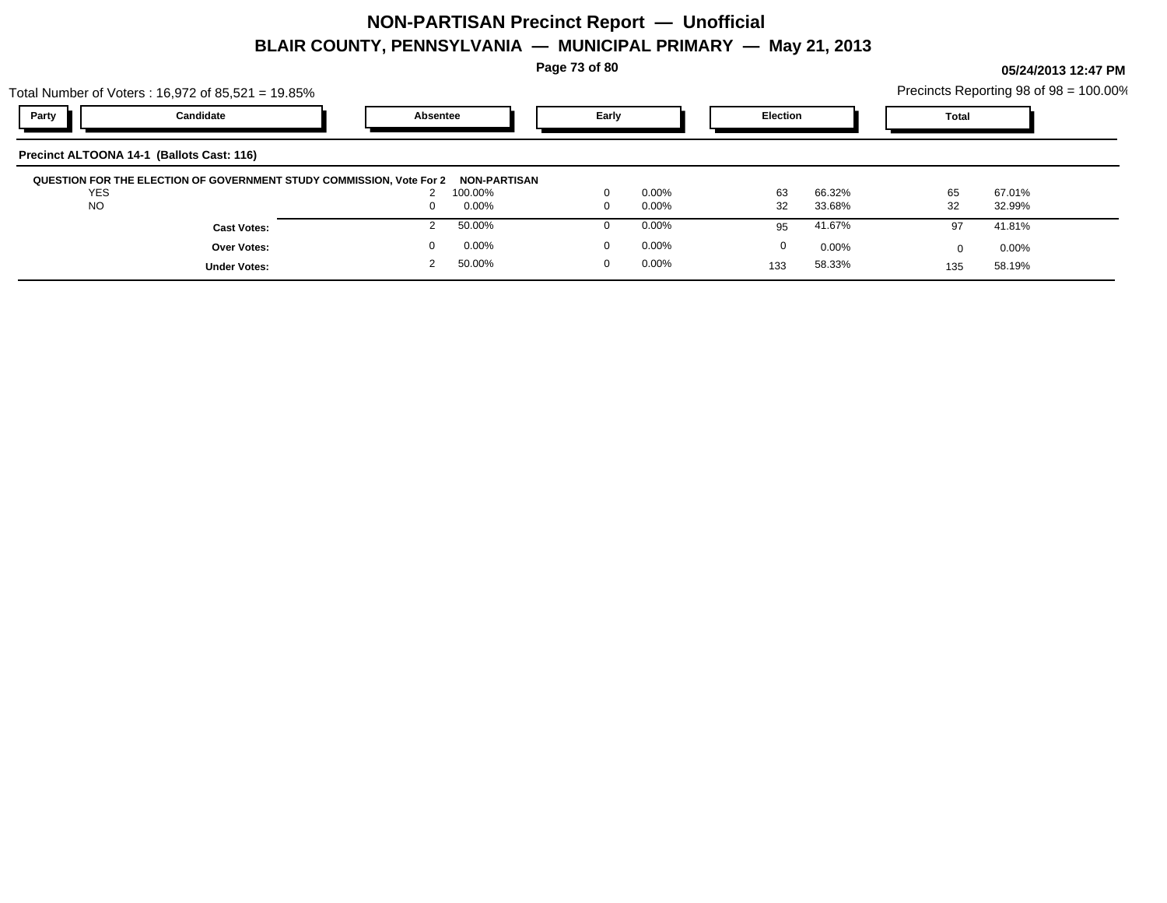**Page 73 of 80**

**05/24/2013 12:47 PM**

|                                           | Total Number of Voters : 16,972 of 85,521 = 19.85%                   |          |                         |       |          |                 |          |              | Precincts Reporting 98 of 98 = 100.00% |  |
|-------------------------------------------|----------------------------------------------------------------------|----------|-------------------------|-------|----------|-----------------|----------|--------------|----------------------------------------|--|
| Party                                     | Candidate                                                            | Absentee |                         | Early |          | <b>Election</b> |          | <b>Total</b> |                                        |  |
| Precinct ALTOONA 14-1 (Ballots Cast: 116) |                                                                      |          |                         |       |          |                 |          |              |                                        |  |
| <b>YES</b>                                | QUESTION FOR THE ELECTION OF GOVERNMENT STUDY COMMISSION, Vote For 2 |          | NON-PARTISAN<br>100.00% |       | $0.00\%$ | 63              | 66.32%   | 65           | 67.01%                                 |  |
| <b>NO</b>                                 |                                                                      |          | $0.00\%$                |       | $0.00\%$ | 32              | 33.68%   | 32           | 32.99%                                 |  |
|                                           | <b>Cast Votes:</b>                                                   |          | 50.00%                  |       | $0.00\%$ | 95              | 41.67%   | 97           | 41.81%                                 |  |
|                                           | <b>Over Votes:</b>                                                   |          | 0.00%                   |       | $0.00\%$ | 0               | $0.00\%$ | <sup>0</sup> | $0.00\%$                               |  |
|                                           | <b>Under Votes:</b>                                                  |          | 50.00%                  | 0     | $0.00\%$ | 133             | 58.33%   | 135          | 58.19%                                 |  |
|                                           |                                                                      |          |                         |       |          |                 |          |              |                                        |  |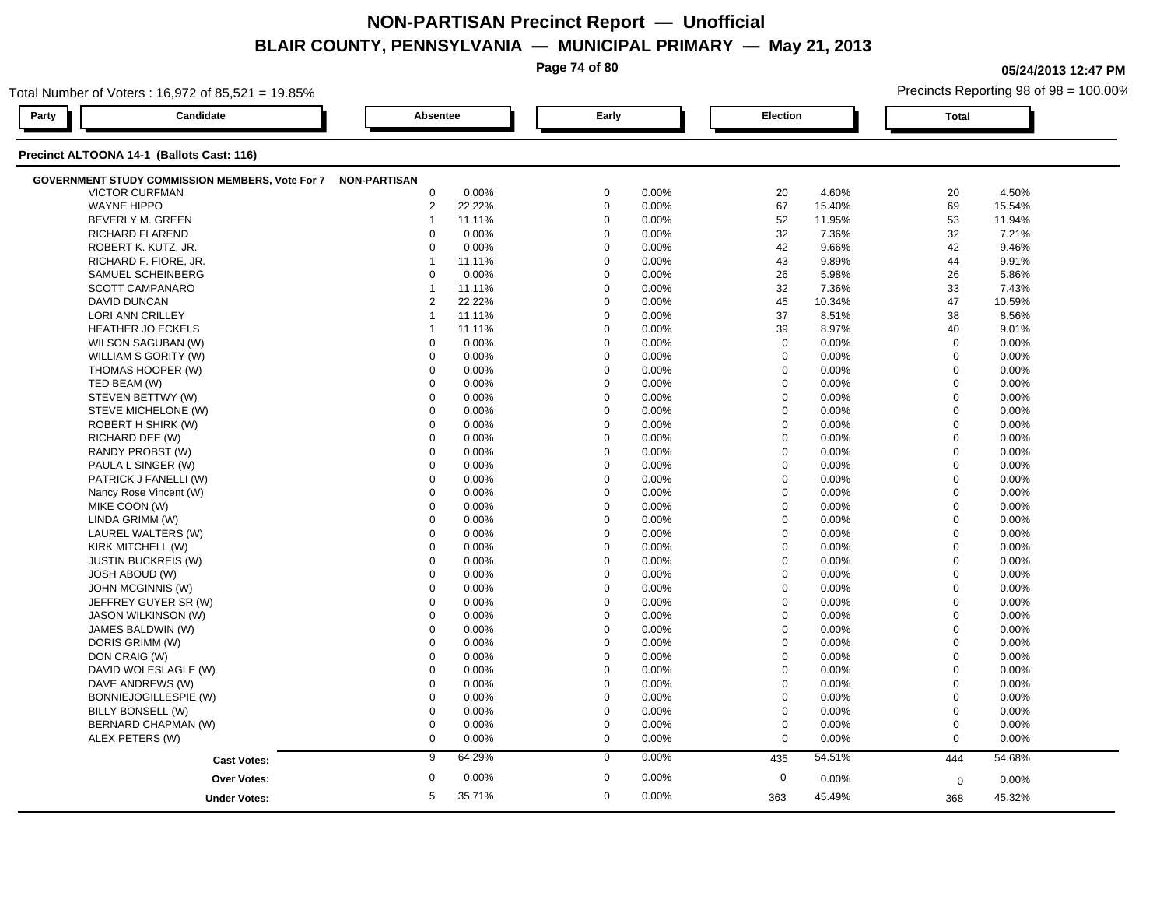|       |                                                                     | $\sim$         |          | Page 74 of 80 | <u>IIIVIIVII ALTIIIIAII</u> |                 |                | 1114 Y E I , EV I V |              | 05/24/2013 12:47 PM                    |
|-------|---------------------------------------------------------------------|----------------|----------|---------------|-----------------------------|-----------------|----------------|---------------------|--------------|----------------------------------------|
|       | Total Number of Voters: 16,972 of 85,521 = 19.85%                   |                |          |               |                             |                 |                |                     |              | Precincts Reporting 98 of 98 = 100.00% |
| Party | Candidate                                                           | Absentee       |          | Early         |                             | <b>Election</b> |                |                     | <b>Total</b> |                                        |
|       | Precinct ALTOONA 14-1 (Ballots Cast: 116)                           |                |          |               |                             |                 |                |                     |              |                                        |
|       | <b>GOVERNMENT STUDY COMMISSION MEMBERS, Vote For 7 NON-PARTISAN</b> |                |          |               |                             |                 |                |                     |              |                                        |
|       | <b>VICTOR CURFMAN</b>                                               | $\mathbf 0$    | 0.00%    | $\mathbf 0$   | 0.00%                       | 20              |                | 4.60%               | 20           | 4.50%                                  |
|       | <b>WAYNE HIPPO</b>                                                  | $\overline{2}$ | 22.22%   | $\Omega$      | 0.00%                       | 67              |                | 15.40%              | 69           | 15.54%                                 |
|       | BEVERLY M. GREEN                                                    |                | 11.11%   | $\Omega$      | 0.00%                       | 52              |                | 11.95%              | 53           | 11.94%                                 |
|       | RICHARD FLAREND                                                     | $\Omega$       | 0.00%    | $\Omega$      | 0.00%                       | 32              |                | 7.36%               | 32           | 7.21%                                  |
|       | ROBERT K. KUTZ, JR.                                                 | $\Omega$       | 0.00%    | $\Omega$      | 0.00%                       | 42              |                | 9.66%               | 42           | 9.46%                                  |
|       | RICHARD F. FIORE, JR.                                               |                | 11.11%   | $\Omega$      | 0.00%                       | 43              |                | 9.89%               | 44           | 9.91%                                  |
|       | SAMUEL SCHEINBERG                                                   | $\Omega$       | 0.00%    | $\mathbf 0$   | 0.00%                       | 26              |                | 5.98%               | 26           | 5.86%                                  |
|       | <b>SCOTT CAMPANARO</b>                                              |                | 11.11%   | $\Omega$      | 0.00%                       | 32              |                | 7.36%               | 33           | 7.43%                                  |
|       | <b>DAVID DUNCAN</b>                                                 | $\overline{2}$ | 22.22%   | $\Omega$      | 0.00%                       | 45              |                | 10.34%              | 47           | 10.59%                                 |
|       | <b>LORI ANN CRILLEY</b>                                             |                | 11.11%   | $\mathbf 0$   | 0.00%                       | 37              |                | 8.51%               | 38           | 8.56%                                  |
|       | <b>HEATHER JO ECKELS</b>                                            |                | 11.11%   | $\Omega$      | 0.00%                       | 39              |                | 8.97%               | 40           | 9.01%                                  |
|       | WILSON SAGUBAN (W)                                                  | $\Omega$       | 0.00%    | $\mathbf 0$   | 0.00%                       |                 | $\mathbf 0$    | 0.00%               | $\mathbf 0$  | 0.00%                                  |
|       | WILLIAM S GORITY (W)                                                | $\Omega$       | 0.00%    | $\Omega$      | 0.00%                       |                 | $\Omega$       | 0.00%               | $\Omega$     | 0.00%                                  |
|       | THOMAS HOOPER (W)                                                   | $\Omega$       | 0.00%    | $\Omega$      | 0.00%                       |                 | $\mathbf 0$    | 0.00%               | $\mathbf 0$  | 0.00%                                  |
|       | TED BEAM (W)                                                        | $\Omega$       | 0.00%    | $\Omega$      | 0.00%                       |                 | $\mathbf 0$    | 0.00%               | $\Omega$     | 0.00%                                  |
|       | STEVEN BETTWY (W)                                                   | $\Omega$       | 0.00%    | $\Omega$      | 0.00%                       |                 | $\Omega$       | 0.00%               | $\Omega$     | 0.00%                                  |
|       | STEVE MICHELONE (W)                                                 | $\Omega$       | 0.00%    | $\Omega$      | 0.00%                       |                 | $\mathbf 0$    | 0.00%               | $\Omega$     | 0.00%                                  |
|       | <b>ROBERT H SHIRK (W)</b>                                           | $\Omega$       | 0.00%    | $\mathbf 0$   | 0.00%                       |                 | $\mathbf 0$    | 0.00%               | $\mathbf 0$  | 0.00%                                  |
|       | RICHARD DEE (W)                                                     | $\Omega$       | 0.00%    | $\Omega$      | 0.00%                       |                 | $\Omega$       | 0.00%               | $\Omega$     | 0.00%                                  |
|       | RANDY PROBST (W)                                                    | $\Omega$       | 0.00%    | $\Omega$      | 0.00%                       |                 | $\mathbf 0$    | 0.00%               | $\Omega$     | 0.00%                                  |
|       | PAULA L SINGER (W)                                                  | $\Omega$       | 0.00%    | $\Omega$      | 0.00%                       |                 | $\mathbf 0$    | 0.00%               | $\Omega$     | 0.00%                                  |
|       | PATRICK J FANELLI (W)                                               | $\Omega$       | 0.00%    | $\Omega$      | 0.00%                       |                 | $\Omega$       | 0.00%               | $\Omega$     | 0.00%                                  |
|       | Nancy Rose Vincent (W)                                              | $\mathbf 0$    | 0.00%    | $\mathbf 0$   | 0.00%                       |                 | $\mathbf 0$    | 0.00%               | $\mathbf 0$  | 0.00%                                  |
|       | MIKE COON (W)                                                       | $\Omega$       | 0.00%    | $\Omega$      | 0.00%                       |                 | $\Omega$       | 0.00%               | $\Omega$     | 0.00%                                  |
|       | LINDA GRIMM (W)                                                     | $\Omega$       | 0.00%    | $\Omega$      | 0.00%                       |                 | $\mathbf 0$    | 0.00%               | $\Omega$     | 0.00%                                  |
|       | LAUREL WALTERS (W)                                                  | $\Omega$       | 0.00%    | $\Omega$      | 0.00%                       |                 | $\mathbf 0$    | 0.00%               | $\Omega$     | 0.00%                                  |
|       | KIRK MITCHELL (W)                                                   |                | 0.00%    | $\Omega$      | 0.00%                       |                 | $\Omega$       | 0.00%               | $\Omega$     | 0.00%                                  |
|       | <b>JUSTIN BUCKREIS (W)</b>                                          | $\Omega$       | 0.00%    | $\Omega$      | 0.00%                       |                 | $\Omega$       | 0.00%               | $\Omega$     | 0.00%                                  |
|       | JOSH ABOUD (W)                                                      | $\Omega$       | 0.00%    | $\mathbf 0$   | 0.00%                       |                 | $\mathbf 0$    | 0.00%               | $\mathbf 0$  | 0.00%                                  |
|       | JOHN MCGINNIS (W)                                                   | $\Omega$       | 0.00%    | $\Omega$      | 0.00%                       |                 | $\Omega$       | 0.00%               | $\Omega$     | 0.00%                                  |
|       | JEFFREY GUYER SR (W)                                                | $\Omega$       | 0.00%    | $\mathbf 0$   | 0.00%                       |                 | $\mathbf 0$    | 0.00%               | $\Omega$     | 0.00%                                  |
|       | <b>JASON WILKINSON (W)</b>                                          | $\Omega$       | 0.00%    | $\Omega$      | 0.00%                       |                 | $\Omega$       | 0.00%               | $\Omega$     | 0.00%                                  |
|       | JAMES BALDWIN (W)                                                   |                | 0.00%    | $\Omega$      | 0.00%                       |                 | $\Omega$       | 0.00%               | $\Omega$     | 0.00%                                  |
|       | DORIS GRIMM (W)                                                     | $\Omega$       | 0.00%    | $\Omega$      | 0.00%                       |                 | $\overline{0}$ | 0.00%               | $\Omega$     | 0.00%                                  |
|       | DON CRAIG (W)                                                       |                | 0.00%    | $\Omega$      | 0.00%                       |                 | $\Omega$       | 0.00%               | $\Omega$     | 0.00%                                  |
|       | DAVID WOLESLAGLE (W)                                                |                | $0.00\%$ | $\Omega$      | 0.00%                       |                 |                | 0.00%               | $\Omega$     | 0.00%                                  |

DAVE ANDREWS (W) 0 0.00% 0 0.00% 0 0.00% 0 0.00%

BILLY BONSELL (W) 0 0.00% 0 0.00% 0 0.00% 0 0.00%

ALEX PETERS (W) 0 0.00% 0 0.00% 0 0.00% 0 0.00%

0.00% 0 0.00%

**Cast Votes:** 9 64.29% 0 0.00% 435 54.51% 444 54.68%

0.00% 0

363

45.49%

 $0$  0.00%  $0$  0.00%  $0$  0.00%  $0$  0.00%  $0$  0.00%  $0$  0.00%

0.00% 0

45.49% 45.32% 368

BONNIEJOGILLESPIE (W) 0 0.00% 0 0.00% 0 0.00% 0 0.00%

 $\text{BERNARD CHAPMAN (W)} \quad \text{O} \quad \text{O} \quad \text{O} \quad \text{O} \quad \text{O} \quad \text{O} \quad \text{O} \quad \text{O} \quad \text{O} \quad \text{O} \quad \text{O} \quad \text{O} \quad \text{O} \quad \text{O} \quad \text{O} \quad \text{O} \quad \text{O} \quad \text{O} \quad \text{O} \quad \text{O} \quad \text{O} \quad \text{O} \quad \text{O} \quad \text{O} \quad \text{O} \quad \text{O} \quad \text{O} \quad \text{O} \quad \text{O} \quad \text{$ 

35.71% 5

**Over Votes:** 0.00% 0.00% 0.00% 0.00% 0.00% 0.00% 0.00% 0.00% 0.00% 0.00% 0.00% 0.00% 0.00% 0.00% 0.00% 0.00% 0.00% 0.00% 0.00% 0.00% 0.00% 0.00% 0.00% 0.00% 0.00% 0.00% 0.00% 0.00% 0.00% 0.00% 0.00% 0.00% 0.00% 0.00% 0.00

**Under Votes:**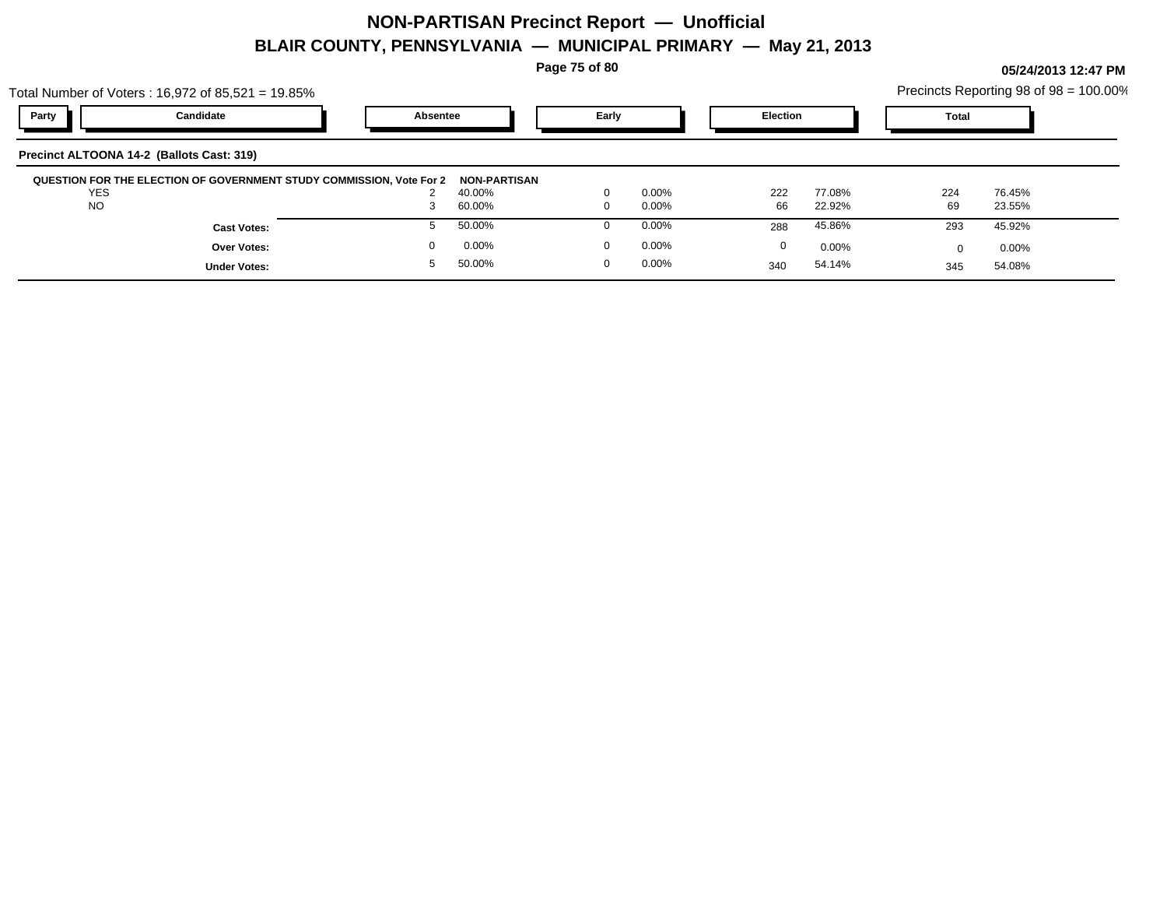**Page 75 of 80**

**05/24/2013 12:47 PM**

|            | Total Number of Voters: $16,972$ of $85,521 = 19.85\%$ |                                                                      |                     |          |          |                 |        |              | Precincts Reporting 98 of 98 = 100.00% |  |
|------------|--------------------------------------------------------|----------------------------------------------------------------------|---------------------|----------|----------|-----------------|--------|--------------|----------------------------------------|--|
| Party      | Candidate                                              | Absentee                                                             |                     | Early    |          | <b>Election</b> |        | <b>Total</b> |                                        |  |
|            | Precinct ALTOONA 14-2 (Ballots Cast: 319)              |                                                                      |                     |          |          |                 |        |              |                                        |  |
|            |                                                        | QUESTION FOR THE ELECTION OF GOVERNMENT STUDY COMMISSION, Vote For 2 | <b>NON-PARTISAN</b> |          |          |                 |        |              |                                        |  |
| <b>YES</b> |                                                        |                                                                      | 40.00%              | $\Omega$ | $0.00\%$ | 222             | 77.08% | 224          | 76.45%                                 |  |
| <b>NO</b>  |                                                        |                                                                      | 60.00%              | $\Omega$ | $0.00\%$ | 66              | 22.92% | 69           | 23.55%                                 |  |
|            | <b>Cast Votes:</b>                                     |                                                                      | 50.00%              |          | $0.00\%$ | 288             | 45.86% | 293          | 45.92%                                 |  |
|            | Over Votes:                                            |                                                                      | 0.00%               | $\Omega$ | $0.00\%$ | 0               | 0.00%  |              | $0.00\%$                               |  |
|            | <b>Under Votes:</b>                                    |                                                                      | 50.00%              | $\Omega$ | $0.00\%$ | 340             | 54.14% | 345          | 54.08%                                 |  |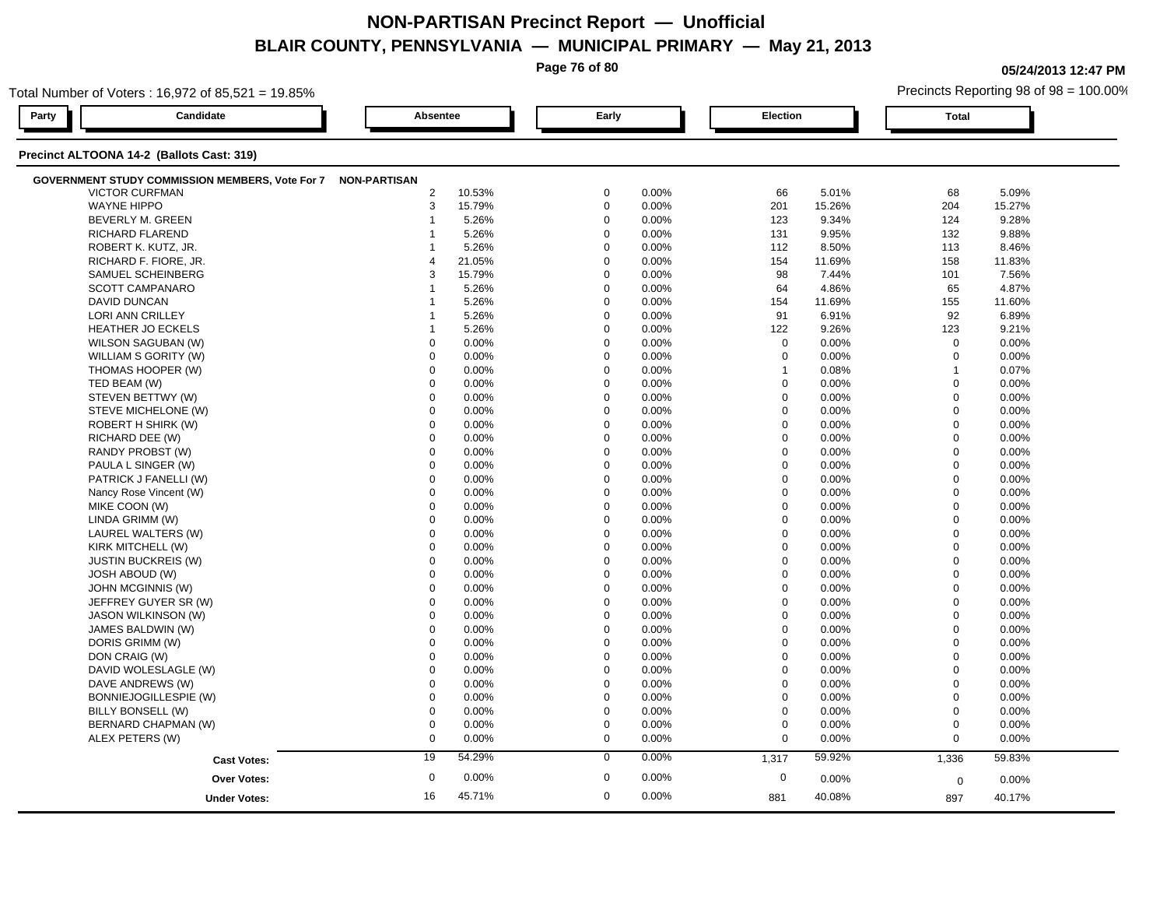|       |                                                        |                         |        | Page 76 of 80                          |       |                 |        |              | 05/24/2013 12:47 PM |  |  |  |
|-------|--------------------------------------------------------|-------------------------|--------|----------------------------------------|-------|-----------------|--------|--------------|---------------------|--|--|--|
|       | Total Number of Voters: 16,972 of 85,521 = 19.85%      |                         |        | Precincts Reporting 98 of 98 = 100.00% |       |                 |        |              |                     |  |  |  |
| Party | Candidate                                              | Absentee                |        | Early                                  |       | <b>Election</b> |        | <b>Total</b> |                     |  |  |  |
|       | Precinct ALTOONA 14-2 (Ballots Cast: 319)              |                         |        |                                        |       |                 |        |              |                     |  |  |  |
|       | <b>GOVERNMENT STUDY COMMISSION MEMBERS, Vote For 7</b> | <b>NON-PARTISAN</b>     |        |                                        |       |                 |        |              |                     |  |  |  |
|       | <b>VICTOR CURFMAN</b>                                  | $\overline{2}$          | 10.53% | $\mathbf 0$                            | 0.00% | 66              | 5.01%  | 68           | 5.09%               |  |  |  |
|       | <b>WAYNE HIPPO</b>                                     | 3                       | 15.79% | $\mathbf 0$                            | 0.00% | 201             | 15.26% | 204          | 15.27%              |  |  |  |
|       | BEVERLY M. GREEN                                       |                         | 5.26%  | $\mathbf 0$                            | 0.00% | 123             | 9.34%  | 124          | 9.28%               |  |  |  |
|       | RICHARD FLAREND                                        |                         | 5.26%  | $\mathbf 0$                            | 0.00% | 131             | 9.95%  | 132          | 9.88%               |  |  |  |
|       | ROBERT K. KUTZ, JR.                                    |                         | 5.26%  | $\mathbf 0$                            | 0.00% | 112             | 8.50%  | 113          | 8.46%               |  |  |  |
|       | RICHARD F. FIORE, JR.                                  |                         | 21.05% | $\mathbf 0$                            | 0.00% | 154             | 11.69% | 158          | 11.83%              |  |  |  |
|       | SAMUEL SCHEINBERG                                      | 3                       | 15.79% | $\mathbf 0$                            | 0.00% | 98              | 7.44%  | 101          | 7.56%               |  |  |  |
|       | <b>SCOTT CAMPANARO</b>                                 |                         | 5.26%  | $\mathbf 0$                            | 0.00% | 64              | 4.86%  | 65           | 4.87%               |  |  |  |
|       | <b>DAVID DUNCAN</b>                                    |                         | 5.26%  | $\mathbf 0$                            | 0.00% | 154             | 11.69% | 155          | 11.60%              |  |  |  |
|       | LORI ANN CRILLEY                                       |                         | 5.26%  | $\mathbf 0$                            | 0.00% | 91              | 6.91%  | 92           | 6.89%               |  |  |  |
|       | HEATHER JO ECKELS                                      | $\overline{\mathbf{1}}$ | 5.26%  | $\mathbf 0$                            | 0.00% | 122             | 9.26%  | 123          | 9.21%               |  |  |  |
|       | WILSON SAGUBAN (W)                                     | $\mathbf 0$             | 0.00%  | $\mathbf 0$                            | 0.00% | $\mathbf 0$     | 0.00%  | 0            | 0.00%               |  |  |  |
|       | WILLIAM S GORITY (W)                                   | $\Omega$                | 0.00%  | $\Omega$                               | 0.00% | $\mathbf 0$     | 0.00%  | $\mathbf 0$  | 0.00%               |  |  |  |
|       | THOMAS HOOPER (W)                                      | $\Omega$                | 0.00%  | $\Omega$                               | 0.00% | $\overline{1}$  | 0.08%  | $\mathbf{1}$ | 0.07%               |  |  |  |
|       | TED BEAM (W)                                           | $\Omega$                | 0.00%  | $\Omega$                               | 0.00% | $\mathbf 0$     | 0.00%  | $\mathbf 0$  | 0.00%               |  |  |  |
|       | STEVEN BETTWY (W)                                      | $\Omega$                | 0.00%  | $\mathbf 0$                            | 0.00% | $\mathbf 0$     | 0.00%  | $\Omega$     | 0.00%               |  |  |  |
|       | STEVE MICHELONE (W)                                    | $\mathbf 0$             | 0.00%  | 0                                      | 0.00% | $\mathbf 0$     | 0.00%  | $\mathbf 0$  | 0.00%               |  |  |  |
|       | ROBERT H SHIRK (W)                                     | $\Omega$                | 0.00%  | $\Omega$                               | 0.00% | $\Omega$        | 0.00%  | $\Omega$     | 0.00%               |  |  |  |
|       | RICHARD DEE (W)                                        | $\mathbf 0$             | 0.00%  | $\mathbf 0$                            | 0.00% | $\Omega$        | 0.00%  | $\mathbf 0$  | 0.00%               |  |  |  |
|       | RANDY PROBST (W)                                       | $\mathbf 0$             | 0.00%  | $\mathbf 0$                            | 0.00% | $\Omega$        | 0.00%  | $\Omega$     | 0.00%               |  |  |  |
|       | PAULA L SINGER (W)                                     | $\mathbf 0$             | 0.00%  | $\mathbf 0$                            | 0.00% | $\Omega$        | 0.00%  | $\mathbf 0$  | 0.00%               |  |  |  |
|       | PATRICK J FANELLI (W)                                  | $\mathbf 0$             | 0.00%  | $\mathbf 0$                            | 0.00% | $\mathbf 0$     | 0.00%  | $\Omega$     | 0.00%               |  |  |  |
|       | Nancy Rose Vincent (W)                                 | $\mathbf 0$             | 0.00%  | $\mathbf 0$                            | 0.00% | $\mathbf 0$     | 0.00%  | $\mathbf 0$  | 0.00%               |  |  |  |
|       | MIKE COON (W)                                          | $\Omega$                | 0.00%  | $\mathbf 0$                            | 0.00% | $\Omega$        | 0.00%  | $\Omega$     | 0.00%               |  |  |  |
|       | LINDA GRIMM (W)                                        | $\Omega$                | 0.00%  | $\Omega$                               | 0.00% | $\Omega$        | 0.00%  | $\Omega$     | 0.00%               |  |  |  |
|       | LAUREL WALTERS (W)                                     | $\Omega$                | 0.00%  | $\Omega$                               | 0.00% | $\Omega$        | 0.00%  | $\Omega$     | 0.00%               |  |  |  |
|       | KIRK MITCHELL (W)                                      | $\Omega$                | 0.00%  | $\Omega$                               | 0.00% | $\Omega$        | 0.00%  | $\Omega$     | 0.00%               |  |  |  |
|       | <b>JUSTIN BUCKREIS (W)</b>                             | $\Omega$                | 0.00%  | $\mathbf 0$                            | 0.00% | $\mathbf 0$     | 0.00%  | $\Omega$     | 0.00%               |  |  |  |
|       | <b>JOSH ABOUD (W)</b>                                  | $\Omega$                | 0.00%  | $\Omega$                               | 0.00% | $\Omega$        | 0.00%  | $\Omega$     | 0.00%               |  |  |  |
|       | JOHN MCGINNIS (W)                                      | $\mathbf 0$             | 0.00%  | $\mathbf 0$                            | 0.00% | $\Omega$        | 0.00%  | $\Omega$     | 0.00%               |  |  |  |
|       | JEFFREY GUYER SR (W)                                   | $\Omega$                | 0.00%  | $\Omega$                               | 0.00% | $\Omega$        | 0.00%  | $\mathbf 0$  | 0.00%               |  |  |  |
|       | <b>JASON WILKINSON (W)</b>                             | $\mathbf 0$             | 0.00%  | $\mathbf 0$                            | 0.00% | $\mathbf 0$     | 0.00%  | $\mathbf 0$  | 0.00%               |  |  |  |
|       | JAMES BALDWIN (W)                                      | $\mathbf 0$             | 0.00%  | $\mathbf 0$                            | 0.00% | $\Omega$        | 0.00%  | $\mathbf 0$  | 0.00%               |  |  |  |
|       | DORIS GRIMM (W)                                        | $\mathbf 0$             | 0.00%  | $\mathbf 0$                            | 0.00% | $\mathbf 0$     | 0.00%  | $\mathbf 0$  | 0.00%               |  |  |  |
|       | DON CRAIG (W)                                          | $\Omega$                | 0.00%  | $\mathbf 0$                            | 0.00% | $\mathbf 0$     | 0.00%  | $\Omega$     | 0.00%               |  |  |  |
|       | DAVID WOLESLAGLE (W)                                   | $\Omega$                | 0.00%  | $\mathbf 0$                            | 0.00% | $\mathbf 0$     | 0.00%  | $\Omega$     | 0.00%               |  |  |  |
|       | DAVE ANDREWS (W)                                       | $\Omega$                | 0.00%  | $\mathbf 0$                            | 0.00% | $\Omega$        | 0.00%  | $\Omega$     | 0.00%               |  |  |  |
|       | BONNIEJOGILLESPIE (W)                                  | $\mathbf 0$             | 0.00%  | $\mathbf 0$                            | 0.00% | $\mathbf 0$     | 0.00%  | $\mathbf 0$  | 0.00%               |  |  |  |
|       | BILLY BONSELL (W)                                      | $\Omega$                | 0.00%  | $\mathbf 0$                            | 0.00% | $\mathbf 0$     | 0.00%  | $\mathbf 0$  | 0.00%               |  |  |  |
|       | BERNARD CHAPMAN (W)                                    | $\mathbf 0$             | 0.00%  | $\mathbf 0$                            | 0.00% | $\mathbf 0$     | 0.00%  | $\Omega$     | 0.00%               |  |  |  |
|       | ALEX PETERS (W)                                        | $\Omega$                | 0.00%  | $\Omega$                               | 0.00% | $\mathbf 0$     | 0.00%  | $\mathbf 0$  | 0.00%               |  |  |  |

45.71% 16

**Under Votes:**

**Over Votes:** 0.00% 0.00% 0.00% 0.00% 0.00% 0.00% 0.00% 0.00% 0.00% 0.00% 0.00% 0.00% 0.00% 0.00% 0.00% 0.00% 0.00% 0.00% 0.00% 0.00% 0.00% 0.00% 0.00% 0.00% 0.00% 0.00% 0.00% 0.00% 0.00% 0.00% 0.00% 0.00% 0.00% 0.00% 0.00

**Cast Votes:** 19 54.29% 0 0.00% 1,317 59.92% 1,336 59.83%

0 0.00%

0.00% 0

40.08%

 $0$  0.00%  $0$  0.00%  $0$  0.00%  $0$  0.00%  $0$  0.00%  $0$  0.00%

0 0.00%

881

0.00% 0

40.08% 40.17% 897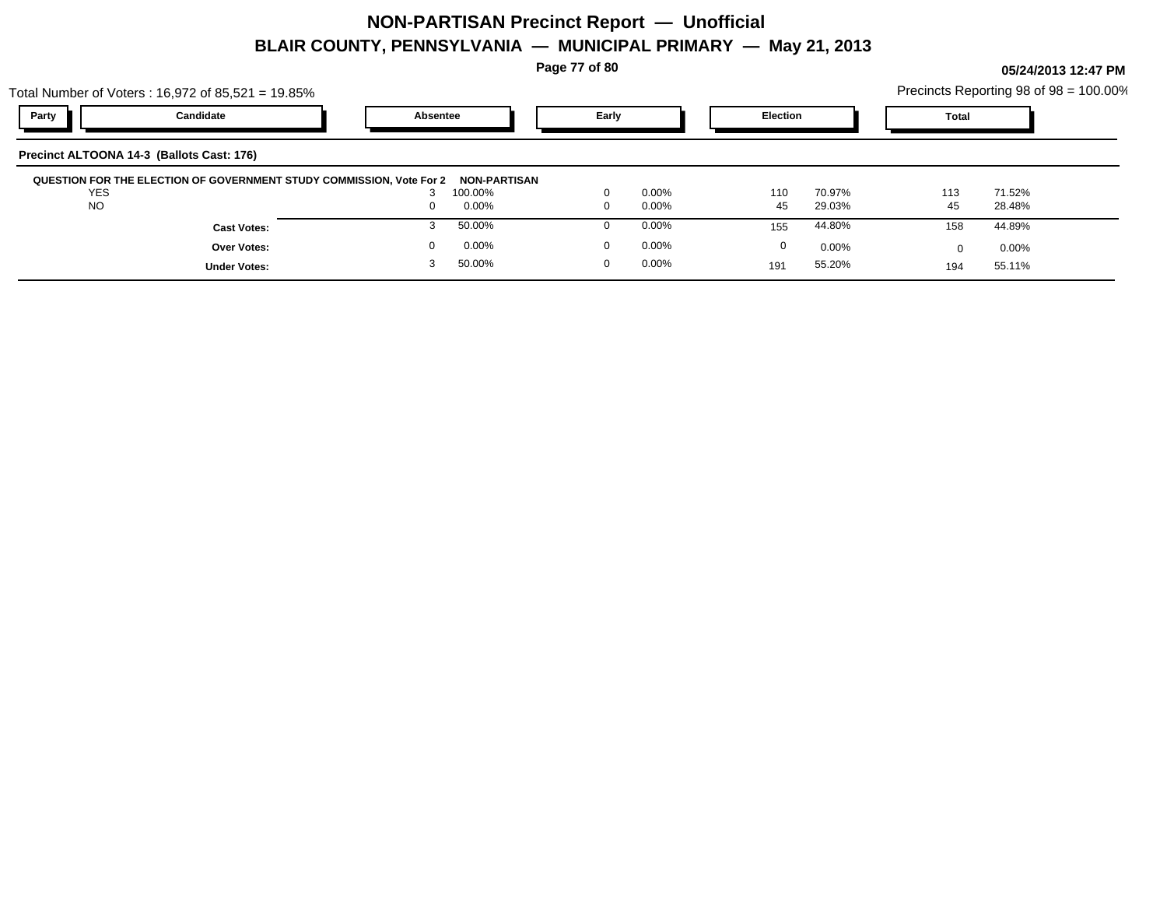**Page 77 of 80**

**05/24/2013 12:47 PM**

|                                           | Total Number of Voters: 16,972 of 85,521 = 19.85%                           |          |                         |       |          |                 |          |              | Precincts Reporting 98 of 98 = 100.00% |  |
|-------------------------------------------|-----------------------------------------------------------------------------|----------|-------------------------|-------|----------|-----------------|----------|--------------|----------------------------------------|--|
| Party                                     | Candidate                                                                   | Absentee |                         | Early |          | <b>Election</b> |          | <b>Total</b> |                                        |  |
| Precinct ALTOONA 14-3 (Ballots Cast: 176) |                                                                             |          |                         |       |          |                 |          |              |                                        |  |
| <b>YES</b>                                | <b>QUESTION FOR THE ELECTION OF GOVERNMENT STUDY COMMISSION, Vote For 2</b> |          | NON-PARTISAN<br>100.00% |       | $0.00\%$ | 110             | 70.97%   | 113          | 71.52%                                 |  |
| <b>NO</b>                                 |                                                                             |          | 0.00%                   |       | $0.00\%$ | 45              | 29.03%   | 45           | 28.48%                                 |  |
|                                           | <b>Cast Votes:</b>                                                          |          | 50.00%                  |       | $0.00\%$ | 155             | 44.80%   | 158          | 44.89%                                 |  |
|                                           | <b>Over Votes:</b>                                                          |          | 0.00%                   |       | $0.00\%$ | 0               | $0.00\%$ | $\Omega$     | $0.00\%$                               |  |
|                                           | <b>Under Votes:</b>                                                         |          | 50.00%                  | 0     | $0.00\%$ | 191             | 55.20%   | 194          | 55.11%                                 |  |
|                                           |                                                                             |          |                         |       |          |                 |          |              |                                        |  |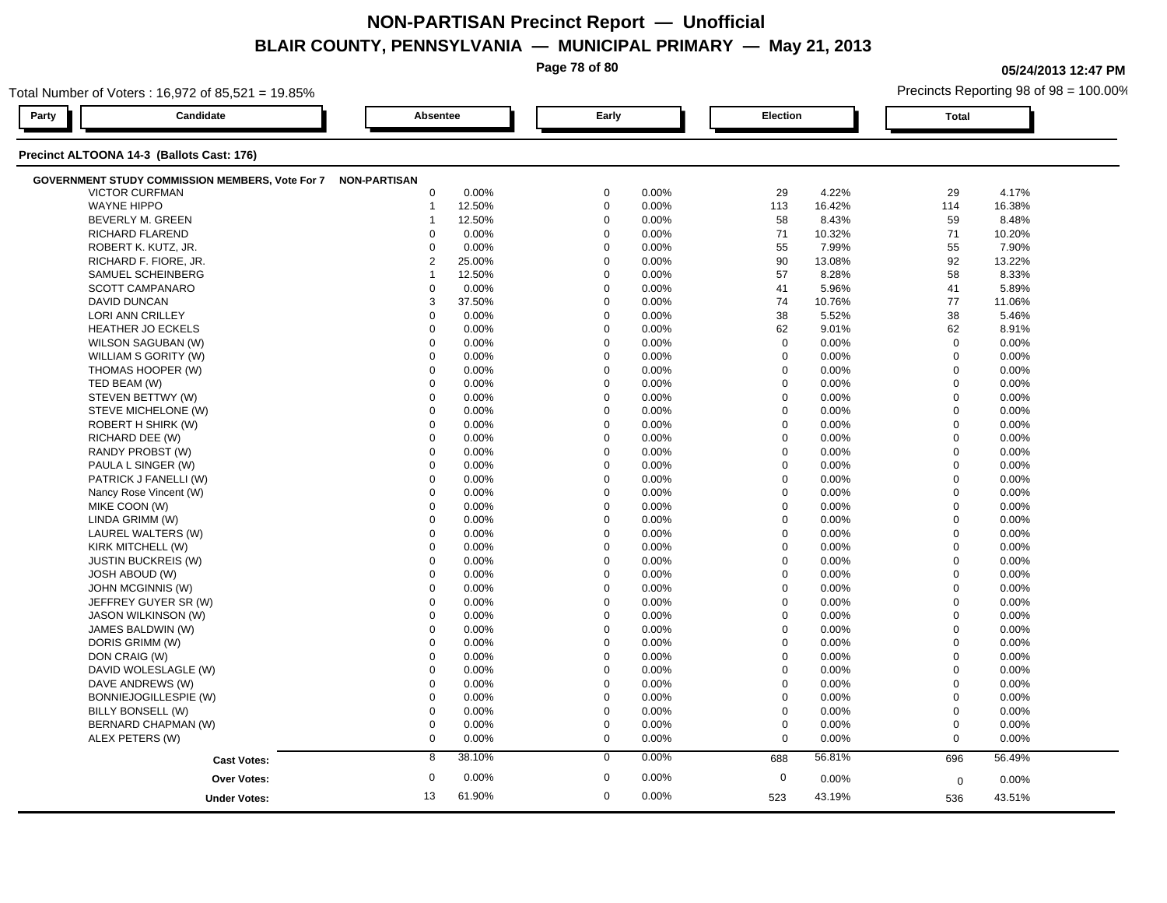**Page 78 of 80**

**05/24/2013 12:47 PM**

Precincts Reporting 98 of 98 = 100.00%

| Total Number of Voters: 16,972 of 85,521 = 19.85%            |                     |                |        |             |       |             |        |              | Precincts Reporting 98 of 98 = 100.00% |  |
|--------------------------------------------------------------|---------------------|----------------|--------|-------------|-------|-------------|--------|--------------|----------------------------------------|--|
| Party                                                        | Candidate           | Absentee       |        | Early       |       | Election    |        | <b>Total</b> |                                        |  |
| Precinct ALTOONA 14-3 (Ballots Cast: 176)                    |                     |                |        |             |       |             |        |              |                                        |  |
| GOVERNMENT STUDY COMMISSION MEMBERS, Vote For 7 NON-PARTISAN |                     |                |        |             |       |             |        |              |                                        |  |
| <b>VICTOR CURFMAN</b>                                        |                     | 0              | 0.00%  | $\mathbf 0$ | 0.00% | 29          | 4.22%  | 29           | 4.17%                                  |  |
| <b>WAYNE HIPPO</b>                                           |                     | $\mathbf 1$    | 12.50% | $\mathbf 0$ | 0.00% | 113         | 16.42% | 114          | 16.38%                                 |  |
| BEVERLY M. GREEN                                             |                     | -1             | 12.50% | $\mathbf 0$ | 0.00% | 58          | 8.43%  | 59           | 8.48%                                  |  |
| RICHARD FLAREND                                              |                     | $\Omega$       | 0.00%  | $\mathbf 0$ | 0.00% | 71          | 10.32% | 71           | 10.20%                                 |  |
| ROBERT K. KUTZ, JR.                                          |                     | $\mathbf 0$    | 0.00%  | $\mathbf 0$ | 0.00% | 55          | 7.99%  | 55           | 7.90%                                  |  |
| RICHARD F. FIORE, JR.                                        |                     | $\overline{2}$ | 25.00% | $\mathbf 0$ | 0.00% | 90          | 13.08% | 92           | 13.22%                                 |  |
| SAMUEL SCHEINBERG                                            |                     | $\mathbf 1$    | 12.50% | $\mathbf 0$ | 0.00% | 57          | 8.28%  | 58           | 8.33%                                  |  |
| <b>SCOTT CAMPANARO</b>                                       |                     | $\mathbf 0$    | 0.00%  | $\mathbf 0$ | 0.00% | 41          | 5.96%  | 41           | 5.89%                                  |  |
| DAVID DUNCAN                                                 |                     | 3              | 37.50% | $\mathbf 0$ | 0.00% | 74          | 10.76% | 77           | 11.06%                                 |  |
| <b>LORI ANN CRILLEY</b>                                      |                     | $\Omega$       | 0.00%  | $\mathbf 0$ | 0.00% | 38          | 5.52%  | 38           | 5.46%                                  |  |
| HEATHER JO ECKELS                                            |                     | $\mathbf 0$    | 0.00%  | $\mathbf 0$ | 0.00% | 62          | 9.01%  | 62           | 8.91%                                  |  |
| WILSON SAGUBAN (W)                                           |                     | 0              | 0.00%  | $\mathbf 0$ | 0.00% | $\mathbf 0$ | 0.00%  | $\mathbf 0$  | 0.00%                                  |  |
| WILLIAM S GORITY (W)                                         |                     | $\mathbf 0$    | 0.00%  | $\mathbf 0$ | 0.00% | 0           | 0.00%  | $\mathbf 0$  | 0.00%                                  |  |
| THOMAS HOOPER (W)                                            |                     | $\mathbf 0$    | 0.00%  | $\mathbf 0$ | 0.00% | $\mathbf 0$ | 0.00%  | $\mathbf 0$  | 0.00%                                  |  |
| TED BEAM (W)                                                 |                     | $\Omega$       | 0.00%  | $\mathbf 0$ | 0.00% | $\mathbf 0$ | 0.00%  | $\mathbf 0$  | 0.00%                                  |  |
| STEVEN BETTWY (W)                                            |                     | $\mathbf 0$    | 0.00%  | $\mathbf 0$ | 0.00% | $\mathbf 0$ | 0.00%  | $\mathbf 0$  | 0.00%                                  |  |
| STEVE MICHELONE (W)                                          |                     | $\mathbf 0$    | 0.00%  | $\mathbf 0$ | 0.00% | $\mathbf 0$ | 0.00%  | $\mathbf 0$  | 0.00%                                  |  |
| ROBERT H SHIRK (W)                                           |                     | $\mathbf 0$    | 0.00%  | $\mathbf 0$ | 0.00% | $\pmb{0}$   | 0.00%  | $\mathbf 0$  | 0.00%                                  |  |
| RICHARD DEE (W)                                              |                     | $\mathbf 0$    | 0.00%  | $\mathbf 0$ | 0.00% | $\mathbf 0$ | 0.00%  | $\mathbf 0$  | 0.00%                                  |  |
| RANDY PROBST (W)                                             |                     | $\mathbf 0$    | 0.00%  | $\mathbf 0$ | 0.00% | $\mathbf 0$ | 0.00%  | $\mathbf 0$  | $0.00\%$                               |  |
| PAULA L SINGER (W)                                           |                     | $\Omega$       | 0.00%  | $\mathbf 0$ | 0.00% | $\Omega$    | 0.00%  | $\mathbf 0$  | 0.00%                                  |  |
| PATRICK J FANELLI (W)                                        |                     | 0              | 0.00%  | $\mathbf 0$ | 0.00% | $\mathbf 0$ | 0.00%  | $\mathbf 0$  | 0.00%                                  |  |
| Nancy Rose Vincent (W)                                       |                     | $\mathbf 0$    | 0.00%  | $\mathbf 0$ | 0.00% | $\pmb{0}$   | 0.00%  | $\mathbf 0$  | 0.00%                                  |  |
| MIKE COON (W)                                                |                     | $\mathbf 0$    | 0.00%  | $\Omega$    | 0.00% | $\mathbf 0$ | 0.00%  | $\mathbf 0$  | 0.00%                                  |  |
| LINDA GRIMM (W)                                              |                     | $\mathbf 0$    | 0.00%  | $\mathbf 0$ | 0.00% | $\mathbf 0$ | 0.00%  | $\mathbf 0$  | 0.00%                                  |  |
| LAUREL WALTERS (W)                                           |                     | $\Omega$       | 0.00%  | $\mathbf 0$ | 0.00% | $\Omega$    | 0.00%  | $\mathbf 0$  | 0.00%                                  |  |
| KIRK MITCHELL (W)                                            |                     | $\Omega$       | 0.00%  | $\mathbf 0$ | 0.00% | $\Omega$    | 0.00%  | $\mathbf 0$  | 0.00%                                  |  |
| <b>JUSTIN BUCKREIS (W)</b>                                   |                     | $\mathbf 0$    | 0.00%  | $\mathbf 0$ | 0.00% | $\mathbf 0$ | 0.00%  | $\mathbf 0$  | 0.00%                                  |  |
| <b>JOSH ABOUD (W)</b>                                        |                     | $\mathbf 0$    | 0.00%  | $\mathbf 0$ | 0.00% | $\Omega$    | 0.00%  | $\mathbf 0$  | 0.00%                                  |  |
| JOHN MCGINNIS (W)                                            |                     | $\mathbf 0$    | 0.00%  | $\mathbf 0$ | 0.00% | $\mathbf 0$ | 0.00%  | $\mathbf 0$  | 0.00%                                  |  |
| JEFFREY GUYER SR (W)                                         |                     | $\mathbf 0$    | 0.00%  | $\mathbf 0$ | 0.00% | $\mathbf 0$ | 0.00%  | $\mathbf 0$  | 0.00%                                  |  |
| <b>JASON WILKINSON (W)</b>                                   |                     | 0              | 0.00%  | $\mathbf 0$ | 0.00% | $\mathbf 0$ | 0.00%  | $\mathbf 0$  | 0.00%                                  |  |
| JAMES BALDWIN (W)                                            |                     | 0              | 0.00%  | $\mathbf 0$ | 0.00% | $\mathbf 0$ | 0.00%  | $\mathbf 0$  | 0.00%                                  |  |
| DORIS GRIMM (W)                                              |                     | $\mathbf 0$    | 0.00%  | $\mathbf 0$ | 0.00% | $\Omega$    | 0.00%  | $\mathbf 0$  | 0.00%                                  |  |
| DON CRAIG (W)                                                |                     | $\mathbf 0$    | 0.00%  | $\mathbf 0$ | 0.00% | $\mathbf 0$ | 0.00%  | $\mathbf 0$  | 0.00%                                  |  |
| DAVID WOLESLAGLE (W)                                         |                     | $\Omega$       | 0.00%  | $\mathbf 0$ | 0.00% | $\mathbf 0$ | 0.00%  | $\mathbf 0$  | 0.00%                                  |  |
| DAVE ANDREWS (W)                                             |                     | 0              | 0.00%  | $\mathbf 0$ | 0.00% | $\mathbf 0$ | 0.00%  | $\mathbf 0$  | 0.00%                                  |  |
| BONNIEJOGILLESPIE (W)                                        |                     | 0              | 0.00%  | $\mathbf 0$ | 0.00% | $\mathbf 0$ | 0.00%  | $\mathbf 0$  | 0.00%                                  |  |
| BILLY BONSELL (W)                                            |                     | 0              | 0.00%  | $\mathbf 0$ | 0.00% | $\mathbf 0$ | 0.00%  | $\mathbf 0$  | $0.00\%$                               |  |
| BERNARD CHAPMAN (W)                                          |                     | $\mathbf 0$    | 0.00%  | $\mathbf 0$ | 0.00% | $\Omega$    | 0.00%  | $\mathbf 0$  | 0.00%                                  |  |
| ALEX PETERS (W)                                              |                     | $\mathbf 0$    | 0.00%  | $\mathbf 0$ | 0.00% | $\mathbf 0$ | 0.00%  | $\mathbf 0$  | 0.00%                                  |  |
|                                                              |                     |                |        |             |       |             |        |              |                                        |  |
|                                                              | <b>Cast Votes:</b>  | 8              | 38.10% | $\mathbf 0$ | 0.00% | 688         | 56.81% | 696          | 56.49%                                 |  |
|                                                              | <b>Over Votes:</b>  | 0              | 0.00%  | $\mathbf 0$ | 0.00% | $\mathbf 0$ | 0.00%  | $\mathbf 0$  | 0.00%                                  |  |
|                                                              | <b>Under Votes:</b> | 13             | 61.90% | $\mathbf 0$ | 0.00% | 523         | 43.19% | 536          | 43.51%                                 |  |
|                                                              |                     |                |        |             |       |             |        |              |                                        |  |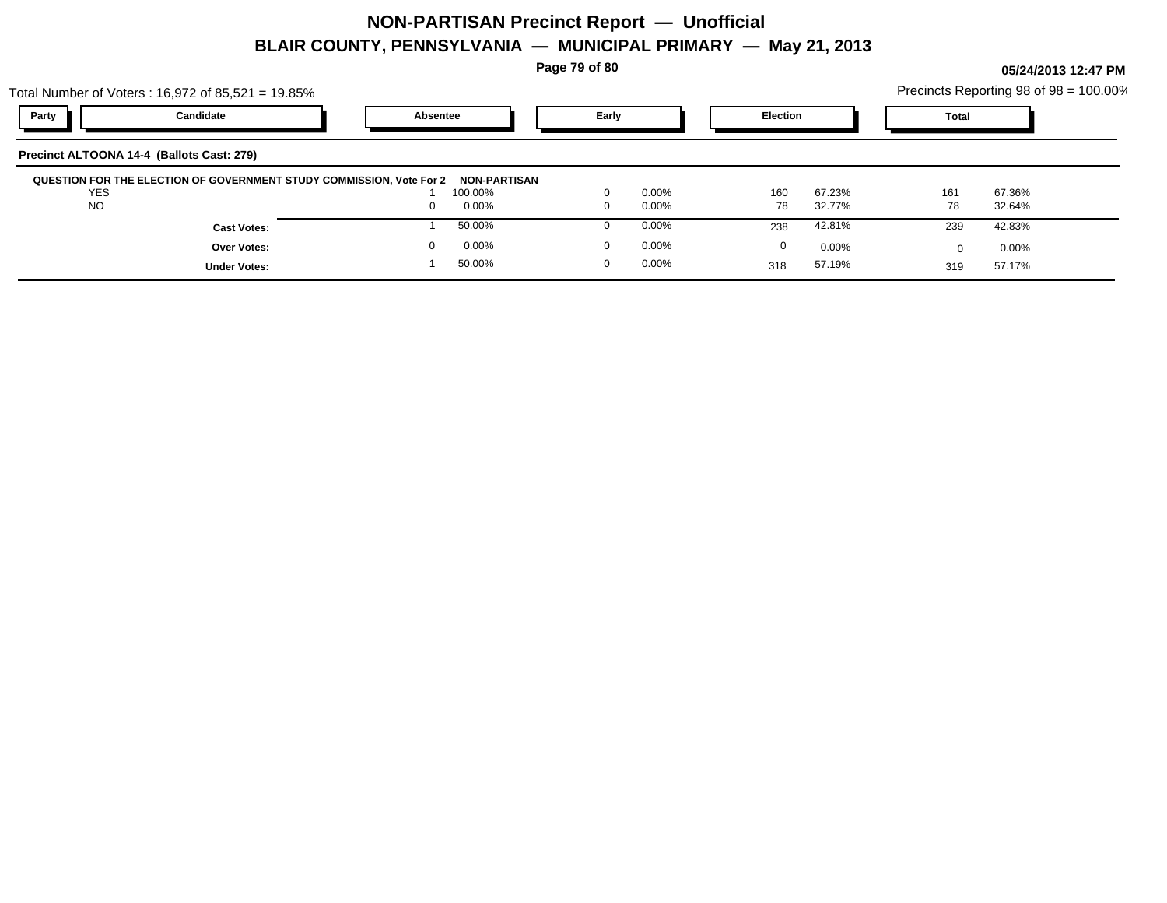**Page 79 of 80**

**05/24/2013 12:47 PM**

| Total Number of Voters: $16,972$ of $85,521 = 19.85\%$ |                                                                      | Precincts Reporting 98 of $98 = 100.00\%$ |                     |          |          |                 |          |              |        |
|--------------------------------------------------------|----------------------------------------------------------------------|-------------------------------------------|---------------------|----------|----------|-----------------|----------|--------------|--------|
| Party                                                  | Candidate                                                            | Absentee                                  |                     | Early    |          | <b>Election</b> |          | <b>Total</b> |        |
|                                                        | Precinct ALTOONA 14-4 (Ballots Cast: 279)                            |                                           |                     |          |          |                 |          |              |        |
|                                                        | QUESTION FOR THE ELECTION OF GOVERNMENT STUDY COMMISSION, Vote For 2 |                                           | <b>NON-PARTISAN</b> |          |          |                 |          |              |        |
| <b>YES</b>                                             |                                                                      |                                           | 100.00%             | $\Omega$ | $0.00\%$ |                 | 67.23%   |              |        |
|                                                        |                                                                      |                                           |                     |          |          | 160             |          | 161          | 67.36% |
| <b>NO</b>                                              |                                                                      | $\Omega$                                  | 0.00%               | 0        | $0.00\%$ | 78              | 32.77%   | 78           | 32.64% |
|                                                        | <b>Cast Votes:</b>                                                   |                                           | 50.00%              | 0        | $0.00\%$ | 238             | 42.81%   | 239          | 42.83% |
|                                                        | <b>Over Votes:</b>                                                   | 0                                         | 0.00%               | $\Omega$ | $0.00\%$ | 0               | $0.00\%$ |              | 0.00%  |